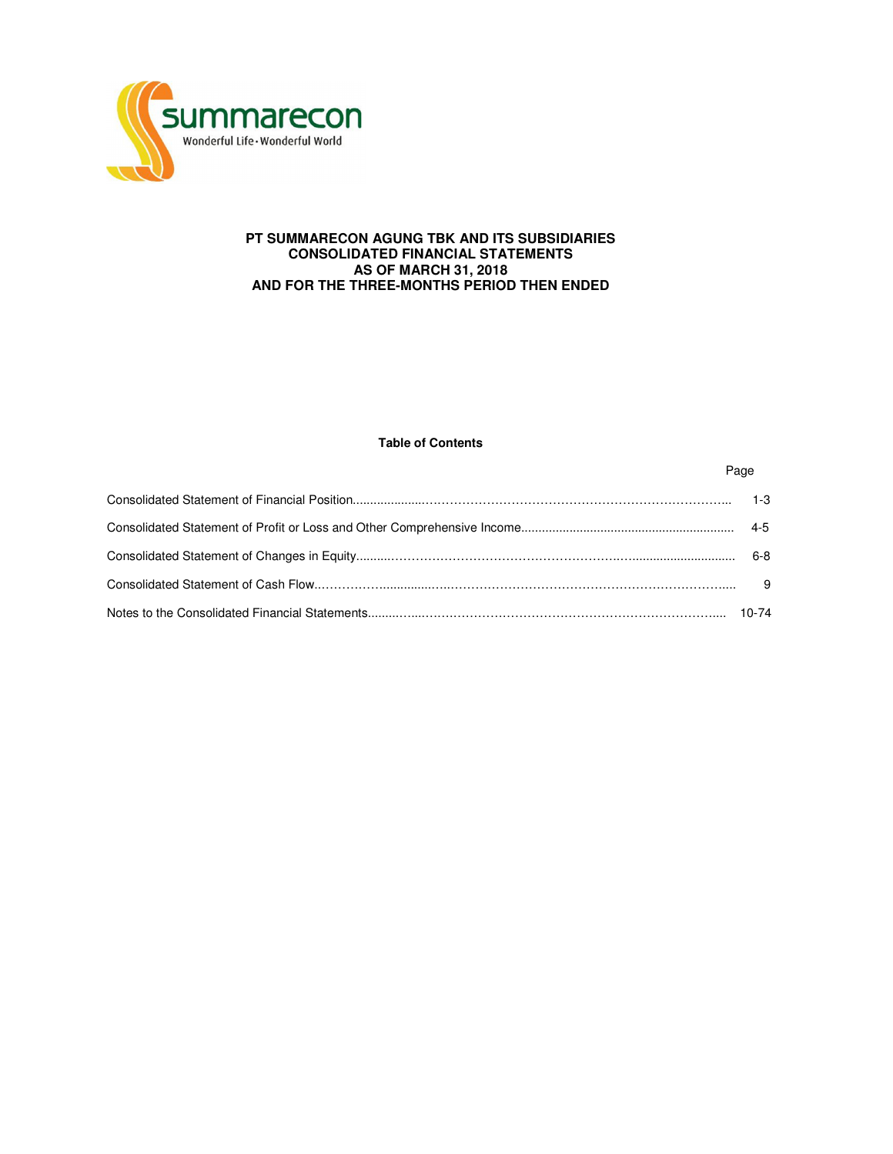

# **PT SUMMARECON AGUNG TBK AND ITS SUBSIDIARIES CONSOLIDATED FINANCIAL STATEMENTS AS OF MARCH 31, 2018 AND FOR THE THREE-MONTHS PERIOD THEN ENDED**

# **Table of Contents**

Page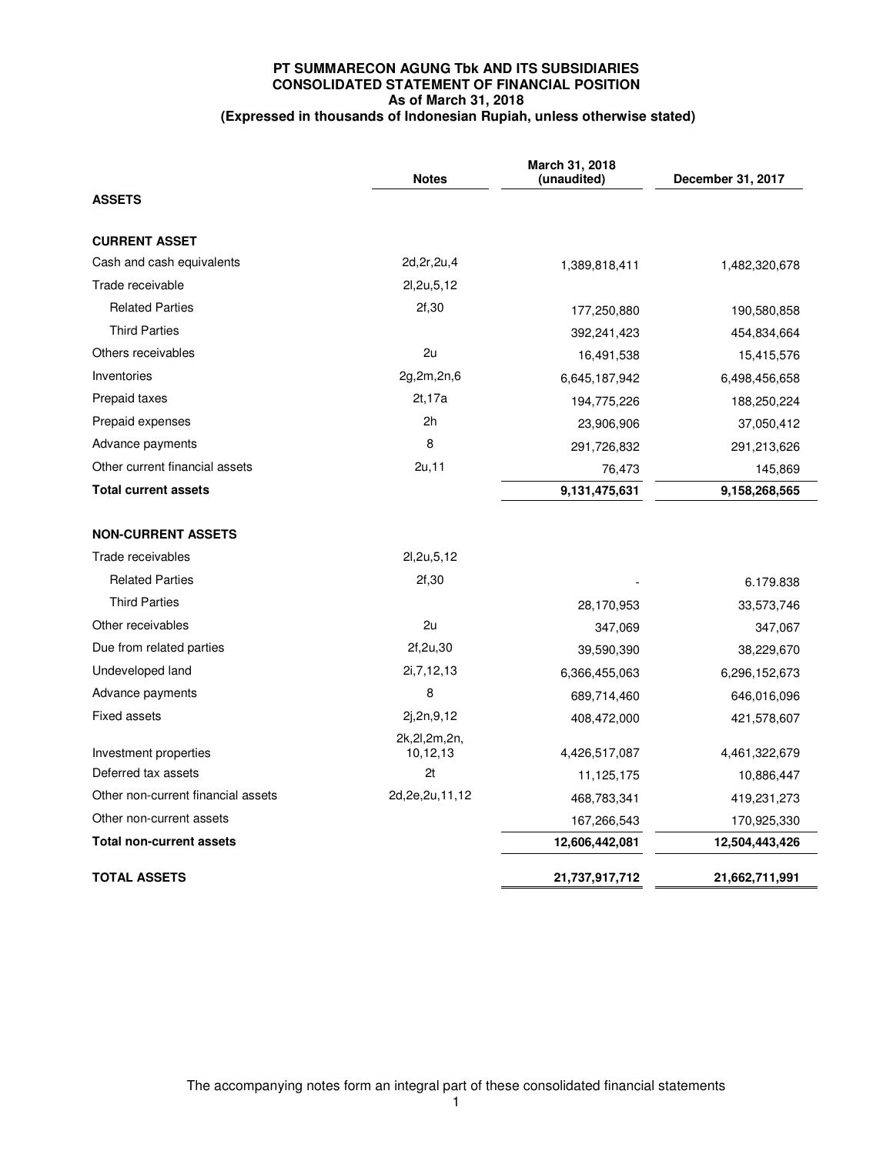# **PT SUMMARECON AGUNG Tbk AND ITS SUBSIDIARIES CONSOLIDATED STATEMENT OF FINANCIAL POSITION As of March 31, 2018 (Expressed in thousands of Indonesian Rupiah, unless otherwise stated)**

|                                    | <b>Notes</b>                | March 31, 2018<br>(unaudited) | December 31, 2017 |
|------------------------------------|-----------------------------|-------------------------------|-------------------|
| <b>ASSETS</b>                      |                             |                               |                   |
| <b>CURRENT ASSET</b>               |                             |                               |                   |
| Cash and cash equivalents          | 2d, 2r, 2u, 4               | 1,389,818,411                 | 1,482,320,678     |
| Trade receivable                   | 2l, 2u, 5, 12               |                               |                   |
| <b>Related Parties</b>             | 2f,30                       | 177,250,880                   | 190,580,858       |
| <b>Third Parties</b>               |                             | 392,241,423                   | 454,834,664       |
| Others receivables                 | 2u                          | 16,491,538                    | 15,415,576        |
| Inventories                        | 2g,2m,2n,6                  | 6,645,187,942                 | 6,498,456,658     |
| Prepaid taxes                      | 2t, 17a                     | 194,775,226                   | 188,250,224       |
| Prepaid expenses                   | 2h                          | 23,906,906                    | 37,050,412        |
| Advance payments                   | 8                           | 291,726,832                   | 291,213,626       |
| Other current financial assets     | 2u,11                       | 76.473                        | 145,869           |
| <b>Total current assets</b>        |                             | 9,131,475,631                 | 9,158,268,565     |
| <b>NON-CURRENT ASSETS</b>          |                             |                               |                   |
| Trade receivables                  | 2l, 2u, 5, 12               |                               |                   |
| <b>Related Parties</b>             | 2f,30                       |                               | 6.179.838         |
| <b>Third Parties</b>               |                             | 28,170,953                    | 33,573,746        |
| Other receivables                  | 2u                          | 347,069                       | 347,067           |
| Due from related parties           | 2f,2u,30                    | 39.590.390                    | 38,229,670        |
| Undeveloped land                   | 2i, 7, 12, 13               | 6,366,455,063                 | 6,296,152,673     |
| Advance payments                   | 8                           | 689,714,460                   | 646,016,096       |
| <b>Fixed assets</b>                | 2j,2n,9,12                  | 408,472,000                   | 421,578,607       |
| Investment properties              | 2k, 2l, 2m, 2n,<br>10,12,13 | 4,426,517,087                 | 4,461,322,679     |
| Deferred tax assets                | 2t                          | 11,125,175                    | 10,886,447        |
| Other non-current financial assets | 2d, 2e, 2u, 11, 12          | 468,783,341                   | 419,231,273       |
| Other non-current assets           |                             | 167,266,543                   | 170,925,330       |
| <b>Total non-current assets</b>    |                             | 12,606,442,081                | 12,504,443,426    |
| <b>TOTAL ASSETS</b>                |                             | 21,737,917,712                | 21,662,711,991    |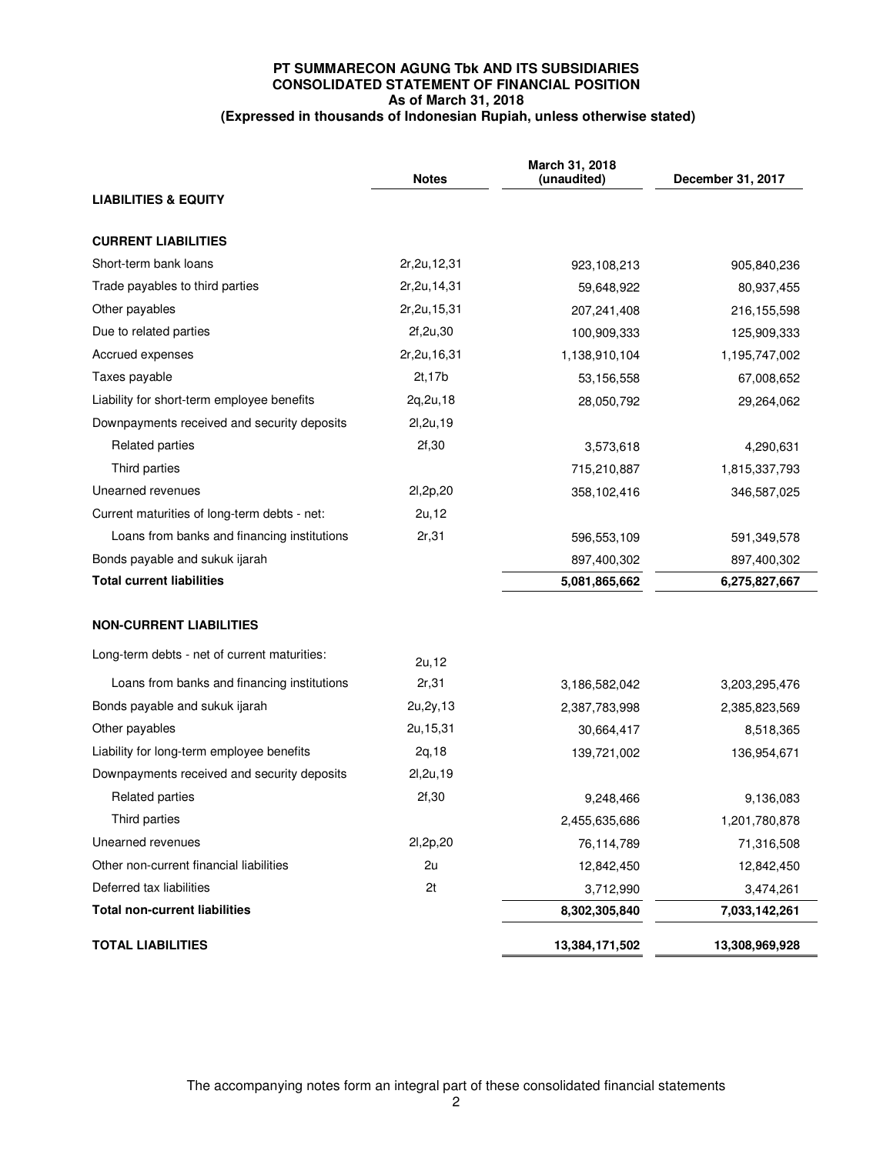# **PT SUMMARECON AGUNG Tbk AND ITS SUBSIDIARIES CONSOLIDATED STATEMENT OF FINANCIAL POSITION As of March 31, 2018 (Expressed in thousands of Indonesian Rupiah, unless otherwise stated)**

|                                              | <b>Notes</b>   | March 31, 2018<br>(unaudited) | December 31, 2017 |
|----------------------------------------------|----------------|-------------------------------|-------------------|
| <b>LIABILITIES &amp; EQUITY</b>              |                |                               |                   |
|                                              |                |                               |                   |
| <b>CURRENT LIABILITIES</b>                   |                |                               |                   |
| Short-term bank loans                        | 2r, 2u, 12, 31 | 923,108,213                   | 905,840,236       |
| Trade payables to third parties              | 2r, 2u, 14, 31 | 59,648,922                    | 80,937,455        |
| Other payables                               | 2r, 2u, 15, 31 | 207,241,408                   | 216, 155, 598     |
| Due to related parties                       | 2f, 2u, 30     | 100,909,333                   | 125,909,333       |
| Accrued expenses                             | 2r, 2u, 16, 31 | 1,138,910,104                 | 1,195,747,002     |
| Taxes payable                                | 2t, 17b        | 53,156,558                    | 67,008,652        |
| Liability for short-term employee benefits   | 2q, 2u, 18     | 28,050,792                    | 29,264,062        |
| Downpayments received and security deposits  | 21,2u,19       |                               |                   |
| Related parties                              | 2f,30          | 3,573,618                     | 4,290,631         |
| Third parties                                |                | 715,210,887                   | 1,815,337,793     |
| Unearned revenues                            | 21,2p,20       | 358,102,416                   | 346,587,025       |
| Current maturities of long-term debts - net: | 2u, 12         |                               |                   |
| Loans from banks and financing institutions  | 2r,31          | 596,553,109                   | 591,349,578       |
| Bonds payable and sukuk ijarah               |                | 897,400,302                   | 897,400,302       |
| <b>Total current liabilities</b>             |                | 5,081,865,662                 | 6,275,827,667     |
| <b>NON-CURRENT LIABILITIES</b>               |                |                               |                   |
| Long-term debts - net of current maturities: | 2u, 12         |                               |                   |
| Loans from banks and financing institutions  | 2r,31          | 3,186,582,042                 | 3,203,295,476     |
| Bonds payable and sukuk ijarah               | 2u, 2y, 13     | 2,387,783,998                 | 2,385,823,569     |
| Other payables                               | 2u, 15, 31     | 30,664,417                    | 8,518,365         |
| Liability for long-term employee benefits    | 2q, 18         | 139,721,002                   | 136,954,671       |
| Downpayments received and security deposits  | 21,2u,19       |                               |                   |
| <b>Related parties</b>                       | 2f,30          | 9,248,466                     | 9,136,083         |
| Third parties                                |                | 2,455,635,686                 | 1,201,780,878     |
| Unearned revenues                            | 21,2p,20       | 76,114,789                    | 71,316,508        |
| Other non-current financial liabilities      | 2u             | 12,842,450                    | 12,842,450        |
| Deferred tax liabilities                     | 2t             | 3,712,990                     | 3,474,261         |
| <b>Total non-current liabilities</b>         |                | 8,302,305,840                 | 7,033,142,261     |
| <b>TOTAL LIABILITIES</b>                     |                | 13,384,171,502                | 13,308,969,928    |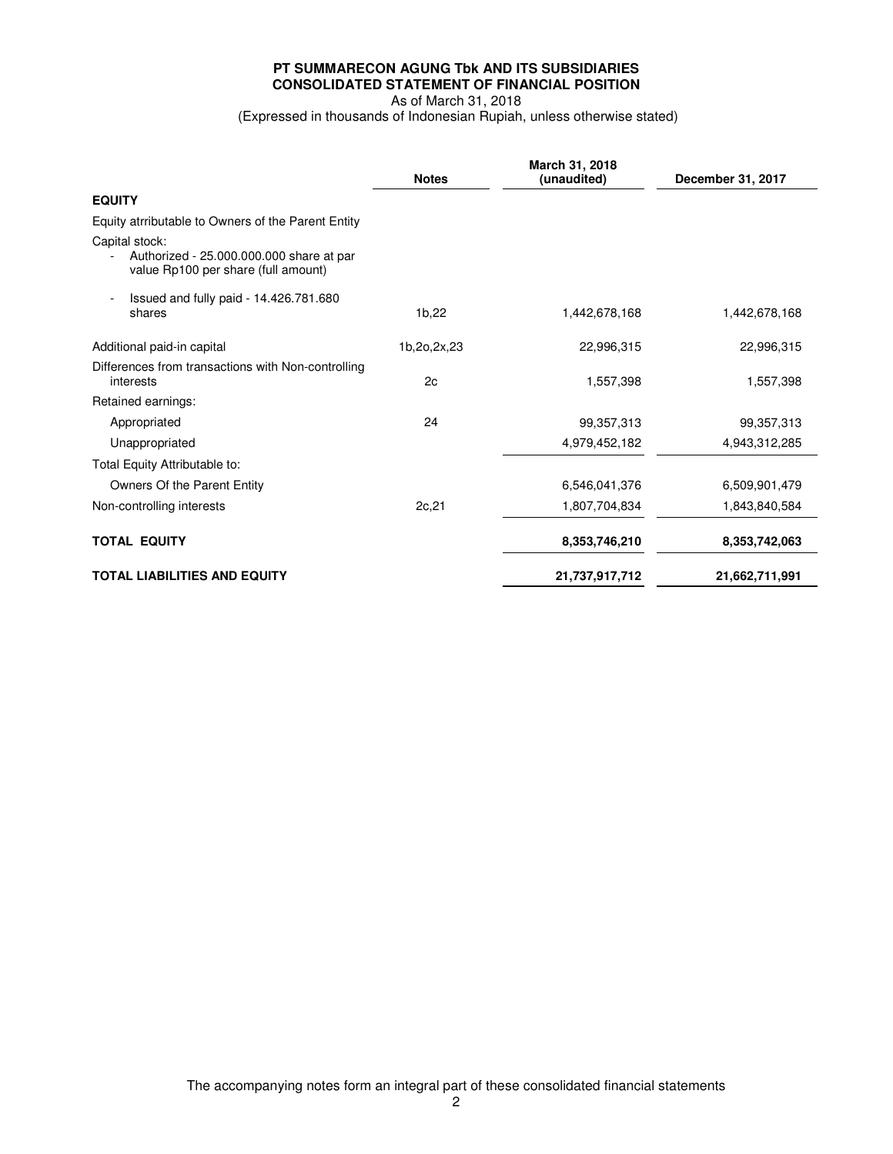# **PT SUMMARECON AGUNG Tbk AND ITS SUBSIDIARIES CONSOLIDATED STATEMENT OF FINANCIAL POSITION**  As of March 31, 2018

(Expressed in thousands of Indonesian Rupiah, unless otherwise stated)

|                                                                                                   | <b>Notes</b> | March 31, 2018<br>(unaudited) | December 31, 2017 |
|---------------------------------------------------------------------------------------------------|--------------|-------------------------------|-------------------|
| <b>EQUITY</b>                                                                                     |              |                               |                   |
| Equity atrributable to Owners of the Parent Entity                                                |              |                               |                   |
| Capital stock:<br>Authorized - 25.000.000.000 share at par<br>value Rp100 per share (full amount) |              |                               |                   |
| Issued and fully paid - 14.426.781.680<br>shares                                                  | 1b,22        | 1,442,678.168                 | 1,442,678,168     |
| Additional paid-in capital                                                                        | 1b,2o,2x,23  | 22,996,315                    | 22,996,315        |
| Differences from transactions with Non-controlling<br>interests                                   | 2c           | 1,557,398                     | 1,557,398         |
| Retained earnings:                                                                                |              |                               |                   |
| Appropriated                                                                                      | 24           | 99,357,313                    | 99,357,313        |
| Unappropriated                                                                                    |              | 4,979,452,182                 | 4,943,312,285     |
| Total Equity Attributable to:                                                                     |              |                               |                   |
| Owners Of the Parent Entity                                                                       |              | 6,546,041,376                 | 6,509,901,479     |
| Non-controlling interests                                                                         | 2c, 21       | 1,807,704,834                 | 1,843,840,584     |
| <b>TOTAL EQUITY</b>                                                                               |              | 8,353,746,210                 | 8,353,742,063     |
| <b>TOTAL LIABILITIES AND EQUITY</b>                                                               |              | 21,737,917,712                | 21,662,711,991    |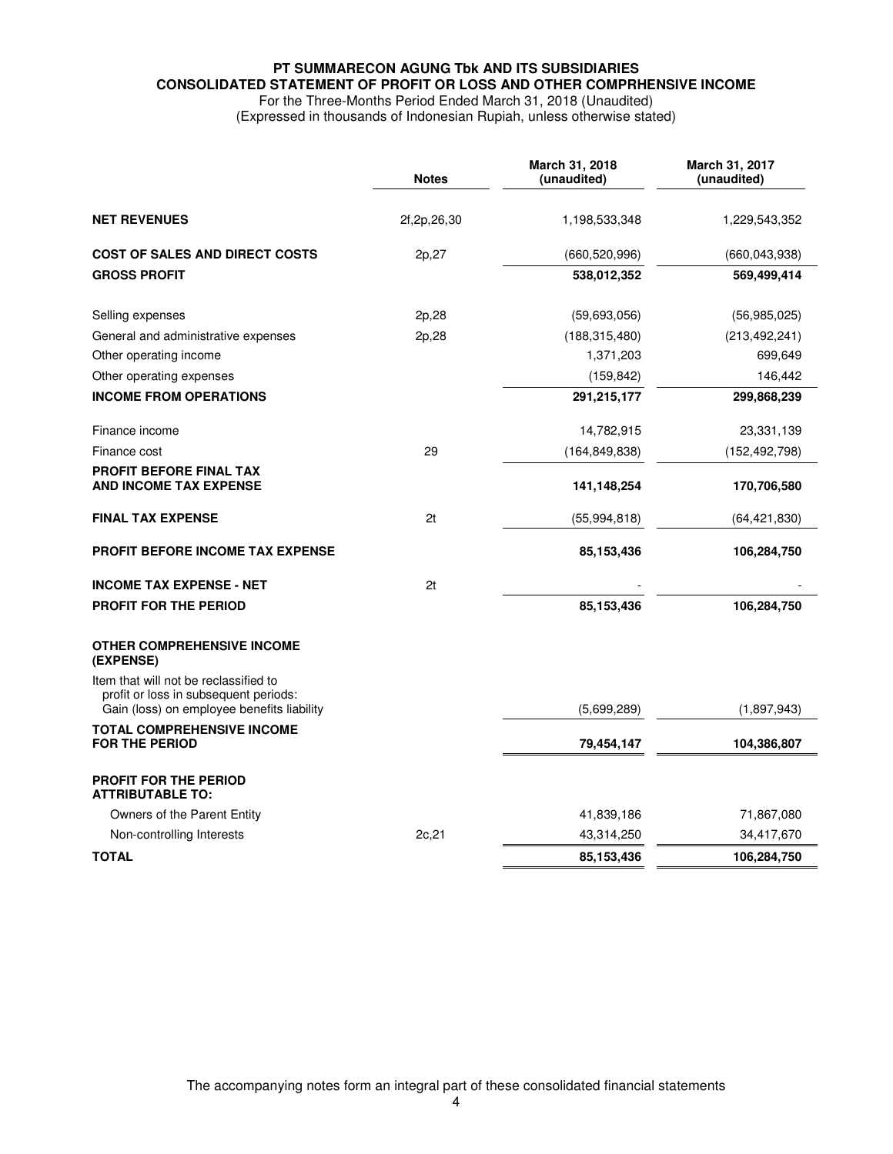# **PT SUMMARECON AGUNG Tbk AND ITS SUBSIDIARIES CONSOLIDATED STATEMENT OF PROFIT OR LOSS AND OTHER COMPRHENSIVE INCOME**  For the Three-Months Period Ended March 31, 2018 (Unaudited)

(Expressed in thousands of Indonesian Rupiah, unless otherwise stated)

|                                                                                                                              | <b>Notes</b> | March 31, 2018<br>(unaudited) | March 31, 2017<br>(unaudited) |
|------------------------------------------------------------------------------------------------------------------------------|--------------|-------------------------------|-------------------------------|
| <b>NET REVENUES</b>                                                                                                          | 2f,2p,26,30  | 1,198,533,348                 | 1,229,543,352                 |
| <b>COST OF SALES AND DIRECT COSTS</b>                                                                                        | 2p, 27       | (660, 520, 996)               | (660, 043, 938)               |
| <b>GROSS PROFIT</b>                                                                                                          |              | 538,012,352                   | 569,499,414                   |
| Selling expenses                                                                                                             | 2p,28        | (59,693,056)                  | (56, 985, 025)                |
| General and administrative expenses                                                                                          | 2p,28        | (188, 315, 480)               | (213, 492, 241)               |
| Other operating income                                                                                                       |              | 1,371,203                     | 699,649                       |
| Other operating expenses                                                                                                     |              | (159, 842)                    | 146,442                       |
| <b>INCOME FROM OPERATIONS</b>                                                                                                |              | 291,215,177                   | 299,868,239                   |
| Finance income                                                                                                               |              | 14,782,915                    | 23,331,139                    |
| Finance cost                                                                                                                 | 29           | (164, 849, 838)               | (152,492,798)                 |
| PROFIT BEFORE FINAL TAX<br><b>AND INCOME TAX EXPENSE</b>                                                                     |              | 141,148,254                   | 170,706,580                   |
| <b>FINAL TAX EXPENSE</b>                                                                                                     | 2t           | (55, 994, 818)                | (64,421,830)                  |
| <b>PROFIT BEFORE INCOME TAX EXPENSE</b>                                                                                      |              | 85,153,436                    | 106,284,750                   |
| <b>INCOME TAX EXPENSE - NET</b>                                                                                              | 2t           |                               |                               |
| <b>PROFIT FOR THE PERIOD</b>                                                                                                 |              | 85,153,436                    | 106,284,750                   |
| <b>OTHER COMPREHENSIVE INCOME</b><br>(EXPENSE)                                                                               |              |                               |                               |
| Item that will not be reclassified to<br>profit or loss in subsequent periods:<br>Gain (loss) on employee benefits liability |              | (5,699,289)                   | (1,897,943)                   |
| <b>TOTAL COMPREHENSIVE INCOME</b><br><b>FOR THE PERIOD</b>                                                                   |              | 79,454,147                    | 104,386,807                   |
| <b>PROFIT FOR THE PERIOD</b><br><b>ATTRIBUTABLE TO:</b>                                                                      |              |                               |                               |
| Owners of the Parent Entity                                                                                                  |              | 41,839,186                    | 71,867,080                    |
| Non-controlling Interests                                                                                                    | 2c, 21       | 43,314,250                    | 34,417,670                    |
| <b>TOTAL</b>                                                                                                                 |              | 85, 153, 436                  | 106,284,750                   |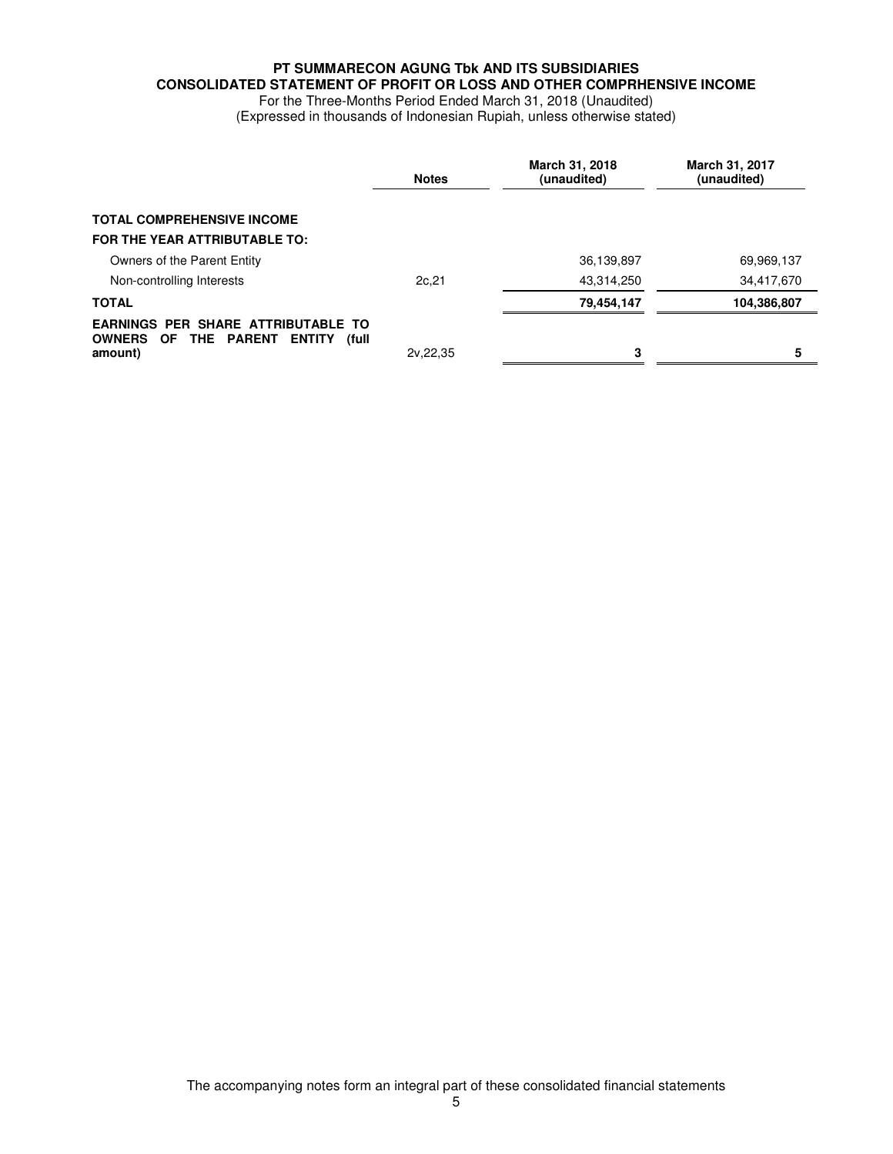# **PT SUMMARECON AGUNG Tbk AND ITS SUBSIDIARIES CONSOLIDATED STATEMENT OF PROFIT OR LOSS AND OTHER COMPRHENSIVE INCOME**

For the Three-Months Period Ended March 31, 2018 (Unaudited) (Expressed in thousands of Indonesian Rupiah, unless otherwise stated)

|                                                                                                        | <b>Notes</b> | March 31, 2018<br>(unaudited) | March 31, 2017<br>(unaudited) |
|--------------------------------------------------------------------------------------------------------|--------------|-------------------------------|-------------------------------|
| <b>TOTAL COMPREHENSIVE INCOME</b>                                                                      |              |                               |                               |
| FOR THE YEAR ATTRIBUTABLE TO:                                                                          |              |                               |                               |
| Owners of the Parent Entity                                                                            |              | 36,139,897                    | 69,969,137                    |
| Non-controlling Interests                                                                              | 2c, 21       | 43,314,250                    | 34,417,670                    |
| <b>TOTAL</b>                                                                                           |              | 79,454,147                    | 104,386,807                   |
| <b>EARNINGS PER SHARE ATTRIBUTABLE TO</b><br>OWNERS OF THE PARENT<br><b>ENTITY</b><br>(full<br>amount) | 2v, 22, 35   | 3                             | 5                             |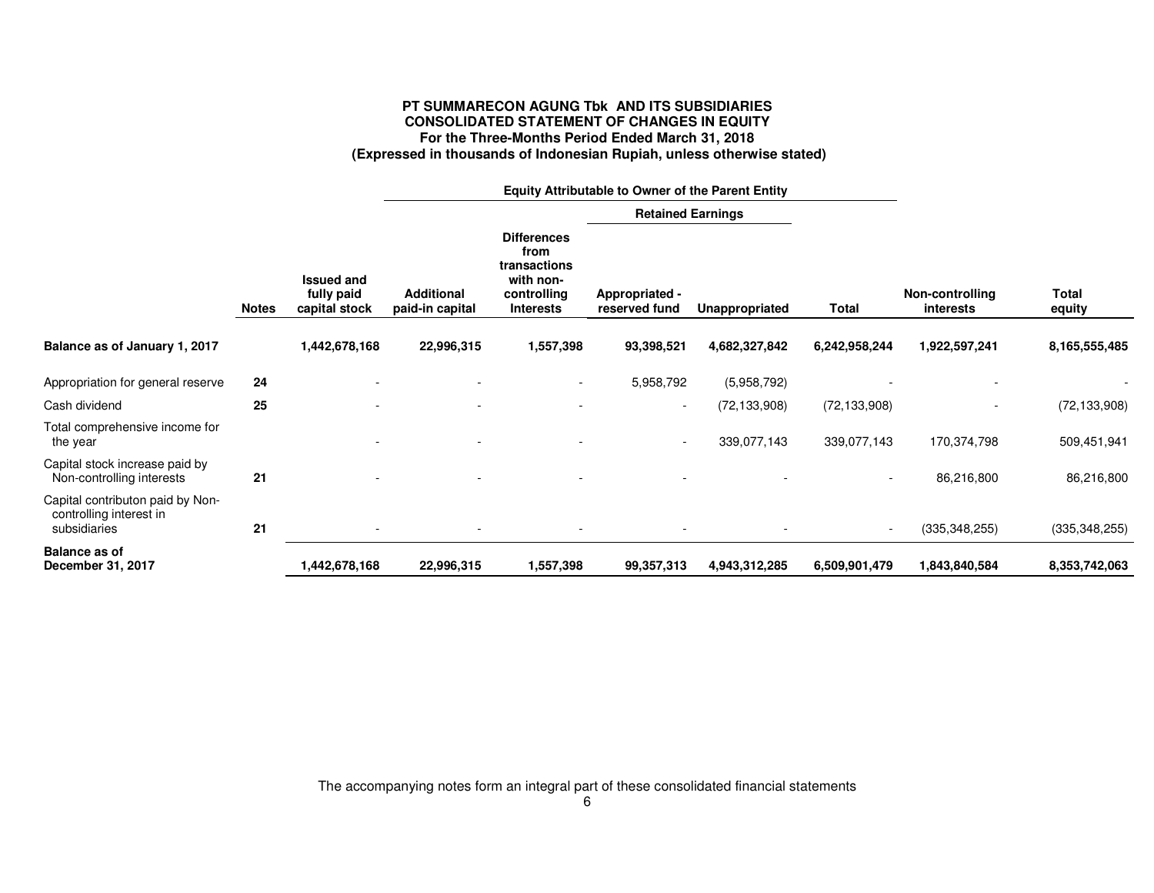# **PT SUMMARECON AGUNG Tbk AND ITS SUBSIDIARIES CONSOLIDATED STATEMENT OF CHANGES IN EQUITY For the Three-Months Period Ended March 31, 2018 (Expressed in thousands of Indonesian Rupiah, unless otherwise stated)**

|                                                                             |              |                                                  | Equity Attributable to Owner of the Parent Entity |                                                                                            |                                 |                |                          |                              |                 |
|-----------------------------------------------------------------------------|--------------|--------------------------------------------------|---------------------------------------------------|--------------------------------------------------------------------------------------------|---------------------------------|----------------|--------------------------|------------------------------|-----------------|
|                                                                             |              |                                                  |                                                   |                                                                                            | <b>Retained Earnings</b>        |                |                          |                              |                 |
|                                                                             | <b>Notes</b> | <b>Issued and</b><br>fully paid<br>capital stock | <b>Additional</b><br>paid-in capital              | <b>Differences</b><br>from<br>transactions<br>with non-<br>controlling<br><b>Interests</b> | Appropriated -<br>reserved fund | Unappropriated | Total                    | Non-controlling<br>interests | Total<br>equity |
| Balance as of January 1, 2017                                               |              | 1,442,678,168                                    | 22,996,315                                        | 1,557,398                                                                                  | 93,398,521                      | 4,682,327,842  | 6,242,958,244            | 1,922,597,241                | 8,165,555,485   |
| Appropriation for general reserve                                           | 24           |                                                  |                                                   | $\overline{\phantom{a}}$                                                                   | 5,958,792                       | (5,958,792)    |                          |                              |                 |
| Cash dividend                                                               | 25           |                                                  |                                                   |                                                                                            | $\overline{\phantom{a}}$        | (72, 133, 908) | (72, 133, 908)           |                              | (72, 133, 908)  |
| Total comprehensive income for<br>the year                                  |              |                                                  |                                                   |                                                                                            |                                 | 339,077,143    | 339,077,143              | 170,374,798                  | 509,451,941     |
| Capital stock increase paid by<br>Non-controlling interests                 | 21           |                                                  |                                                   |                                                                                            |                                 |                | $\overline{\phantom{a}}$ | 86,216,800                   | 86,216,800      |
| Capital contributon paid by Non-<br>controlling interest in<br>subsidiaries | 21           |                                                  |                                                   |                                                                                            |                                 |                | $\overline{\phantom{a}}$ | (335, 348, 255)              | (335, 348, 255) |
| <b>Balance as of</b><br>December 31, 2017                                   |              | .442,678,168                                     | 22,996,315                                        | 1,557,398                                                                                  | 99,357,313                      | 4,943,312,285  | 6,509,901,479            | 1,843,840,584                | 8,353,742,063   |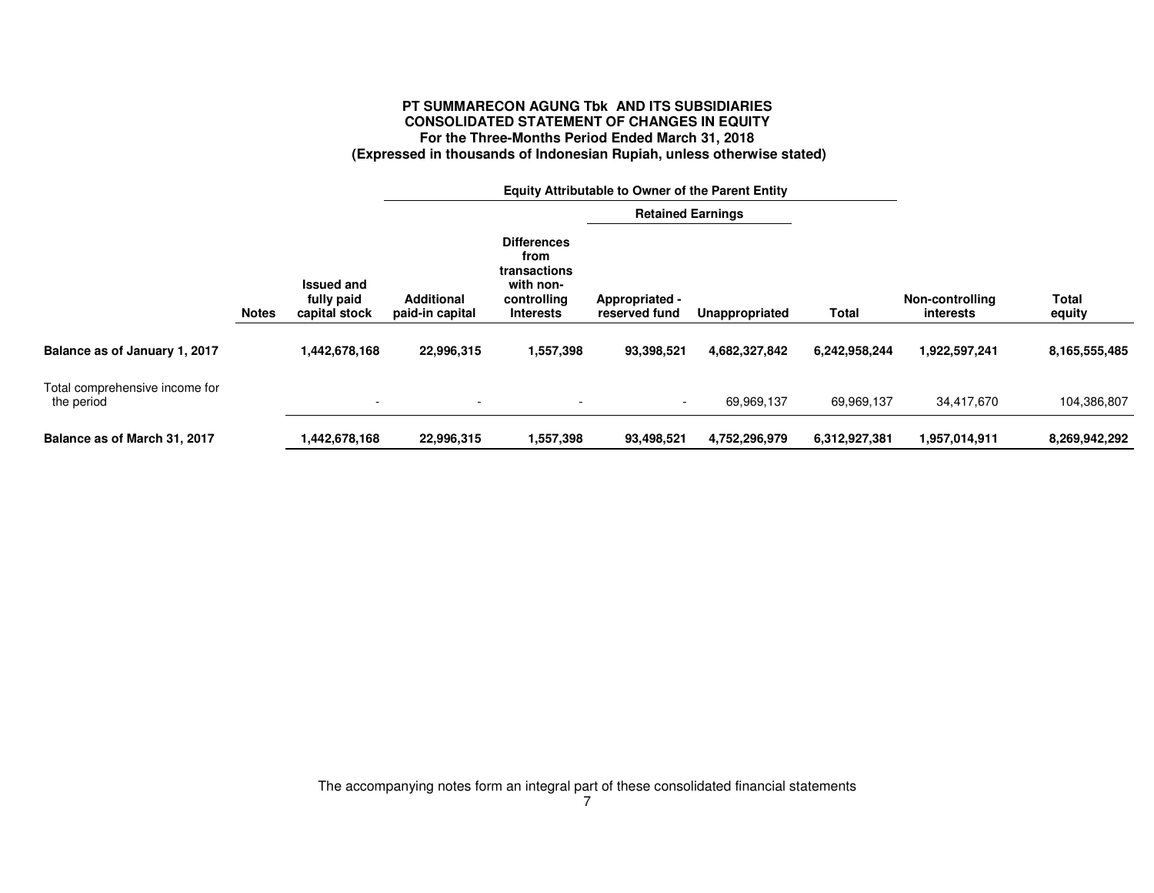# **PT SUMMARECON AGUNG Tbk AND ITS SUBSIDIARIES CONSOLIDATED STATEMENT OF CHANGES IN EQUITY For the Three-Months Period Ended March 31, 2018 (Expressed in thousands of Indonesian Rupiah, unless otherwise stated)**

|                                              |              |                                                  | <b>Equity Attributable to Owner of the Parent Entity</b> |                                                                                     |                                 |                |               |                              |                 |
|----------------------------------------------|--------------|--------------------------------------------------|----------------------------------------------------------|-------------------------------------------------------------------------------------|---------------------------------|----------------|---------------|------------------------------|-----------------|
|                                              |              |                                                  | <b>Retained Earnings</b>                                 |                                                                                     |                                 |                |               |                              |                 |
|                                              | <b>Notes</b> | <b>Issued and</b><br>fully paid<br>capital stock | <b>Additional</b><br>paid-in capital                     | <b>Differences</b><br>from<br>transactions<br>with non-<br>controlling<br>Interests | Appropriated -<br>reserved fund | Unappropriated | Total         | Non-controlling<br>interests | Total<br>equity |
| Balance as of January 1, 2017                |              | 1,442,678,168                                    | 22,996,315                                               | 1,557,398                                                                           | 93.398,521                      | 4,682,327,842  | 6,242,958,244 | 1,922,597,241                | 8,165,555,485   |
| Total comprehensive income for<br>the period |              | $\overline{\phantom{0}}$                         |                                                          |                                                                                     | $\sim$                          | 69,969,137     | 69,969,137    | 34,417,670                   | 104,386,807     |
| Balance as of March 31, 2017                 |              | 1,442,678,168                                    | 22,996,315                                               | 1,557,398                                                                           | 93,498,521                      | 4,752,296,979  | 6.312.927.381 | 1,957,014,911                | 8,269,942,292   |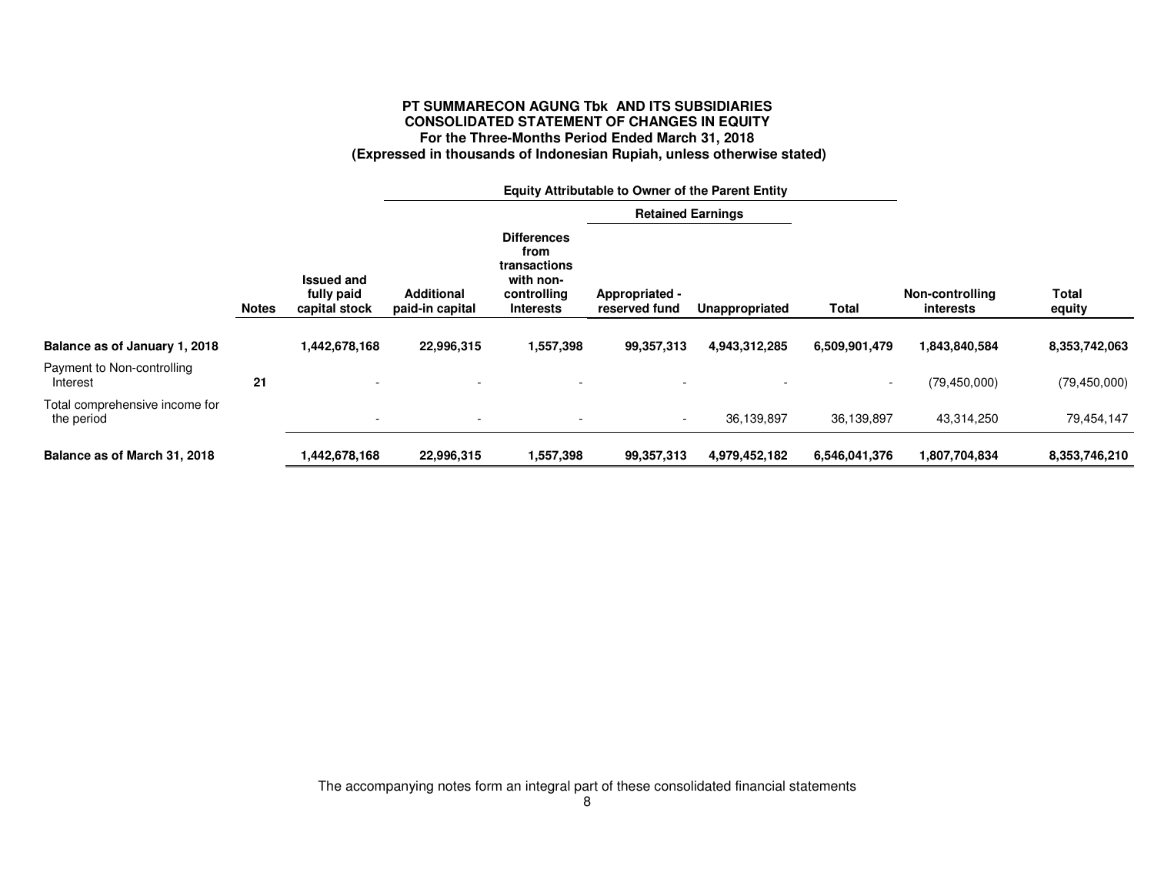# **PT SUMMARECON AGUNG Tbk AND ITS SUBSIDIARIES CONSOLIDATED STATEMENT OF CHANGES IN EQUITY For the Three-Months Period Ended March 31, 2018 (Expressed in thousands of Indonesian Rupiah, unless otherwise stated)**

|                                              |              |                                                  | <b>Equity Attributable to Owner of the Parent Entity</b> |                                                                                            |                                 |                          |               |                                     |                 |  |
|----------------------------------------------|--------------|--------------------------------------------------|----------------------------------------------------------|--------------------------------------------------------------------------------------------|---------------------------------|--------------------------|---------------|-------------------------------------|-----------------|--|
|                                              |              |                                                  |                                                          |                                                                                            |                                 | <b>Retained Earnings</b> |               |                                     |                 |  |
|                                              | <b>Notes</b> | <b>Issued and</b><br>fully paid<br>capital stock | <b>Additional</b><br>paid-in capital                     | <b>Differences</b><br>from<br>transactions<br>with non-<br>controlling<br><b>Interests</b> | Appropriated -<br>reserved fund | Unappropriated           | Total         | Non-controlling<br><i>interests</i> | Total<br>equity |  |
| Balance as of January 1, 2018                |              | 1,442,678,168                                    | 22,996,315                                               | 1,557,398                                                                                  | 99,357,313                      | 4,943,312,285            | 6,509,901,479 | 1,843,840,584                       | 8,353,742,063   |  |
| Payment to Non-controlling<br>Interest       | 21           |                                                  |                                                          |                                                                                            |                                 |                          | $\sim$        | (79, 450, 000)                      | (79, 450, 000)  |  |
| Total comprehensive income for<br>the period |              | $\overline{\phantom{a}}$                         |                                                          |                                                                                            |                                 | 36,139,897               | 36,139,897    | 43,314,250                          | 79,454,147      |  |
| Balance as of March 31, 2018                 |              | 1,442,678,168                                    | 22,996,315                                               | 1,557,398                                                                                  | 99,357,313                      | 4,979,452,182            | 6,546,041,376 | 1,807,704,834                       | 8,353,746,210   |  |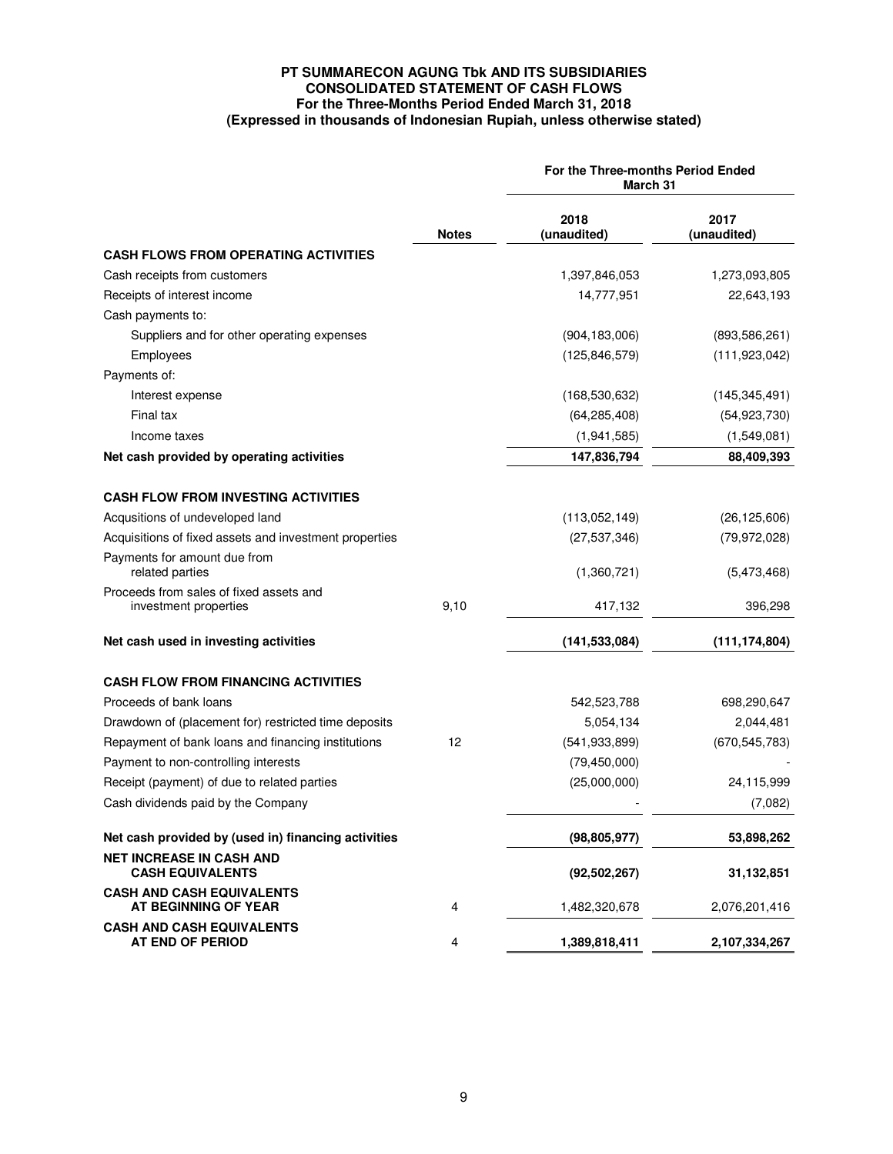# **PT SUMMARECON AGUNG Tbk AND ITS SUBSIDIARIES CONSOLIDATED STATEMENT OF CASH FLOWS For the Three-Months Period Ended March 31, 2018 (Expressed in thousands of Indonesian Rupiah, unless otherwise stated)**

|                                                                  |              | For the Three-months Period Ended<br>March 31 |                     |  |  |
|------------------------------------------------------------------|--------------|-----------------------------------------------|---------------------|--|--|
|                                                                  | <b>Notes</b> | 2018<br>(unaudited)                           | 2017<br>(unaudited) |  |  |
| <b>CASH FLOWS FROM OPERATING ACTIVITIES</b>                      |              |                                               |                     |  |  |
| Cash receipts from customers                                     |              | 1,397,846,053                                 | 1,273,093,805       |  |  |
| Receipts of interest income                                      |              | 14,777,951                                    | 22,643,193          |  |  |
| Cash payments to:                                                |              |                                               |                     |  |  |
| Suppliers and for other operating expenses                       |              | (904, 183, 006)                               | (893, 586, 261)     |  |  |
| Employees                                                        |              | (125, 846, 579)                               | (111, 923, 042)     |  |  |
| Payments of:                                                     |              |                                               |                     |  |  |
| Interest expense                                                 |              | (168, 530, 632)                               | (145, 345, 491)     |  |  |
| Final tax                                                        |              | (64, 285, 408)                                | (54, 923, 730)      |  |  |
| Income taxes                                                     |              | (1,941,585)                                   | (1,549,081)         |  |  |
| Net cash provided by operating activities                        |              | 147,836,794                                   | 88,409,393          |  |  |
|                                                                  |              |                                               |                     |  |  |
| <b>CASH FLOW FROM INVESTING ACTIVITIES</b>                       |              |                                               |                     |  |  |
| Acqusitions of undeveloped land                                  |              | (113,052,149)                                 | (26, 125, 606)      |  |  |
| Acquisitions of fixed assets and investment properties           |              | (27, 537, 346)                                | (79, 972, 028)      |  |  |
| Payments for amount due from<br>related parties                  |              | (1,360,721)                                   | (5,473,468)         |  |  |
| Proceeds from sales of fixed assets and<br>investment properties | 9,10         | 417,132                                       | 396,298             |  |  |
| Net cash used in investing activities                            |              | (141, 533, 084)                               | (111, 174, 804)     |  |  |
| <b>CASH FLOW FROM FINANCING ACTIVITIES</b>                       |              |                                               |                     |  |  |
| Proceeds of bank loans                                           |              | 542,523,788                                   | 698,290,647         |  |  |
| Drawdown of (placement for) restricted time deposits             |              | 5,054,134                                     | 2,044,481           |  |  |
| Repayment of bank loans and financing institutions               | 12           | (541, 933, 899)                               | (670, 545, 783)     |  |  |
| Payment to non-controlling interests                             |              | (79, 450, 000)                                |                     |  |  |
| Receipt (payment) of due to related parties                      |              | (25,000,000)                                  | 24,115,999          |  |  |
| Cash dividends paid by the Company                               |              |                                               | (7,082)             |  |  |
| Net cash provided by (used in) financing activities              |              | (98, 805, 977)                                | 53,898,262          |  |  |
| <b>NET INCREASE IN CASH AND</b><br><b>CASH EQUIVALENTS</b>       |              | (92, 502, 267)                                | 31,132,851          |  |  |
| <b>CASH AND CASH EQUIVALENTS</b><br>AT BEGINNING OF YEAR         | 4            | 1,482,320,678                                 | 2,076,201,416       |  |  |
| <b>CASH AND CASH EQUIVALENTS</b><br>AT END OF PERIOD             | 4            | 1,389,818,411                                 | 2,107,334,267       |  |  |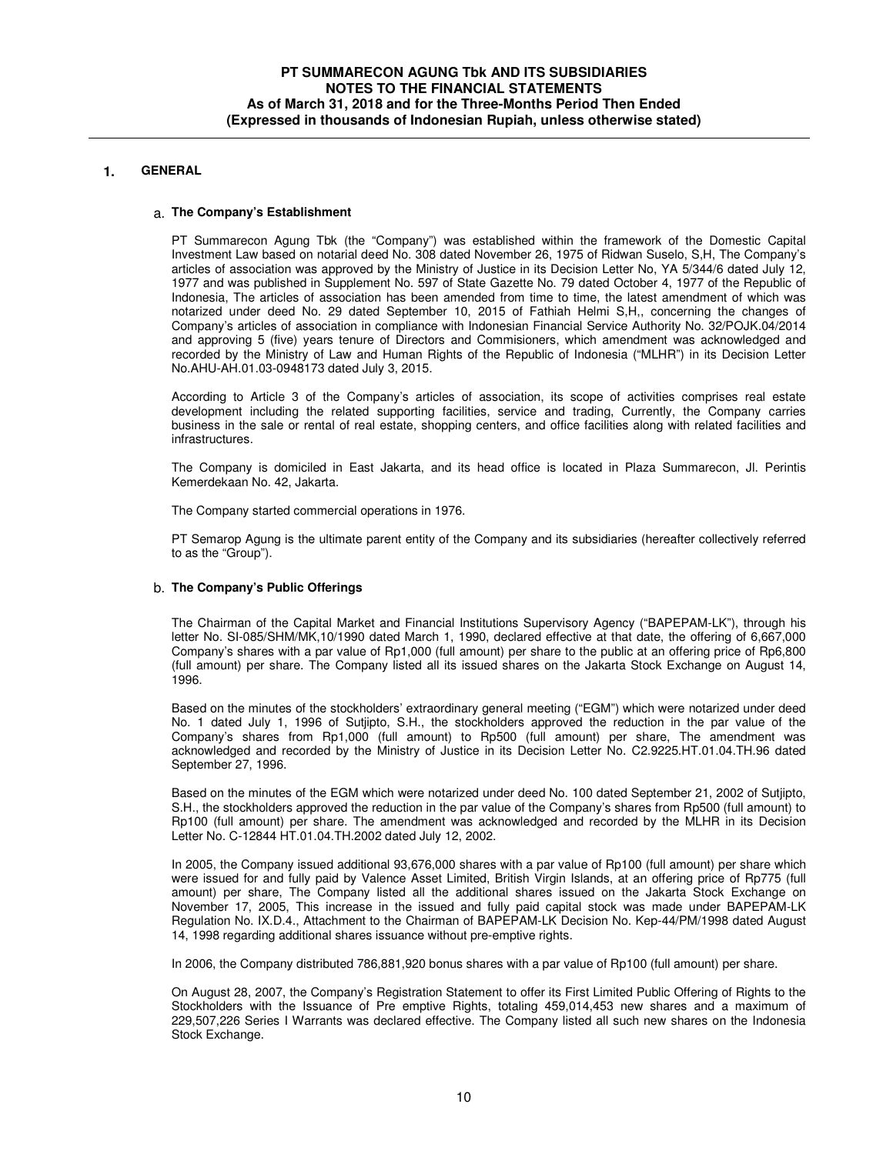# **1. GENERAL**

#### a. **The Company's Establishment**

PT Summarecon Agung Tbk (the "Company") was established within the framework of the Domestic Capital Investment Law based on notarial deed No. 308 dated November 26, 1975 of Ridwan Suselo, S,H, The Company's articles of association was approved by the Ministry of Justice in its Decision Letter No, YA 5/344/6 dated July 12, 1977 and was published in Supplement No. 597 of State Gazette No. 79 dated October 4, 1977 of the Republic of Indonesia, The articles of association has been amended from time to time, the latest amendment of which was notarized under deed No. 29 dated September 10, 2015 of Fathiah Helmi S,H,, concerning the changes of Company's articles of association in compliance with Indonesian Financial Service Authority No. 32/POJK.04/2014 and approving 5 (five) years tenure of Directors and Commisioners, which amendment was acknowledged and recorded by the Ministry of Law and Human Rights of the Republic of Indonesia ("MLHR") in its Decision Letter No.AHU-AH.01.03-0948173 dated July 3, 2015.

According to Article 3 of the Company's articles of association, its scope of activities comprises real estate development including the related supporting facilities, service and trading, Currently, the Company carries business in the sale or rental of real estate, shopping centers, and office facilities along with related facilities and infrastructures.

The Company is domiciled in East Jakarta, and its head office is located in Plaza Summarecon, Jl. Perintis Kemerdekaan No. 42, Jakarta.

The Company started commercial operations in 1976.

PT Semarop Agung is the ultimate parent entity of the Company and its subsidiaries (hereafter collectively referred to as the "Group").

### b. **The Company's Public Offerings**

The Chairman of the Capital Market and Financial Institutions Supervisory Agency ("BAPEPAM-LK"), through his letter No. SI-085/SHM/MK,10/1990 dated March 1, 1990, declared effective at that date, the offering of 6,667,000 Company's shares with a par value of Rp1,000 (full amount) per share to the public at an offering price of Rp6,800 (full amount) per share. The Company listed all its issued shares on the Jakarta Stock Exchange on August 14, 1996.

Based on the minutes of the stockholders' extraordinary general meeting ("EGM") which were notarized under deed No. 1 dated July 1, 1996 of Sutjipto, S.H., the stockholders approved the reduction in the par value of the Company's shares from Rp1,000 (full amount) to Rp500 (full amount) per share, The amendment was acknowledged and recorded by the Ministry of Justice in its Decision Letter No. C2.9225.HT.01.04.TH.96 dated September 27, 1996.

Based on the minutes of the EGM which were notarized under deed No. 100 dated September 21, 2002 of Sutjipto, S.H., the stockholders approved the reduction in the par value of the Company's shares from Rp500 (full amount) to Rp100 (full amount) per share. The amendment was acknowledged and recorded by the MLHR in its Decision Letter No. C-12844 HT.01.04.TH.2002 dated July 12, 2002.

In 2005, the Company issued additional 93,676,000 shares with a par value of Rp100 (full amount) per share which were issued for and fully paid by Valence Asset Limited, British Virgin Islands, at an offering price of Rp775 (full amount) per share, The Company listed all the additional shares issued on the Jakarta Stock Exchange on November 17, 2005, This increase in the issued and fully paid capital stock was made under BAPEPAM-LK Regulation No. IX.D.4., Attachment to the Chairman of BAPEPAM-LK Decision No. Kep-44/PM/1998 dated August 14, 1998 regarding additional shares issuance without pre-emptive rights.

In 2006, the Company distributed 786,881,920 bonus shares with a par value of Rp100 (full amount) per share.

On August 28, 2007, the Company's Registration Statement to offer its First Limited Public Offering of Rights to the Stockholders with the Issuance of Pre emptive Rights, totaling 459,014,453 new shares and a maximum of 229,507,226 Series I Warrants was declared effective. The Company listed all such new shares on the Indonesia Stock Exchange.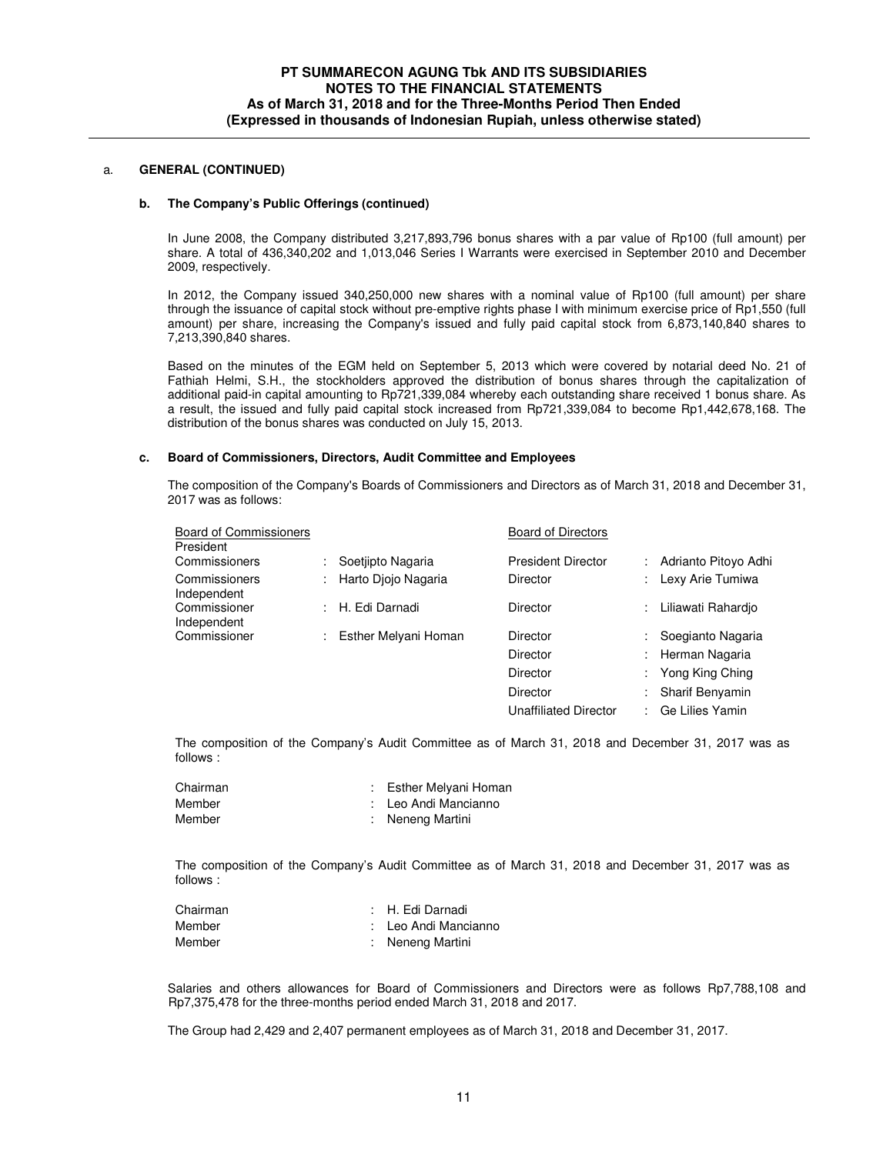# a. **GENERAL (CONTINUED)**

#### **b. The Company's Public Offerings (continued)**

In June 2008, the Company distributed 3,217,893,796 bonus shares with a par value of Rp100 (full amount) per share. A total of 436,340,202 and 1,013,046 Series I Warrants were exercised in September 2010 and December 2009, respectively.

In 2012, the Company issued 340,250,000 new shares with a nominal value of Rp100 (full amount) per share through the issuance of capital stock without pre-emptive rights phase I with minimum exercise price of Rp1,550 (full amount) per share, increasing the Company's issued and fully paid capital stock from 6,873,140,840 shares to 7,213,390,840 shares.

Based on the minutes of the EGM held on September 5, 2013 which were covered by notarial deed No. 21 of Fathiah Helmi, S.H., the stockholders approved the distribution of bonus shares through the capitalization of additional paid-in capital amounting to Rp721,339,084 whereby each outstanding share received 1 bonus share. As a result, the issued and fully paid capital stock increased from Rp721,339,084 to become Rp1,442,678,168. The distribution of the bonus shares was conducted on July 15, 2013.

#### **c. Board of Commissioners, Directors, Audit Committee and Employees**

The composition of the Company's Boards of Commissioners and Directors as of March 31, 2018 and December 31, 2017 was as follows:

| <b>Board of Commissioners</b><br>President |    |                      | <b>Board of Directors</b>    |    |                        |
|--------------------------------------------|----|----------------------|------------------------------|----|------------------------|
| Commissioners                              |    | Soetjipto Nagaria    | <b>President Director</b>    |    | Adrianto Pitovo Adhi   |
| Commissioners<br>Independent               |    | Harto Djojo Nagaria  | Director                     |    | Lexy Arie Tumiwa       |
| Commissioner<br>Independent                | ÷. | H. Edi Darnadi       | <b>Director</b>              | ÷  | Liliawati Rahardio     |
| Commissioner                               |    | Esther Melyani Homan | Director                     |    | Soegianto Nagaria      |
|                                            |    |                      | <b>Director</b>              |    | Herman Nagaria         |
|                                            |    |                      | Director                     | ÷. | Yong King Ching        |
|                                            |    |                      | <b>Director</b>              |    | <b>Sharif Benyamin</b> |
|                                            |    |                      | <b>Unaffiliated Director</b> |    | Ge Lilies Yamin        |

The composition of the Company's Audit Committee as of March 31, 2018 and December 31, 2017 was as follows :

| Chairman | : Esther Melyani Homan |
|----------|------------------------|
| Member   | : Leo Andi Mancianno   |
| Member   | : Neneng Martini       |

The composition of the Company's Audit Committee as of March 31, 2018 and December 31, 2017 was as follows :

| Chairman | : H. Edi Darnadi     |
|----------|----------------------|
| Member   | : Leo Andi Mancianno |
| Member   | : Neneng Martini     |

Salaries and others allowances for Board of Commissioners and Directors were as follows Rp7,788,108 and Rp7,375,478 for the three-months period ended March 31, 2018 and 2017.

The Group had 2,429 and 2,407 permanent employees as of March 31, 2018 and December 31, 2017.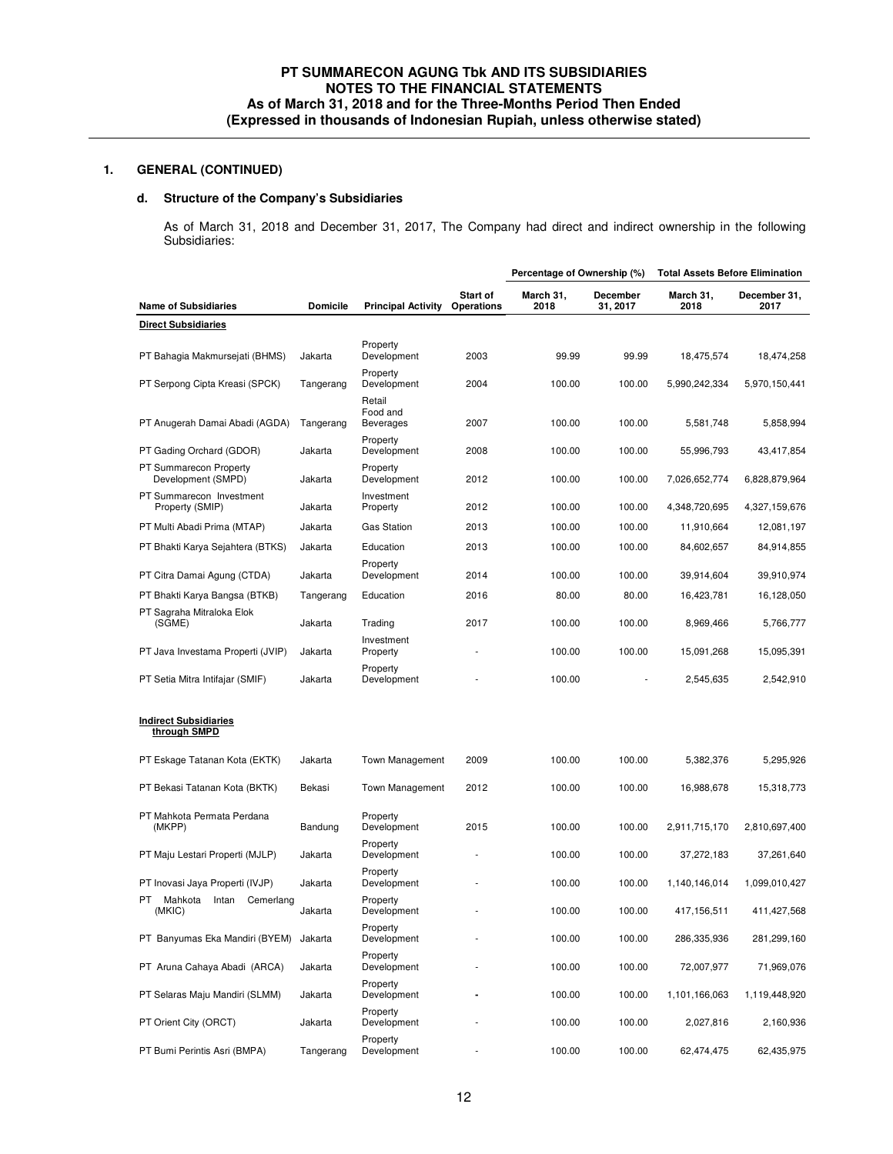# **1. GENERAL (CONTINUED)**

# **d. Structure of the Company's Subsidiaries**

As of March 31, 2018 and December 31, 2017, The Company had direct and indirect ownership in the following Subsidiaries:

|                                               |                 |                                        |                        | Percentage of Ownership (%) |                      | <b>Total Assets Before Elimination</b> |                      |
|-----------------------------------------------|-----------------|----------------------------------------|------------------------|-----------------------------|----------------------|----------------------------------------|----------------------|
| <b>Name of Subsidiaries</b>                   | <b>Domicile</b> | <b>Principal Activity</b>              | Start of<br>Operations | March 31,<br>2018           | December<br>31, 2017 | March 31,<br>2018                      | December 31,<br>2017 |
| <b>Direct Subsidiaries</b>                    |                 |                                        |                        |                             |                      |                                        |                      |
| PT Bahagia Makmursejati (BHMS)                | Jakarta         | Property<br>Development                | 2003                   | 99.99                       | 99.99                | 18,475,574                             | 18,474,258           |
| PT Serpong Cipta Kreasi (SPCK)                | Tangerang       | Property<br>Development                | 2004                   | 100.00                      | 100.00               | 5,990,242,334                          | 5,970,150,441        |
| PT Anugerah Damai Abadi (AGDA)                | Tangerang       | Retail<br>Food and<br><b>Beverages</b> | 2007                   | 100.00                      | 100.00               | 5,581,748                              | 5,858,994            |
| PT Gading Orchard (GDOR)                      | Jakarta         | Property<br>Development                | 2008                   | 100.00                      | 100.00               | 55,996,793                             | 43,417,854           |
| PT Summarecon Property<br>Development (SMPD)  | Jakarta         | Property<br>Development                | 2012                   | 100.00                      | 100.00               | 7,026,652,774                          | 6,828,879,964        |
| PT Summarecon Investment<br>Property (SMIP)   | Jakarta         | Investment<br>Property                 | 2012                   | 100.00                      | 100.00               | 4,348,720,695                          | 4,327,159,676        |
| PT Multi Abadi Prima (MTAP)                   | Jakarta         | <b>Gas Station</b>                     | 2013                   | 100.00                      | 100.00               | 11,910,664                             | 12,081,197           |
| PT Bhakti Karya Sejahtera (BTKS)              | Jakarta         | Education                              | 2013                   | 100.00                      | 100.00               | 84,602,657                             | 84,914,855           |
| PT Citra Damai Agung (CTDA)                   | Jakarta         | Property<br>Development                | 2014                   | 100.00                      | 100.00               | 39,914,604                             | 39,910,974           |
| PT Bhakti Karya Bangsa (BTKB)                 | Tangerang       | Education                              | 2016                   | 80.00                       | 80.00                | 16,423,781                             | 16,128,050           |
| PT Sagraha Mitraloka Elok<br>(SGME)           | Jakarta         | Trading                                | 2017                   | 100.00                      | 100.00               | 8,969,466                              | 5,766,777            |
| PT Java Investama Properti (JVIP)             | Jakarta         | Investment<br>Property                 |                        | 100.00                      | 100.00               | 15,091,268                             | 15,095,391           |
| PT Setia Mitra Intifajar (SMIF)               | Jakarta         | Property<br>Development                |                        | 100.00                      |                      | 2,545,635                              | 2,542,910            |
| <b>Indirect Subsidiaries</b><br>through SMPD  |                 |                                        |                        |                             |                      |                                        |                      |
| PT Eskage Tatanan Kota (EKTK)                 | Jakarta         | <b>Town Management</b>                 | 2009                   | 100.00                      | 100.00               | 5,382,376                              | 5,295,926            |
| PT Bekasi Tatanan Kota (BKTK)                 | Bekasi          | <b>Town Management</b>                 | 2012                   | 100.00                      | 100.00               | 16,988,678                             | 15,318,773           |
| PT Mahkota Permata Perdana<br>(MKPP)          | Bandung         | Property<br>Development                | 2015                   | 100.00                      | 100.00               | 2,911,715,170                          | 2,810,697,400        |
| PT Maju Lestari Properti (MJLP)               | Jakarta         | Property<br>Development                |                        | 100.00                      | 100.00               | 37,272,183                             | 37,261,640           |
| PT Inovasi Jaya Properti (IVJP)               | Jakarta         | Property<br>Development                |                        | 100.00                      | 100.00               | 1,140,146,014                          | 1,099,010,427        |
| PT<br>Mahkota<br>Intan<br>Cemerlang<br>(MKIC) | Jakarta         | Property<br>Development                |                        | 100.00                      | 100.00               | 417,156,511                            | 411,427,568          |
| PT Banyumas Eka Mandiri (BYEM)                | Jakarta         | Property<br>Development                |                        | 100.00                      | 100.00               | 286,335,936                            | 281,299,160          |
| PT Aruna Cahaya Abadi (ARCA)                  | Jakarta         | Property<br>Development                |                        | 100.00                      | 100.00               | 72,007,977                             | 71,969,076           |
| PT Selaras Maju Mandiri (SLMM)                | Jakarta         | Property<br>Development                |                        | 100.00                      | 100.00               | 1,101,166,063                          | 1,119,448,920        |
| PT Orient City (ORCT)                         | Jakarta         | Property<br>Development                |                        | 100.00                      | 100.00               | 2,027,816                              | 2,160,936            |
| PT Bumi Perintis Asri (BMPA)                  | Tangerang       | Property<br>Development                |                        | 100.00                      | 100.00               | 62,474,475                             | 62,435,975           |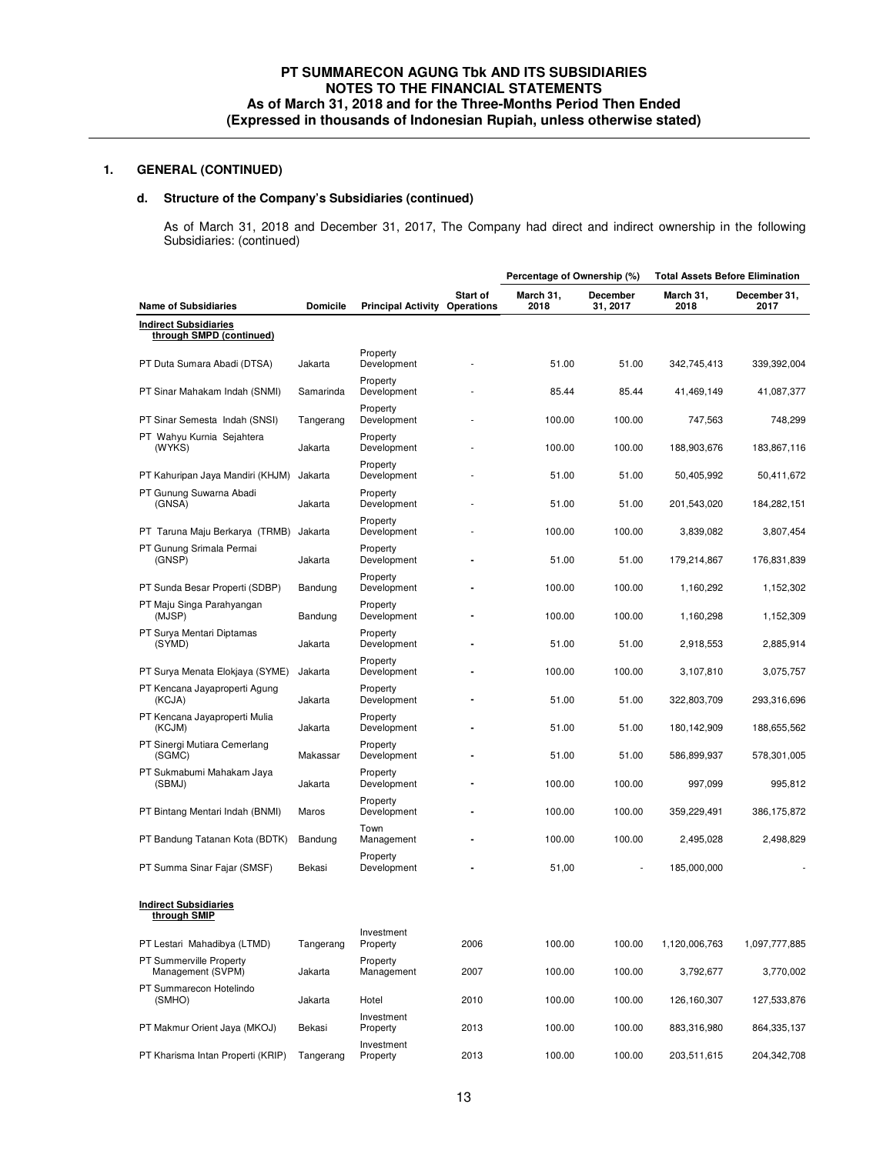# **1. GENERAL (CONTINUED)**

# **d. Structure of the Company's Subsidiaries (continued)**

As of March 31, 2018 and December 31, 2017, The Company had direct and indirect ownership in the following Subsidiaries: (continued)

|                                                          |                 |                           |                               | Percentage of Ownership (%) |                      | <b>Total Assets Before Elimination</b> |                      |
|----------------------------------------------------------|-----------------|---------------------------|-------------------------------|-----------------------------|----------------------|----------------------------------------|----------------------|
| <b>Name of Subsidiaries</b>                              | <b>Domicile</b> | <b>Principal Activity</b> | Start of<br><b>Operations</b> | March 31,<br>2018           | December<br>31, 2017 | March 31,<br>2018                      | December 31,<br>2017 |
| <b>Indirect Subsidiaries</b><br>through SMPD (continued) |                 |                           |                               |                             |                      |                                        |                      |
| PT Duta Sumara Abadi (DTSA)                              | Jakarta         | Property<br>Development   |                               | 51.00                       | 51.00                | 342,745,413                            | 339,392,004          |
| PT Sinar Mahakam Indah (SNMI)                            | Samarinda       | Property<br>Development   |                               | 85.44                       | 85.44                | 41,469,149                             | 41,087,377           |
| PT Sinar Semesta Indah (SNSI)                            | Tangerang       | Property<br>Development   |                               | 100.00                      | 100.00               | 747,563                                | 748,299              |
| PT Wahyu Kurnia Sejahtera<br>(WYKS)                      | Jakarta         | Property<br>Development   |                               | 100.00                      | 100.00               | 188,903,676                            | 183,867,116          |
| PT Kahuripan Jaya Mandiri (KHJM)                         | Jakarta         | Property<br>Development   |                               | 51.00                       | 51.00                | 50,405,992                             | 50,411,672           |
| PT Gunung Suwarna Abadi<br>(GNSA)                        | Jakarta         | Property<br>Development   |                               | 51.00                       | 51.00                | 201,543,020                            | 184,282,151          |
| PT Taruna Maju Berkarya (TRMB)                           | Jakarta         | Property<br>Development   |                               | 100.00                      | 100.00               | 3,839,082                              | 3,807,454            |
| PT Gunung Srimala Permai<br>(GNSP)                       | Jakarta         | Property<br>Development   |                               | 51.00                       | 51.00                | 179,214,867                            | 176,831,839          |
| PT Sunda Besar Properti (SDBP)                           | Bandung         | Property<br>Development   |                               | 100.00                      | 100.00               | 1,160,292                              | 1,152,302            |
| PT Maju Singa Parahyangan<br>(MJSP)                      | Bandung         | Property<br>Development   |                               | 100.00                      | 100.00               | 1,160,298                              | 1,152,309            |
| PT Surya Mentari Diptamas<br>(SYMD)                      | Jakarta         | Property<br>Development   |                               | 51.00                       | 51.00                | 2,918,553                              | 2,885,914            |
| PT Surya Menata Elokjaya (SYME)                          | Jakarta         | Property<br>Development   |                               | 100.00                      | 100.00               | 3,107,810                              | 3,075,757            |
| PT Kencana Jayaproperti Agung<br>(KCJA)                  | Jakarta         | Property<br>Development   |                               | 51.00                       | 51.00                | 322,803,709                            | 293,316,696          |
| PT Kencana Jayaproperti Mulia<br>(KCJM)                  | Jakarta         | Property<br>Development   |                               | 51.00                       | 51.00                | 180,142,909                            | 188,655,562          |
| PT Sinergi Mutiara Cemerlang<br>(SGMC)                   | Makassar        | Property<br>Development   |                               | 51.00                       | 51.00                | 586,899,937                            | 578,301,005          |
| PT Sukmabumi Mahakam Jaya<br>(SBMJ)                      | Jakarta         | Property<br>Development   |                               | 100.00                      | 100.00               | 997,099                                | 995,812              |
| PT Bintang Mentari Indah (BNMI)                          | Maros           | Property<br>Development   |                               | 100.00                      | 100.00               | 359,229,491                            | 386,175,872          |
| PT Bandung Tatanan Kota (BDTK)                           | Bandung         | Town<br>Management        |                               | 100.00                      | 100.00               | 2,495,028                              | 2,498,829            |
| PT Summa Sinar Fajar (SMSF)                              | Bekasi          | Property<br>Development   |                               | 51,00                       |                      | 185,000,000                            |                      |
| <b>Indirect Subsidiaries</b><br>through SMIP             |                 |                           |                               |                             |                      |                                        |                      |
| PT Lestari Mahadibya (LTMD)                              | Tangerang       | Investment<br>Property    | 2006                          | 100.00                      | 100.00               | 1,120,006,763                          | 1,097,777,885        |
| PT Summerville Property<br>Management (SVPM)             | Jakarta         | Property<br>Management    | 2007                          | 100.00                      | 100.00               | 3,792,677                              | 3,770,002            |
| PT Summarecon Hotelindo<br>(SMHO)                        | Jakarta         | Hotel                     | 2010                          | 100.00                      | 100.00               | 126,160,307                            | 127,533,876          |
| PT Makmur Orient Jaya (MKOJ)                             | Bekasi          | Investment<br>Property    | 2013                          | 100.00                      | 100.00               | 883,316,980                            | 864,335,137          |
| PT Kharisma Intan Properti (KRIP)                        | Tangerang       | Investment<br>Property    | 2013                          | 100.00                      | 100.00               | 203,511,615                            | 204,342,708          |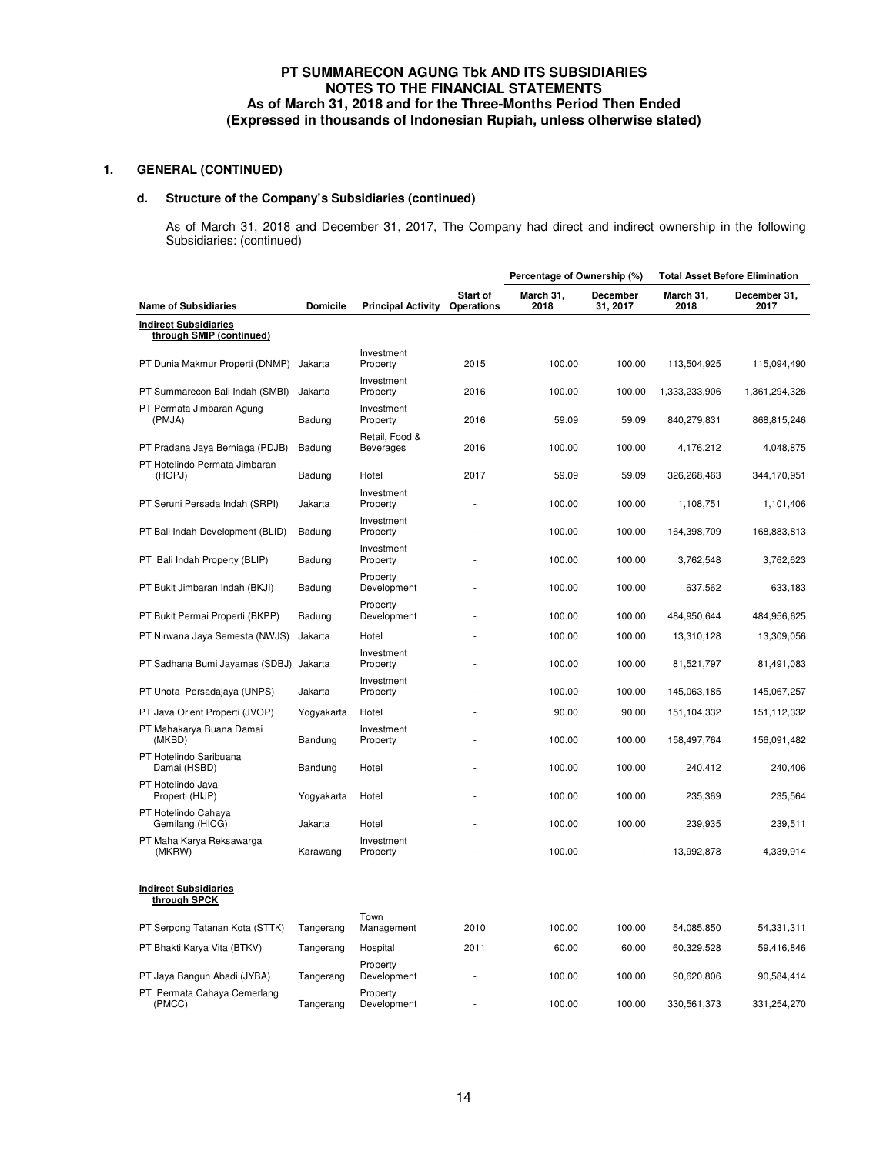# **1. GENERAL (CONTINUED)**

# **d. Structure of the Company's Subsidiaries (continued)**

As of March 31, 2018 and December 31, 2017, The Company had direct and indirect ownership in the following Subsidiaries: (continued)

|                                                          |                 |                                    |                        | Percentage of Ownership (%) |                      |                   | <b>Total Asset Before Elimination</b> |
|----------------------------------------------------------|-----------------|------------------------------------|------------------------|-----------------------------|----------------------|-------------------|---------------------------------------|
| <b>Name of Subsidiaries</b>                              | <b>Domicile</b> | <b>Principal Activity</b>          | Start of<br>Operations | March 31,<br>2018           | December<br>31, 2017 | March 31,<br>2018 | December 31,<br>2017                  |
| <b>Indirect Subsidiaries</b><br>through SMIP (continued) |                 |                                    |                        |                             |                      |                   |                                       |
| PT Dunia Makmur Properti (DNMP) Jakarta                  |                 | Investment<br>Property             | 2015                   | 100.00                      | 100.00               | 113,504,925       | 115,094,490                           |
| PT Summarecon Bali Indah (SMBI)                          | Jakarta         | Investment<br>Property             | 2016                   | 100.00                      | 100.00               | 1,333,233,906     | 1,361,294,326                         |
| PT Permata Jimbaran Agung<br>(PMJA)                      | Badung          | Investment<br>Property             | 2016                   | 59.09                       | 59.09                | 840,279,831       | 868,815,246                           |
| PT Pradana Jaya Berniaga (PDJB)                          | Badung          | Retail, Food &<br><b>Beverages</b> | 2016                   | 100.00                      | 100.00               | 4,176,212         | 4,048,875                             |
| PT Hotelindo Permata Jimbaran<br>(HOPJ)                  | Badung          | Hotel                              | 2017                   | 59.09                       | 59.09                | 326,268,463       | 344,170,951                           |
| PT Seruni Persada Indah (SRPI)                           | Jakarta         | Investment<br>Property             |                        | 100.00                      | 100.00               | 1,108,751         | 1,101,406                             |
| PT Bali Indah Development (BLID)                         | Badung          | Investment<br>Property             |                        | 100.00                      | 100.00               | 164,398,709       | 168,883,813                           |
| PT Bali Indah Property (BLIP)                            | Badung          | Investment<br>Property             |                        | 100.00                      | 100.00               | 3,762,548         | 3,762,623                             |
| PT Bukit Jimbaran Indah (BKJI)                           | Badung          | Property<br>Development            |                        | 100.00                      | 100.00               | 637,562           | 633,183                               |
| PT Bukit Permai Properti (BKPP)                          | Badung          | Property<br>Development            |                        | 100.00                      | 100.00               | 484,950,644       | 484,956,625                           |
| PT Nirwana Jaya Semesta (NWJS)                           | Jakarta         | Hotel                              |                        | 100.00                      | 100.00               | 13,310,128        | 13,309,056                            |
| PT Sadhana Bumi Jayamas (SDBJ) Jakarta                   |                 | Investment<br>Property             |                        | 100.00                      | 100.00               | 81,521,797        | 81,491,083                            |
| PT Unota Persadajaya (UNPS)                              | Jakarta         | Investment<br>Property             |                        | 100.00                      | 100.00               | 145,063,185       | 145,067,257                           |
| PT Java Orient Properti (JVOP)                           | Yogyakarta      | Hotel                              |                        | 90.00                       | 90.00                | 151, 104, 332     | 151,112,332                           |
| PT Mahakarya Buana Damai<br>(MKBD)                       | Bandung         | Investment<br>Property             |                        | 100.00                      | 100.00               | 158,497,764       | 156,091,482                           |
| PT Hotelindo Saribuana<br>Damai (HSBD)                   | Bandung         | Hotel                              |                        | 100.00                      | 100.00               | 240,412           | 240,406                               |
| PT Hotelindo Java<br>Properti (HIJP)                     | Yogyakarta      | Hotel                              |                        | 100.00                      | 100.00               | 235,369           | 235,564                               |
| PT Hotelindo Cahaya<br>Gemilang (HICG)                   | Jakarta         | Hotel                              |                        | 100.00                      | 100.00               | 239,935           | 239,511                               |
| PT Maha Karya Reksawarga<br>(MKRW)                       | Karawang        | Investment<br>Property             |                        | 100.00                      |                      | 13,992,878        | 4,339,914                             |
| <b>Indirect Subsidiaries</b><br>through SPCK             |                 |                                    |                        |                             |                      |                   |                                       |
| PT Serpong Tatanan Kota (STTK)                           | Tangerang       | Town<br>Management                 | 2010                   | 100.00                      | 100.00               | 54,085,850        | 54,331,311                            |
| PT Bhakti Karya Vita (BTKV)                              | Tangerang       | Hospital                           | 2011                   | 60.00                       | 60.00                | 60,329,528        | 59,416,846                            |
| PT Jaya Bangun Abadi (JYBA)                              | Tangerang       | Property<br>Development            |                        | 100.00                      | 100.00               | 90,620,806        | 90,584,414                            |
| PT Permata Cahaya Cemerlang<br>(PMCC)                    | Tangerang       | Property<br>Development            |                        | 100.00                      | 100.00               | 330, 561, 373     | 331,254,270                           |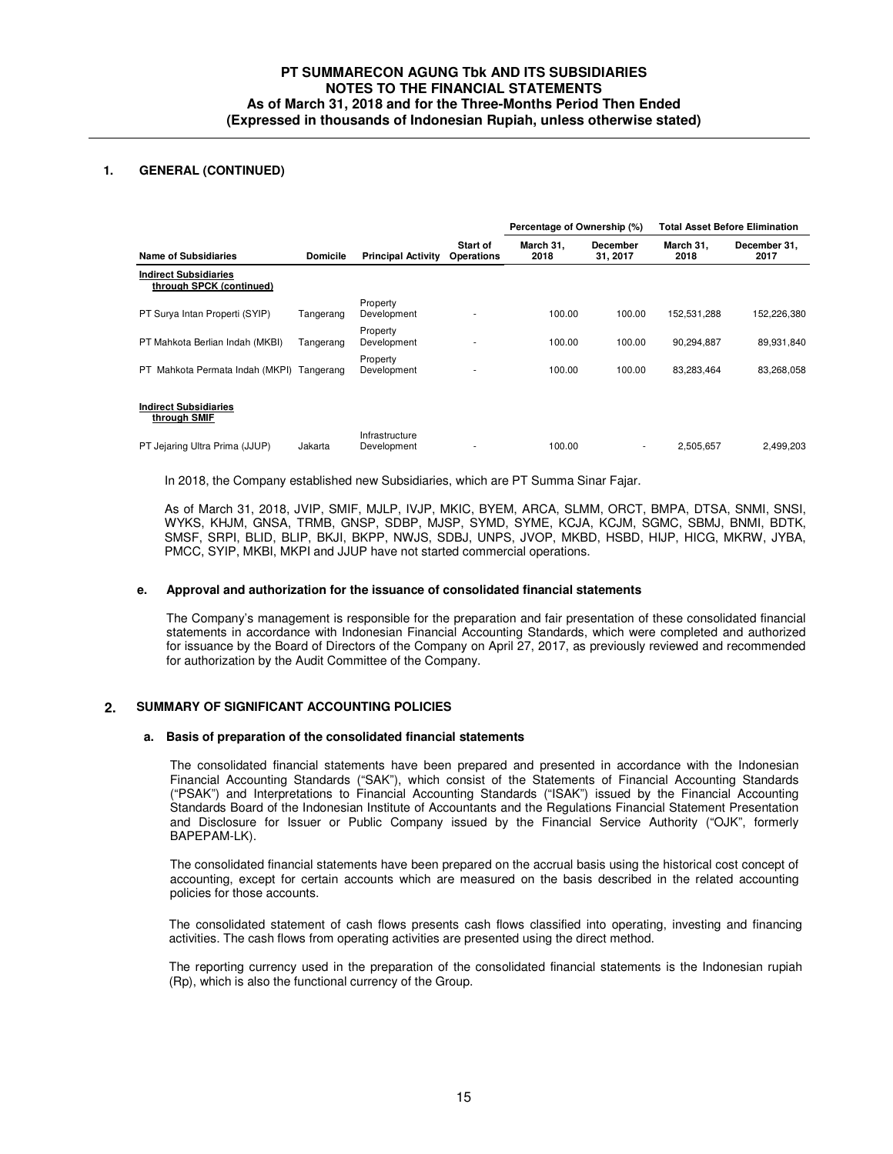# **PT SUMMARECON AGUNG Tbk AND ITS SUBSIDIARIES NOTES TO THE FINANCIAL STATEMENTS As of March 31, 2018 and for the Three-Months Period Then Ended (Expressed in thousands of Indonesian Rupiah, unless otherwise stated)**

# **1. GENERAL (CONTINUED)**

|                                                          |                 |                               |                               | Percentage of Ownership (%) |                          | <b>Total Asset Before Elimination</b> |                      |
|----------------------------------------------------------|-----------------|-------------------------------|-------------------------------|-----------------------------|--------------------------|---------------------------------------|----------------------|
| <b>Name of Subsidiaries</b>                              | <b>Domicile</b> | <b>Principal Activity</b>     | <b>Start of</b><br>Operations | March 31.<br>2018           | December<br>31, 2017     | March 31.<br>2018                     | December 31.<br>2017 |
| <b>Indirect Subsidiaries</b><br>through SPCK (continued) |                 |                               |                               |                             |                          |                                       |                      |
| PT Surva Intan Properti (SYIP)                           | Tangerang       | Property<br>Development       |                               | 100.00                      | 100.00                   | 152,531,288                           | 152,226,380          |
| PT Mahkota Berlian Indah (MKBI)                          | Tangerang       | Property<br>Development       |                               | 100.00                      | 100.00                   | 90,294,887                            | 89,931,840           |
| Mahkota Permata Indah (MKPI)<br>PT.                      | Tangerang       | Property<br>Development       |                               | 100.00                      | 100.00                   | 83,283,464                            | 83,268,058           |
| <b>Indirect Subsidiaries</b><br>through SMIF             |                 |                               |                               |                             |                          |                                       |                      |
| PT Jejaring Ultra Prima (JJUP)                           | Jakarta         | Infrastructure<br>Development |                               | 100.00                      | $\overline{\phantom{a}}$ | 2,505,657                             | 2.499.203            |

In 2018, the Company established new Subsidiaries, which are PT Summa Sinar Fajar.

As of March 31, 2018, JVIP, SMIF, MJLP, IVJP, MKIC, BYEM, ARCA, SLMM, ORCT, BMPA, DTSA, SNMI, SNSI, WYKS, KHJM, GNSA, TRMB, GNSP, SDBP, MJSP, SYMD, SYME, KCJA, KCJM, SGMC, SBMJ, BNMI, BDTK, SMSF, SRPI, BLID, BLIP, BKJI, BKPP, NWJS, SDBJ, UNPS, JVOP, MKBD, HSBD, HIJP, HICG, MKRW, JYBA, PMCC, SYIP, MKBI, MKPI and JJUP have not started commercial operations.

### **e. Approval and authorization for the issuance of consolidated financial statements**

The Company's management is responsible for the preparation and fair presentation of these consolidated financial statements in accordance with Indonesian Financial Accounting Standards, which were completed and authorized for issuance by the Board of Directors of the Company on April 27, 2017, as previously reviewed and recommended for authorization by the Audit Committee of the Company.

### **2. SUMMARY OF SIGNIFICANT ACCOUNTING POLICIES**

#### **a. Basis of preparation of the consolidated financial statements**

The consolidated financial statements have been prepared and presented in accordance with the Indonesian Financial Accounting Standards ("SAK"), which consist of the Statements of Financial Accounting Standards ("PSAK") and Interpretations to Financial Accounting Standards ("ISAK") issued by the Financial Accounting Standards Board of the Indonesian Institute of Accountants and the Regulations Financial Statement Presentation and Disclosure for Issuer or Public Company issued by the Financial Service Authority ("OJK", formerly BAPEPAM-LK).

The consolidated financial statements have been prepared on the accrual basis using the historical cost concept of accounting, except for certain accounts which are measured on the basis described in the related accounting policies for those accounts.

The consolidated statement of cash flows presents cash flows classified into operating, investing and financing activities. The cash flows from operating activities are presented using the direct method.

The reporting currency used in the preparation of the consolidated financial statements is the Indonesian rupiah (Rp), which is also the functional currency of the Group.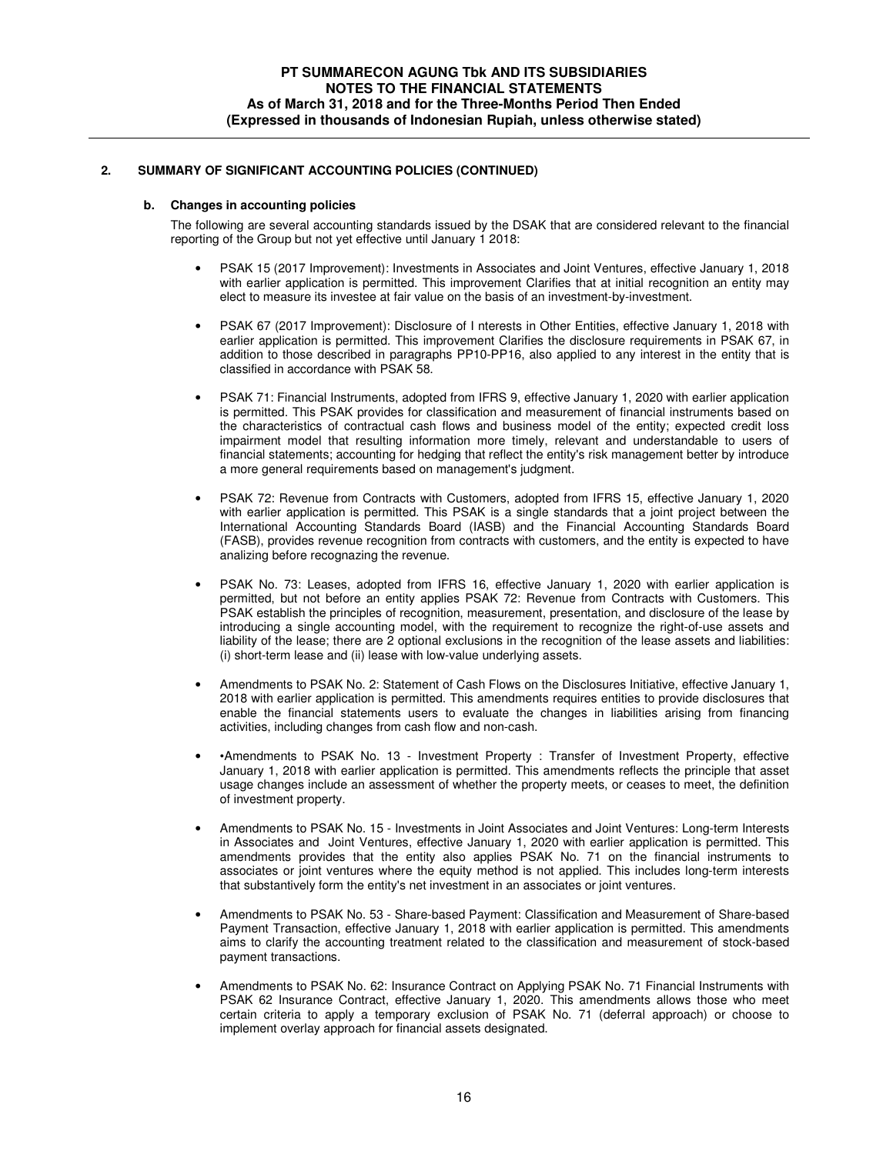### **b. Changes in accounting policies**

The following are several accounting standards issued by the DSAK that are considered relevant to the financial reporting of the Group but not yet effective until January 1 2018:

- PSAK 15 (2017 Improvement): Investments in Associates and Joint Ventures, effective January 1, 2018 with earlier application is permitted. This improvement Clarifies that at initial recognition an entity may elect to measure its investee at fair value on the basis of an investment-by-investment.
- PSAK 67 (2017 Improvement): Disclosure of I nterests in Other Entities, effective January 1, 2018 with earlier application is permitted. This improvement Clarifies the disclosure requirements in PSAK 67, in addition to those described in paragraphs PP10-PP16, also applied to any interest in the entity that is classified in accordance with PSAK 58.
- PSAK 71: Financial Instruments, adopted from IFRS 9, effective January 1, 2020 with earlier application is permitted. This PSAK provides for classification and measurement of financial instruments based on the characteristics of contractual cash flows and business model of the entity; expected credit loss impairment model that resulting information more timely, relevant and understandable to users of financial statements; accounting for hedging that reflect the entity's risk management better by introduce a more general requirements based on management's judgment.
- PSAK 72: Revenue from Contracts with Customers, adopted from IFRS 15, effective January 1, 2020 with earlier application is permitted. This PSAK is a single standards that a joint project between the International Accounting Standards Board (IASB) and the Financial Accounting Standards Board (FASB), provides revenue recognition from contracts with customers, and the entity is expected to have analizing before recognazing the revenue.
- PSAK No. 73: Leases, adopted from IFRS 16, effective January 1, 2020 with earlier application is permitted, but not before an entity applies PSAK 72: Revenue from Contracts with Customers. This PSAK establish the principles of recognition, measurement, presentation, and disclosure of the lease by introducing a single accounting model, with the requirement to recognize the right-of-use assets and liability of the lease; there are 2 optional exclusions in the recognition of the lease assets and liabilities: (i) short-term lease and (ii) lease with low-value underlying assets.
- Amendments to PSAK No. 2: Statement of Cash Flows on the Disclosures Initiative, effective January 1, 2018 with earlier application is permitted. This amendments requires entities to provide disclosures that enable the financial statements users to evaluate the changes in liabilities arising from financing activities, including changes from cash flow and non-cash.
- •Amendments to PSAK No. 13 Investment Property : Transfer of Investment Property, effective January 1, 2018 with earlier application is permitted. This amendments reflects the principle that asset usage changes include an assessment of whether the property meets, or ceases to meet, the definition of investment property.
- Amendments to PSAK No. 15 Investments in Joint Associates and Joint Ventures: Long-term Interests in Associates and Joint Ventures, effective January 1, 2020 with earlier application is permitted. This amendments provides that the entity also applies PSAK No. 71 on the financial instruments to associates or joint ventures where the equity method is not applied. This includes long-term interests that substantively form the entity's net investment in an associates or joint ventures.
- Amendments to PSAK No. 53 Share-based Payment: Classification and Measurement of Share-based Payment Transaction, effective January 1, 2018 with earlier application is permitted. This amendments aims to clarify the accounting treatment related to the classification and measurement of stock-based payment transactions.
- Amendments to PSAK No. 62: Insurance Contract on Applying PSAK No. 71 Financial Instruments with PSAK 62 Insurance Contract, effective January 1, 2020. This amendments allows those who meet certain criteria to apply a temporary exclusion of PSAK No. 71 (deferral approach) or choose to implement overlay approach for financial assets designated.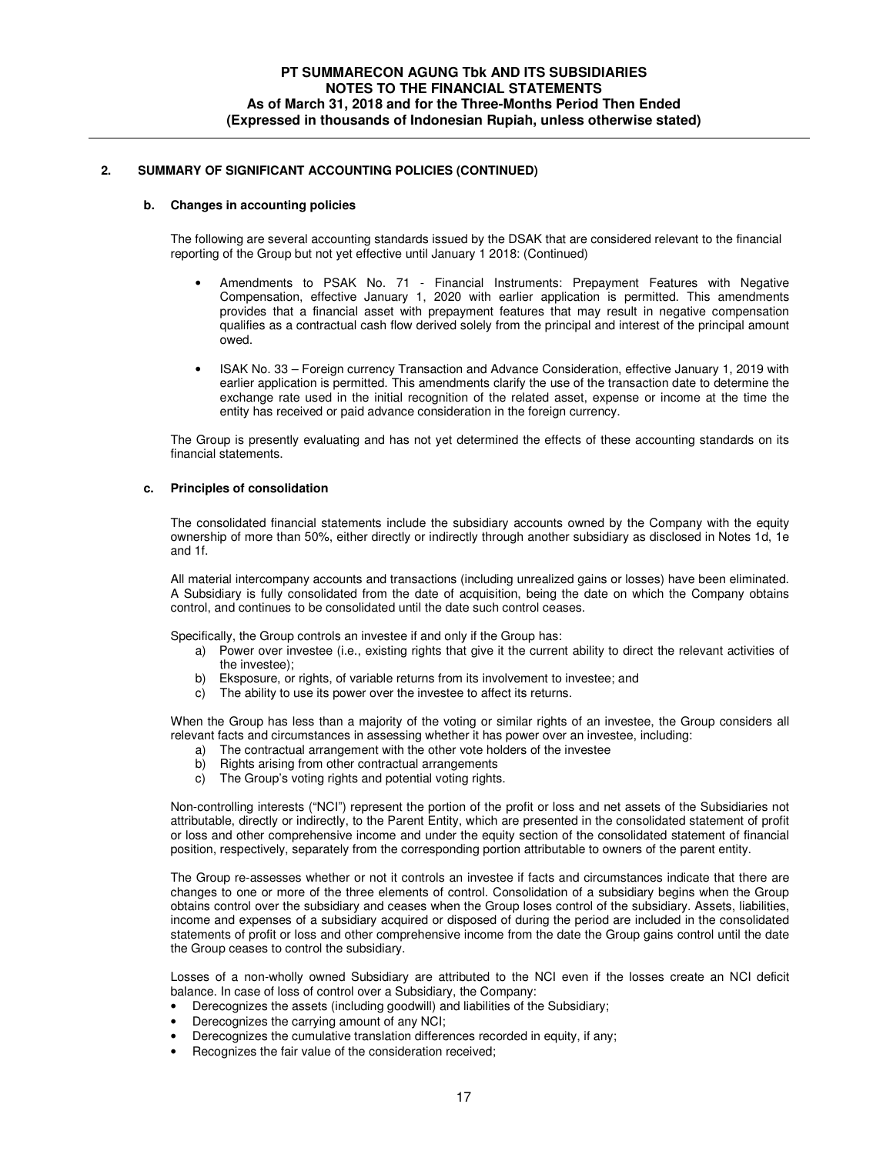#### **b. Changes in accounting policies**

The following are several accounting standards issued by the DSAK that are considered relevant to the financial reporting of the Group but not yet effective until January 1 2018: (Continued)

- Amendments to PSAK No. 71 Financial Instruments: Prepayment Features with Negative Compensation, effective January 1, 2020 with earlier application is permitted. This amendments provides that a financial asset with prepayment features that may result in negative compensation qualifies as a contractual cash flow derived solely from the principal and interest of the principal amount owed.
- ISAK No. 33 Foreign currency Transaction and Advance Consideration, effective January 1, 2019 with earlier application is permitted. This amendments clarify the use of the transaction date to determine the exchange rate used in the initial recognition of the related asset, expense or income at the time the entity has received or paid advance consideration in the foreign currency.

The Group is presently evaluating and has not yet determined the effects of these accounting standards on its financial statements.

### **c. Principles of consolidation**

The consolidated financial statements include the subsidiary accounts owned by the Company with the equity ownership of more than 50%, either directly or indirectly through another subsidiary as disclosed in Notes 1d, 1e and 1f.

All material intercompany accounts and transactions (including unrealized gains or losses) have been eliminated. A Subsidiary is fully consolidated from the date of acquisition, being the date on which the Company obtains control, and continues to be consolidated until the date such control ceases.

Specifically, the Group controls an investee if and only if the Group has:

- a) Power over investee (i.e., existing rights that give it the current ability to direct the relevant activities of the investee);
- b) Eksposure, or rights, of variable returns from its involvement to investee; and
- c) The ability to use its power over the investee to affect its returns.

When the Group has less than a majority of the voting or similar rights of an investee, the Group considers all relevant facts and circumstances in assessing whether it has power over an investee, including:

- a) The contractual arrangement with the other vote holders of the investee
- b) Rights arising from other contractual arrangements
- c) The Group's voting rights and potential voting rights.

Non-controlling interests ("NCI") represent the portion of the profit or loss and net assets of the Subsidiaries not attributable, directly or indirectly, to the Parent Entity, which are presented in the consolidated statement of profit or loss and other comprehensive income and under the equity section of the consolidated statement of financial position, respectively, separately from the corresponding portion attributable to owners of the parent entity.

The Group re-assesses whether or not it controls an investee if facts and circumstances indicate that there are changes to one or more of the three elements of control. Consolidation of a subsidiary begins when the Group obtains control over the subsidiary and ceases when the Group loses control of the subsidiary. Assets, liabilities, income and expenses of a subsidiary acquired or disposed of during the period are included in the consolidated statements of profit or loss and other comprehensive income from the date the Group gains control until the date the Group ceases to control the subsidiary.

Losses of a non-wholly owned Subsidiary are attributed to the NCI even if the losses create an NCI deficit balance. In case of loss of control over a Subsidiary, the Company:

- Derecognizes the assets (including goodwill) and liabilities of the Subsidiary;
- Derecognizes the carrying amount of any NCI;
- Derecognizes the cumulative translation differences recorded in equity, if any;
- Recognizes the fair value of the consideration received;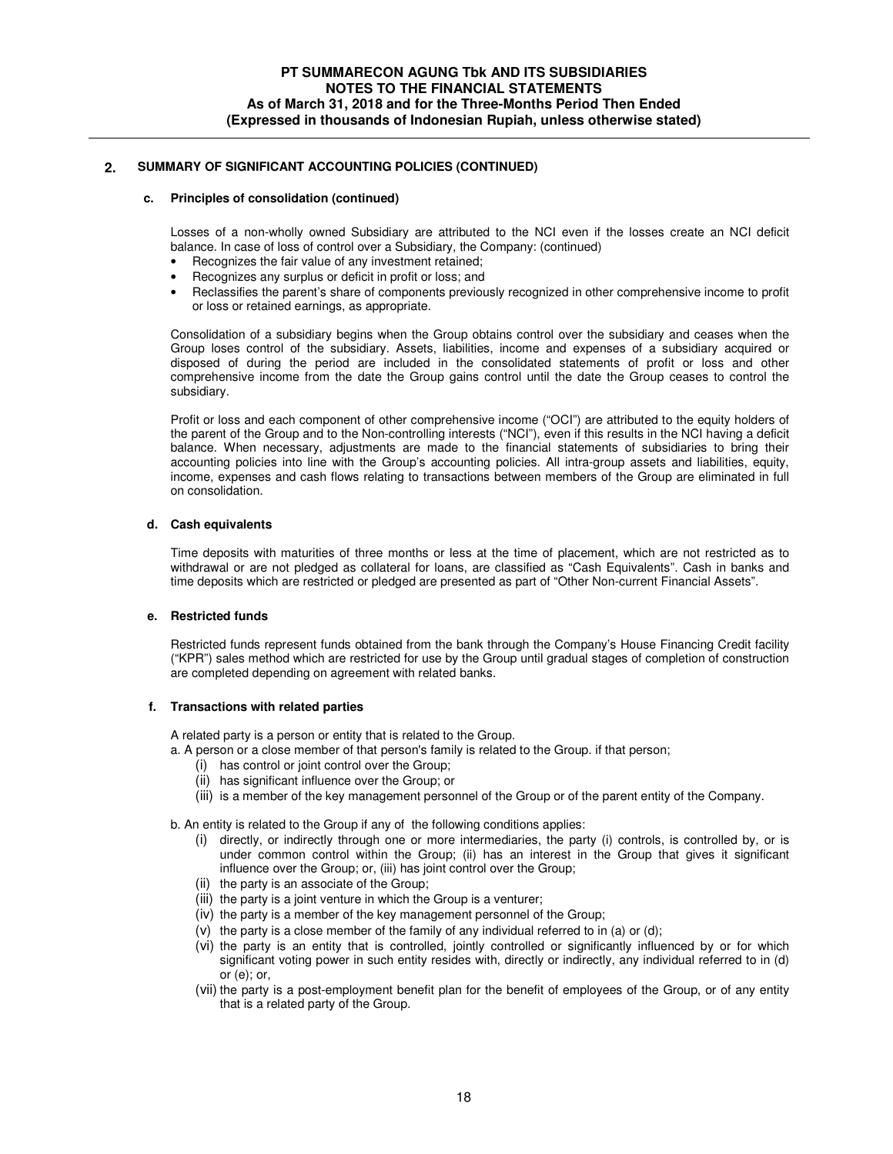### **c. Principles of consolidation (continued)**

Losses of a non-wholly owned Subsidiary are attributed to the NCI even if the losses create an NCI deficit balance. In case of loss of control over a Subsidiary, the Company: (continued)

- Recognizes the fair value of any investment retained;
- Recognizes any surplus or deficit in profit or loss; and
- Reclassifies the parent's share of components previously recognized in other comprehensive income to profit or loss or retained earnings, as appropriate.

Consolidation of a subsidiary begins when the Group obtains control over the subsidiary and ceases when the Group loses control of the subsidiary. Assets, liabilities, income and expenses of a subsidiary acquired or disposed of during the period are included in the consolidated statements of profit or loss and other comprehensive income from the date the Group gains control until the date the Group ceases to control the subsidiary.

Profit or loss and each component of other comprehensive income ("OCI") are attributed to the equity holders of the parent of the Group and to the Non-controlling interests ("NCI"), even if this results in the NCI having a deficit balance. When necessary, adjustments are made to the financial statements of subsidiaries to bring their accounting policies into line with the Group's accounting policies. All intra-group assets and liabilities, equity, income, expenses and cash flows relating to transactions between members of the Group are eliminated in full on consolidation.

# **d. Cash equivalents**

Time deposits with maturities of three months or less at the time of placement, which are not restricted as to withdrawal or are not pledged as collateral for loans, are classified as "Cash Equivalents". Cash in banks and time deposits which are restricted or pledged are presented as part of "Other Non-current Financial Assets".

# **e. Restricted funds**

Restricted funds represent funds obtained from the bank through the Company's House Financing Credit facility ("KPR") sales method which are restricted for use by the Group until gradual stages of completion of construction are completed depending on agreement with related banks.

# **f. Transactions with related parties**

A related party is a person or entity that is related to the Group.

- a. A person or a close member of that person's family is related to the Group. if that person;
	- (i) has control or joint control over the Group;
	- (ii) has significant influence over the Group; or
	- (iii) is a member of the key management personnel of the Group or of the parent entity of the Company.

b. An entity is related to the Group if any of the following conditions applies:

- (i) directly, or indirectly through one or more intermediaries, the party (i) controls, is controlled by, or is under common control within the Group; (ii) has an interest in the Group that gives it significant influence over the Group; or, (iii) has joint control over the Group;
- (ii) the party is an associate of the Group;
- (iii) the party is a joint venture in which the Group is a venturer;
- (iv) the party is a member of the key management personnel of the Group;
- (v) the party is a close member of the family of any individual referred to in (a) or (d);
- (vi) the party is an entity that is controlled, jointly controlled or significantly influenced by or for which significant voting power in such entity resides with, directly or indirectly, any individual referred to in (d) or (e); or,
- (vii) the party is a post-employment benefit plan for the benefit of employees of the Group, or of any entity that is a related party of the Group.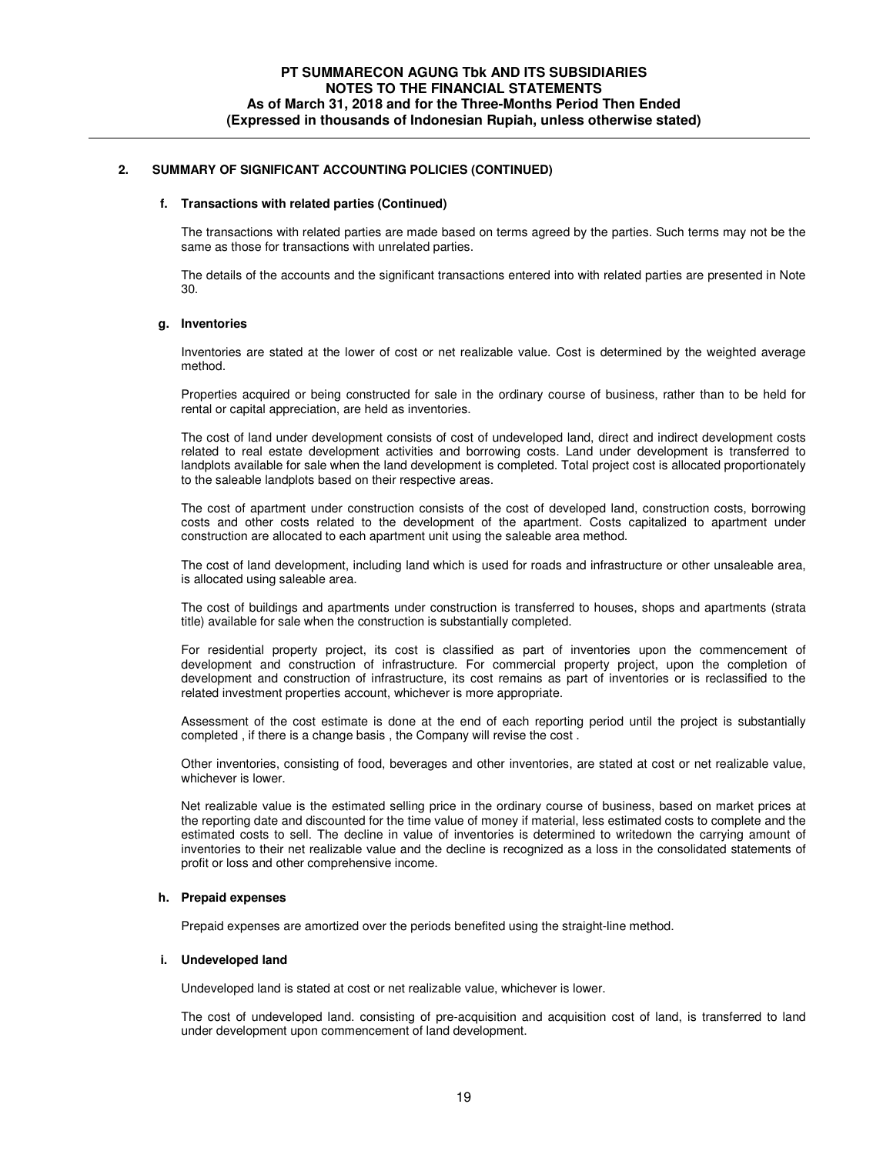#### **f. Transactions with related parties (Continued)**

The transactions with related parties are made based on terms agreed by the parties. Such terms may not be the same as those for transactions with unrelated parties.

The details of the accounts and the significant transactions entered into with related parties are presented in Note 30.

#### **g. Inventories**

Inventories are stated at the lower of cost or net realizable value. Cost is determined by the weighted average method.

Properties acquired or being constructed for sale in the ordinary course of business, rather than to be held for rental or capital appreciation, are held as inventories.

The cost of land under development consists of cost of undeveloped land, direct and indirect development costs related to real estate development activities and borrowing costs. Land under development is transferred to landplots available for sale when the land development is completed. Total project cost is allocated proportionately to the saleable landplots based on their respective areas.

The cost of apartment under construction consists of the cost of developed land, construction costs, borrowing costs and other costs related to the development of the apartment. Costs capitalized to apartment under construction are allocated to each apartment unit using the saleable area method.

The cost of land development, including land which is used for roads and infrastructure or other unsaleable area, is allocated using saleable area.

The cost of buildings and apartments under construction is transferred to houses, shops and apartments (strata title) available for sale when the construction is substantially completed.

For residential property project, its cost is classified as part of inventories upon the commencement of development and construction of infrastructure. For commercial property project, upon the completion of development and construction of infrastructure, its cost remains as part of inventories or is reclassified to the related investment properties account, whichever is more appropriate.

Assessment of the cost estimate is done at the end of each reporting period until the project is substantially completed , if there is a change basis , the Company will revise the cost .

Other inventories, consisting of food, beverages and other inventories, are stated at cost or net realizable value, whichever is lower.

Net realizable value is the estimated selling price in the ordinary course of business, based on market prices at the reporting date and discounted for the time value of money if material, less estimated costs to complete and the estimated costs to sell. The decline in value of inventories is determined to writedown the carrying amount of inventories to their net realizable value and the decline is recognized as a loss in the consolidated statements of profit or loss and other comprehensive income.

# **h. Prepaid expenses**

Prepaid expenses are amortized over the periods benefited using the straight-line method.

### **i. Undeveloped land**

Undeveloped land is stated at cost or net realizable value, whichever is lower.

The cost of undeveloped land. consisting of pre-acquisition and acquisition cost of land, is transferred to land under development upon commencement of land development.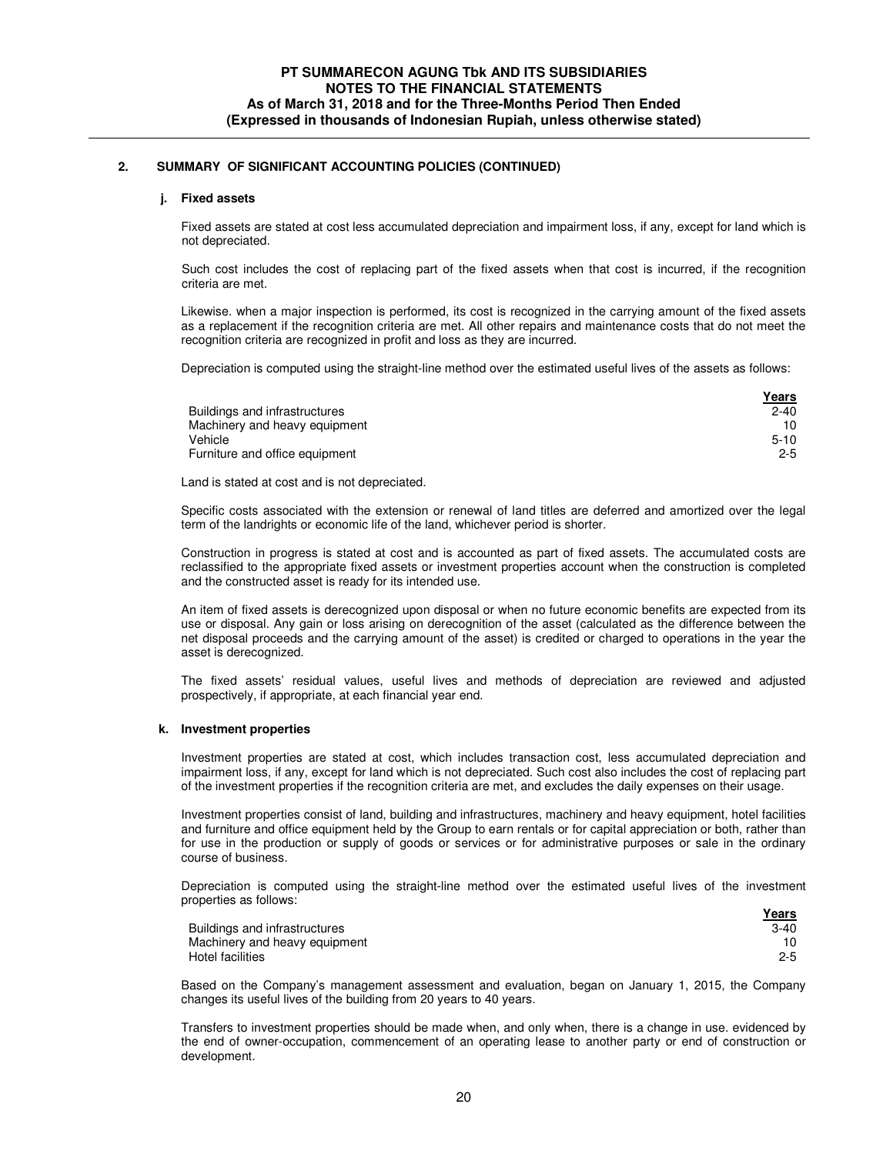#### **j. Fixed assets**

Fixed assets are stated at cost less accumulated depreciation and impairment loss, if any, except for land which is not depreciated.

Such cost includes the cost of replacing part of the fixed assets when that cost is incurred, if the recognition criteria are met.

Likewise. when a major inspection is performed, its cost is recognized in the carrying amount of the fixed assets as a replacement if the recognition criteria are met. All other repairs and maintenance costs that do not meet the recognition criteria are recognized in profit and loss as they are incurred.

Depreciation is computed using the straight-line method over the estimated useful lives of the assets as follows:

|                                | <u>Years</u> |
|--------------------------------|--------------|
| Buildings and infrastructures  | $2 - 40$     |
| Machinery and heavy equipment  | 10           |
| Vehicle                        | $5 - 10$     |
| Furniture and office equipment | $2 - 5$      |

Land is stated at cost and is not depreciated.

Specific costs associated with the extension or renewal of land titles are deferred and amortized over the legal term of the landrights or economic life of the land, whichever period is shorter.

Construction in progress is stated at cost and is accounted as part of fixed assets. The accumulated costs are reclassified to the appropriate fixed assets or investment properties account when the construction is completed and the constructed asset is ready for its intended use.

An item of fixed assets is derecognized upon disposal or when no future economic benefits are expected from its use or disposal. Any gain or loss arising on derecognition of the asset (calculated as the difference between the net disposal proceeds and the carrying amount of the asset) is credited or charged to operations in the year the asset is derecognized.

The fixed assets' residual values, useful lives and methods of depreciation are reviewed and adjusted prospectively, if appropriate, at each financial year end.

### **k. Investment properties**

Investment properties are stated at cost, which includes transaction cost, less accumulated depreciation and impairment loss, if any, except for land which is not depreciated. Such cost also includes the cost of replacing part of the investment properties if the recognition criteria are met, and excludes the daily expenses on their usage.

Investment properties consist of land, building and infrastructures, machinery and heavy equipment, hotel facilities and furniture and office equipment held by the Group to earn rentals or for capital appreciation or both, rather than for use in the production or supply of goods or services or for administrative purposes or sale in the ordinary course of business.

Depreciation is computed using the straight-line method over the estimated useful lives of the investment properties as follows: **Years** 

| <u>i eal S</u> |
|----------------|
| $3-40$         |
|                |
| $2 - 5$        |
|                |

Based on the Company's management assessment and evaluation, began on January 1, 2015, the Company changes its useful lives of the building from 20 years to 40 years.

Transfers to investment properties should be made when, and only when, there is a change in use. evidenced by the end of owner-occupation, commencement of an operating lease to another party or end of construction or development.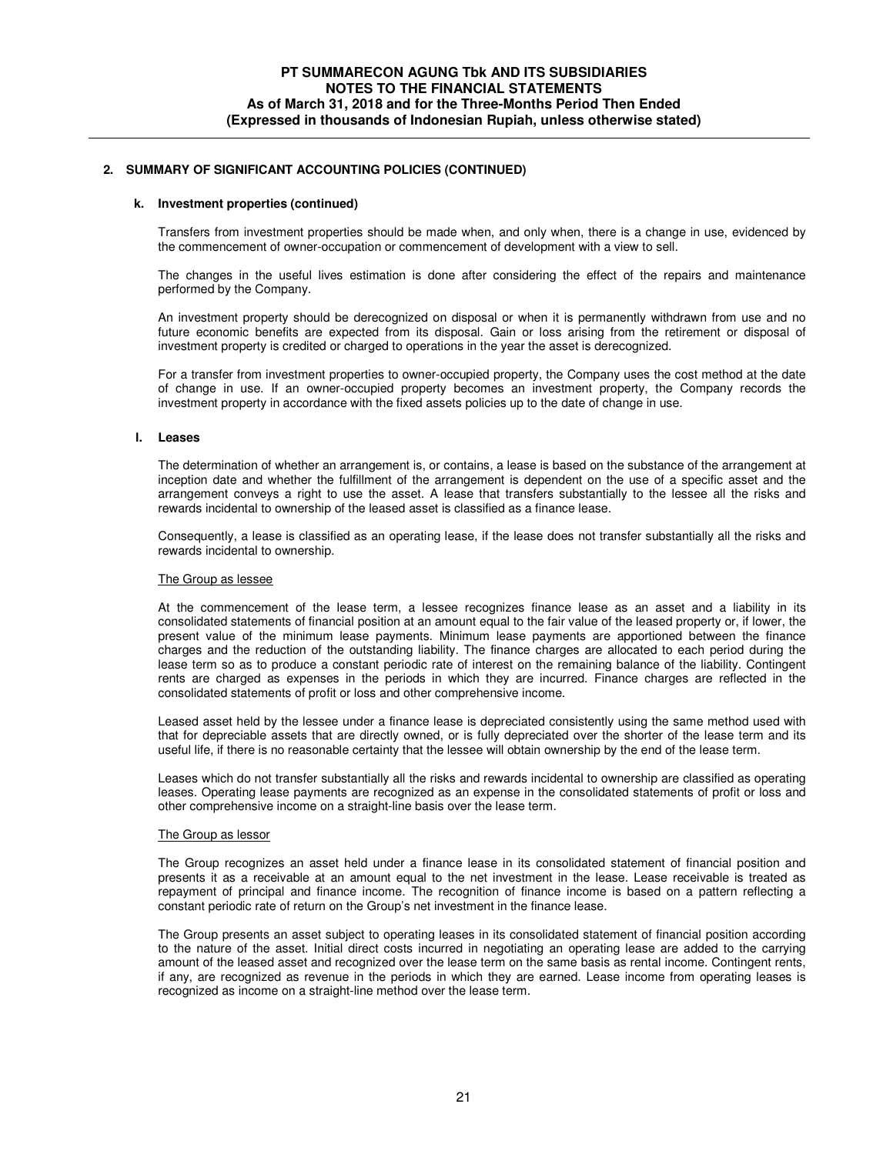### **k. Investment properties (continued)**

Transfers from investment properties should be made when, and only when, there is a change in use, evidenced by the commencement of owner-occupation or commencement of development with a view to sell.

The changes in the useful lives estimation is done after considering the effect of the repairs and maintenance performed by the Company.

An investment property should be derecognized on disposal or when it is permanently withdrawn from use and no future economic benefits are expected from its disposal. Gain or loss arising from the retirement or disposal of investment property is credited or charged to operations in the year the asset is derecognized.

For a transfer from investment properties to owner-occupied property, the Company uses the cost method at the date of change in use. If an owner-occupied property becomes an investment property, the Company records the investment property in accordance with the fixed assets policies up to the date of change in use.

### **l. Leases**

The determination of whether an arrangement is, or contains, a lease is based on the substance of the arrangement at inception date and whether the fulfillment of the arrangement is dependent on the use of a specific asset and the arrangement conveys a right to use the asset. A lease that transfers substantially to the lessee all the risks and rewards incidental to ownership of the leased asset is classified as a finance lease.

Consequently, a lease is classified as an operating lease, if the lease does not transfer substantially all the risks and rewards incidental to ownership.

### The Group as lessee

At the commencement of the lease term, a lessee recognizes finance lease as an asset and a liability in its consolidated statements of financial position at an amount equal to the fair value of the leased property or, if lower, the present value of the minimum lease payments. Minimum lease payments are apportioned between the finance charges and the reduction of the outstanding liability. The finance charges are allocated to each period during the lease term so as to produce a constant periodic rate of interest on the remaining balance of the liability. Contingent rents are charged as expenses in the periods in which they are incurred. Finance charges are reflected in the consolidated statements of profit or loss and other comprehensive income.

Leased asset held by the lessee under a finance lease is depreciated consistently using the same method used with that for depreciable assets that are directly owned, or is fully depreciated over the shorter of the lease term and its useful life, if there is no reasonable certainty that the lessee will obtain ownership by the end of the lease term.

Leases which do not transfer substantially all the risks and rewards incidental to ownership are classified as operating leases. Operating lease payments are recognized as an expense in the consolidated statements of profit or loss and other comprehensive income on a straight-line basis over the lease term.

### The Group as lessor

The Group recognizes an asset held under a finance lease in its consolidated statement of financial position and presents it as a receivable at an amount equal to the net investment in the lease. Lease receivable is treated as repayment of principal and finance income. The recognition of finance income is based on a pattern reflecting a constant periodic rate of return on the Group's net investment in the finance lease.

The Group presents an asset subject to operating leases in its consolidated statement of financial position according to the nature of the asset. Initial direct costs incurred in negotiating an operating lease are added to the carrying amount of the leased asset and recognized over the lease term on the same basis as rental income. Contingent rents, if any, are recognized as revenue in the periods in which they are earned. Lease income from operating leases is recognized as income on a straight-line method over the lease term.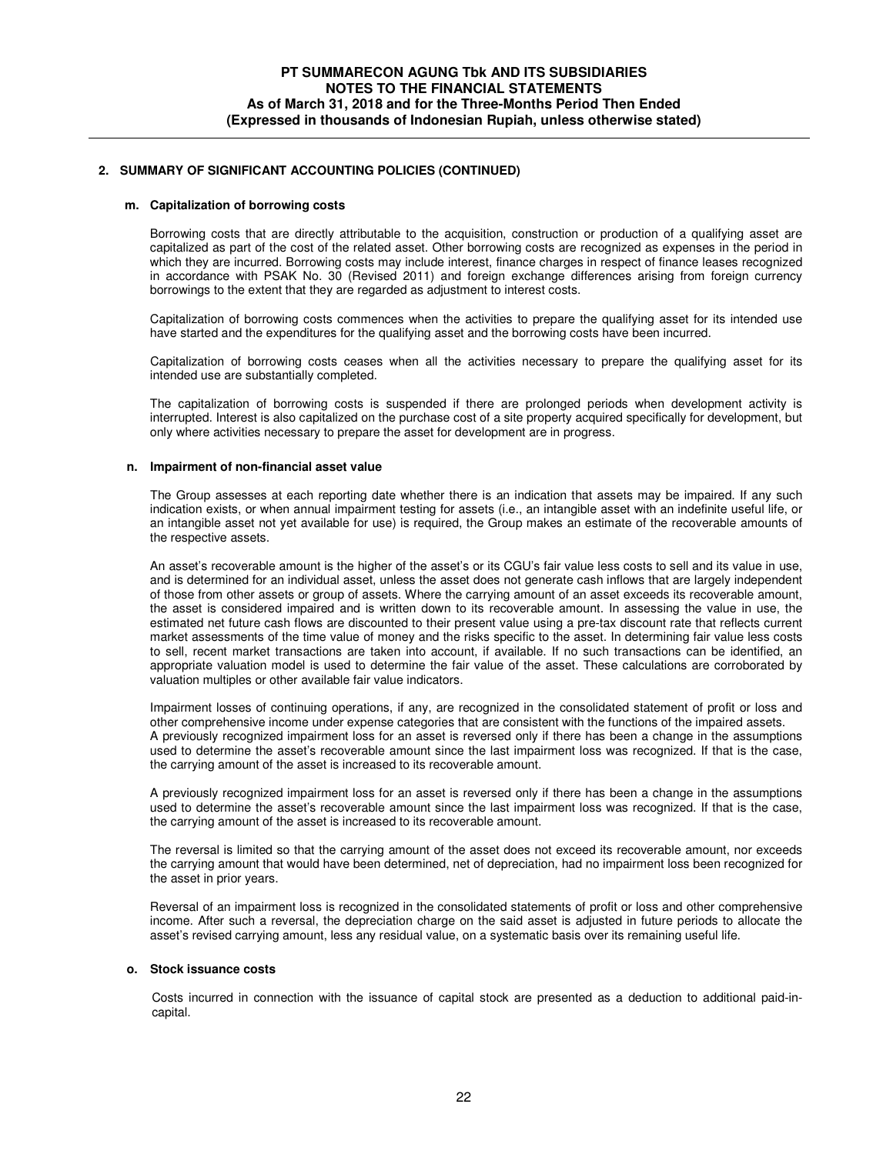#### **m. Capitalization of borrowing costs**

Borrowing costs that are directly attributable to the acquisition, construction or production of a qualifying asset are capitalized as part of the cost of the related asset. Other borrowing costs are recognized as expenses in the period in which they are incurred. Borrowing costs may include interest, finance charges in respect of finance leases recognized in accordance with PSAK No. 30 (Revised 2011) and foreign exchange differences arising from foreign currency borrowings to the extent that they are regarded as adjustment to interest costs.

Capitalization of borrowing costs commences when the activities to prepare the qualifying asset for its intended use have started and the expenditures for the qualifying asset and the borrowing costs have been incurred.

Capitalization of borrowing costs ceases when all the activities necessary to prepare the qualifying asset for its intended use are substantially completed.

The capitalization of borrowing costs is suspended if there are prolonged periods when development activity is interrupted. Interest is also capitalized on the purchase cost of a site property acquired specifically for development, but only where activities necessary to prepare the asset for development are in progress.

#### **n. Impairment of non-financial asset value**

The Group assesses at each reporting date whether there is an indication that assets may be impaired. If any such indication exists, or when annual impairment testing for assets (i.e., an intangible asset with an indefinite useful life, or an intangible asset not yet available for use) is required, the Group makes an estimate of the recoverable amounts of the respective assets.

An asset's recoverable amount is the higher of the asset's or its CGU's fair value less costs to sell and its value in use, and is determined for an individual asset, unless the asset does not generate cash inflows that are largely independent of those from other assets or group of assets. Where the carrying amount of an asset exceeds its recoverable amount, the asset is considered impaired and is written down to its recoverable amount. In assessing the value in use, the estimated net future cash flows are discounted to their present value using a pre-tax discount rate that reflects current market assessments of the time value of money and the risks specific to the asset. In determining fair value less costs to sell, recent market transactions are taken into account, if available. If no such transactions can be identified, an appropriate valuation model is used to determine the fair value of the asset. These calculations are corroborated by valuation multiples or other available fair value indicators.

Impairment losses of continuing operations, if any, are recognized in the consolidated statement of profit or loss and other comprehensive income under expense categories that are consistent with the functions of the impaired assets. A previously recognized impairment loss for an asset is reversed only if there has been a change in the assumptions used to determine the asset's recoverable amount since the last impairment loss was recognized. If that is the case, the carrying amount of the asset is increased to its recoverable amount.

A previously recognized impairment loss for an asset is reversed only if there has been a change in the assumptions used to determine the asset's recoverable amount since the last impairment loss was recognized. If that is the case, the carrying amount of the asset is increased to its recoverable amount.

The reversal is limited so that the carrying amount of the asset does not exceed its recoverable amount, nor exceeds the carrying amount that would have been determined, net of depreciation, had no impairment loss been recognized for the asset in prior years.

Reversal of an impairment loss is recognized in the consolidated statements of profit or loss and other comprehensive income. After such a reversal, the depreciation charge on the said asset is adjusted in future periods to allocate the asset's revised carrying amount, less any residual value, on a systematic basis over its remaining useful life.

#### **o. Stock issuance costs**

Costs incurred in connection with the issuance of capital stock are presented as a deduction to additional paid-incapital.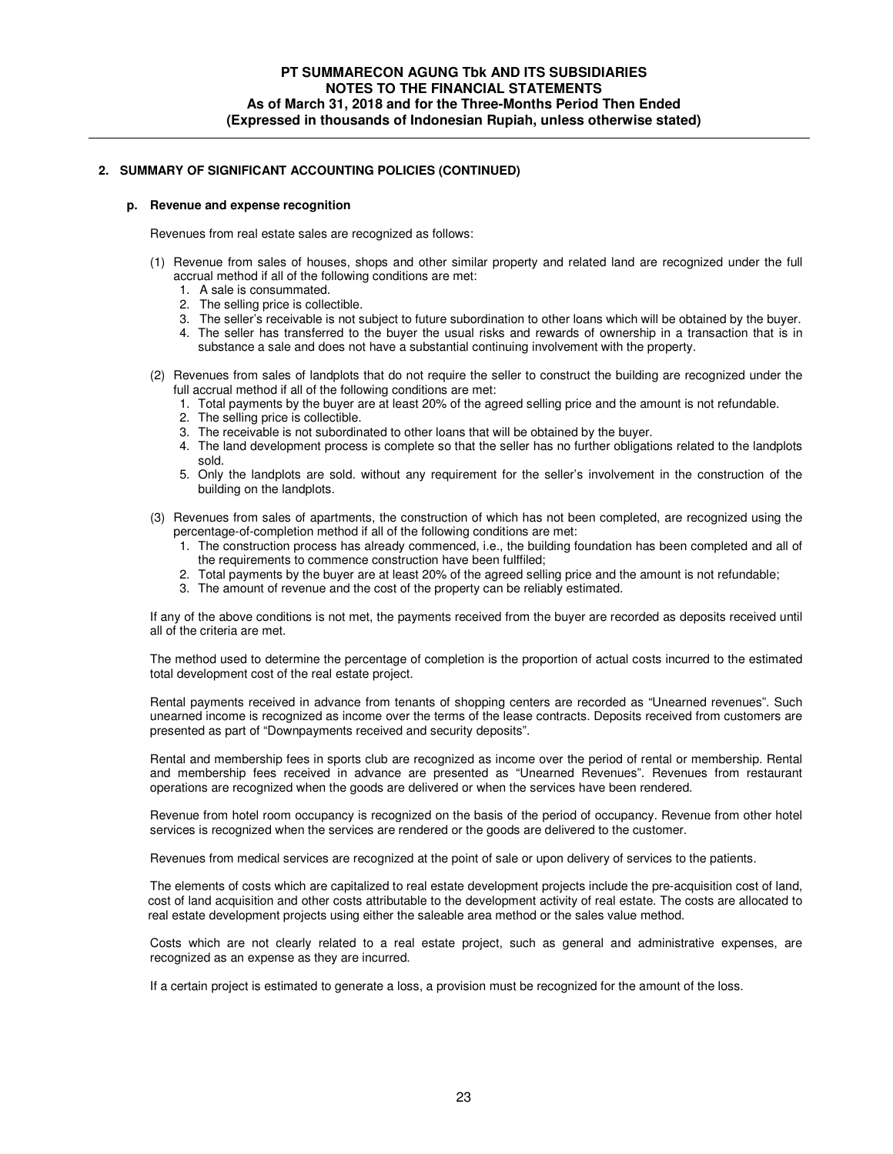#### **p. Revenue and expense recognition**

Revenues from real estate sales are recognized as follows:

- (1) Revenue from sales of houses, shops and other similar property and related land are recognized under the full accrual method if all of the following conditions are met:
	- 1. A sale is consummated.
	- 2. The selling price is collectible.
	- 3. The seller's receivable is not subject to future subordination to other loans which will be obtained by the buyer.
	- 4. The seller has transferred to the buyer the usual risks and rewards of ownership in a transaction that is in substance a sale and does not have a substantial continuing involvement with the property.
- (2) Revenues from sales of landplots that do not require the seller to construct the building are recognized under the full accrual method if all of the following conditions are met:
	- 1. Total payments by the buyer are at least 20% of the agreed selling price and the amount is not refundable.
	- 2. The selling price is collectible.
	- 3. The receivable is not subordinated to other loans that will be obtained by the buyer.
	- 4. The land development process is complete so that the seller has no further obligations related to the landplots sold.
	- 5. Only the landplots are sold. without any requirement for the seller's involvement in the construction of the building on the landplots.
- (3) Revenues from sales of apartments, the construction of which has not been completed, are recognized using the percentage-of-completion method if all of the following conditions are met:
	- 1. The construction process has already commenced, i.e., the building foundation has been completed and all of the requirements to commence construction have been fulffiled;
	- 2. Total payments by the buyer are at least 20% of the agreed selling price and the amount is not refundable;
	- 3. The amount of revenue and the cost of the property can be reliably estimated.

If any of the above conditions is not met, the payments received from the buyer are recorded as deposits received until all of the criteria are met.

The method used to determine the percentage of completion is the proportion of actual costs incurred to the estimated total development cost of the real estate project.

Rental payments received in advance from tenants of shopping centers are recorded as "Unearned revenues". Such unearned income is recognized as income over the terms of the lease contracts. Deposits received from customers are presented as part of "Downpayments received and security deposits".

Rental and membership fees in sports club are recognized as income over the period of rental or membership. Rental and membership fees received in advance are presented as "Unearned Revenues". Revenues from restaurant operations are recognized when the goods are delivered or when the services have been rendered.

Revenue from hotel room occupancy is recognized on the basis of the period of occupancy. Revenue from other hotel services is recognized when the services are rendered or the goods are delivered to the customer.

Revenues from medical services are recognized at the point of sale or upon delivery of services to the patients.

The elements of costs which are capitalized to real estate development projects include the pre-acquisition cost of land, cost of land acquisition and other costs attributable to the development activity of real estate. The costs are allocated to real estate development projects using either the saleable area method or the sales value method.

Costs which are not clearly related to a real estate project, such as general and administrative expenses, are recognized as an expense as they are incurred.

If a certain project is estimated to generate a loss, a provision must be recognized for the amount of the loss.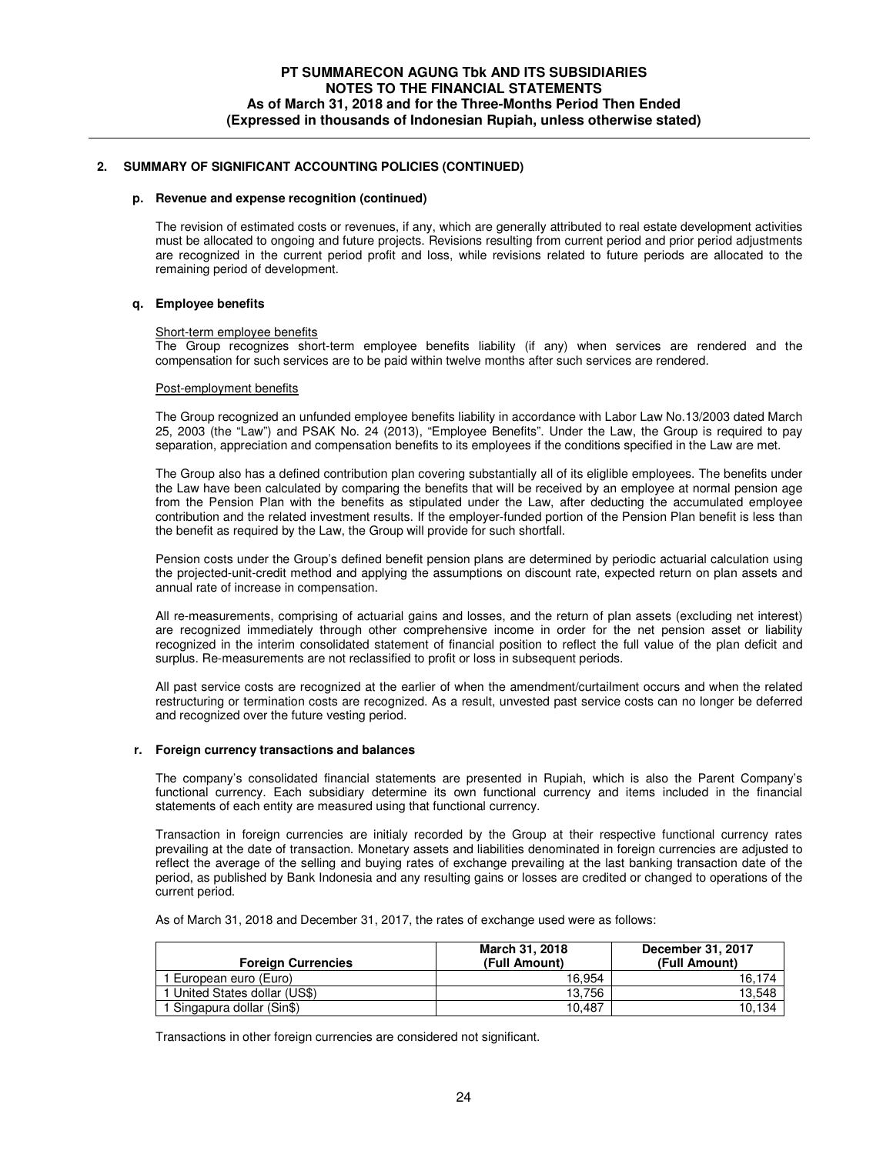#### **p. Revenue and expense recognition (continued)**

The revision of estimated costs or revenues, if any, which are generally attributed to real estate development activities must be allocated to ongoing and future projects. Revisions resulting from current period and prior period adjustments are recognized in the current period profit and loss, while revisions related to future periods are allocated to the remaining period of development.

### **q. Employee benefits**

#### Short-term employee benefits

The Group recognizes short-term employee benefits liability (if any) when services are rendered and the compensation for such services are to be paid within twelve months after such services are rendered.

#### Post-employment benefits

The Group recognized an unfunded employee benefits liability in accordance with Labor Law No.13/2003 dated March 25, 2003 (the "Law") and PSAK No. 24 (2013), "Employee Benefits". Under the Law, the Group is required to pay separation, appreciation and compensation benefits to its employees if the conditions specified in the Law are met.

The Group also has a defined contribution plan covering substantially all of its eliglible employees. The benefits under the Law have been calculated by comparing the benefits that will be received by an employee at normal pension age from the Pension Plan with the benefits as stipulated under the Law, after deducting the accumulated employee contribution and the related investment results. If the employer-funded portion of the Pension Plan benefit is less than the benefit as required by the Law, the Group will provide for such shortfall.

Pension costs under the Group's defined benefit pension plans are determined by periodic actuarial calculation using the projected-unit-credit method and applying the assumptions on discount rate, expected return on plan assets and annual rate of increase in compensation.

All re-measurements, comprising of actuarial gains and losses, and the return of plan assets (excluding net interest) are recognized immediately through other comprehensive income in order for the net pension asset or liability recognized in the interim consolidated statement of financial position to reflect the full value of the plan deficit and surplus. Re-measurements are not reclassified to profit or loss in subsequent periods.

All past service costs are recognized at the earlier of when the amendment/curtailment occurs and when the related restructuring or termination costs are recognized. As a result, unvested past service costs can no longer be deferred and recognized over the future vesting period.

### **r. Foreign currency transactions and balances**

The company's consolidated financial statements are presented in Rupiah, which is also the Parent Company's functional currency. Each subsidiary determine its own functional currency and items included in the financial statements of each entity are measured using that functional currency.

Transaction in foreign currencies are initialy recorded by the Group at their respective functional currency rates prevailing at the date of transaction. Monetary assets and liabilities denominated in foreign currencies are adjusted to reflect the average of the selling and buying rates of exchange prevailing at the last banking transaction date of the period, as published by Bank Indonesia and any resulting gains or losses are credited or changed to operations of the current period.

As of March 31, 2018 and December 31, 2017, the rates of exchange used were as follows:

| <b>Foreign Currencies</b>     | March 31, 2018<br>(Full Amount) | December 31, 2017<br>(Full Amount) |
|-------------------------------|---------------------------------|------------------------------------|
| European euro (Euro)          | 16.954                          | 16.174                             |
| 1 United States dollar (US\$) | 13.756                          | 13.548                             |
| 1 Singapura dollar (Sin\$)    | 10.487                          | 10.134                             |

Transactions in other foreign currencies are considered not significant.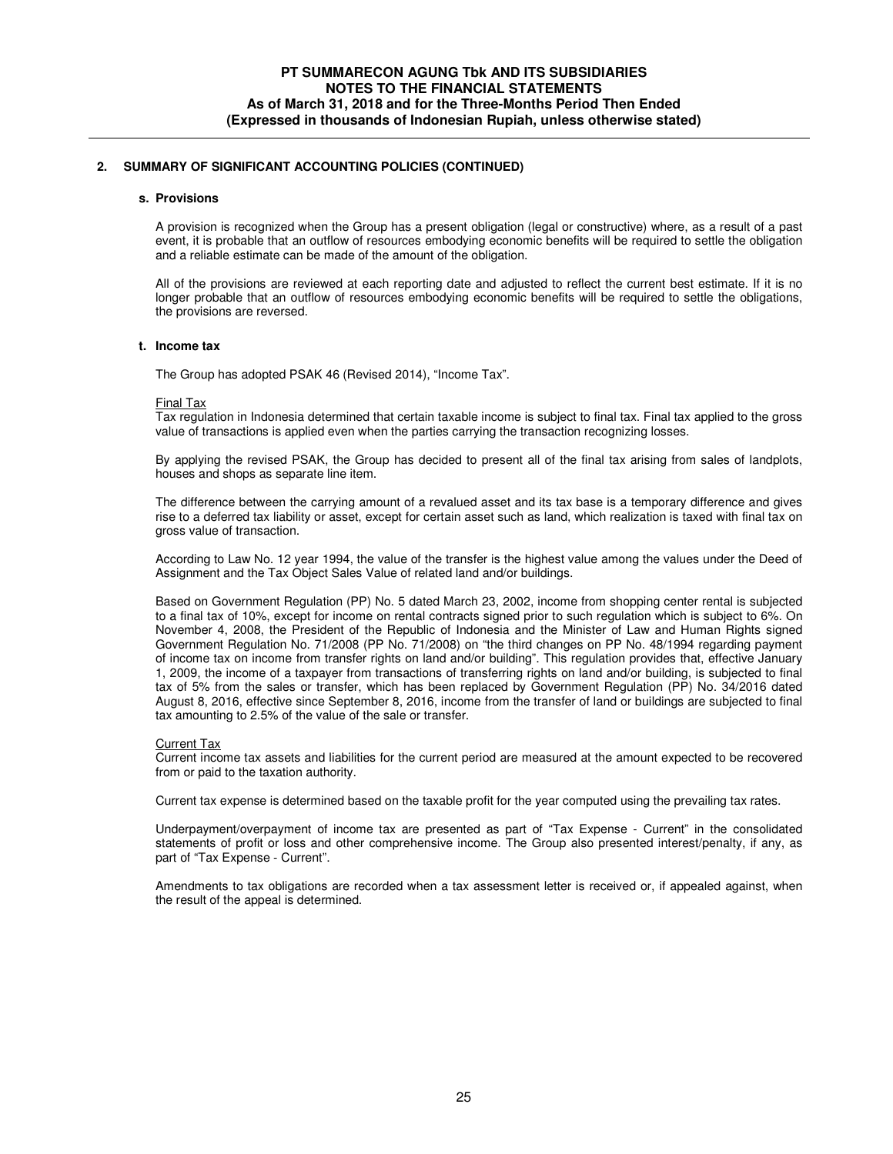#### **s. Provisions**

A provision is recognized when the Group has a present obligation (legal or constructive) where, as a result of a past event, it is probable that an outflow of resources embodying economic benefits will be required to settle the obligation and a reliable estimate can be made of the amount of the obligation.

All of the provisions are reviewed at each reporting date and adjusted to reflect the current best estimate. If it is no longer probable that an outflow of resources embodying economic benefits will be required to settle the obligations, the provisions are reversed.

#### **t. Income tax**

The Group has adopted PSAK 46 (Revised 2014), "Income Tax".

#### Final Tax

Tax regulation in Indonesia determined that certain taxable income is subject to final tax. Final tax applied to the gross value of transactions is applied even when the parties carrying the transaction recognizing losses.

By applying the revised PSAK, the Group has decided to present all of the final tax arising from sales of landplots, houses and shops as separate line item.

The difference between the carrying amount of a revalued asset and its tax base is a temporary difference and gives rise to a deferred tax liability or asset, except for certain asset such as land, which realization is taxed with final tax on gross value of transaction.

According to Law No. 12 year 1994, the value of the transfer is the highest value among the values under the Deed of Assignment and the Tax Object Sales Value of related land and/or buildings.

Based on Government Regulation (PP) No. 5 dated March 23, 2002, income from shopping center rental is subjected to a final tax of 10%, except for income on rental contracts signed prior to such regulation which is subject to 6%. On November 4, 2008, the President of the Republic of Indonesia and the Minister of Law and Human Rights signed Government Regulation No. 71/2008 (PP No. 71/2008) on "the third changes on PP No. 48/1994 regarding payment of income tax on income from transfer rights on land and/or building". This regulation provides that, effective January 1, 2009, the income of a taxpayer from transactions of transferring rights on land and/or building, is subjected to final tax of 5% from the sales or transfer, which has been replaced by Government Regulation (PP) No. 34/2016 dated August 8, 2016, effective since September 8, 2016, income from the transfer of land or buildings are subjected to final tax amounting to 2.5% of the value of the sale or transfer.

### Current Tax

Current income tax assets and liabilities for the current period are measured at the amount expected to be recovered from or paid to the taxation authority.

Current tax expense is determined based on the taxable profit for the year computed using the prevailing tax rates.

Underpayment/overpayment of income tax are presented as part of "Tax Expense - Current" in the consolidated statements of profit or loss and other comprehensive income. The Group also presented interest/penalty, if any, as part of "Tax Expense - Current".

Amendments to tax obligations are recorded when a tax assessment letter is received or, if appealed against, when the result of the appeal is determined.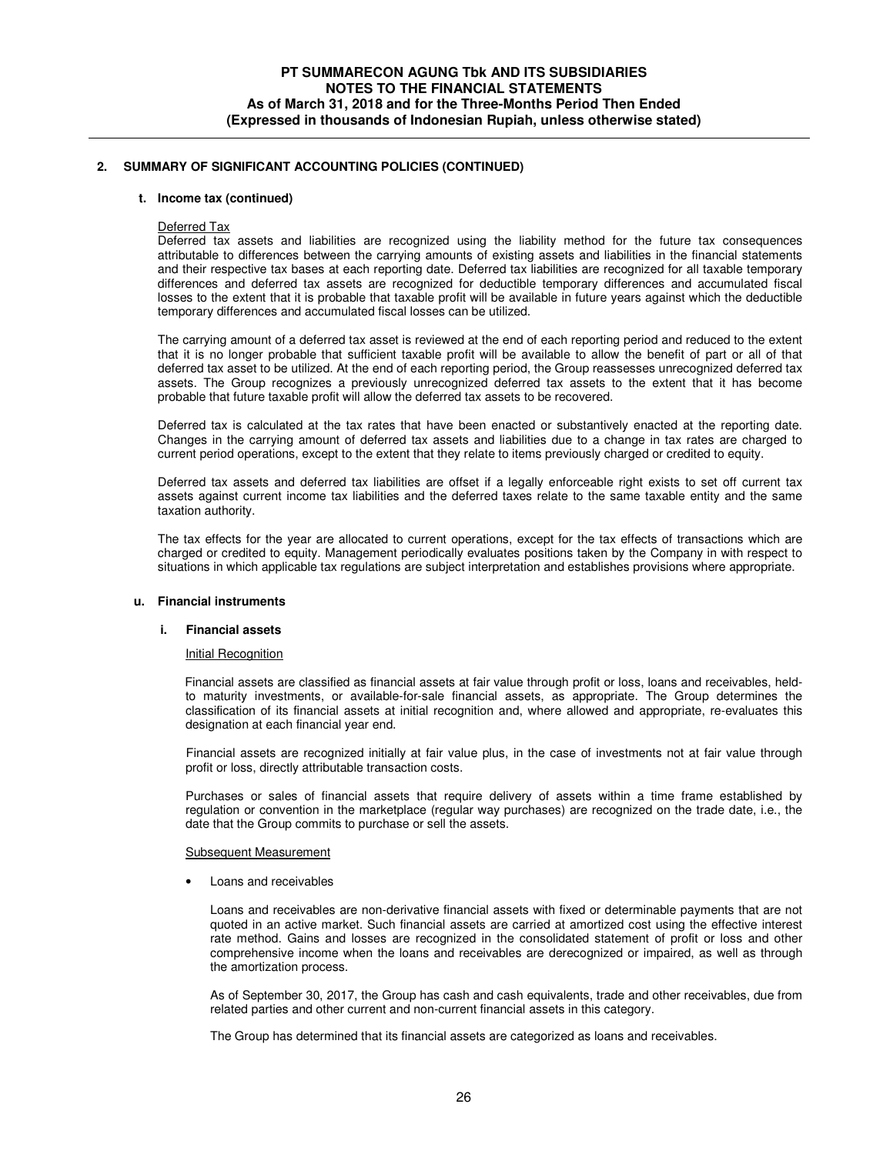### **t. Income tax (continued)**

#### Deferred Tax

Deferred tax assets and liabilities are recognized using the liability method for the future tax consequences attributable to differences between the carrying amounts of existing assets and liabilities in the financial statements and their respective tax bases at each reporting date. Deferred tax liabilities are recognized for all taxable temporary differences and deferred tax assets are recognized for deductible temporary differences and accumulated fiscal losses to the extent that it is probable that taxable profit will be available in future years against which the deductible temporary differences and accumulated fiscal losses can be utilized.

The carrying amount of a deferred tax asset is reviewed at the end of each reporting period and reduced to the extent that it is no longer probable that sufficient taxable profit will be available to allow the benefit of part or all of that deferred tax asset to be utilized. At the end of each reporting period, the Group reassesses unrecognized deferred tax assets. The Group recognizes a previously unrecognized deferred tax assets to the extent that it has become probable that future taxable profit will allow the deferred tax assets to be recovered.

Deferred tax is calculated at the tax rates that have been enacted or substantively enacted at the reporting date. Changes in the carrying amount of deferred tax assets and liabilities due to a change in tax rates are charged to current period operations, except to the extent that they relate to items previously charged or credited to equity.

Deferred tax assets and deferred tax liabilities are offset if a legally enforceable right exists to set off current tax assets against current income tax liabilities and the deferred taxes relate to the same taxable entity and the same taxation authority.

The tax effects for the year are allocated to current operations, except for the tax effects of transactions which are charged or credited to equity. Management periodically evaluates positions taken by the Company in with respect to situations in which applicable tax regulations are subject interpretation and establishes provisions where appropriate.

### **u. Financial instruments**

### **i. Financial assets**

#### Initial Recognition

 Financial assets are classified as financial assets at fair value through profit or loss, loans and receivables, heldto maturity investments, or available-for-sale financial assets, as appropriate. The Group determines the classification of its financial assets at initial recognition and, where allowed and appropriate, re-evaluates this designation at each financial year end.

 Financial assets are recognized initially at fair value plus, in the case of investments not at fair value through profit or loss, directly attributable transaction costs.

Purchases or sales of financial assets that require delivery of assets within a time frame established by regulation or convention in the marketplace (regular way purchases) are recognized on the trade date, i.e., the date that the Group commits to purchase or sell the assets.

#### Subsequent Measurement

• Loans and receivables

Loans and receivables are non-derivative financial assets with fixed or determinable payments that are not quoted in an active market. Such financial assets are carried at amortized cost using the effective interest rate method. Gains and losses are recognized in the consolidated statement of profit or loss and other comprehensive income when the loans and receivables are derecognized or impaired, as well as through the amortization process.

As of September 30, 2017, the Group has cash and cash equivalents, trade and other receivables, due from related parties and other current and non-current financial assets in this category.

The Group has determined that its financial assets are categorized as loans and receivables.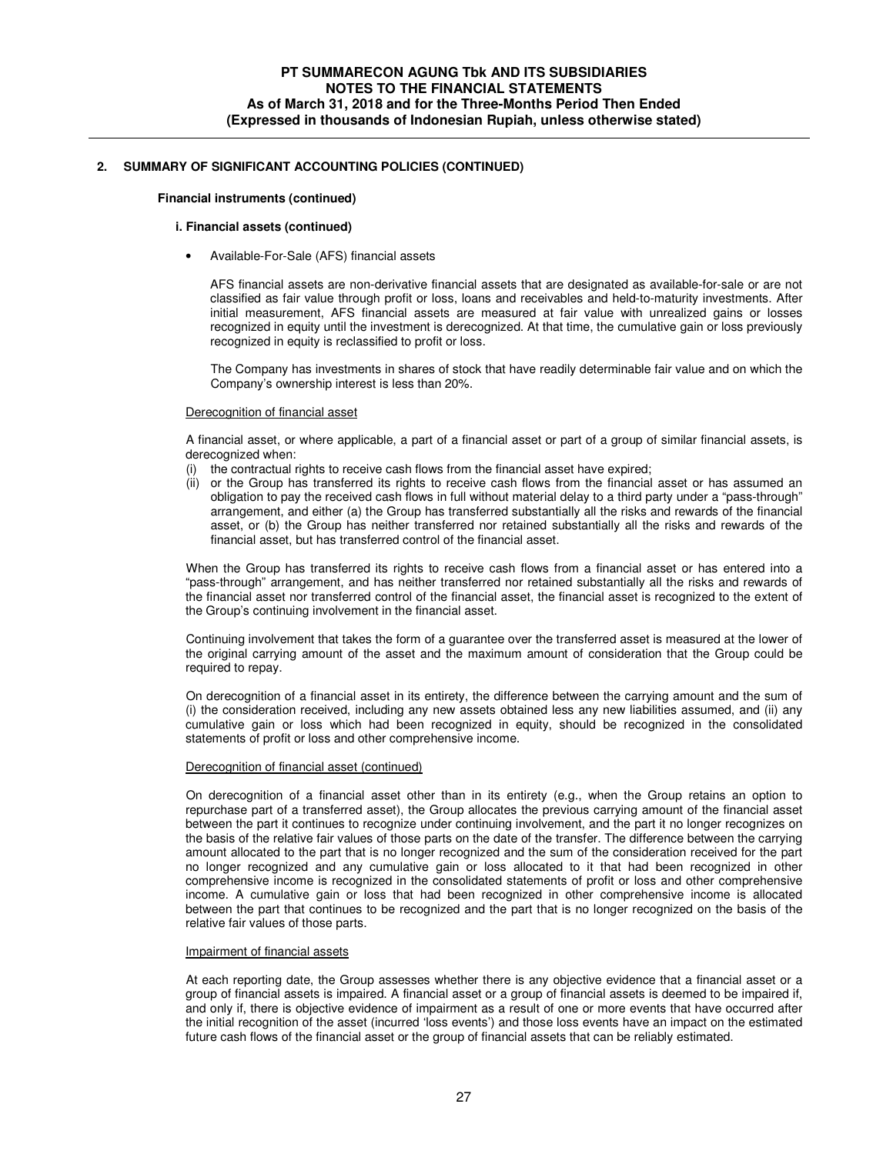#### **Financial instruments (continued)**

#### **i. Financial assets (continued)**

• Available-For-Sale (AFS) financial assets

AFS financial assets are non-derivative financial assets that are designated as available-for-sale or are not classified as fair value through profit or loss, loans and receivables and held-to-maturity investments. After initial measurement, AFS financial assets are measured at fair value with unrealized gains or losses recognized in equity until the investment is derecognized. At that time, the cumulative gain or loss previously recognized in equity is reclassified to profit or loss.

The Company has investments in shares of stock that have readily determinable fair value and on which the Company's ownership interest is less than 20%.

#### Derecognition of financial asset

A financial asset, or where applicable, a part of a financial asset or part of a group of similar financial assets, is derecognized when:

- (i) the contractual rights to receive cash flows from the financial asset have expired;
- (ii) or the Group has transferred its rights to receive cash flows from the financial asset or has assumed an obligation to pay the received cash flows in full without material delay to a third party under a "pass-through" arrangement, and either (a) the Group has transferred substantially all the risks and rewards of the financial asset, or (b) the Group has neither transferred nor retained substantially all the risks and rewards of the financial asset, but has transferred control of the financial asset.

When the Group has transferred its rights to receive cash flows from a financial asset or has entered into a "pass-through" arrangement, and has neither transferred nor retained substantially all the risks and rewards of the financial asset nor transferred control of the financial asset, the financial asset is recognized to the extent of the Group's continuing involvement in the financial asset.

Continuing involvement that takes the form of a guarantee over the transferred asset is measured at the lower of the original carrying amount of the asset and the maximum amount of consideration that the Group could be required to repay.

On derecognition of a financial asset in its entirety, the difference between the carrying amount and the sum of (i) the consideration received, including any new assets obtained less any new liabilities assumed, and (ii) any cumulative gain or loss which had been recognized in equity, should be recognized in the consolidated statements of profit or loss and other comprehensive income.

#### Derecognition of financial asset (continued)

On derecognition of a financial asset other than in its entirety (e.g., when the Group retains an option to repurchase part of a transferred asset), the Group allocates the previous carrying amount of the financial asset between the part it continues to recognize under continuing involvement, and the part it no longer recognizes on the basis of the relative fair values of those parts on the date of the transfer. The difference between the carrying amount allocated to the part that is no longer recognized and the sum of the consideration received for the part no longer recognized and any cumulative gain or loss allocated to it that had been recognized in other comprehensive income is recognized in the consolidated statements of profit or loss and other comprehensive income. A cumulative gain or loss that had been recognized in other comprehensive income is allocated between the part that continues to be recognized and the part that is no longer recognized on the basis of the relative fair values of those parts.

#### Impairment of financial assets

At each reporting date, the Group assesses whether there is any objective evidence that a financial asset or a group of financial assets is impaired. A financial asset or a group of financial assets is deemed to be impaired if, and only if, there is objective evidence of impairment as a result of one or more events that have occurred after the initial recognition of the asset (incurred 'loss events') and those loss events have an impact on the estimated future cash flows of the financial asset or the group of financial assets that can be reliably estimated.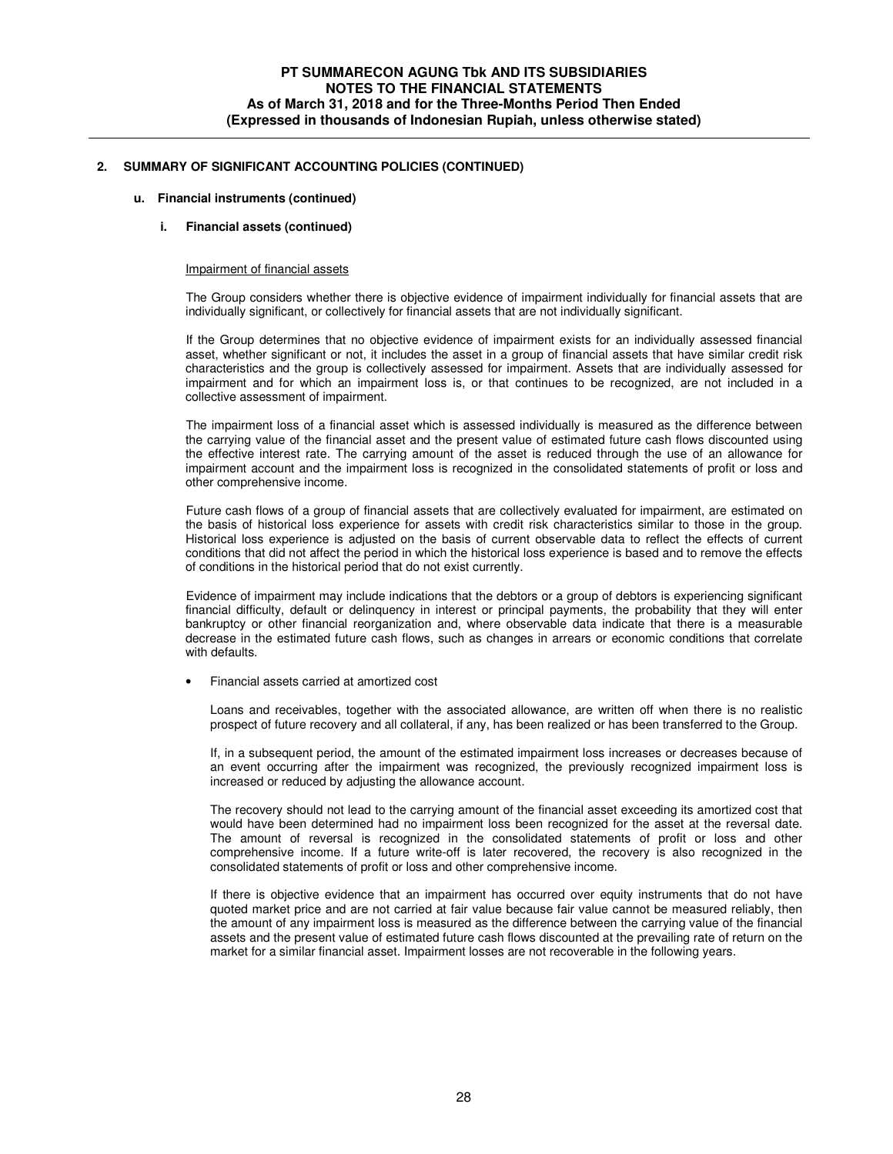#### **u. Financial instruments (continued)**

#### **i. Financial assets (continued)**

#### Impairment of financial assets

The Group considers whether there is objective evidence of impairment individually for financial assets that are individually significant, or collectively for financial assets that are not individually significant.

If the Group determines that no objective evidence of impairment exists for an individually assessed financial asset, whether significant or not, it includes the asset in a group of financial assets that have similar credit risk characteristics and the group is collectively assessed for impairment. Assets that are individually assessed for impairment and for which an impairment loss is, or that continues to be recognized, are not included in a collective assessment of impairment.

The impairment loss of a financial asset which is assessed individually is measured as the difference between the carrying value of the financial asset and the present value of estimated future cash flows discounted using the effective interest rate. The carrying amount of the asset is reduced through the use of an allowance for impairment account and the impairment loss is recognized in the consolidated statements of profit or loss and other comprehensive income.

Future cash flows of a group of financial assets that are collectively evaluated for impairment, are estimated on the basis of historical loss experience for assets with credit risk characteristics similar to those in the group. Historical loss experience is adjusted on the basis of current observable data to reflect the effects of current conditions that did not affect the period in which the historical loss experience is based and to remove the effects of conditions in the historical period that do not exist currently.

Evidence of impairment may include indications that the debtors or a group of debtors is experiencing significant financial difficulty, default or delinquency in interest or principal payments, the probability that they will enter bankruptcy or other financial reorganization and, where observable data indicate that there is a measurable decrease in the estimated future cash flows, such as changes in arrears or economic conditions that correlate with defaults.

• Financial assets carried at amortized cost

Loans and receivables, together with the associated allowance, are written off when there is no realistic prospect of future recovery and all collateral, if any, has been realized or has been transferred to the Group.

If, in a subsequent period, the amount of the estimated impairment loss increases or decreases because of an event occurring after the impairment was recognized, the previously recognized impairment loss is increased or reduced by adjusting the allowance account.

The recovery should not lead to the carrying amount of the financial asset exceeding its amortized cost that would have been determined had no impairment loss been recognized for the asset at the reversal date. The amount of reversal is recognized in the consolidated statements of profit or loss and other comprehensive income. If a future write-off is later recovered, the recovery is also recognized in the consolidated statements of profit or loss and other comprehensive income.

If there is objective evidence that an impairment has occurred over equity instruments that do not have quoted market price and are not carried at fair value because fair value cannot be measured reliably, then the amount of any impairment loss is measured as the difference between the carrying value of the financial assets and the present value of estimated future cash flows discounted at the prevailing rate of return on the market for a similar financial asset. Impairment losses are not recoverable in the following years.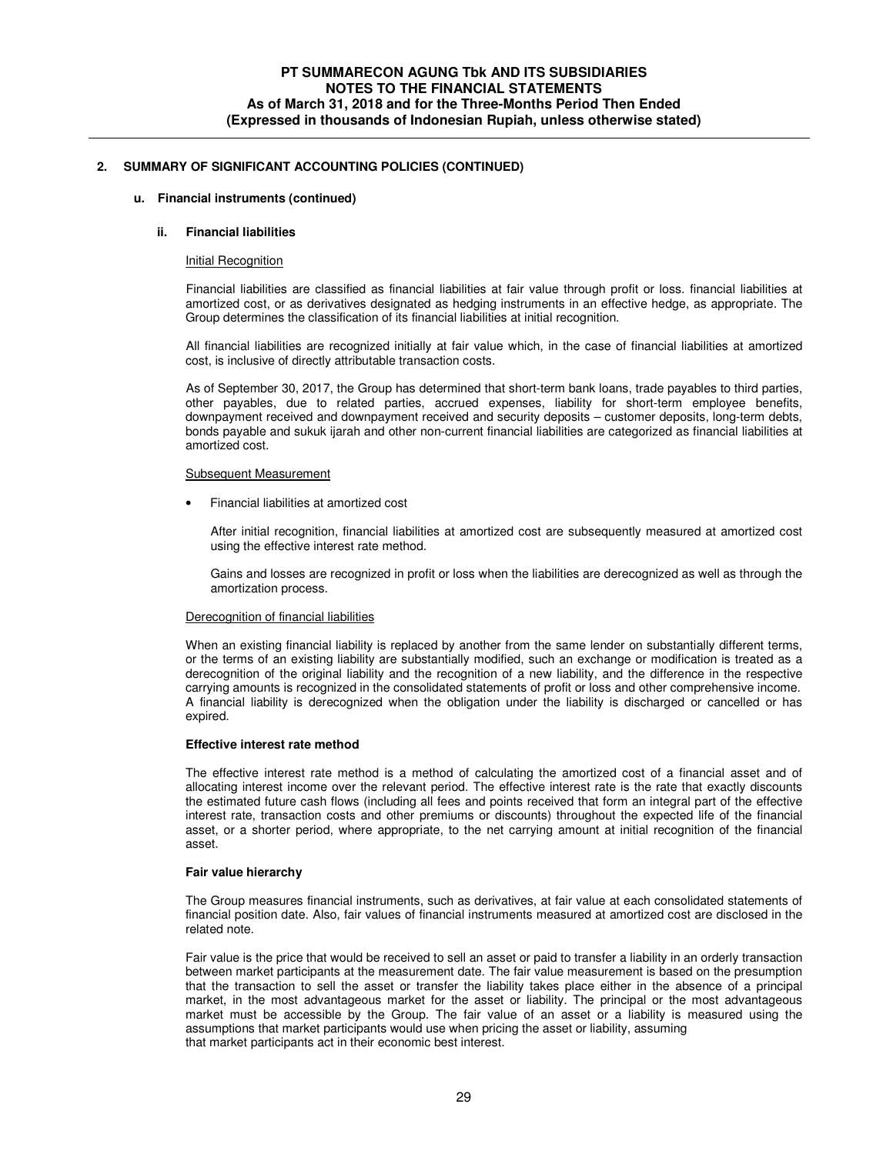### **u. Financial instruments (continued)**

# **ii. Financial liabilities**

#### Initial Recognition

Financial liabilities are classified as financial liabilities at fair value through profit or loss. financial liabilities at amortized cost, or as derivatives designated as hedging instruments in an effective hedge, as appropriate. The Group determines the classification of its financial liabilities at initial recognition.

All financial liabilities are recognized initially at fair value which, in the case of financial liabilities at amortized cost, is inclusive of directly attributable transaction costs.

As of September 30, 2017, the Group has determined that short-term bank loans, trade payables to third parties, other payables, due to related parties, accrued expenses, liability for short-term employee benefits, downpayment received and downpayment received and security deposits – customer deposits, long-term debts, bonds payable and sukuk ijarah and other non-current financial liabilities are categorized as financial liabilities at amortized cost.

#### Subsequent Measurement

• Financial liabilities at amortized cost

After initial recognition, financial liabilities at amortized cost are subsequently measured at amortized cost using the effective interest rate method.

Gains and losses are recognized in profit or loss when the liabilities are derecognized as well as through the amortization process.

### Derecognition of financial liabilities

When an existing financial liability is replaced by another from the same lender on substantially different terms, or the terms of an existing liability are substantially modified, such an exchange or modification is treated as a derecognition of the original liability and the recognition of a new liability, and the difference in the respective carrying amounts is recognized in the consolidated statements of profit or loss and other comprehensive income. A financial liability is derecognized when the obligation under the liability is discharged or cancelled or has expired.

# **Effective interest rate method**

The effective interest rate method is a method of calculating the amortized cost of a financial asset and of allocating interest income over the relevant period. The effective interest rate is the rate that exactly discounts the estimated future cash flows (including all fees and points received that form an integral part of the effective interest rate, transaction costs and other premiums or discounts) throughout the expected life of the financial asset, or a shorter period, where appropriate, to the net carrying amount at initial recognition of the financial asset.

#### **Fair value hierarchy**

The Group measures financial instruments, such as derivatives, at fair value at each consolidated statements of financial position date. Also, fair values of financial instruments measured at amortized cost are disclosed in the related note.

Fair value is the price that would be received to sell an asset or paid to transfer a liability in an orderly transaction between market participants at the measurement date. The fair value measurement is based on the presumption that the transaction to sell the asset or transfer the liability takes place either in the absence of a principal market, in the most advantageous market for the asset or liability. The principal or the most advantageous market must be accessible by the Group. The fair value of an asset or a liability is measured using the assumptions that market participants would use when pricing the asset or liability, assuming that market participants act in their economic best interest.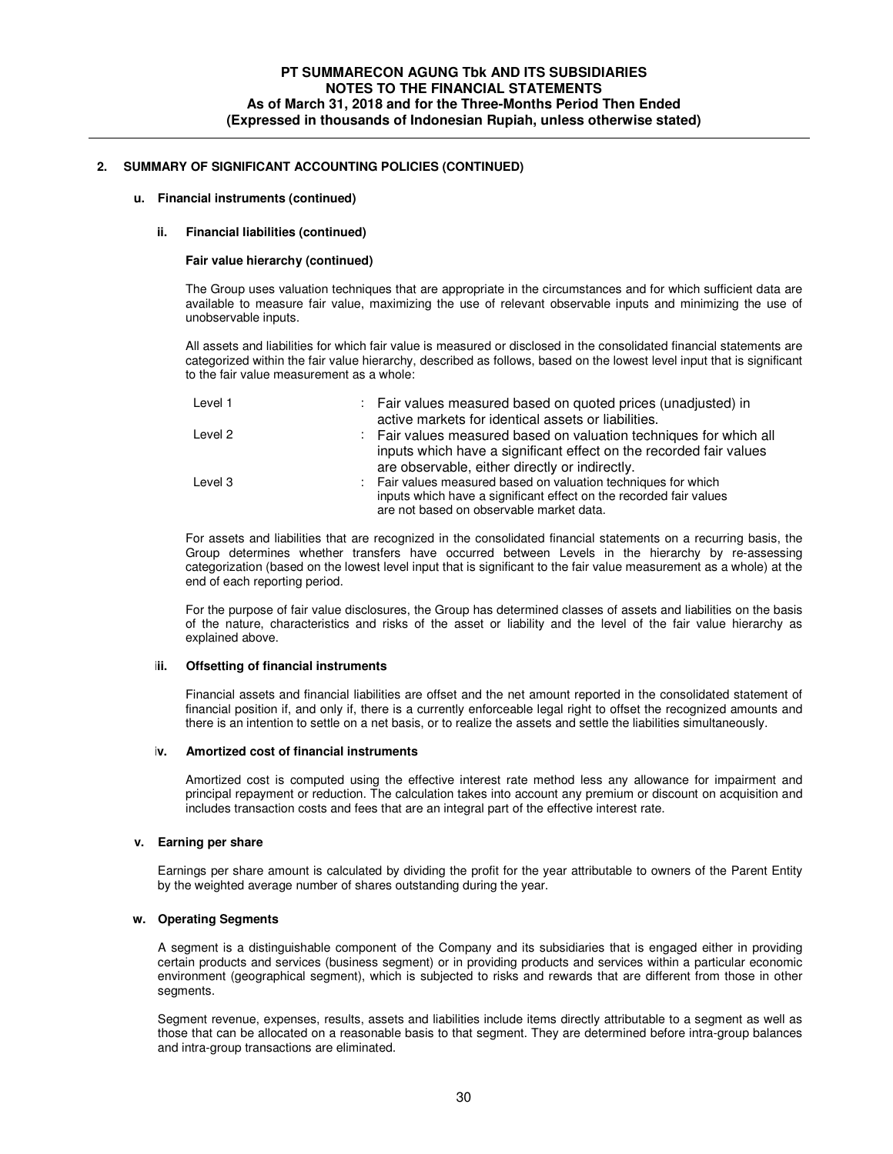### **u. Financial instruments (continued)**

### **ii. Financial liabilities (continued)**

### **Fair value hierarchy (continued)**

The Group uses valuation techniques that are appropriate in the circumstances and for which sufficient data are available to measure fair value, maximizing the use of relevant observable inputs and minimizing the use of unobservable inputs.

All assets and liabilities for which fair value is measured or disclosed in the consolidated financial statements are categorized within the fair value hierarchy, described as follows, based on the lowest level input that is significant to the fair value measurement as a whole:

| Level 1 | : Fair values measured based on quoted prices (unadjusted) in<br>active markets for identical assets or liabilities.                                                                       |
|---------|--------------------------------------------------------------------------------------------------------------------------------------------------------------------------------------------|
| Level 2 | : Fair values measured based on valuation techniques for which all<br>inputs which have a significant effect on the recorded fair values<br>are observable, either directly or indirectly. |
| Level 3 | : Fair values measured based on valuation techniques for which<br>inputs which have a significant effect on the recorded fair values<br>are not based on observable market data.           |

For assets and liabilities that are recognized in the consolidated financial statements on a recurring basis, the Group determines whether transfers have occurred between Levels in the hierarchy by re-assessing categorization (based on the lowest level input that is significant to the fair value measurement as a whole) at the end of each reporting period.

For the purpose of fair value disclosures, the Group has determined classes of assets and liabilities on the basis of the nature, characteristics and risks of the asset or liability and the level of the fair value hierarchy as explained above.

### **iii. Offsetting of financial instruments**

Financial assets and financial liabilities are offset and the net amount reported in the consolidated statement of financial position if, and only if, there is a currently enforceable legal right to offset the recognized amounts and there is an intention to settle on a net basis, or to realize the assets and settle the liabilities simultaneously.

### **iv. Amortized cost of financial instruments**

Amortized cost is computed using the effective interest rate method less any allowance for impairment and principal repayment or reduction. The calculation takes into account any premium or discount on acquisition and includes transaction costs and fees that are an integral part of the effective interest rate.

### **v. Earning per share**

Earnings per share amount is calculated by dividing the profit for the year attributable to owners of the Parent Entity by the weighted average number of shares outstanding during the year.

### **w. Operating Segments**

A segment is a distinguishable component of the Company and its subsidiaries that is engaged either in providing certain products and services (business segment) or in providing products and services within a particular economic environment (geographical segment), which is subjected to risks and rewards that are different from those in other segments.

Segment revenue, expenses, results, assets and liabilities include items directly attributable to a segment as well as those that can be allocated on a reasonable basis to that segment. They are determined before intra-group balances and intra-group transactions are eliminated.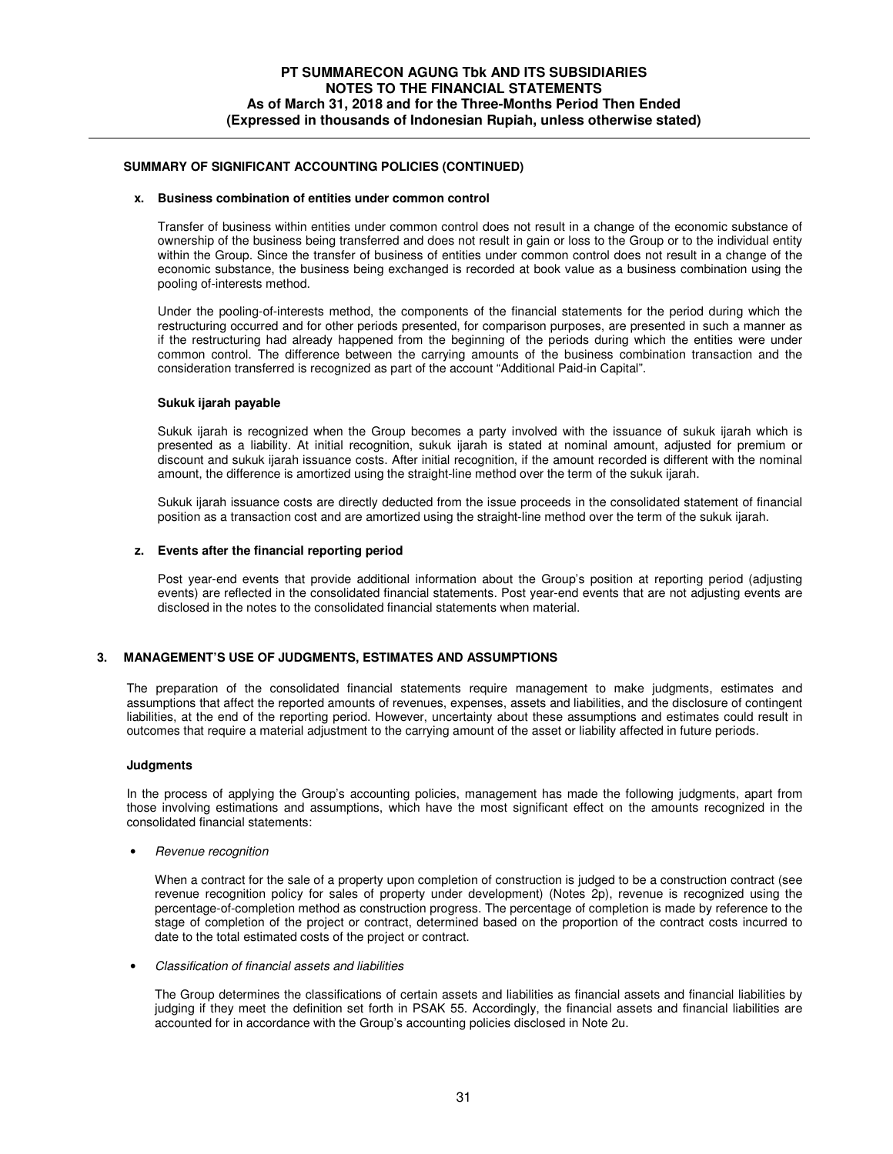# **x. Business combination of entities under common control**

Transfer of business within entities under common control does not result in a change of the economic substance of ownership of the business being transferred and does not result in gain or loss to the Group or to the individual entity within the Group. Since the transfer of business of entities under common control does not result in a change of the economic substance, the business being exchanged is recorded at book value as a business combination using the pooling of-interests method.

Under the pooling-of-interests method, the components of the financial statements for the period during which the restructuring occurred and for other periods presented, for comparison purposes, are presented in such a manner as if the restructuring had already happened from the beginning of the periods during which the entities were under common control. The difference between the carrying amounts of the business combination transaction and the consideration transferred is recognized as part of the account "Additional Paid-in Capital".

### **Sukuk ijarah payable**

Sukuk ijarah is recognized when the Group becomes a party involved with the issuance of sukuk ijarah which is presented as a liability. At initial recognition, sukuk ijarah is stated at nominal amount, adjusted for premium or discount and sukuk ijarah issuance costs. After initial recognition, if the amount recorded is different with the nominal amount, the difference is amortized using the straight-line method over the term of the sukuk ijarah.

Sukuk ijarah issuance costs are directly deducted from the issue proceeds in the consolidated statement of financial position as a transaction cost and are amortized using the straight-line method over the term of the sukuk ijarah.

#### **z. Events after the financial reporting period**

Post year-end events that provide additional information about the Group's position at reporting period (adjusting events) are reflected in the consolidated financial statements. Post year-end events that are not adjusting events are disclosed in the notes to the consolidated financial statements when material.

### **3. MANAGEMENT'S USE OF JUDGMENTS, ESTIMATES AND ASSUMPTIONS**

 The preparation of the consolidated financial statements require management to make judgments, estimates and assumptions that affect the reported amounts of revenues, expenses, assets and liabilities, and the disclosure of contingent liabilities, at the end of the reporting period. However, uncertainty about these assumptions and estimates could result in outcomes that require a material adjustment to the carrying amount of the asset or liability affected in future periods.

#### **Judgments**

In the process of applying the Group's accounting policies, management has made the following judgments, apart from those involving estimations and assumptions, which have the most significant effect on the amounts recognized in the consolidated financial statements:

• Revenue recognition

When a contract for the sale of a property upon completion of construction is judged to be a construction contract (see revenue recognition policy for sales of property under development) (Notes 2p), revenue is recognized using the percentage-of-completion method as construction progress. The percentage of completion is made by reference to the stage of completion of the project or contract, determined based on the proportion of the contract costs incurred to date to the total estimated costs of the project or contract.

• Classification of financial assets and liabilities

The Group determines the classifications of certain assets and liabilities as financial assets and financial liabilities by judging if they meet the definition set forth in PSAK 55. Accordingly, the financial assets and financial liabilities are accounted for in accordance with the Group's accounting policies disclosed in Note 2u.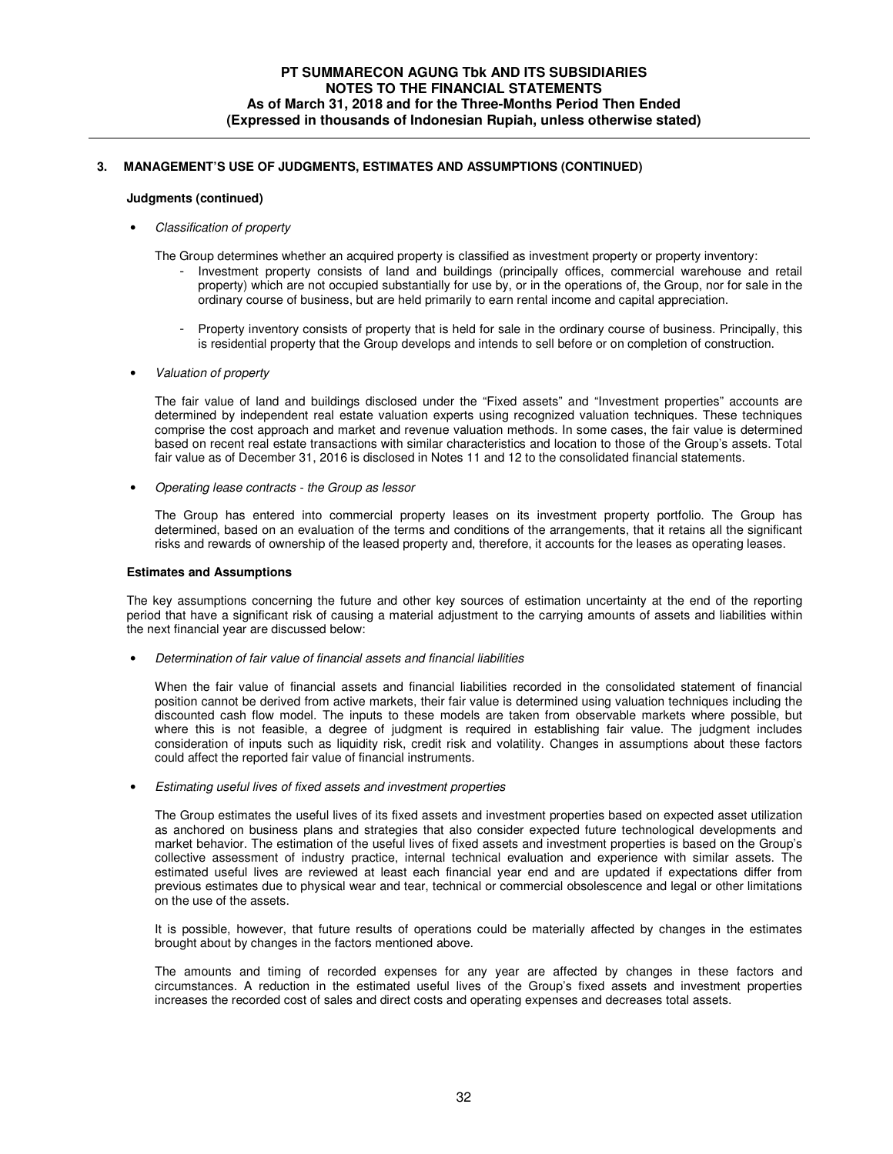# **3. MANAGEMENT'S USE OF JUDGMENTS, ESTIMATES AND ASSUMPTIONS (CONTINUED)**

# **Judgments (continued)**

• Classification of property

The Group determines whether an acquired property is classified as investment property or property inventory:

- Investment property consists of land and buildings (principally offices, commercial warehouse and retail property) which are not occupied substantially for use by, or in the operations of, the Group, nor for sale in the ordinary course of business, but are held primarily to earn rental income and capital appreciation.
- Property inventory consists of property that is held for sale in the ordinary course of business. Principally, this is residential property that the Group develops and intends to sell before or on completion of construction.
- Valuation of property

The fair value of land and buildings disclosed under the "Fixed assets" and "Investment properties" accounts are determined by independent real estate valuation experts using recognized valuation techniques. These techniques comprise the cost approach and market and revenue valuation methods. In some cases, the fair value is determined based on recent real estate transactions with similar characteristics and location to those of the Group's assets. Total fair value as of December 31, 2016 is disclosed in Notes 11 and 12 to the consolidated financial statements.

• Operating lease contracts - the Group as lessor

The Group has entered into commercial property leases on its investment property portfolio. The Group has determined, based on an evaluation of the terms and conditions of the arrangements, that it retains all the significant risks and rewards of ownership of the leased property and, therefore, it accounts for the leases as operating leases.

### **Estimates and Assumptions**

The key assumptions concerning the future and other key sources of estimation uncertainty at the end of the reporting period that have a significant risk of causing a material adjustment to the carrying amounts of assets and liabilities within the next financial year are discussed below:

• Determination of fair value of financial assets and financial liabilities

When the fair value of financial assets and financial liabilities recorded in the consolidated statement of financial position cannot be derived from active markets, their fair value is determined using valuation techniques including the discounted cash flow model. The inputs to these models are taken from observable markets where possible, but where this is not feasible, a degree of judgment is required in establishing fair value. The judgment includes consideration of inputs such as liquidity risk, credit risk and volatility. Changes in assumptions about these factors could affect the reported fair value of financial instruments.

• Estimating useful lives of fixed assets and investment properties

The Group estimates the useful lives of its fixed assets and investment properties based on expected asset utilization as anchored on business plans and strategies that also consider expected future technological developments and market behavior. The estimation of the useful lives of fixed assets and investment properties is based on the Group's collective assessment of industry practice, internal technical evaluation and experience with similar assets. The estimated useful lives are reviewed at least each financial year end and are updated if expectations differ from previous estimates due to physical wear and tear, technical or commercial obsolescence and legal or other limitations on the use of the assets.

It is possible, however, that future results of operations could be materially affected by changes in the estimates brought about by changes in the factors mentioned above.

The amounts and timing of recorded expenses for any year are affected by changes in these factors and circumstances. A reduction in the estimated useful lives of the Group's fixed assets and investment properties increases the recorded cost of sales and direct costs and operating expenses and decreases total assets.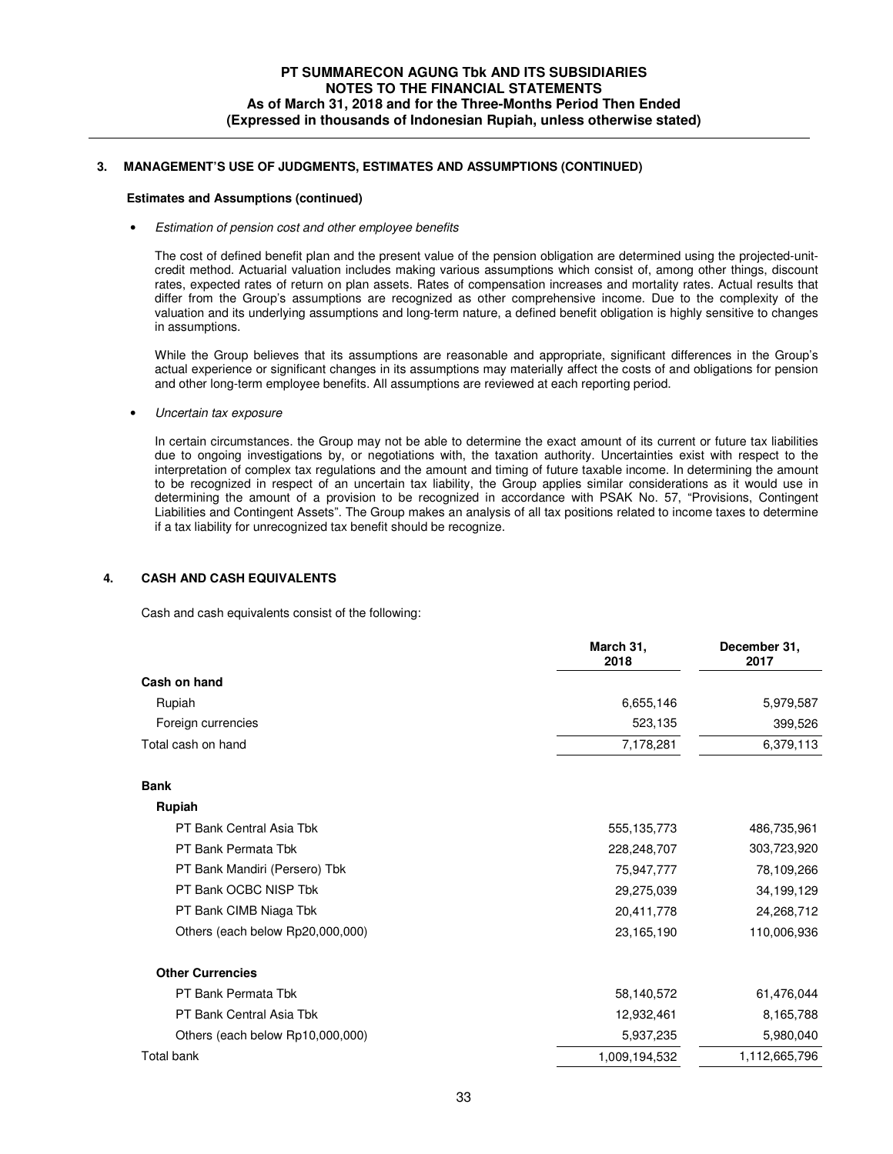# **3. MANAGEMENT'S USE OF JUDGMENTS, ESTIMATES AND ASSUMPTIONS (CONTINUED)**

#### **Estimates and Assumptions (continued)**

#### • Estimation of pension cost and other employee benefits

The cost of defined benefit plan and the present value of the pension obligation are determined using the projected-unitcredit method. Actuarial valuation includes making various assumptions which consist of, among other things, discount rates, expected rates of return on plan assets. Rates of compensation increases and mortality rates. Actual results that differ from the Group's assumptions are recognized as other comprehensive income. Due to the complexity of the valuation and its underlying assumptions and long-term nature, a defined benefit obligation is highly sensitive to changes in assumptions.

While the Group believes that its assumptions are reasonable and appropriate, significant differences in the Group's actual experience or significant changes in its assumptions may materially affect the costs of and obligations for pension and other long-term employee benefits. All assumptions are reviewed at each reporting period.

• Uncertain tax exposure

In certain circumstances. the Group may not be able to determine the exact amount of its current or future tax liabilities due to ongoing investigations by, or negotiations with, the taxation authority. Uncertainties exist with respect to the interpretation of complex tax regulations and the amount and timing of future taxable income. In determining the amount to be recognized in respect of an uncertain tax liability, the Group applies similar considerations as it would use in determining the amount of a provision to be recognized in accordance with PSAK No. 57, "Provisions, Contingent Liabilities and Contingent Assets". The Group makes an analysis of all tax positions related to income taxes to determine if a tax liability for unrecognized tax benefit should be recognize.

# **4. CASH AND CASH EQUIVALENTS**

Cash and cash equivalents consist of the following:

|                                  | March 31,<br>2018 | December 31,<br>2017 |
|----------------------------------|-------------------|----------------------|
| Cash on hand                     |                   |                      |
| Rupiah                           | 6,655,146         | 5,979,587            |
| Foreign currencies               | 523,135           | 399,526              |
| Total cash on hand               | 7,178,281         | 6,379,113            |
| <b>Bank</b>                      |                   |                      |
| Rupiah                           |                   |                      |
| PT Bank Central Asia Tbk         | 555, 135, 773     | 486,735,961          |
| PT Bank Permata Tbk              | 228,248,707       | 303,723,920          |
| PT Bank Mandiri (Persero) Tbk    | 75,947,777        | 78,109,266           |
| PT Bank OCBC NISP Tbk            | 29,275,039        | 34,199,129           |
| PT Bank CIMB Niaga Tbk           | 20,411,778        | 24,268,712           |
| Others (each below Rp20,000,000) | 23,165,190        | 110,006,936          |
| <b>Other Currencies</b>          |                   |                      |
| PT Bank Permata Tbk              | 58,140,572        | 61,476,044           |
| PT Bank Central Asia Tbk         | 12,932,461        | 8,165,788            |
| Others (each below Rp10,000,000) | 5,937,235         | 5,980,040            |
| <b>Total bank</b>                | 1,009,194,532     | 1,112,665,796        |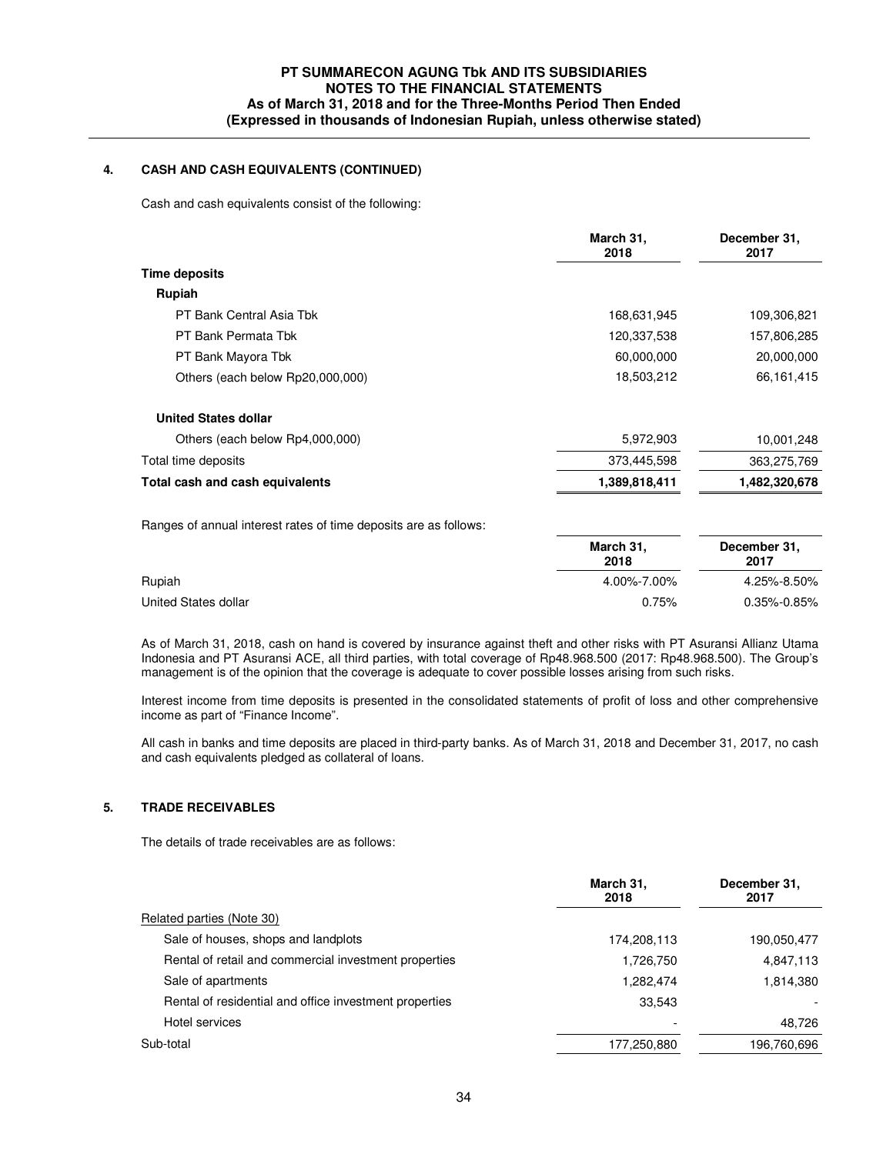# **4. CASH AND CASH EQUIVALENTS (CONTINUED)**

Cash and cash equivalents consist of the following:

|                                  | March 31,<br>2018 | December 31,<br>2017 |
|----------------------------------|-------------------|----------------------|
| <b>Time deposits</b>             |                   |                      |
| Rupiah                           |                   |                      |
| PT Bank Central Asia Tbk         | 168,631,945       | 109,306,821          |
| PT Bank Permata Tbk              | 120,337,538       | 157,806,285          |
| PT Bank Mayora Tbk               | 60,000,000        | 20,000,000           |
| Others (each below Rp20,000,000) | 18,503,212        | 66,161,415           |
| <b>United States dollar</b>      |                   |                      |
| Others (each below Rp4,000,000)  | 5,972,903         | 10,001,248           |
| Total time deposits              | 373,445,598       | 363,275,769          |
| Total cash and cash equivalents  | 1,389,818,411     | 1,482,320,678        |

Ranges of annual interest rates of time deposits are as follows:

|                      | March 31,<br>2018 | December 31,<br>2017 |
|----------------------|-------------------|----------------------|
| Rupiah               | 4.00%-7.00%       | 4.25%-8.50%          |
| United States dollar | 0.75%             | $0.35\% - 0.85\%$    |

 As of March 31, 2018, cash on hand is covered by insurance against theft and other risks with PT Asuransi Allianz Utama Indonesia and PT Asuransi ACE, all third parties, with total coverage of Rp48.968.500 (2017: Rp48.968.500). The Group's management is of the opinion that the coverage is adequate to cover possible losses arising from such risks.

Interest income from time deposits is presented in the consolidated statements of profit of loss and other comprehensive income as part of "Finance Income".

All cash in banks and time deposits are placed in third-party banks. As of March 31, 2018 and December 31, 2017, no cash and cash equivalents pledged as collateral of loans.

# **5. TRADE RECEIVABLES**

The details of trade receivables are as follows:

|                                                        | March 31,<br>2018 | December 31.<br>2017 |
|--------------------------------------------------------|-------------------|----------------------|
| Related parties (Note 30)                              |                   |                      |
| Sale of houses, shops and landplots                    | 174,208,113       | 190.050.477          |
| Rental of retail and commercial investment properties  | 1,726,750         | 4,847,113            |
| Sale of apartments                                     | 1,282,474         | 1,814,380            |
| Rental of residential and office investment properties | 33.543            |                      |
| Hotel services                                         |                   | 48.726               |
| Sub-total                                              | 177,250,880       | 196,760,696          |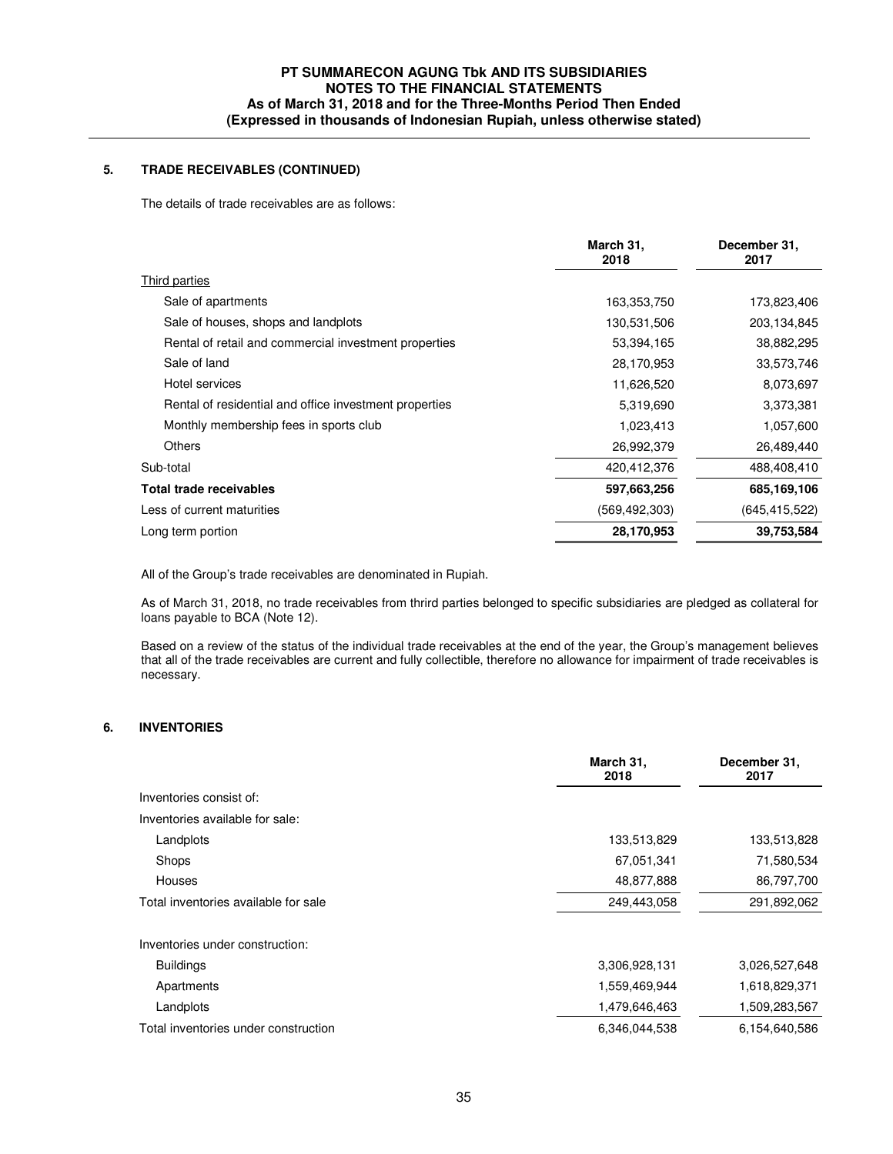# **PT SUMMARECON AGUNG Tbk AND ITS SUBSIDIARIES NOTES TO THE FINANCIAL STATEMENTS As of March 31, 2018 and for the Three-Months Period Then Ended (Expressed in thousands of Indonesian Rupiah, unless otherwise stated)**

# **5. TRADE RECEIVABLES (CONTINUED)**

The details of trade receivables are as follows:

|                                                        | March 31,<br>2018 | December 31,<br>2017 |
|--------------------------------------------------------|-------------------|----------------------|
| <b>Third parties</b>                                   |                   |                      |
| Sale of apartments                                     | 163,353,750       | 173,823,406          |
| Sale of houses, shops and landplots                    | 130,531,506       | 203,134,845          |
| Rental of retail and commercial investment properties  | 53,394,165        | 38,882,295           |
| Sale of land                                           | 28,170,953        | 33,573,746           |
| Hotel services                                         | 11,626,520        | 8,073,697            |
| Rental of residential and office investment properties | 5,319,690         | 3,373,381            |
| Monthly membership fees in sports club                 | 1,023,413         | 1,057,600            |
| <b>Others</b>                                          | 26,992,379        | 26,489,440           |
| Sub-total                                              | 420,412,376       | 488,408,410          |
| Total trade receivables                                | 597,663,256       | 685,169,106          |
| Less of current maturities                             | (569,492,303)     | (645, 415, 522)      |
| Long term portion                                      | 28,170,953        | 39,753,584           |
|                                                        |                   |                      |

All of the Group's trade receivables are denominated in Rupiah.

As of March 31, 2018, no trade receivables from thrird parties belonged to specific subsidiaries are pledged as collateral for loans payable to BCA (Note 12).

Based on a review of the status of the individual trade receivables at the end of the year, the Group's management believes that all of the trade receivables are current and fully collectible, therefore no allowance for impairment of trade receivables is necessary.

# **6. INVENTORIES**

| Inventories consist of:<br>Inventories available for sale:<br>Landplots<br>133,513,829<br>Shops<br>67,051,341<br>48,877,888<br>Houses | December 31,<br>2017 |
|---------------------------------------------------------------------------------------------------------------------------------------|----------------------|
|                                                                                                                                       |                      |
|                                                                                                                                       |                      |
|                                                                                                                                       | 133,513,828          |
|                                                                                                                                       | 71,580,534           |
|                                                                                                                                       | 86,797,700           |
| Total inventories available for sale<br>249,443,058                                                                                   | 291,892,062          |
| Inventories under construction:                                                                                                       |                      |
| <b>Buildings</b><br>3,306,928,131                                                                                                     | 3,026,527,648        |
| 1,559,469,944<br>Apartments                                                                                                           | 1,618,829,371        |
| Landplots<br>1,479,646,463                                                                                                            | 1,509,283,567        |
| Total inventories under construction<br>6,346,044,538                                                                                 | 6,154,640,586        |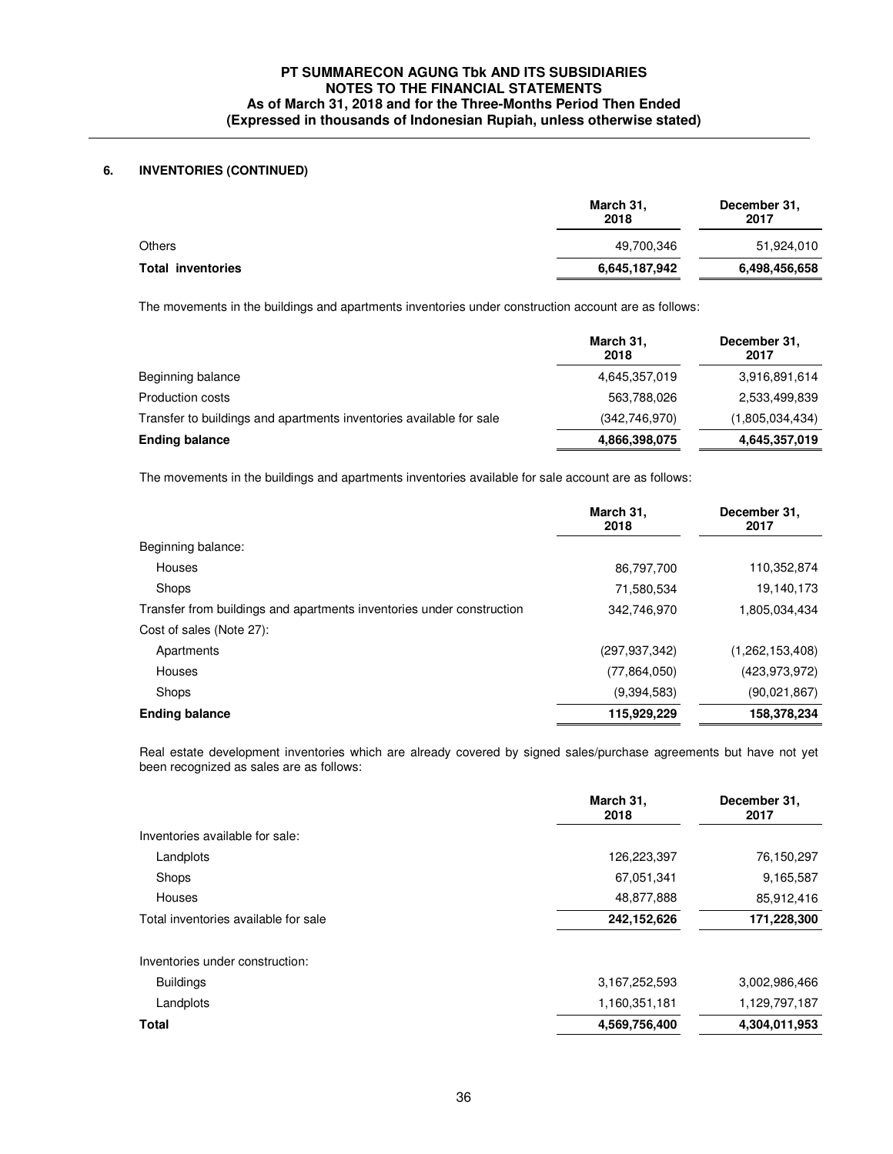## **6. INVENTORIES (CONTINUED)**

|                          | March 31,<br>2018 | December 31,<br>2017 |  |
|--------------------------|-------------------|----------------------|--|
| Others                   | 49,700,346        | 51,924,010           |  |
| <b>Total inventories</b> | 6,645,187,942     | 6,498,456,658        |  |

The movements in the buildings and apartments inventories under construction account are as follows:

|                                                                     | March 31,<br>2018 | December 31,<br>2017 |
|---------------------------------------------------------------------|-------------------|----------------------|
| Beginning balance                                                   | 4,645,357,019     | 3,916,891,614        |
| Production costs                                                    | 563,788,026       | 2,533,499,839        |
| Transfer to buildings and apartments inventories available for sale | (342,746,970)     | (1,805,034,434)      |
| <b>Ending balance</b>                                               | 4,866,398,075     | 4,645,357,019        |

The movements in the buildings and apartments inventories available for sale account are as follows:

|                                                                       | March 31,<br>2018 | December 31,<br>2017 |
|-----------------------------------------------------------------------|-------------------|----------------------|
| Beginning balance:                                                    |                   |                      |
| Houses                                                                | 86,797,700        | 110,352,874          |
| Shops                                                                 | 71,580,534        | 19,140,173           |
| Transfer from buildings and apartments inventories under construction | 342,746,970       | 1,805,034,434        |
| Cost of sales (Note 27):                                              |                   |                      |
| Apartments                                                            | (297, 937, 342)   | (1,262,153,408)      |
| <b>Houses</b>                                                         | (77,864,050)      | (423, 973, 972)      |
| Shops                                                                 | (9,394,583)       | (90,021,867)         |
| <b>Ending balance</b>                                                 | 115,929,229       | 158,378,234          |

Real estate development inventories which are already covered by signed sales/purchase agreements but have not yet been recognized as sales are as follows:

| March 31,<br>2018 | December 31,<br>2017 |
|-------------------|----------------------|
|                   |                      |
| 126,223,397       | 76,150,297           |
| 67,051,341        | 9,165,587            |
| 48,877,888        | 85,912,416           |
| 242,152,626       | 171,228,300          |
|                   |                      |
| 3,167,252,593     | 3,002,986,466        |
| 1,160,351,181     | 1,129,797,187        |
| 4,569,756,400     | 4,304,011,953        |
|                   |                      |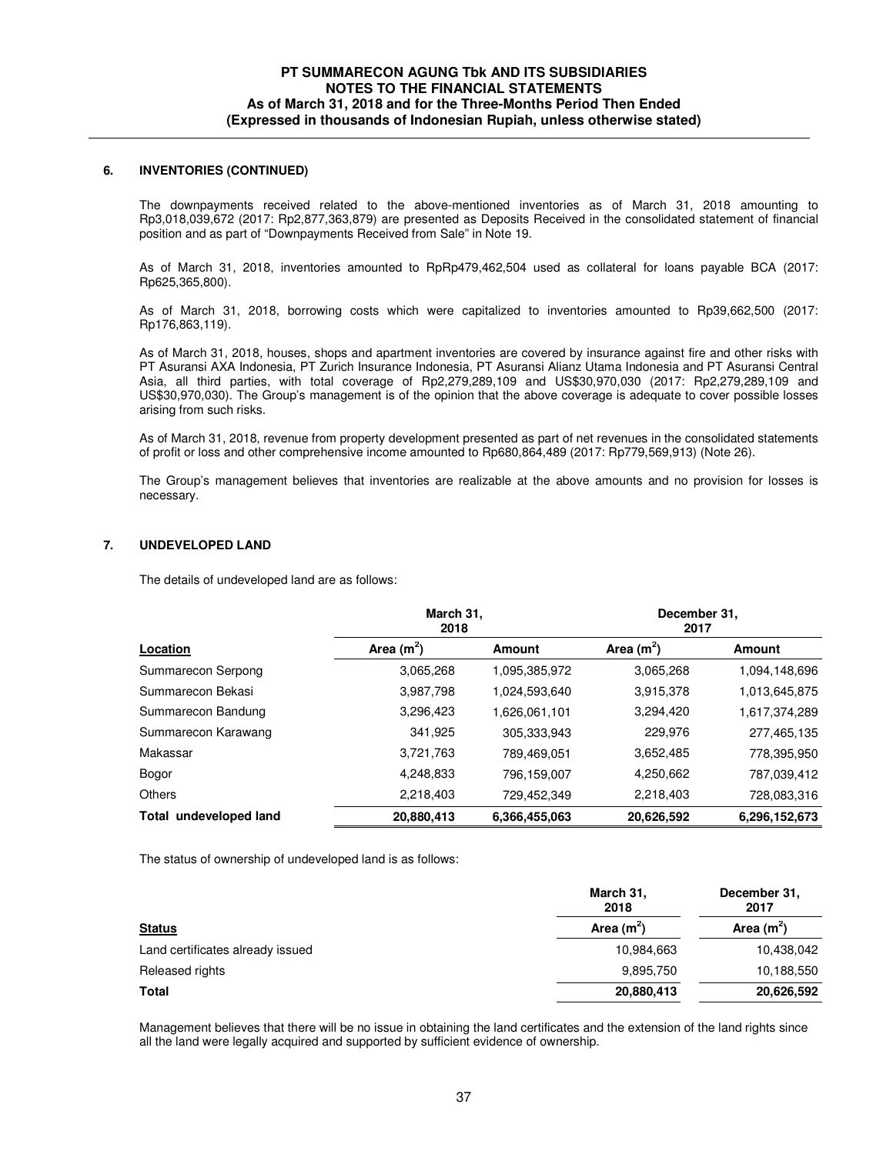### **6. INVENTORIES (CONTINUED)**

 The downpayments received related to the above-mentioned inventories as of March 31, 2018 amounting to Rp3,018,039,672 (2017: Rp2,877,363,879) are presented as Deposits Received in the consolidated statement of financial position and as part of "Downpayments Received from Sale" in Note 19.

 As of March 31, 2018, inventories amounted to RpRp479,462,504 used as collateral for loans payable BCA (2017: Rp625,365,800).

As of March 31, 2018, borrowing costs which were capitalized to inventories amounted to Rp39,662,500 (2017: Rp176,863,119).

As of March 31, 2018, houses, shops and apartment inventories are covered by insurance against fire and other risks with PT Asuransi AXA Indonesia, PT Zurich Insurance Indonesia, PT Asuransi Alianz Utama Indonesia and PT Asuransi Central Asia, all third parties, with total coverage of Rp2,279,289,109 and US\$30,970,030 (2017: Rp2,279,289,109 and US\$30,970,030). The Group's management is of the opinion that the above coverage is adequate to cover possible losses arising from such risks.

As of March 31, 2018, revenue from property development presented as part of net revenues in the consolidated statements of profit or loss and other comprehensive income amounted to Rp680,864,489 (2017: Rp779,569,913) (Note 26).

The Group's management believes that inventories are realizable at the above amounts and no provision for losses is necessary.

### **7. UNDEVELOPED LAND**

The details of undeveloped land are as follows:

|                        | March 31,<br>2018 |               | December 31,<br>2017 |               |  |
|------------------------|-------------------|---------------|----------------------|---------------|--|
| Location               | Area $(m^2)$      | <b>Amount</b> | Area $(m^2)$         | Amount        |  |
| Summarecon Serpong     | 3,065,268         | 1,095,385,972 | 3,065,268            | 1,094,148,696 |  |
| Summarecon Bekasi      | 3,987,798         | 1,024,593,640 | 3,915,378            | 1,013,645,875 |  |
| Summarecon Bandung     | 3,296,423         | 1,626,061,101 | 3,294,420            | 1,617,374,289 |  |
| Summarecon Karawang    | 341,925           | 305,333,943   | 229,976              | 277,465,135   |  |
| Makassar               | 3,721,763         | 789,469,051   | 3,652,485            | 778,395,950   |  |
| Bogor                  | 4.248.833         | 796,159,007   | 4,250,662            | 787,039,412   |  |
| Others                 | 2,218,403         | 729,452,349   | 2,218,403            | 728,083,316   |  |
| Total undeveloped land | 20,880,413        | 6,366,455,063 | 20,626,592           | 6,296,152,673 |  |

The status of ownership of undeveloped land is as follows:

| March 31,<br>2018 | December 31,<br>2017 |
|-------------------|----------------------|
| Area $(m^2)$      | Area $(m^2)$         |
| 10,984,663        | 10,438,042           |
| 9,895,750         | 10,188,550           |
| 20,880,413        | 20,626,592           |
|                   |                      |

Management believes that there will be no issue in obtaining the land certificates and the extension of the land rights since all the land were legally acquired and supported by sufficient evidence of ownership.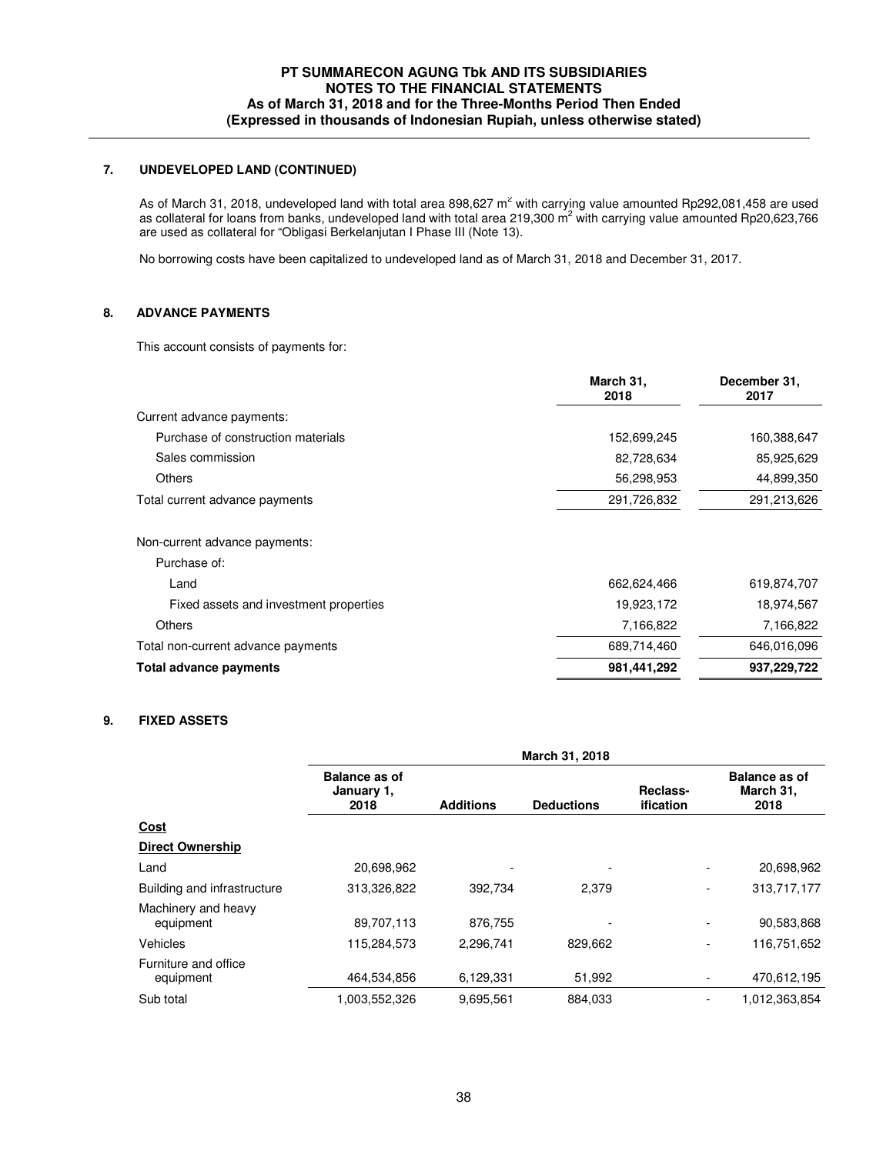# **7. UNDEVELOPED LAND (CONTINUED)**

As of March 31, 2018, undeveloped land with total area 898,627  $m^2$  with carrying value amounted Rp292,081,458 are used as collateral for loans from banks, undeveloped land with total area 219,300 m<sup>2</sup> with carrying value amounted Rp20,623,766 are used as collateral for "Obligasi Berkelanjutan I Phase III (Note 13).

No borrowing costs have been capitalized to undeveloped land as of March 31, 2018 and December 31, 2017.

# **8. ADVANCE PAYMENTS**

This account consists of payments for:

|                                        | March 31,<br>2018 | December 31,<br>2017 |
|----------------------------------------|-------------------|----------------------|
| Current advance payments:              |                   |                      |
| Purchase of construction materials     | 152,699,245       | 160,388,647          |
| Sales commission                       | 82,728,634        | 85,925,629           |
| Others                                 | 56,298,953        | 44,899,350           |
| Total current advance payments         | 291,726,832       | 291,213,626          |
| Non-current advance payments:          |                   |                      |
| Purchase of:                           |                   |                      |
| Land                                   | 662,624,466       | 619,874,707          |
| Fixed assets and investment properties | 19,923,172        | 18,974,567           |
| <b>Others</b>                          | 7,166,822         | 7,166,822            |
| Total non-current advance payments     | 689,714,460       | 646.016.096          |

**Total advance payments 981,441,292 937,229,722**

### **9. FIXED ASSETS**

|                                   | March 31, 2018                             |                  |                          |                          |                                           |
|-----------------------------------|--------------------------------------------|------------------|--------------------------|--------------------------|-------------------------------------------|
|                                   | <b>Balance as of</b><br>January 1,<br>2018 | <b>Additions</b> | <b>Deductions</b>        | Reclass-<br>ification    | <b>Balance as of</b><br>March 31,<br>2018 |
| <u>Cost</u>                       |                                            |                  |                          |                          |                                           |
| <b>Direct Ownership</b>           |                                            |                  |                          |                          |                                           |
| Land                              | 20,698,962                                 |                  | ٠                        |                          | 20,698,962                                |
| Building and infrastructure       | 313,326,822                                | 392.734          | 2.379                    | $\overline{\phantom{a}}$ | 313,717,177                               |
| Machinery and heavy<br>equipment  | 89,707,113                                 | 876,755          | $\overline{\phantom{a}}$ | $\overline{\phantom{a}}$ | 90,583,868                                |
| Vehicles                          | 115,284,573                                | 2.296.741        | 829,662                  | $\overline{\phantom{a}}$ | 116,751,652                               |
| Furniture and office<br>equipment | 464,534,856                                | 6,129,331        | 51,992                   | $\overline{\phantom{a}}$ | 470,612,195                               |
| Sub total                         | 1,003,552,326                              | 9,695,561        | 884,033                  | $\overline{a}$           | 1,012,363,854                             |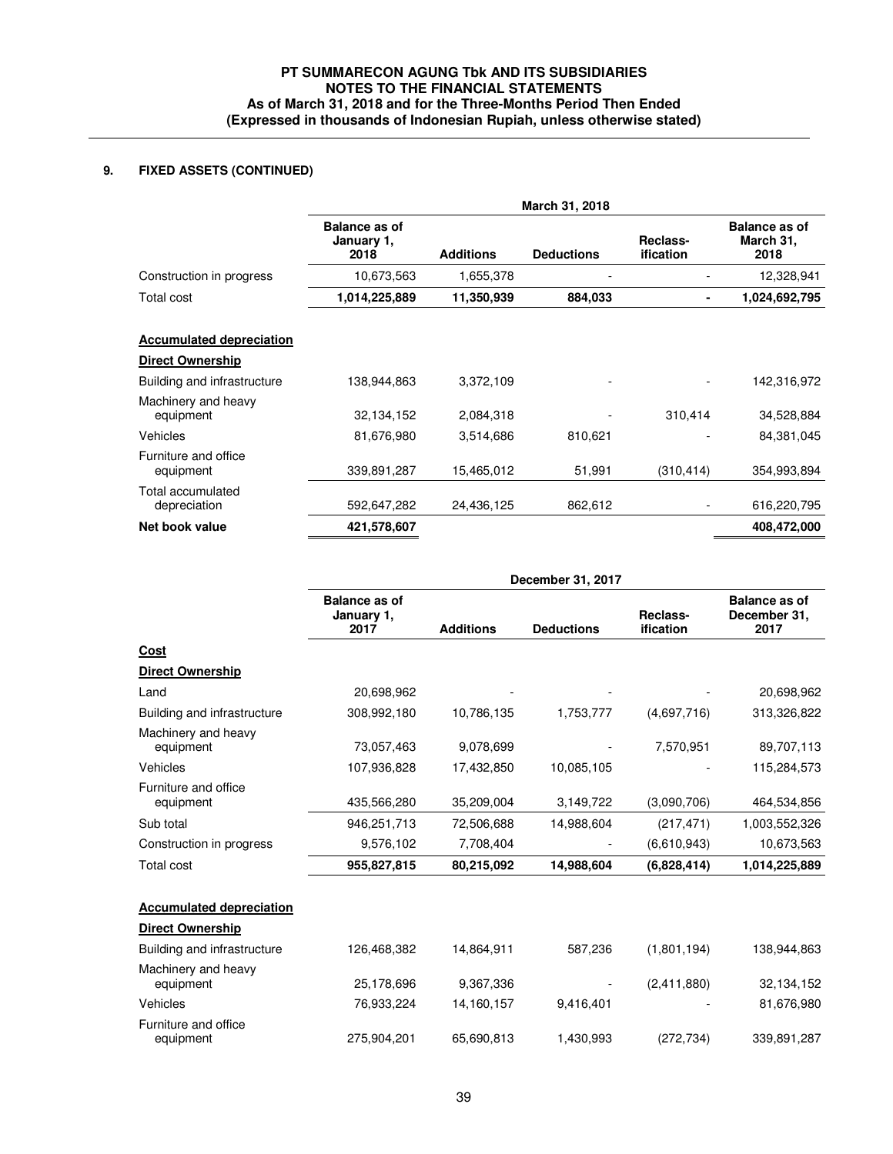# **9. FIXED ASSETS (CONTINUED)**

|                                   | March 31, 2018                             |                  |                   |                              |                                           |
|-----------------------------------|--------------------------------------------|------------------|-------------------|------------------------------|-------------------------------------------|
|                                   | <b>Balance as of</b><br>January 1,<br>2018 | <b>Additions</b> | <b>Deductions</b> | Reclass-<br><b>ification</b> | <b>Balance as of</b><br>March 31,<br>2018 |
| Construction in progress          | 10,673,563                                 | 1,655,378        |                   |                              | 12,328,941                                |
| Total cost                        | 1,014,225,889                              | 11,350,939       | 884,033           | ٠                            | 1,024,692,795                             |
| <b>Accumulated depreciation</b>   |                                            |                  |                   |                              |                                           |
| <b>Direct Ownership</b>           |                                            |                  |                   |                              |                                           |
| Building and infrastructure       | 138,944,863                                | 3,372,109        |                   |                              | 142,316,972                               |
| Machinery and heavy<br>equipment  | 32, 134, 152                               | 2,084,318        |                   | 310,414                      | 34,528,884                                |
| Vehicles                          | 81,676,980                                 | 3,514,686        | 810,621           |                              | 84,381,045                                |
| Furniture and office<br>equipment | 339,891,287                                | 15,465,012       | 51,991            | (310, 414)                   | 354,993,894                               |
| Total accumulated<br>depreciation | 592,647,282                                | 24,436,125       | 862,612           |                              | 616,220,795                               |
| Net book value                    | 421,578,607                                |                  |                   |                              | 408,472,000                               |

|                                   | December 31, 2017                          |                  |                   |                              |                                              |
|-----------------------------------|--------------------------------------------|------------------|-------------------|------------------------------|----------------------------------------------|
|                                   | <b>Balance as of</b><br>January 1,<br>2017 | <b>Additions</b> | <b>Deductions</b> | Reclass-<br><b>ification</b> | <b>Balance as of</b><br>December 31,<br>2017 |
| Cost                              |                                            |                  |                   |                              |                                              |
| <b>Direct Ownership</b>           |                                            |                  |                   |                              |                                              |
| Land                              | 20,698,962                                 |                  |                   |                              | 20,698,962                                   |
| Building and infrastructure       | 308,992,180                                | 10,786,135       | 1,753,777         | (4,697,716)                  | 313,326,822                                  |
| Machinery and heavy<br>equipment  | 73,057,463                                 | 9,078,699        |                   | 7,570,951                    | 89,707,113                                   |
| Vehicles                          | 107,936,828                                | 17,432,850       | 10,085,105        |                              | 115,284,573                                  |
| Furniture and office<br>equipment | 435,566,280                                | 35,209,004       | 3,149,722         | (3,090,706)                  | 464,534,856                                  |
| Sub total                         | 946,251,713                                | 72,506,688       | 14,988,604        | (217, 471)                   | 1,003,552,326                                |
| Construction in progress          | 9,576,102                                  | 7,708,404        |                   | (6,610,943)                  | 10,673,563                                   |
| Total cost                        | 955,827,815                                | 80,215,092       | 14,988,604        | (6,828,414)                  | 1,014,225,889                                |
| <b>Accumulated depreciation</b>   |                                            |                  |                   |                              |                                              |
| <b>Direct Ownership</b>           |                                            |                  |                   |                              |                                              |
| Building and infrastructure       | 126,468,382                                | 14,864,911       | 587,236           | (1,801,194)                  | 138,944,863                                  |
| Machinery and heavy<br>equipment  | 25,178,696                                 | 9,367,336        |                   | (2,411,880)                  | 32,134,152                                   |
| Vehicles                          | 76,933,224                                 | 14,160,157       | 9,416,401         |                              | 81,676,980                                   |
| Furniture and office<br>equipment | 275.904.201                                | 65.690.813       | 1,430,993         | (272, 734)                   | 339,891,287                                  |
|                                   |                                            |                  |                   |                              |                                              |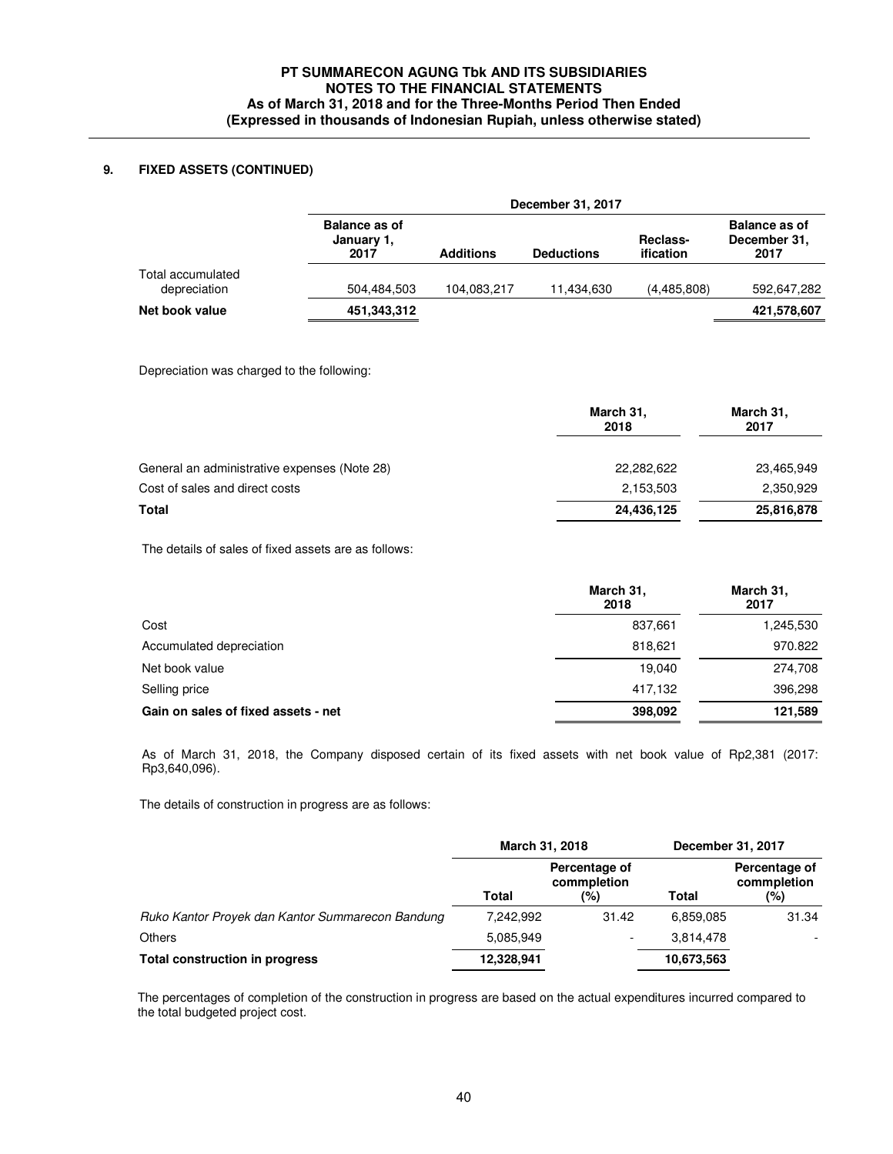# **9. FIXED ASSETS (CONTINUED)**

|                                   | December 31, 2017                          |                  |                   |                       |                                              |
|-----------------------------------|--------------------------------------------|------------------|-------------------|-----------------------|----------------------------------------------|
|                                   | <b>Balance as of</b><br>January 1,<br>2017 | <b>Additions</b> | <b>Deductions</b> | Reclass-<br>ification | <b>Balance as of</b><br>December 31.<br>2017 |
| Total accumulated<br>depreciation | 504.484.503                                | 104,083,217      | 11.434.630        | (4,485,808)           | 592,647,282                                  |
| Net book value                    | 451,343,312                                |                  |                   |                       | 421,578,607                                  |

Depreciation was charged to the following:

|                                              | March 31,<br>2018 | March 31,<br>2017 |  |
|----------------------------------------------|-------------------|-------------------|--|
| General an administrative expenses (Note 28) | 22,282,622        | 23,465,949        |  |
| Cost of sales and direct costs               | 2,153,503         | 2,350,929         |  |
| Total                                        | 24,436,125        | 25,816,878        |  |

The details of sales of fixed assets are as follows:

|                                     | March 31,<br>2018 | March 31,<br>2017 |
|-------------------------------------|-------------------|-------------------|
| Cost                                | 837.661           | 1,245,530         |
| Accumulated depreciation            | 818.621           | 970.822           |
| Net book value                      | 19.040            | 274,708           |
| Selling price                       | 417.132           | 396,298           |
| Gain on sales of fixed assets - net | 398,092           | 121,589           |

 As of March 31, 2018, the Company disposed certain of its fixed assets with net book value of Rp2,381 (2017: Rp3,640,096).

The details of construction in progress are as follows:

|                                                  | March 31, 2018 |                              |              | December 31, 2017            |
|--------------------------------------------------|----------------|------------------------------|--------------|------------------------------|
|                                                  |                | Percentage of<br>commpletion |              | Percentage of<br>commpletion |
|                                                  | Total          | (%)                          | <b>Total</b> | (%)                          |
| Ruko Kantor Proyek dan Kantor Summarecon Bandung | 7.242.992      | 31.42                        | 6.859.085    | 31.34                        |
| <b>Others</b>                                    | 5,085,949      |                              | 3.814.478    |                              |
| <b>Total construction in progress</b>            | 12,328,941     |                              | 10,673,563   |                              |

 The percentages of completion of the construction in progress are based on the actual expenditures incurred compared to the total budgeted project cost.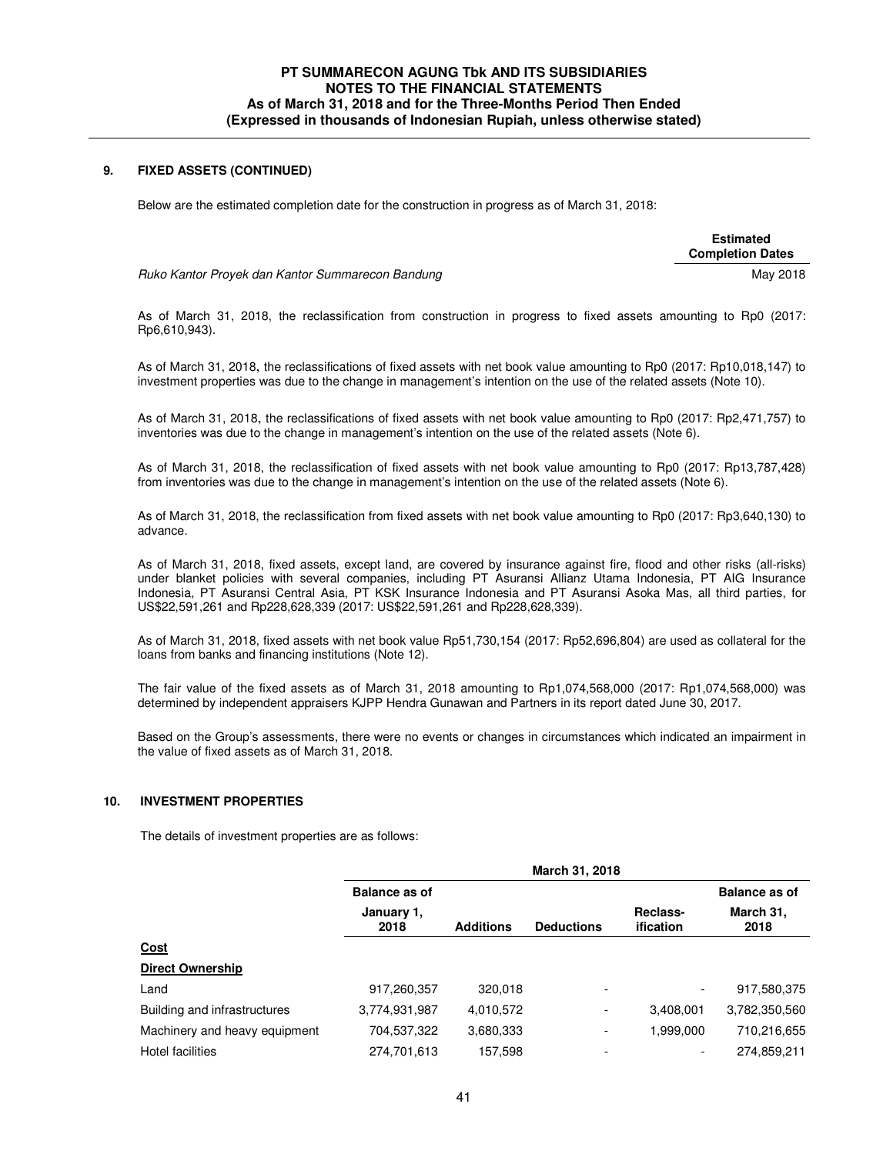### **9. FIXED ASSETS (CONTINUED)**

Below are the estimated completion date for the construction in progress as of March 31, 2018:

 **Estimated Completion Dates** 

Ruko Kantor Proyek dan Kantor Summarecon Bandung May 2018

 As of March 31, 2018, the reclassification from construction in progress to fixed assets amounting to Rp0 (2017: Rp6,610,943).

As of March 31, 2018, the reclassifications of fixed assets with net book value amounting to Rp0 (2017: Rp10,018,147) to investment properties was due to the change in management's intention on the use of the related assets (Note 10).

As of March 31, 2018, the reclassifications of fixed assets with net book value amounting to Rp0 (2017: Rp2,471,757) to inventories was due to the change in management's intention on the use of the related assets (Note 6).

 As of March 31, 2018, the reclassification of fixed assets with net book value amounting to Rp0 (2017: Rp13,787,428) from inventories was due to the change in management's intention on the use of the related assets (Note 6).

 As of March 31, 2018, the reclassification from fixed assets with net book value amounting to Rp0 (2017: Rp3,640,130) to advance.

 As of March 31, 2018, fixed assets, except land, are covered by insurance against fire, flood and other risks (all-risks) under blanket policies with several companies, including PT Asuransi Allianz Utama Indonesia, PT AIG Insurance Indonesia, PT Asuransi Central Asia, PT KSK Insurance Indonesia and PT Asuransi Asoka Mas, all third parties, for US\$22,591,261 and Rp228,628,339 (2017: US\$22,591,261 and Rp228,628,339).

As of March 31, 2018, fixed assets with net book value Rp51,730,154 (2017: Rp52,696,804) are used as collateral for the loans from banks and financing institutions (Note 12).

 The fair value of the fixed assets as of March 31, 2018 amounting to Rp1,074,568,000 (2017: Rp1,074,568,000) was determined by independent appraisers KJPP Hendra Gunawan and Partners in its report dated June 30, 2017.

Based on the Group's assessments, there were no events or changes in circumstances which indicated an impairment in the value of fixed assets as of March 31, 2018.

### **10. INVESTMENT PROPERTIES**

The details of investment properties are as follows:

|                               |                      |                  | March 31, 2018           |                              |                      |
|-------------------------------|----------------------|------------------|--------------------------|------------------------------|----------------------|
|                               | <b>Balance as of</b> |                  |                          |                              | <b>Balance as of</b> |
|                               | January 1,<br>2018   | <b>Additions</b> | <b>Deductions</b>        | Reclass-<br><b>ification</b> | March 31,<br>2018    |
| <u>Cost</u>                   |                      |                  |                          |                              |                      |
| <b>Direct Ownership</b>       |                      |                  |                          |                              |                      |
| Land                          | 917,260,357          | 320,018          | $\overline{\phantom{0}}$ | $\overline{\phantom{a}}$     | 917,580,375          |
| Building and infrastructures  | 3,774,931,987        | 4,010,572        | $\overline{\phantom{a}}$ | 3,408,001                    | 3,782,350,560        |
| Machinery and heavy equipment | 704,537,322          | 3,680,333        |                          | 1,999,000                    | 710,216,655          |
| Hotel facilities              | 274,701,613          | 157,598          |                          | $\overline{\phantom{0}}$     | 274,859,211          |
|                               |                      |                  |                          |                              |                      |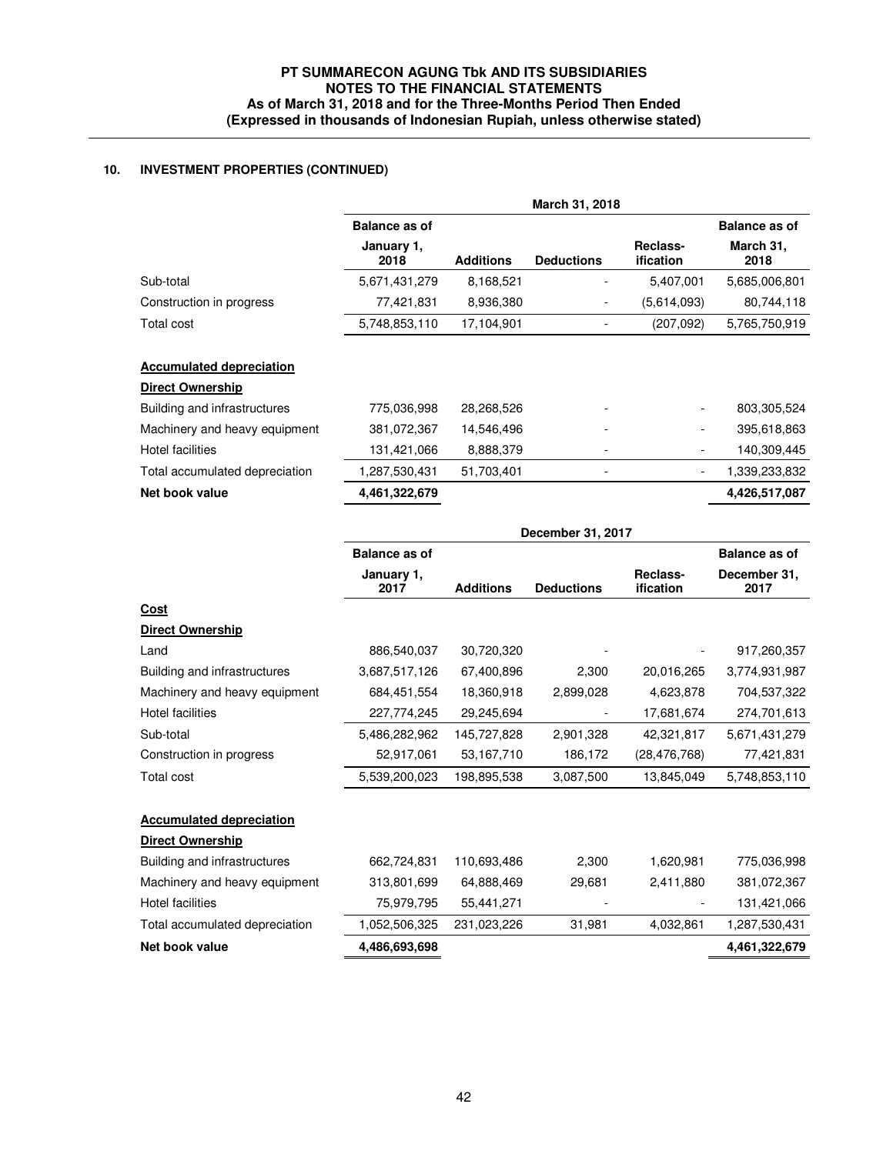# **10. INVESTMENT PROPERTIES (CONTINUED)**

|                                |                      |                  | March 31, 2018    |                              |                      |
|--------------------------------|----------------------|------------------|-------------------|------------------------------|----------------------|
|                                | <b>Balance as of</b> |                  |                   |                              | <b>Balance as of</b> |
|                                | January 1,<br>2018   | <b>Additions</b> | <b>Deductions</b> | Reclass-<br><b>ification</b> | March 31.<br>2018    |
| Sub-total                      | 5,671,431,279        | 8,168,521        |                   | 5,407,001                    | 5,685,006,801        |
| Construction in progress       | 77,421,831           | 8.936,380        |                   | (5,614,093)                  | 80,744,118           |
| Total cost                     | 5,748,853,110        | 17,104,901       |                   | (207,092)                    | 5,765,750,919        |
| <b>Direct Ownership</b>        |                      |                  |                   |                              |                      |
|                                |                      |                  |                   |                              |                      |
| Building and infrastructures   | 775,036,998          | 28,268,526       |                   | $\overline{\phantom{a}}$     | 803,305,524          |
| Machinery and heavy equipment  | 381,072,367          | 14,546,496       |                   | $\overline{\phantom{a}}$     | 395,618,863          |
| Hotel facilities               | 131,421,066          | 8,888,379        |                   | $\overline{\phantom{a}}$     | 140,309,445          |
| Total accumulated depreciation | 287,530,431 ا        | 51,703,401       |                   | $\overline{\phantom{a}}$     | 1,339,233,832        |
|                                |                      |                  |                   |                              |                      |

|                                 |                      |                  | December 31, 2017 |                       |                      |
|---------------------------------|----------------------|------------------|-------------------|-----------------------|----------------------|
|                                 | <b>Balance as of</b> |                  |                   |                       | <b>Balance as of</b> |
|                                 | January 1,<br>2017   | <b>Additions</b> | <b>Deductions</b> | Reclass-<br>ification | December 31,<br>2017 |
| <u>Cost</u>                     |                      |                  |                   |                       |                      |
| Direct Ownership                |                      |                  |                   |                       |                      |
| Land                            | 886,540,037          | 30,720,320       |                   |                       | 917,260,357          |
| Building and infrastructures    | 3,687,517,126        | 67,400,896       | 2,300             | 20,016,265            | 3,774,931,987        |
| Machinery and heavy equipment   | 684,451,554          | 18,360,918       | 2,899,028         | 4,623,878             | 704,537,322          |
| <b>Hotel facilities</b>         | 227,774,245          | 29,245,694       |                   | 17,681,674            | 274,701,613          |
| Sub-total                       | 5,486,282,962        | 145,727,828      | 2,901,328         | 42,321,817            | 5,671,431,279        |
| Construction in progress        | 52,917,061           | 53,167,710       | 186,172           | (28, 476, 768)        | 77,421,831           |
| <b>Total cost</b>               | 5,539,200,023        | 198,895,538      | 3,087,500         | 13,845,049            | 5,748,853,110        |
| <b>Accumulated depreciation</b> |                      |                  |                   |                       |                      |
| <b>Direct Ownership</b>         |                      |                  |                   |                       |                      |
| Building and infrastructures    | 662,724,831          | 110,693,486      | 2,300             | 1,620,981             | 775,036,998          |
| Machinery and heavy equipment   | 313,801,699          | 64,888,469       | 29,681            | 2,411,880             | 381,072,367          |
| <b>Hotel facilities</b>         | 75,979,795           | 55,441,271       |                   |                       | 131,421,066          |
| Total accumulated depreciation  | 1,052,506,325        | 231,023,226      | 31,981            | 4,032,861             | 1,287,530,431        |
| Net book value                  | 4,486,693,698        |                  |                   |                       | 4,461,322,679        |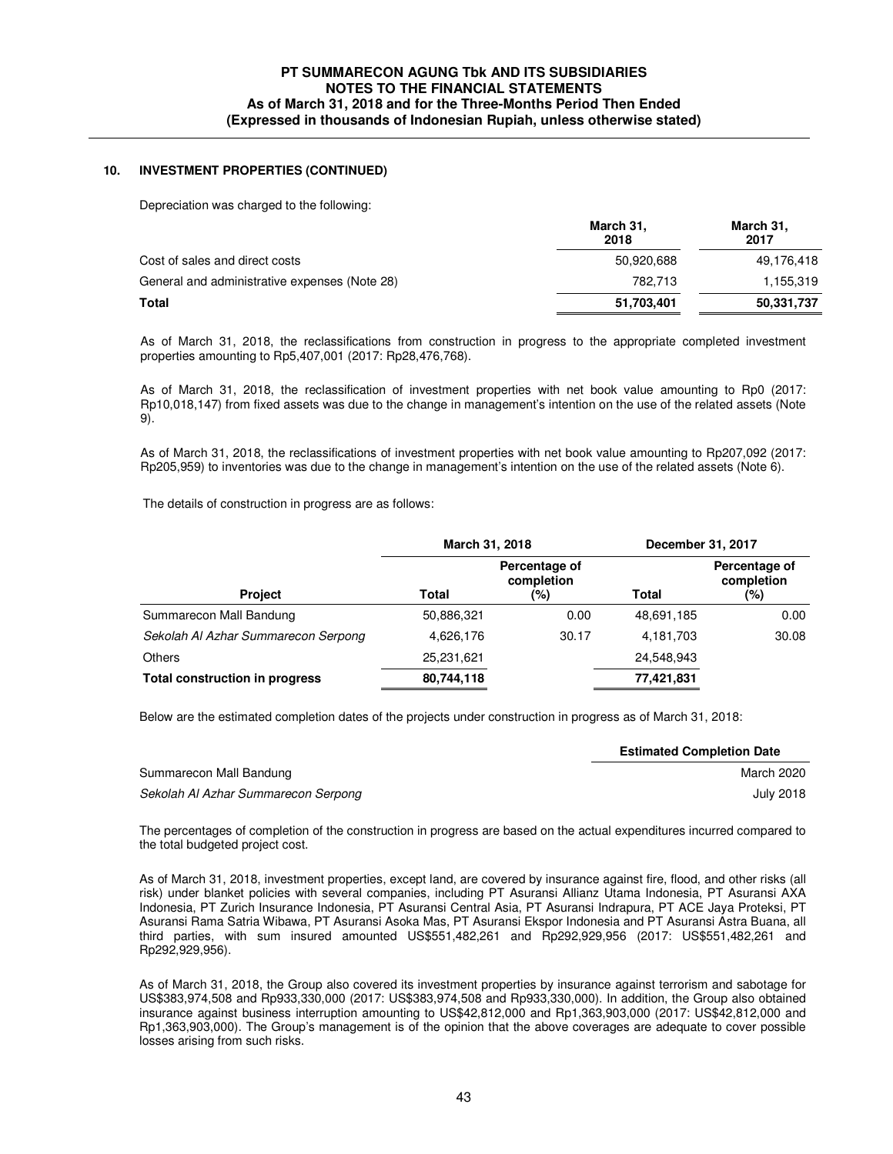### **10. INVESTMENT PROPERTIES (CONTINUED)**

Depreciation was charged to the following:

|                                               | March 31,<br>2018 | March 31,<br>2017 |
|-----------------------------------------------|-------------------|-------------------|
| Cost of sales and direct costs                | 50.920.688        | 49,176,418        |
| General and administrative expenses (Note 28) | 782.713           | 1,155,319         |
| Total                                         | 51,703,401        | 50,331,737        |

As of March 31, 2018, the reclassifications from construction in progress to the appropriate completed investment properties amounting to Rp5,407,001 (2017: Rp28,476,768).

As of March 31, 2018, the reclassification of investment properties with net book value amounting to Rp0 (2017: Rp10,018,147) from fixed assets was due to the change in management's intention on the use of the related assets (Note 9).

As of March 31, 2018, the reclassifications of investment properties with net book value amounting to Rp207,092 (2017: Rp205,959) to inventories was due to the change in management's intention on the use of the related assets (Note 6).

The details of construction in progress are as follows:

| March 31, 2018                        |            |                                    | December 31, 2017 |                                    |
|---------------------------------------|------------|------------------------------------|-------------------|------------------------------------|
| <b>Project</b>                        | Total      | Percentage of<br>completion<br>(%) | <b>Total</b>      | Percentage of<br>completion<br>(%) |
| Summarecon Mall Bandung               | 50,886,321 | 0.00                               | 48,691,185        | 0.00                               |
| Sekolah Al Azhar Summarecon Serpong   | 4,626,176  | 30.17                              | 4,181,703         | 30.08                              |
| Others                                | 25,231,621 |                                    | 24,548,943        |                                    |
| <b>Total construction in progress</b> | 80,744,118 |                                    | 77,421,831        |                                    |

Below are the estimated completion dates of the projects under construction in progress as of March 31, 2018:

|                                     | <b>Estimated Completion Date</b> |
|-------------------------------------|----------------------------------|
| Summarecon Mall Bandung             | March 2020                       |
| Sekolah Al Azhar Summarecon Serpong | <b>July 2018</b>                 |

The percentages of completion of the construction in progress are based on the actual expenditures incurred compared to the total budgeted project cost.

 As of March 31, 2018, investment properties, except land, are covered by insurance against fire, flood, and other risks (all risk) under blanket policies with several companies, including PT Asuransi Allianz Utama Indonesia, PT Asuransi AXA Indonesia, PT Zurich Insurance Indonesia, PT Asuransi Central Asia, PT Asuransi Indrapura, PT ACE Jaya Proteksi, PT Asuransi Rama Satria Wibawa, PT Asuransi Asoka Mas, PT Asuransi Ekspor Indonesia and PT Asuransi Astra Buana, all third parties, with sum insured amounted US\$551,482,261 and Rp292,929,956 (2017: US\$551,482,261 and Rp292,929,956).

 As of March 31, 2018, the Group also covered its investment properties by insurance against terrorism and sabotage for US\$383,974,508 and Rp933,330,000 (2017: US\$383,974,508 and Rp933,330,000). In addition, the Group also obtained insurance against business interruption amounting to US\$42,812,000 and Rp1,363,903,000 (2017: US\$42,812,000 and Rp1,363,903,000). The Group's management is of the opinion that the above coverages are adequate to cover possible losses arising from such risks.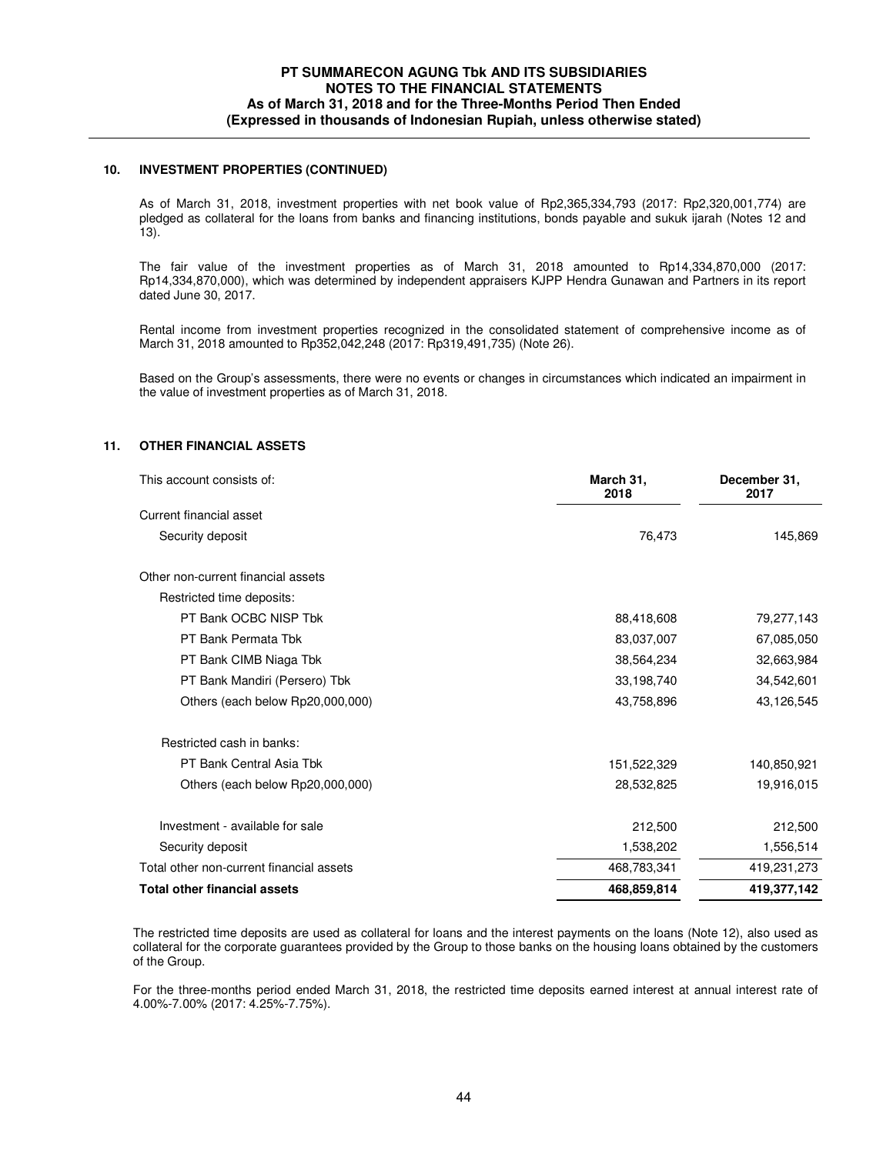### **10. INVESTMENT PROPERTIES (CONTINUED)**

 As of March 31, 2018, investment properties with net book value of Rp2,365,334,793 (2017: Rp2,320,001,774) are pledged as collateral for the loans from banks and financing institutions, bonds payable and sukuk ijarah (Notes 12 and 13).

 The fair value of the investment properties as of March 31, 2018 amounted to Rp14,334,870,000 (2017: Rp14,334,870,000), which was determined by independent appraisers KJPP Hendra Gunawan and Partners in its report dated June 30, 2017.

Rental income from investment properties recognized in the consolidated statement of comprehensive income as of March 31, 2018 amounted to Rp352,042,248 (2017: Rp319,491,735) (Note 26).

 Based on the Group's assessments, there were no events or changes in circumstances which indicated an impairment in the value of investment properties as of March 31, 2018.

# **11. OTHER FINANCIAL ASSETS**

| This account consists of:                | March 31,<br>2018 | December 31,<br>2017 |
|------------------------------------------|-------------------|----------------------|
| Current financial asset                  |                   |                      |
| Security deposit                         | 76,473            | 145,869              |
| Other non-current financial assets       |                   |                      |
| Restricted time deposits:                |                   |                      |
| PT Bank OCBC NISP Tbk                    | 88,418,608        | 79,277,143           |
| PT Bank Permata Tbk                      | 83,037,007        | 67,085,050           |
| PT Bank CIMB Niaga Tbk                   | 38,564,234        | 32,663,984           |
| PT Bank Mandiri (Persero) Tbk            | 33,198,740        | 34,542,601           |
| Others (each below Rp20,000,000)         | 43,758,896        | 43,126,545           |
| Restricted cash in banks:                |                   |                      |
| PT Bank Central Asia Tbk                 | 151,522,329       | 140,850,921          |
| Others (each below Rp20,000,000)         | 28,532,825        | 19,916,015           |
| Investment - available for sale          | 212,500           | 212,500              |
| Security deposit                         | 1,538,202         | 1,556,514            |
| Total other non-current financial assets | 468,783,341       | 419,231,273          |
| <b>Total other financial assets</b>      | 468,859,814       | 419,377,142          |

The restricted time deposits are used as collateral for loans and the interest payments on the loans (Note 12), also used as collateral for the corporate guarantees provided by the Group to those banks on the housing loans obtained by the customers of the Group.

For the three-months period ended March 31, 2018, the restricted time deposits earned interest at annual interest rate of 4.00%-7.00% (2017: 4.25%-7.75%).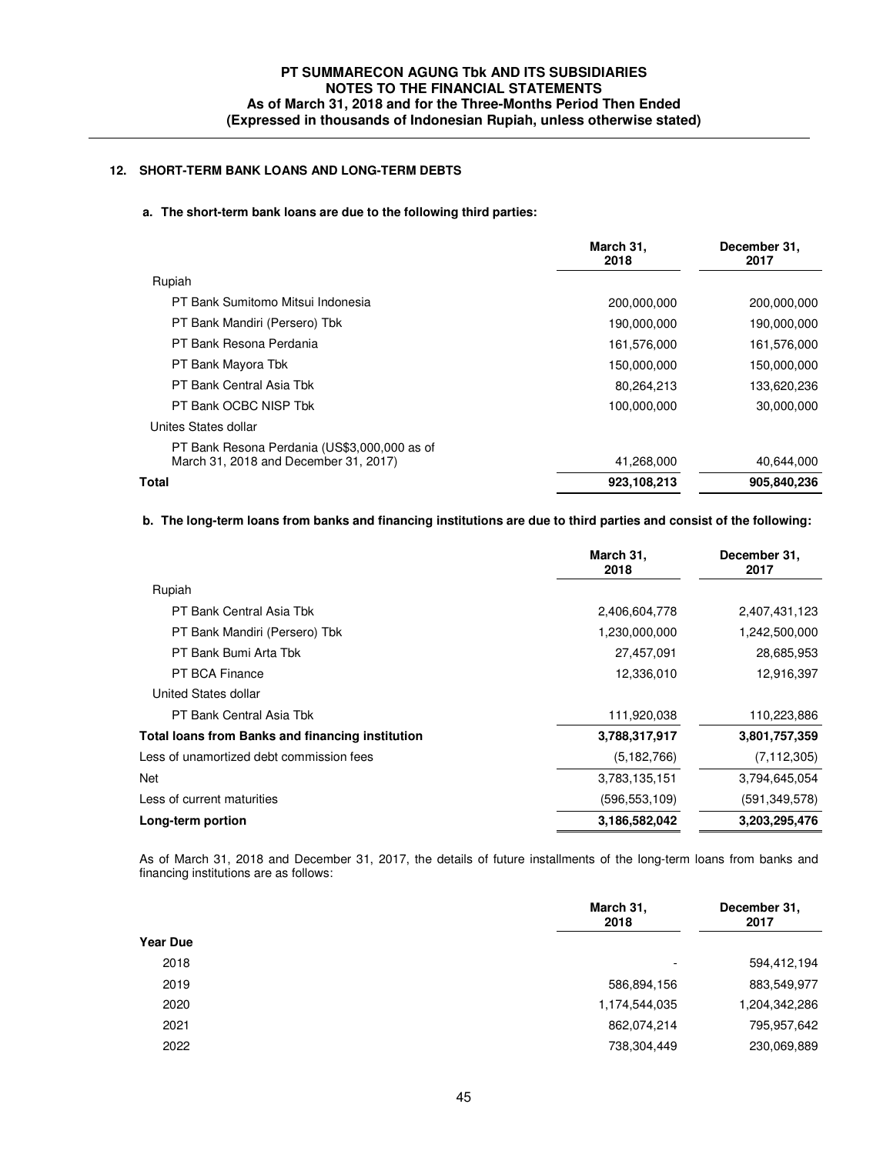# **12. SHORT-TERM BANK LOANS AND LONG-TERM DEBTS**

#### **a. The short-term bank loans are due to the following third parties:**

|                                                                                       | March 31,<br>2018 | December 31,<br>2017 |
|---------------------------------------------------------------------------------------|-------------------|----------------------|
| Rupiah                                                                                |                   |                      |
| PT Bank Sumitomo Mitsui Indonesia                                                     | 200,000,000       | 200,000,000          |
| PT Bank Mandiri (Persero) Tbk                                                         | 190,000,000       | 190,000,000          |
| PT Bank Resona Perdania                                                               | 161,576,000       | 161,576,000          |
| PT Bank Mayora Tbk                                                                    | 150,000,000       | 150,000,000          |
| PT Bank Central Asia Tbk                                                              | 80,264,213        | 133,620,236          |
| PT Bank OCBC NISP Tbk                                                                 | 100,000,000       | 30,000,000           |
| Unites States dollar                                                                  |                   |                      |
| PT Bank Resona Perdania (US\$3,000,000 as of<br>March 31, 2018 and December 31, 2017) | 41,268,000        | 40,644,000           |
| Total                                                                                 | 923,108,213       | 905,840,236          |

# **b. The long-term loans from banks and financing institutions are due to third parties and consist of the following:**

|                                                         | March 31,<br>2018 | December 31,<br>2017 |
|---------------------------------------------------------|-------------------|----------------------|
| Rupiah                                                  |                   |                      |
| PT Bank Central Asia Tbk                                | 2,406,604,778     | 2,407,431,123        |
| PT Bank Mandiri (Persero) Tbk                           | 1,230,000,000     | 1,242,500,000        |
| PT Bank Bumi Arta Tbk                                   | 27,457,091        | 28,685,953           |
| PT BCA Finance                                          | 12,336,010        | 12,916,397           |
| United States dollar                                    |                   |                      |
| PT Bank Central Asia Tbk                                | 111,920,038       | 110,223,886          |
| <b>Total loans from Banks and financing institution</b> | 3,788,317,917     | 3,801,757,359        |
| Less of unamortized debt commission fees                | (5, 182, 766)     | (7, 112, 305)        |
| Net                                                     | 3,783,135,151     | 3,794,645,054        |
| Less of current maturities                              | (596, 553, 109)   | (591, 349, 578)      |
| Long-term portion                                       | 3,186,582,042     | 3,203,295,476        |

 As of March 31, 2018 and December 31, 2017, the details of future installments of the long-term loans from banks and financing institutions are as follows:

|                 | March 31,<br>2018 | December 31,<br>2017 |
|-----------------|-------------------|----------------------|
| <b>Year Due</b> |                   |                      |
| 2018            | ۰                 | 594,412,194          |
| 2019            | 586,894,156       | 883,549,977          |
| 2020            | 1,174,544,035     | 1,204,342,286        |
| 2021            | 862,074,214       | 795,957,642          |
| 2022            | 738,304,449       | 230,069,889          |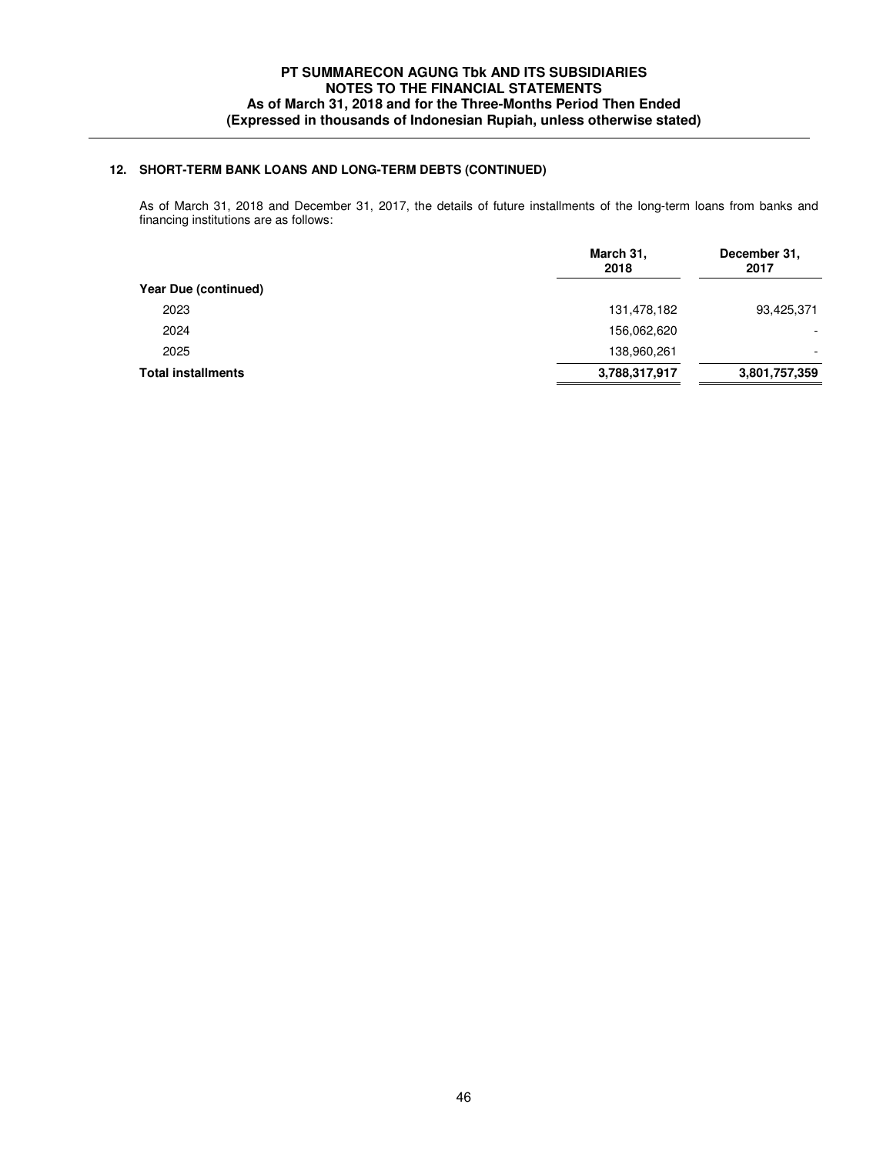# **12. SHORT-TERM BANK LOANS AND LONG-TERM DEBTS (CONTINUED)**

 As of March 31, 2018 and December 31, 2017, the details of future installments of the long-term loans from banks and financing institutions are as follows:

|                           | March 31,<br>2018 | December 31,<br>2017     |
|---------------------------|-------------------|--------------------------|
| Year Due (continued)      |                   |                          |
| 2023                      | 131,478,182       | 93,425,371               |
| 2024                      | 156,062,620       | -                        |
| 2025                      | 138,960,261       | $\overline{\phantom{0}}$ |
| <b>Total installments</b> | 3,788,317,917     | 3,801,757,359            |
|                           |                   |                          |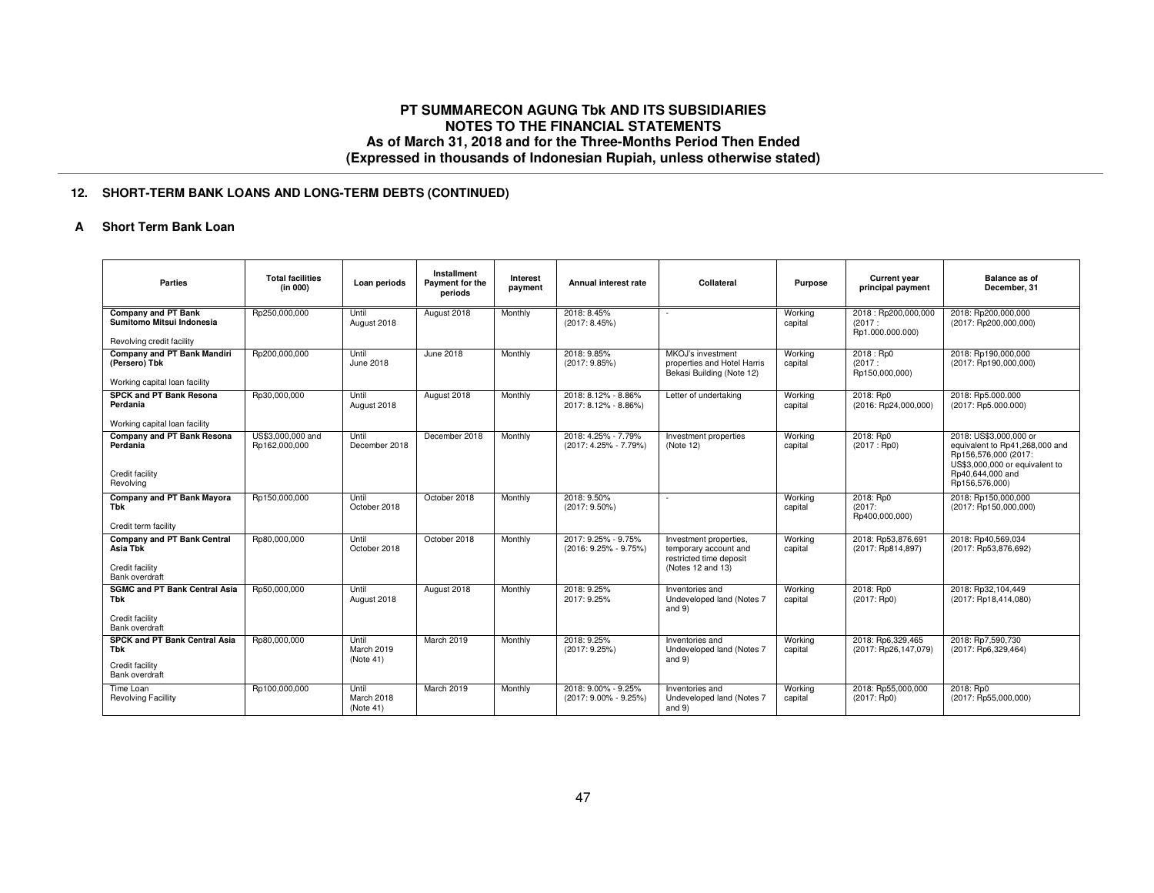# **12. SHORT-TERM BANK LOANS AND LONG-TERM DEBTS (CONTINUED)**

### **A Short Term Bank Loan**

| Parties                                                                             | <b>Total facilities</b><br>(in 000) | Loan periods                     | Installment<br>Payment for the<br>periods | Interest<br>payment | Annual interest rate                         | Collateral                                                                                      | Purpose            | <b>Current year</b><br>principal payment          | <b>Balance as of</b><br>December, 31                                                                                                                     |
|-------------------------------------------------------------------------------------|-------------------------------------|----------------------------------|-------------------------------------------|---------------------|----------------------------------------------|-------------------------------------------------------------------------------------------------|--------------------|---------------------------------------------------|----------------------------------------------------------------------------------------------------------------------------------------------------------|
| <b>Company and PT Bank</b><br>Sumitomo Mitsui Indonesia                             | Rp250,000,000                       | Until<br>August 2018             | August 2018                               | Monthly             | 2018: 8.45%<br>(2017:8.45%)                  | ×.                                                                                              | Working<br>capital | 2018: Rp200,000,000<br>(2017:<br>Rp1.000.000.000) | 2018: Rp200,000,000<br>(2017: Rp200,000,000)                                                                                                             |
| Revolving credit facility                                                           |                                     |                                  |                                           |                     |                                              |                                                                                                 |                    |                                                   |                                                                                                                                                          |
| Company and PT Bank Mandiri<br>(Persero) Tbk<br>Working capital loan facility       | Rp200,000,000                       | Until<br>June 2018               | June 2018                                 | Monthly             | 2018: 9.85%<br>(2017:9.85%)                  | MKOJ's investment<br>properties and Hotel Harris<br>Bekasi Building (Note 12)                   | Working<br>capital | 2018 : Rp0<br>(2017:<br>Rp150,000,000)            | 2018: Rp190,000,000<br>(2017: Rp190,000,000)                                                                                                             |
| SPCK and PT Bank Resona<br>Perdania<br>Working capital loan facility                | Rp30,000,000                        | Until<br>August 2018             | August 2018                               | Monthly             | 2018: 8.12% - 8.86%<br>2017: 8.12% - 8.86%)  | Letter of undertaking                                                                           | Working<br>capital | 2018: Rp0<br>(2016: Rp24,000,000)                 | 2018: Rp5.000.000<br>(2017: Rp5.000.000)                                                                                                                 |
| <b>Company and PT Bank Resona</b><br>Perdania<br>Credit facility<br>Revolving       | US\$3,000,000 and<br>Rp162,000,000  | Until<br>December 2018           | December 2018                             | Monthly             | 2018: 4.25% - 7.79%<br>(2017: 4.25% - 7.79%) | Investment properties<br>(Note 12)                                                              | Working<br>capital | 2018: Rp0<br>(2017 : Rp0)                         | 2018: US\$3,000,000 or<br>equivalent to Rp41,268,000 and<br>Rp156,576,000 (2017:<br>US\$3,000,000 or equivalent to<br>Rp40,644,000 and<br>Rp156,576,000) |
| Company and PT Bank Mayora<br>Tbk<br>Credit term facility                           | Rp150,000,000                       | Until<br>October 2018            | October 2018                              | Monthly             | 2018: 9.50%<br>$(2017:9.50\%)$               |                                                                                                 | Working<br>capital | 2018: Rp0<br>(2017)<br>Rp400,000,000)             | 2018: Rp150,000,000<br>(2017: Rp150,000,000)                                                                                                             |
| <b>Company and PT Bank Central</b><br>Asia Tbk<br>Credit facility<br>Bank overdraft | Rp80,000,000                        | Until<br>October 2018            | October 2018                              | Monthly             | 2017: 9.25% - 9.75%<br>(2016: 9.25% - 9.75%) | Investment properties,<br>temporary account and<br>restricted time deposit<br>(Notes 12 and 13) | Working<br>capital | 2018: Rp53,876,691<br>(2017: Rp814,897)           | 2018: Rp40.569.034<br>(2017: Rp53,876,692)                                                                                                               |
| <b>SGMC and PT Bank Central Asia</b><br>Tbk<br>Credit facility<br>Bank overdraft    | Rp50,000,000                        | Until<br>August 2018             | August 2018                               | Monthly             | 2018: 9.25%<br>2017: 9.25%                   | Inventories and<br>Undeveloped land (Notes 7<br>and $9)$                                        | Working<br>capital | 2018: Rp0<br>$(2017:$ Rp0)                        | 2018: Rp32.104.449<br>(2017: Rp18,414,080)                                                                                                               |
| SPCK and PT Bank Central Asia<br><b>Tbk</b><br>Credit facility<br>Bank overdraft    | Rp80,000,000                        | Until<br>March 2019<br>(Note 41) | March 2019                                | Monthly             | 2018: 9.25%<br>(2017:9.25%)                  | Inventories and<br>Undeveloped land (Notes 7<br>and $9)$                                        | Working<br>capital | 2018: Rp6,329,465<br>(2017: Rp26,147,079)         | 2018: Rp7,590,730<br>(2017: Rp6,329,464)                                                                                                                 |
| Time Loan<br><b>Revolving Facillity</b>                                             | Rp100,000,000                       | Until<br>March 2018<br>(Note 41) | March 2019                                | Monthly             | 2018: 9.00% - 9.25%<br>(2017: 9.00% - 9.25%) | Inventories and<br>Undeveloped land (Notes 7<br>and $9)$                                        | Working<br>capital | 2018: Rp55,000,000<br>$(2017:$ Rp0)               | 2018: Rp0<br>(2017: Rp55,000,000)                                                                                                                        |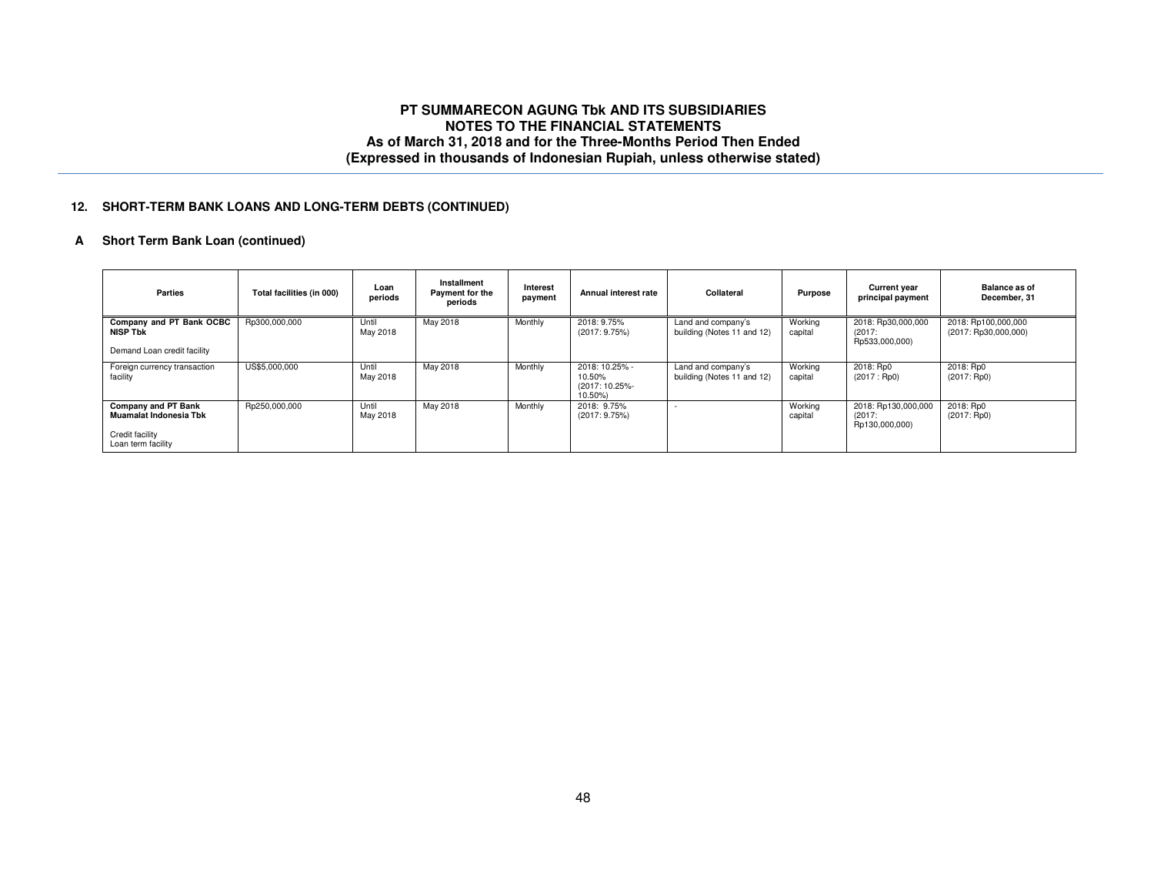## **12. SHORT-TERM BANK LOANS AND LONG-TERM DEBTS (CONTINUED)**

# **A Short Term Bank Loan (continued)**

| <b>Parties</b>                                                                         | Total facilities (in 000) | Loan<br>periods   | Installment<br>Payment for the<br>periods | Interest<br>payment | Annual interest rate                                  | Collateral                                       | Purpose            | <b>Current year</b><br>principal payment        | <b>Balance as of</b><br>December, 31        |
|----------------------------------------------------------------------------------------|---------------------------|-------------------|-------------------------------------------|---------------------|-------------------------------------------------------|--------------------------------------------------|--------------------|-------------------------------------------------|---------------------------------------------|
| Company and PT Bank OCBC<br><b>NISP Tbk</b><br>Demand Loan credit facility             | Rp300,000,000             | Until<br>May 2018 | May 2018                                  | Monthly             | 2018: 9.75%<br>(2017: 9.75%)                          | Land and company's<br>building (Notes 11 and 12) | Working<br>capital | 2018: Rp30,000,000<br>(2017)<br>Rp533,000,000)  | 2018: Rp100,000,000<br>(2017: Rp30,000,000) |
| Foreign currency transaction<br>facility                                               | US\$5,000,000             | Until<br>May 2018 | May 2018                                  | Monthly             | 2018: 10.25% -<br>10.50%<br>(2017: 10.25%-<br>10.50%) | Land and company's<br>building (Notes 11 and 12) | Working<br>capital | 2018: Rp0<br>(2017:Rp0)                         | 2018: Rp0<br>$(2017:$ Rp0)                  |
| Company and PT Bank<br>Muamalat Indonesia Tbk<br>Credit facility<br>Loan term facility | Rp250,000,000             | Until<br>May 2018 | May 2018                                  | Monthly             | 2018: 9.75%<br>(2017:9.75%)                           |                                                  | Working<br>capital | 2018: Rp130,000,000<br>(2017)<br>Rp130,000,000) | 2018: Rp0<br>$(2017:$ Rp0)                  |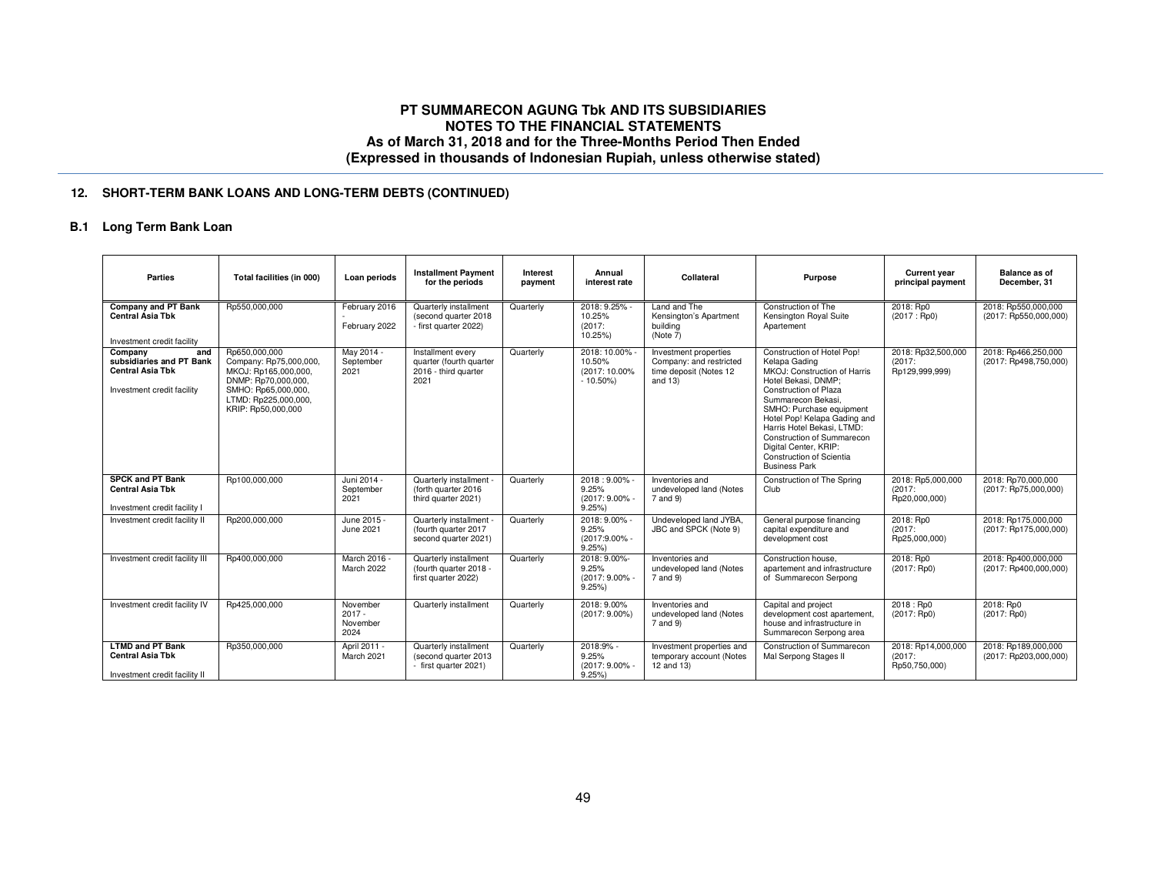# **12. SHORT-TERM BANK LOANS AND LONG-TERM DEBTS (CONTINUED)**

### **B.1 Long Term Bank Loan**

| <b>Parties</b>                                                                                      | Total facilities (in 000)                                                                                                                                   | Loan periods                             | <b>Installment Payment</b><br>for the periods                                | Interest<br>payment | Annual<br>interest rate                               | Collateral                                                                               | <b>Purpose</b>                                                                                                                                                                                                                                                                                                                                         | <b>Current year</b><br>principal payment       | <b>Balance as of</b><br>December, 31         |
|-----------------------------------------------------------------------------------------------------|-------------------------------------------------------------------------------------------------------------------------------------------------------------|------------------------------------------|------------------------------------------------------------------------------|---------------------|-------------------------------------------------------|------------------------------------------------------------------------------------------|--------------------------------------------------------------------------------------------------------------------------------------------------------------------------------------------------------------------------------------------------------------------------------------------------------------------------------------------------------|------------------------------------------------|----------------------------------------------|
| Company and PT Bank<br><b>Central Asia Tbk</b><br>Investment credit facility                        | Rp550,000,000                                                                                                                                               | February 2016<br>February 2022           | Quarterly installment<br>(second quarter 2018)<br>- first quarter 2022)      | Quarterly           | 2018: 9.25% -<br>10.25%<br>(2017)<br>10.25%)          | Land and The<br>Kensington's Apartment<br>building<br>(Note 7)                           | Construction of The<br>Kensington Royal Suite<br>Apartement                                                                                                                                                                                                                                                                                            | 2018: Rp0<br>(2017 : Rp0)                      | 2018: Rp550,000,000<br>(2017: Rp550,000,000) |
| Company<br>and<br>subsidiaries and PT Bank<br><b>Central Asia Tbk</b><br>Investment credit facility | Rp650,000,000<br>Company: Rp75,000,000,<br>MKOJ: Rp165,000,000,<br>DNMP: Rp70.000.000.<br>SMHO: Rp65,000,000,<br>LTMD: Rp225,000,000,<br>KRIP: Rp50,000,000 | May 2014 -<br>September<br>2021          | Installment every<br>quarter (fourth quarter<br>2016 - third quarter<br>2021 | Quarterly           | 2018: 10.00%<br>10.50%<br>(2017: 10.00%<br>$-10.50\%$ | Investment properties<br>Company: and restricted<br>time deposit (Notes 12<br>and $13$ ) | Construction of Hotel Pop!<br>Kelapa Gading<br>MKOJ: Construction of Harris<br>Hotel Bekasi, DNMP:<br>Construction of Plaza<br>Summarecon Bekasi,<br>SMHO: Purchase equipment<br>Hotel Pop! Kelapa Gading and<br>Harris Hotel Bekasi, LTMD:<br>Construction of Summarecon<br>Digital Center, KRIP:<br>Construction of Scientia<br><b>Business Park</b> | 2018: Rp32,500,000<br>(2017)<br>Rp129,999,999) | 2018: Rp466.250.000<br>(2017: Rp498,750,000) |
| <b>SPCK and PT Bank</b><br><b>Central Asia Tbk</b><br>Investment credit facility I                  | Rp100,000,000                                                                                                                                               | Juni 2014 -<br>September<br>2021         | Quarterly installment<br>(forth quarter 2016)<br>third quarter 2021)         | Quarterly           | 2018:9.00%<br>9.25%<br>(2017: 9.00% -<br>9.25%        | Inventories and<br>undeveloped land (Notes<br>7 and 9)                                   | Construction of The Spring<br>Club                                                                                                                                                                                                                                                                                                                     | 2018: Rp5,000,000<br>(2017)<br>Rp20,000,000)   | 2018: Rp70,000,000<br>(2017: Rp75,000,000)   |
| Investment credit facility II                                                                       | Rp200,000,000                                                                                                                                               | June 2015 -<br>June 2021                 | Quarterly installment<br>(fourth quarter 2017<br>second quarter 2021)        | Quarterly           | 2018: 9.00% -<br>9.25%<br>(2017:9.00% -<br>9.25%      | Undeveloped land JYBA,<br>JBC and SPCK (Note 9)                                          | General purpose financing<br>capital expenditure and<br>development cost                                                                                                                                                                                                                                                                               | 2018: Rp0<br>(2017)<br>Rp25,000,000)           | 2018: Rp175,000,000<br>(2017: Rp175,000,000) |
| Investment credit facility III                                                                      | Rp400,000,000                                                                                                                                               | March 2016 -<br>March 2022               | Quarterly installment<br>(fourth quarter 2018 -<br>first quarter 2022)       | Quarterly           | 2018: 9.00%-<br>9.25%<br>(2017: 9.00% -<br>9.25%      | Inventories and<br>undeveloped land (Notes<br>7 and 9)                                   | Construction house.<br>apartement and infrastructure<br>of Summarecon Serpong                                                                                                                                                                                                                                                                          | 2018: Rp0<br>(2017:Rp0)                        | 2018: Rp400.000.000<br>(2017: Rp400,000,000) |
| Investment credit facility IV                                                                       | Rp425,000,000                                                                                                                                               | November<br>$2017 -$<br>November<br>2024 | Quarterly installment                                                        | Quarterly           | 2018: 9.00%<br>$(2017:9.00\%)$                        | Inventories and<br>undeveloped land (Notes<br>7 and 9)                                   | Capital and project<br>development cost apartement,<br>house and infrastructure in<br>Summarecon Serpong area                                                                                                                                                                                                                                          | 2018 : Rp0<br>(2017: Rp0)                      | 2018: Rp0<br>(2017: Rp0)                     |
| <b>LTMD and PT Bank</b><br><b>Central Asia Tbk</b><br>Investment credit facility II                 | Rp350,000,000                                                                                                                                               | April 2011 -<br>March 2021               | Quarterly installment<br>(second quarter 2013<br>- first quarter 2021)       | Quarterly           | 2018:9% -<br>9.25%<br>(2017: 9.00% -<br>9.25%         | Investment properties and<br>temporary account (Notes<br>12 and 13)                      | Construction of Summarecon<br>Mal Serpong Stages II                                                                                                                                                                                                                                                                                                    | 2018: Rp14,000,000<br>(2017)<br>Rp50,750,000)  | 2018: Rp189,000,000<br>(2017: Rp203,000,000) |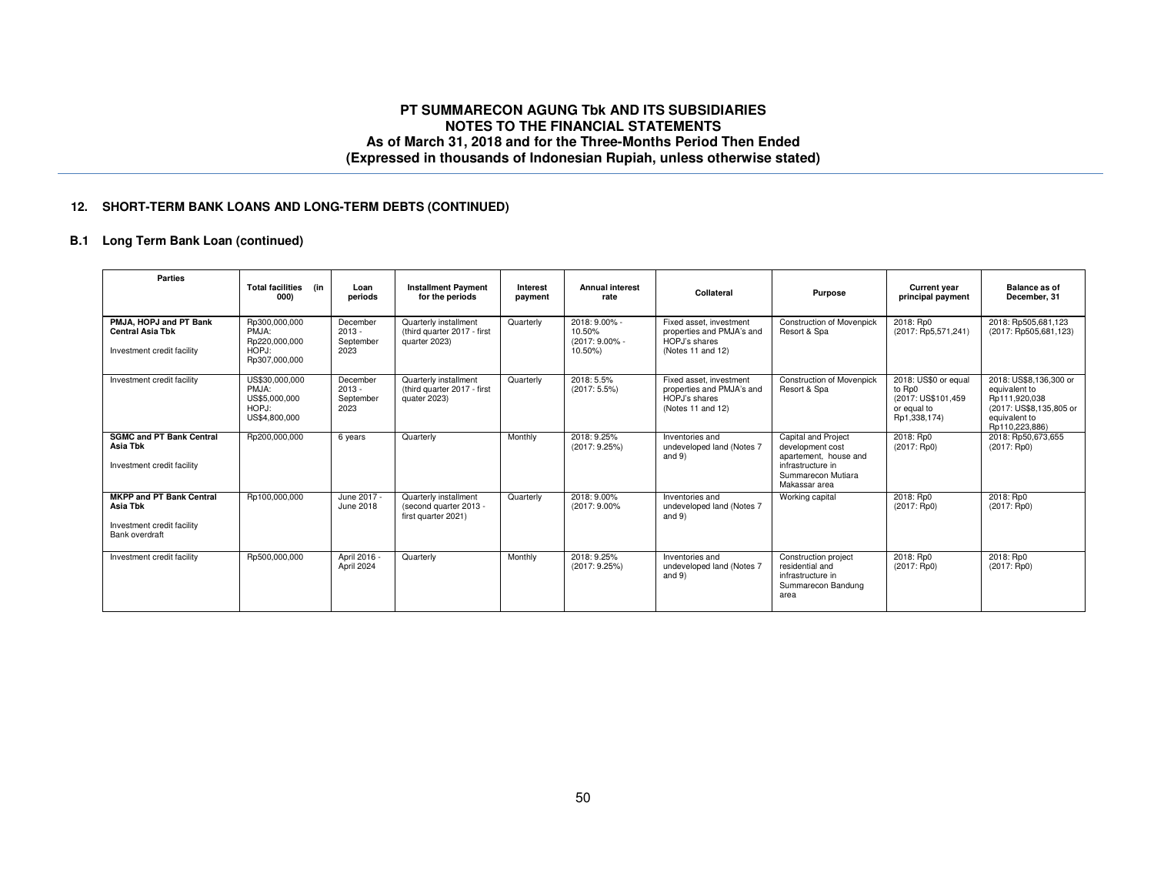### **12. SHORT-TERM BANK LOANS AND LONG-TERM DEBTS (CONTINUED)**

# **B.1 Long Term Bank Loan (continued)**

| <b>Parties</b>                                                                              | <b>Total facilities</b><br>(in<br>000)                             | Loan<br>periods                           | <b>Installment Payment</b><br>for the periods                          | Interest<br>payment | <b>Annual interest</b><br>rate                       | Collateral                                                                                 | <b>Purpose</b>                                                                                                                      | <b>Current year</b><br>principal payment                                             | Balance as of<br>December, 31                                                                                          |
|---------------------------------------------------------------------------------------------|--------------------------------------------------------------------|-------------------------------------------|------------------------------------------------------------------------|---------------------|------------------------------------------------------|--------------------------------------------------------------------------------------------|-------------------------------------------------------------------------------------------------------------------------------------|--------------------------------------------------------------------------------------|------------------------------------------------------------------------------------------------------------------------|
| PMJA, HOPJ and PT Bank<br><b>Central Asia Tbk</b><br>Investment credit facility             | Rp300.000.000<br>PMJA:<br>Rp220,000,000<br>HOPJ:<br>Rp307.000.000  | December<br>2013 -<br>September<br>2023   | Quarterly installment<br>(third quarter 2017 - first<br>quarter 2023)  | Quarterly           | 2018: 9.00% -<br>10.50%<br>(2017: 9.00% -<br>10.50%) | Fixed asset, investment<br>properties and PMJA's and<br>HOPJ's shares<br>(Notes 11 and 12) | <b>Construction of Movenpick</b><br>Resort & Spa                                                                                    | 2018: Rp0<br>(2017: Rp5,571,241)                                                     | 2018: Rp505,681,123<br>(2017: Rp505,681,123)                                                                           |
| Investment credit facility                                                                  | US\$30,000,000<br>PMJA:<br>US\$5,000,000<br>HOPJ:<br>US\$4,800,000 | December<br>$2013 -$<br>September<br>2023 | Quarterly installment<br>(third quarter 2017 - first<br>quater 2023)   | Quarterly           | 2018: 5.5%<br>$(2017:5.5\%)$                         | Fixed asset, investment<br>properties and PMJA's and<br>HOPJ's shares<br>(Notes 11 and 12) | <b>Construction of Movenpick</b><br>Resort & Spa                                                                                    | 2018: US\$0 or equal<br>to Rp0<br>(2017: US\$101.459)<br>or equal to<br>Rp1,338,174) | 2018: US\$8.136.300 or<br>equivalent to<br>Rp111,920,038<br>(2017: US\$8.135.805 or<br>equivalent to<br>Rp110,223,886) |
| <b>SGMC and PT Bank Central</b><br>Asia Tbk<br>Investment credit facility                   | Rp200,000,000                                                      | 6 years                                   | Quarterly                                                              | Monthly             | 2018: 9.25%<br>(2017:9.25%)                          | Inventories and<br>undeveloped land (Notes 7<br>and 9)                                     | <b>Capital and Project</b><br>development cost<br>apartement, house and<br>infrastructure in<br>Summarecon Mutiara<br>Makassar area | 2018: Rp0<br>$(2017:$ Rp0)                                                           | 2018: Rp50,673,655<br>$(2017:$ Rp0)                                                                                    |
| <b>MKPP and PT Bank Central</b><br>Asia Tbk<br>Investment credit facility<br>Bank overdraft | Rp100,000,000                                                      | June 2017 -<br><b>June 2018</b>           | Quarterly installment<br>(second quarter 2013 -<br>first quarter 2021) | Quarterly           | 2018: 9.00%<br>(2017: 9.00%)                         | Inventories and<br>undeveloped land (Notes 7<br>and 9)                                     | Working capital                                                                                                                     | 2018: Rp0<br>(2017:Rp0)                                                              | 2018: Rp0<br>$(2017:$ Rp0)                                                                                             |
| Investment credit facility                                                                  | Rp500,000,000                                                      | April 2016 -<br>April 2024                | Quarterly                                                              | Monthly             | 2018: 9.25%<br>(2017:9.25%)                          | Inventories and<br>undeveloped land (Notes 7<br>and 9)                                     | Construction project<br>residential and<br>infrastructure in<br>Summarecon Bandung<br>area                                          | 2018: Rp0<br>(2017:Rp0)                                                              | 2018: Rp0<br>$(2017:$ Rp0)                                                                                             |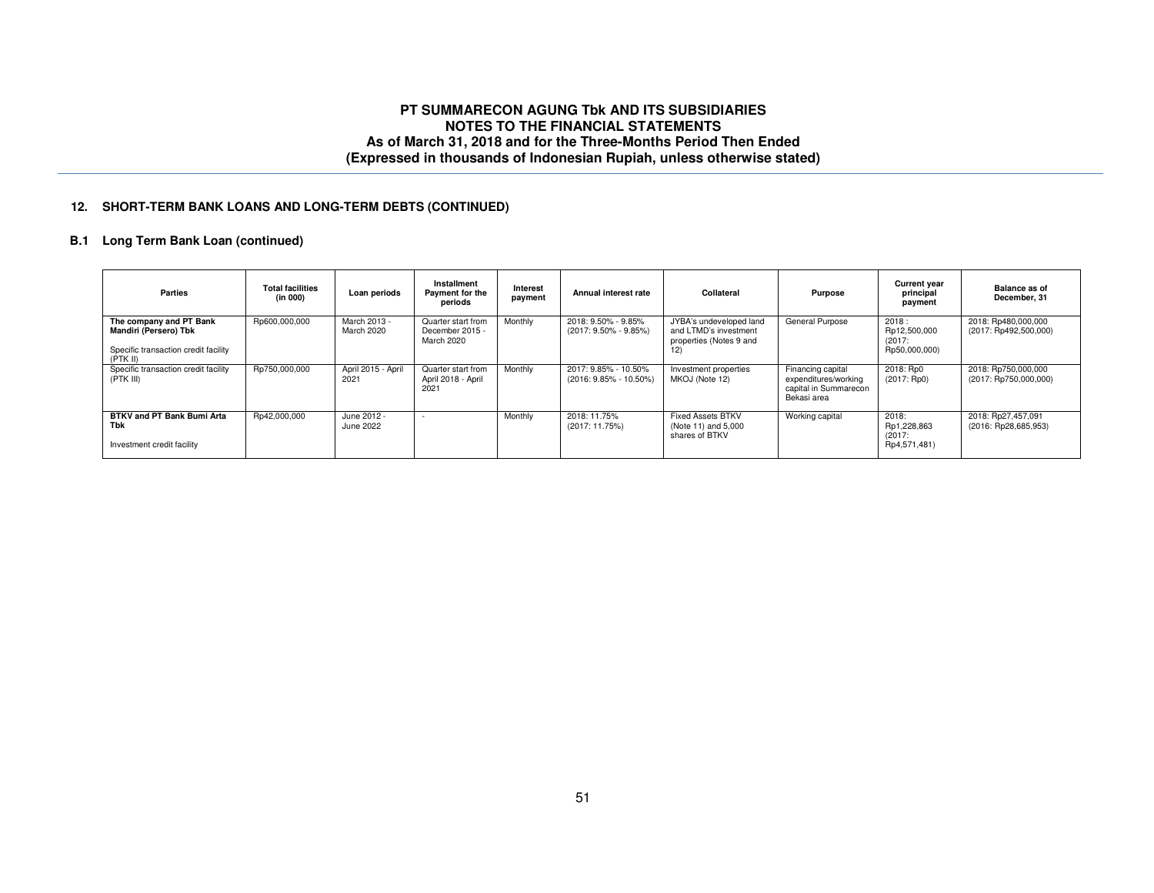### **12. SHORT-TERM BANK LOANS AND LONG-TERM DEBTS (CONTINUED)**

# **B.1 Long Term Bank Loan (continued)**

| Parties                                                                                              | <b>Total facilities</b><br>(in 000) | Loan periods               | Installment<br>Payment for the<br>periods           | Interest<br>payment | Annual interest rate                             | Collateral                                                                         | Purpose                                                                           | <b>Current year</b><br>principal<br>payment      | Balance as of<br>December, 31                  |
|------------------------------------------------------------------------------------------------------|-------------------------------------|----------------------------|-----------------------------------------------------|---------------------|--------------------------------------------------|------------------------------------------------------------------------------------|-----------------------------------------------------------------------------------|--------------------------------------------------|------------------------------------------------|
| The company and PT Bank<br>Mandiri (Persero) Tbk<br>Specific transaction credit facility<br>(PTK II) | Rp600,000,000                       | March 2013 -<br>March 2020 | Quarter start from<br>December 2015 -<br>March 2020 | Monthly             | 2018: 9.50% - 9.85%<br>$(2017: 9.50\% - 9.85\%)$ | JYBA's undeveloped land<br>and LTMD's investment<br>properties (Notes 9 and<br>12) | General Purpose                                                                   | 2018:<br>Rp12,500,000<br>(2017)<br>Rp50,000,000) | 2018: Rp480,000,000<br>(2017: Rp492,500,000)   |
| Specific transaction credit facility<br>(PTK III)                                                    | Rp750,000,000                       | April 2015 - April<br>2021 | Quarter start from<br>April 2018 - April<br>2021    | Monthly             | 2017: 9.85% - 10.50%<br>(2016: 9.85% - 10.50%)   | Investment properties<br>MKOJ (Note 12)                                            | Financing capital<br>expenditures/working<br>capital in Summarecon<br>Bekasi area | 2018: Rp0<br>(2017:Rp0)                          | 2018: Rp750,000,000<br>$(2017:$ Rp750,000,000) |
| BTKV and PT Bank Bumi Arta<br>Tbk<br>Investment credit facility                                      | Rp42,000,000                        | June 2012 -<br>June 2022   |                                                     | Monthly             | 2018: 11.75%<br>(2017: 11.75%)                   | <b>Fixed Assets BTKV</b><br>(Note 11) and 5,000<br>shares of BTKV                  | Working capital                                                                   | 2018:<br>Rp1,228,863<br>(2017)<br>Rp4,571,481)   | 2018: Rp27,457,091<br>(2016: Rp28,685,953)     |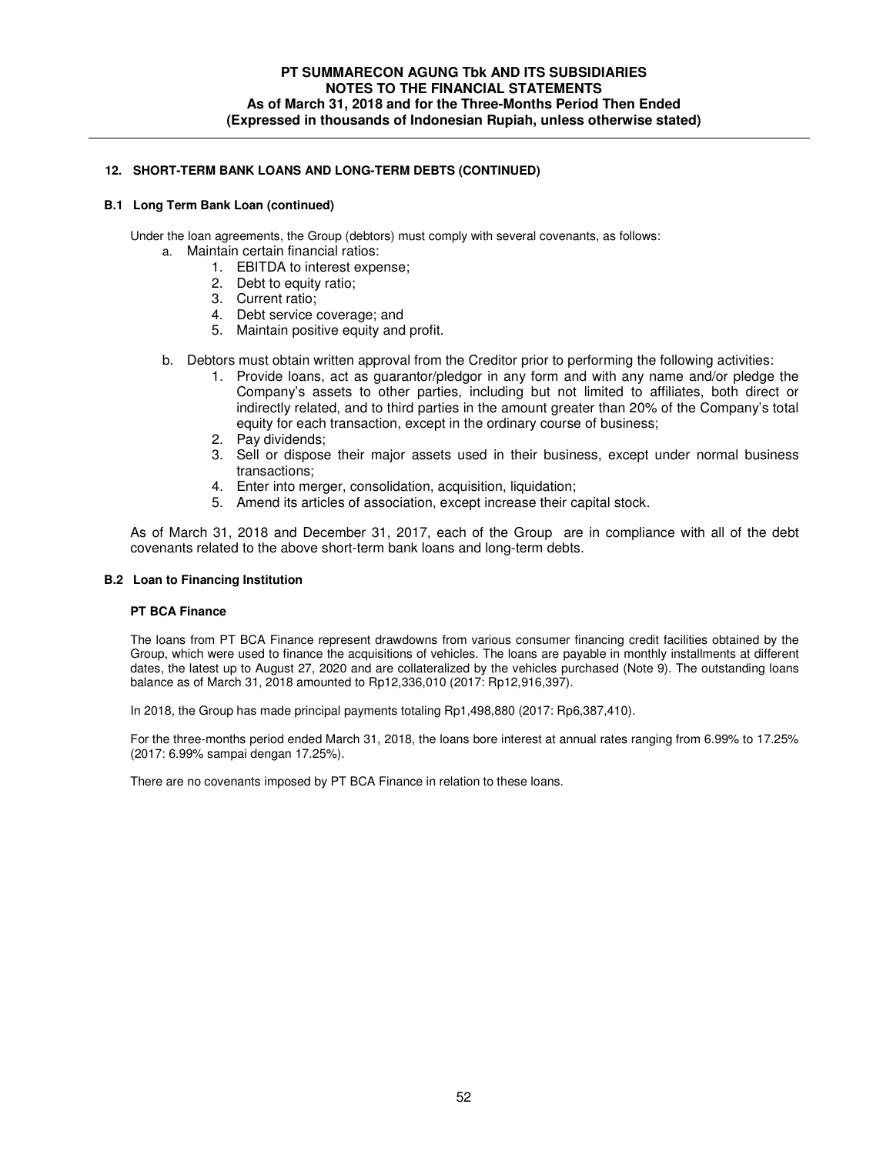### **12. SHORT-TERM BANK LOANS AND LONG-TERM DEBTS (CONTINUED)**

#### **B.1 Long Term Bank Loan (continued)**

Under the loan agreements, the Group (debtors) must comply with several covenants, as follows:

- a. Maintain certain financial ratios:
	- 1. EBITDA to interest expense;
	- 2. Debt to equity ratio;
	- 3. Current ratio;
	- 4. Debt service coverage; and
	- 5. Maintain positive equity and profit.
- b. Debtors must obtain written approval from the Creditor prior to performing the following activities:
	- 1. Provide loans, act as guarantor/pledgor in any form and with any name and/or pledge the Company's assets to other parties, including but not limited to affiliates, both direct or indirectly related, and to third parties in the amount greater than 20% of the Company's total equity for each transaction, except in the ordinary course of business;
	- 2. Pay dividends;
	- 3. Sell or dispose their major assets used in their business, except under normal business transactions;
	- 4. Enter into merger, consolidation, acquisition, liquidation;
	- 5. Amend its articles of association, except increase their capital stock.

As of March 31, 2018 and December 31, 2017, each of the Group are in compliance with all of the debt covenants related to the above short-term bank loans and long-term debts.

#### **B.2 Loan to Financing Institution**

#### **PT BCA Finance**

The loans from PT BCA Finance represent drawdowns from various consumer financing credit facilities obtained by the Group, which were used to finance the acquisitions of vehicles. The loans are payable in monthly installments at different dates, the latest up to August 27, 2020 and are collateralized by the vehicles purchased (Note 9). The outstanding loans balance as of March 31, 2018 amounted to Rp12,336,010 (2017: Rp12,916,397).

In 2018, the Group has made principal payments totaling Rp1,498,880 (2017: Rp6,387,410).

For the three-months period ended March 31, 2018, the loans bore interest at annual rates ranging from 6.99% to 17.25% (2017: 6.99% sampai dengan 17.25%).

There are no covenants imposed by PT BCA Finance in relation to these loans.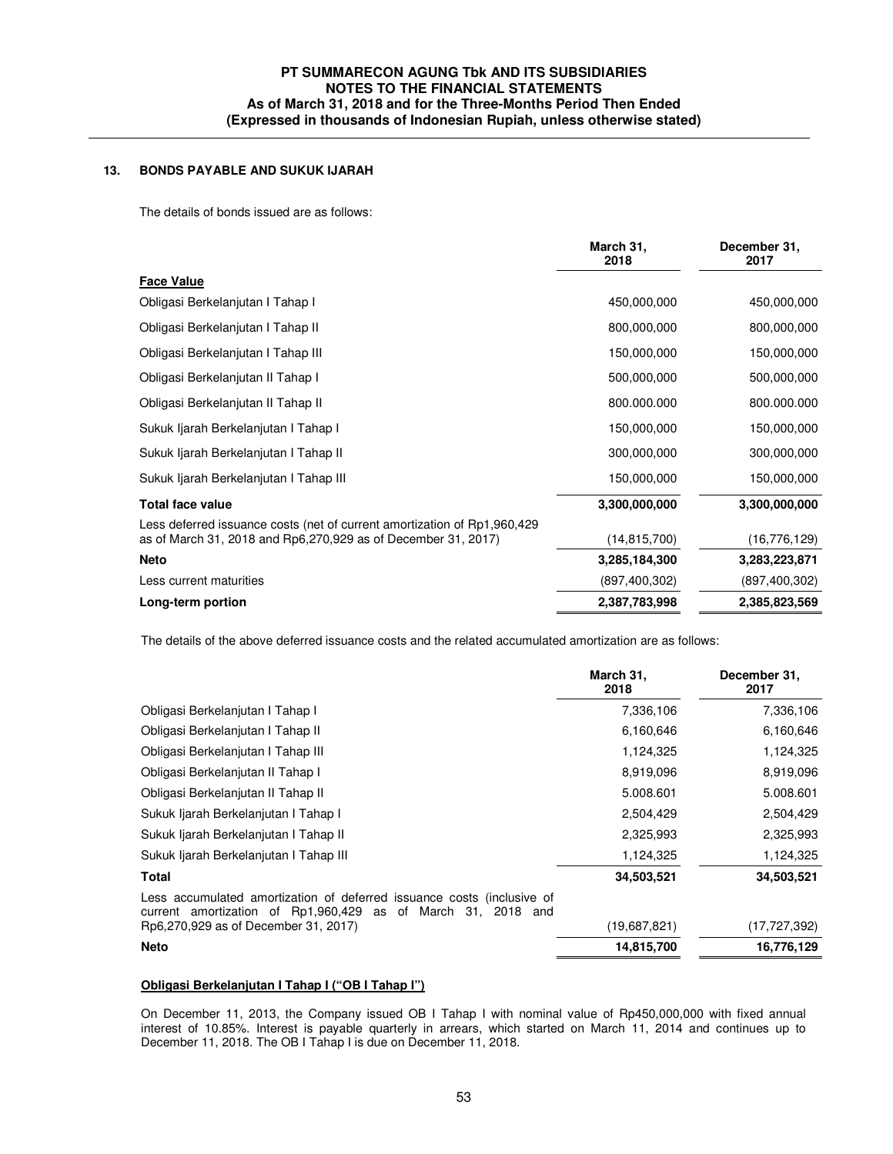# **13. BONDS PAYABLE AND SUKUK IJARAH**

The details of bonds issued are as follows:

|                                                                                                                                             | March 31,<br>2018 | December 31,<br>2017 |
|---------------------------------------------------------------------------------------------------------------------------------------------|-------------------|----------------------|
| <b>Face Value</b>                                                                                                                           |                   |                      |
| Obligasi Berkelanjutan I Tahap I                                                                                                            | 450,000,000       | 450,000,000          |
| Obligasi Berkelanjutan I Tahap II                                                                                                           | 800,000,000       | 800,000,000          |
| Obligasi Berkelanjutan I Tahap III                                                                                                          | 150,000,000       | 150,000,000          |
| Obligasi Berkelanjutan II Tahap I                                                                                                           | 500,000,000       | 500,000,000          |
| Obligasi Berkelanjutan II Tahap II                                                                                                          | 800.000.000       | 800.000.000          |
| Sukuk Ijarah Berkelanjutan I Tahap I                                                                                                        | 150,000,000       | 150,000,000          |
| Sukuk Ijarah Berkelanjutan I Tahap II                                                                                                       | 300,000,000       | 300,000,000          |
| Sukuk Ijarah Berkelanjutan I Tahap III                                                                                                      | 150,000,000       | 150,000,000          |
| <b>Total face value</b>                                                                                                                     | 3,300,000,000     | 3,300,000,000        |
| Less deferred issuance costs (net of current amortization of Rp1,960,429<br>as of March 31, 2018 and Rp6, 270, 929 as of December 31, 2017) | (14, 815, 700)    | (16, 776, 129)       |
| <b>Neto</b>                                                                                                                                 | 3,285,184,300     | 3,283,223,871        |
| Less current maturities                                                                                                                     | (897, 400, 302)   | (897, 400, 302)      |
| Long-term portion                                                                                                                           | 2,387,783,998     | 2,385,823,569        |

The details of the above deferred issuance costs and the related accumulated amortization are as follows:

|                                                                                                                                        | March 31,<br>2018 | December 31,<br>2017 |
|----------------------------------------------------------------------------------------------------------------------------------------|-------------------|----------------------|
| Obligasi Berkelanjutan I Tahap I                                                                                                       | 7,336,106         | 7,336,106            |
| Obligasi Berkelanjutan I Tahap II                                                                                                      | 6,160,646         | 6,160,646            |
| Obligasi Berkelanjutan I Tahap III                                                                                                     | 1,124,325         | 1,124,325            |
| Obligasi Berkelanjutan II Tahap I                                                                                                      | 8,919,096         | 8,919,096            |
| Obligasi Berkelanjutan II Tahap II                                                                                                     | 5.008.601         | 5.008.601            |
| Sukuk Ijarah Berkelanjutan I Tahap I                                                                                                   | 2,504,429         | 2,504,429            |
| Sukuk Ijarah Berkelanjutan I Tahap II                                                                                                  | 2,325,993         | 2,325,993            |
| Sukuk ljarah Berkelanjutan I Tahap III                                                                                                 | 1,124,325         | 1,124,325            |
| Total                                                                                                                                  | 34,503,521        | 34,503,521           |
| Less accumulated amortization of deferred issuance costs (inclusive of<br>current amortization of Rp1,960,429 as of March 31, 2018 and |                   |                      |
| Rp6,270,929 as of December 31, 2017)                                                                                                   | (19,687,821)      | (17, 727, 392)       |
| <b>Neto</b>                                                                                                                            | 14,815,700        | 16,776,129           |

# **Obligasi Berkelanjutan I Tahap I ("OB I Tahap I")**

On December 11, 2013, the Company issued OB I Tahap I with nominal value of Rp450,000,000 with fixed annual interest of 10.85%. Interest is payable quarterly in arrears, which started on March 11, 2014 and continues up to December 11, 2018. The OB I Tahap I is due on December 11, 2018.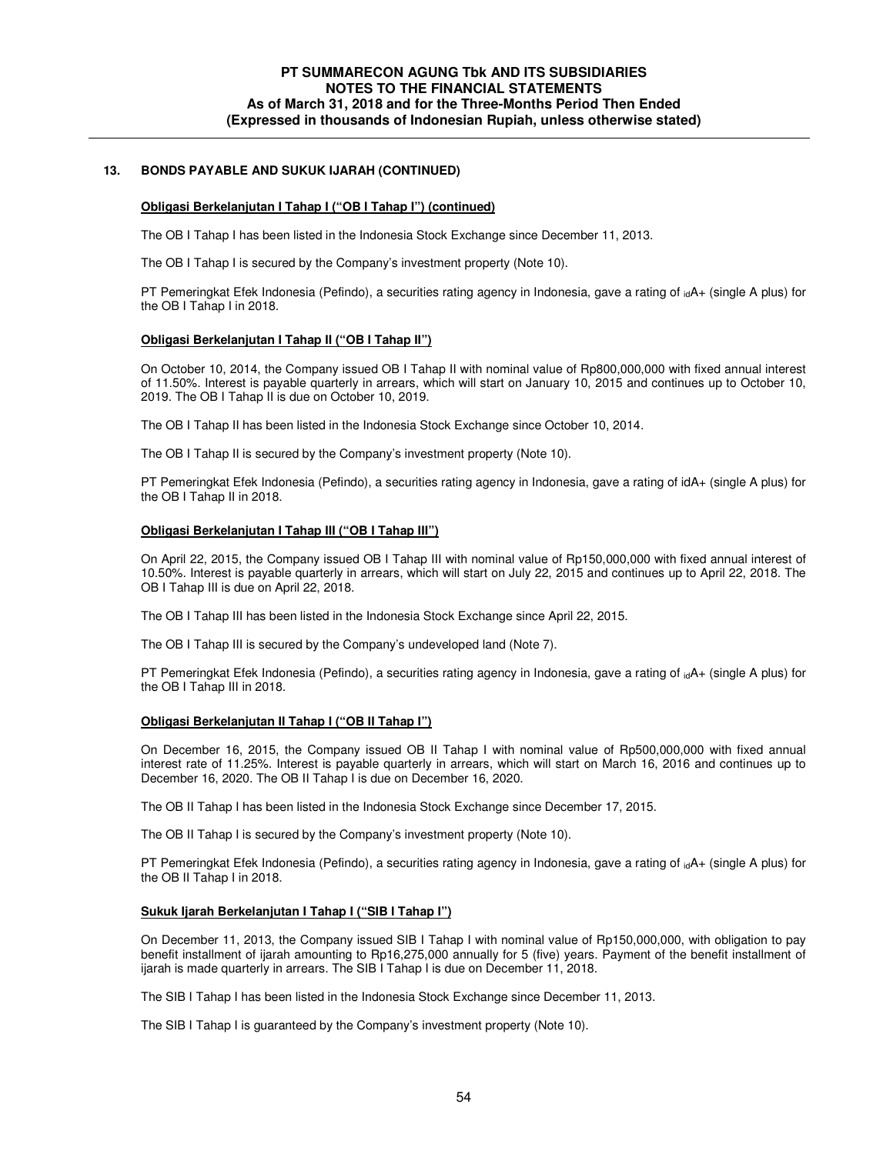### **13. BONDS PAYABLE AND SUKUK IJARAH (CONTINUED)**

#### **Obligasi Berkelanjutan I Tahap I ("OB I Tahap I") (continued)**

The OB I Tahap I has been listed in the Indonesia Stock Exchange since December 11, 2013.

The OB I Tahap I is secured by the Company's investment property (Note 10).

PT Pemeringkat Efek Indonesia (Pefindo), a securities rating agency in Indonesia, gave a rating of  $_{id}A+$  (single A plus) for the OB I Tahap I in 2018.

#### **Obligasi Berkelanjutan I Tahap II ("OB I Tahap II")**

On October 10, 2014, the Company issued OB I Tahap II with nominal value of Rp800,000,000 with fixed annual interest of 11.50%. Interest is payable quarterly in arrears, which will start on January 10, 2015 and continues up to October 10, 2019. The OB I Tahap II is due on October 10, 2019.

The OB I Tahap II has been listed in the Indonesia Stock Exchange since October 10, 2014.

The OB I Tahap II is secured by the Company's investment property (Note 10).

PT Pemeringkat Efek Indonesia (Pefindo), a securities rating agency in Indonesia, gave a rating of idA+ (single A plus) for the OB I Tahap II in 2018.

#### **Obligasi Berkelanjutan I Tahap III ("OB I Tahap III")**

On April 22, 2015, the Company issued OB I Tahap III with nominal value of Rp150,000,000 with fixed annual interest of 10.50%. Interest is payable quarterly in arrears, which will start on July 22, 2015 and continues up to April 22, 2018. The OB I Tahap III is due on April 22, 2018.

The OB I Tahap III has been listed in the Indonesia Stock Exchange since April 22, 2015.

The OB I Tahap III is secured by the Company's undeveloped land (Note 7).

PT Pemeringkat Efek Indonesia (Pefindo), a securities rating agency in Indonesia, gave a rating of  $_{id}A+$  (single A plus) for the OB I Tahap III in 2018.

#### **Obligasi Berkelanjutan II Tahap I ("OB II Tahap I")**

On December 16, 2015, the Company issued OB II Tahap I with nominal value of Rp500,000,000 with fixed annual interest rate of 11.25%. Interest is payable quarterly in arrears, which will start on March 16, 2016 and continues up to December 16, 2020. The OB II Tahap I is due on December 16, 2020.

The OB II Tahap I has been listed in the Indonesia Stock Exchange since December 17, 2015.

The OB II Tahap I is secured by the Company's investment property (Note 10).

PT Pemeringkat Efek Indonesia (Pefindo), a securities rating agency in Indonesia, gave a rating of <sub>id</sub>A+ (single A plus) for the OB II Tahap I in 2018.

#### **Sukuk Ijarah Berkelanjutan I Tahap I ("SIB I Tahap I")**

On December 11, 2013, the Company issued SIB I Tahap I with nominal value of Rp150,000,000, with obligation to pay benefit installment of ijarah amounting to Rp16,275,000 annually for 5 (five) years. Payment of the benefit installment of ijarah is made quarterly in arrears. The SIB I Tahap I is due on December 11, 2018.

The SIB I Tahap I has been listed in the Indonesia Stock Exchange since December 11, 2013.

The SIB I Tahap I is guaranteed by the Company's investment property (Note 10).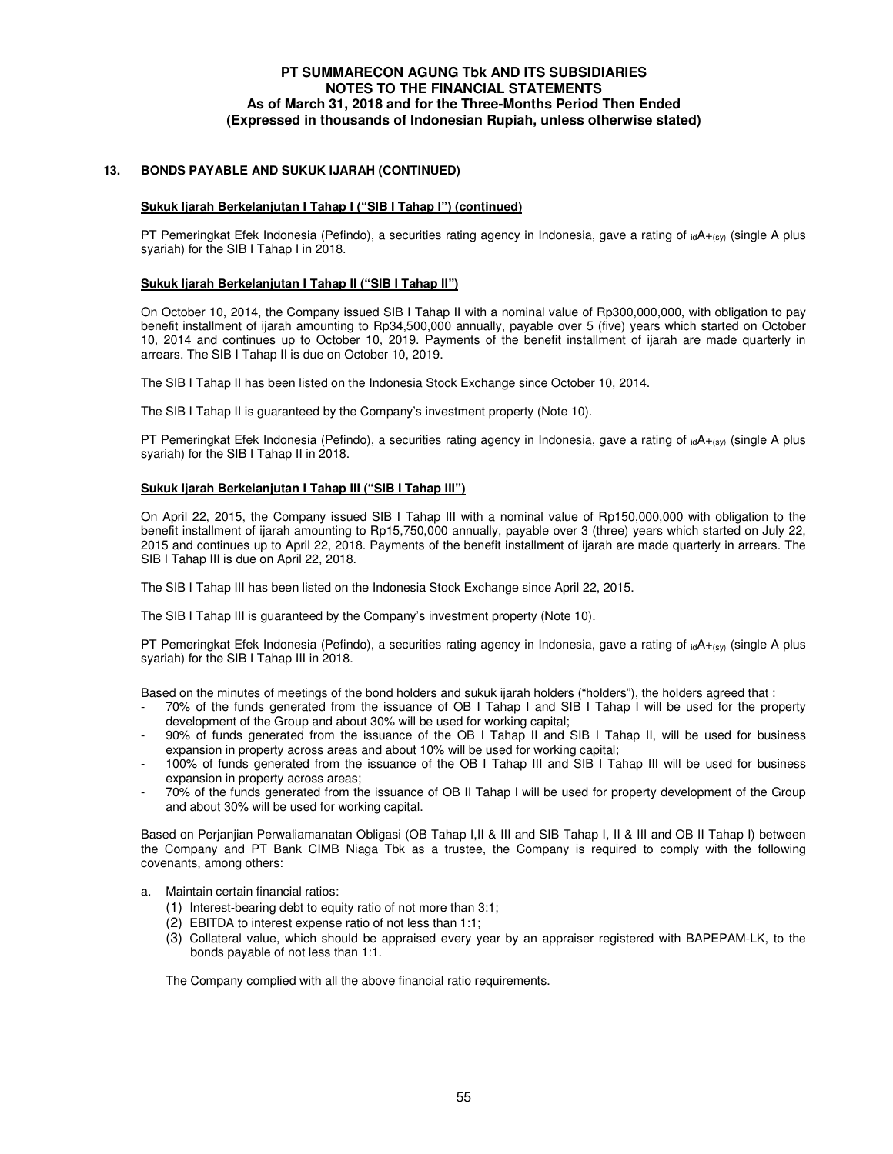### **13. BONDS PAYABLE AND SUKUK IJARAH (CONTINUED)**

#### **Sukuk Ijarah Berkelanjutan I Tahap I ("SIB I Tahap I") (continued)**

PT Pemeringkat Efek Indonesia (Pefindo), a securities rating agency in Indonesia, gave a rating of  $idA+_{(sV)}$  (single A plus syariah) for the SIB I Tahap I in 2018.

#### **Sukuk Ijarah Berkelanjutan I Tahap II ("SIB I Tahap II")**

On October 10, 2014, the Company issued SIB I Tahap II with a nominal value of Rp300,000,000, with obligation to pay benefit installment of ijarah amounting to Rp34,500,000 annually, payable over 5 (five) years which started on October 10, 2014 and continues up to October 10, 2019. Payments of the benefit installment of ijarah are made quarterly in arrears. The SIB I Tahap II is due on October 10, 2019.

The SIB I Tahap II has been listed on the Indonesia Stock Exchange since October 10, 2014.

The SIB I Tahap II is guaranteed by the Company's investment property (Note 10).

PT Pemeringkat Efek Indonesia (Pefindo), a securities rating agency in Indonesia, gave a rating of  $_{id}A_{+(sy)}$  (single A plus syariah) for the SIB I Tahap II in 2018.

#### **Sukuk Ijarah Berkelanjutan I Tahap III ("SIB I Tahap III")**

On April 22, 2015, the Company issued SIB I Tahap III with a nominal value of Rp150,000,000 with obligation to the benefit installment of ijarah amounting to Rp15,750,000 annually, payable over 3 (three) years which started on July 22, 2015 and continues up to April 22, 2018. Payments of the benefit installment of ijarah are made quarterly in arrears. The SIB I Tahap III is due on April 22, 2018.

The SIB I Tahap III has been listed on the Indonesia Stock Exchange since April 22, 2015.

The SIB I Tahap III is guaranteed by the Company's investment property (Note 10).

PT Pemeringkat Efek Indonesia (Pefindo), a securities rating agency in Indonesia, gave a rating of  $_{id}A_{+(sy)}$  (single A plus syariah) for the SIB I Tahap III in 2018.

Based on the minutes of meetings of the bond holders and sukuk ijarah holders ("holders"), the holders agreed that :

- 70% of the funds generated from the issuance of OB I Tahap I and SIB I Tahap I will be used for the property development of the Group and about 30% will be used for working capital;
- 90% of funds generated from the issuance of the OB I Tahap II and SIB I Tahap II, will be used for business expansion in property across areas and about 10% will be used for working capital;
- 100% of funds generated from the issuance of the OB I Tahap III and SIB I Tahap III will be used for business expansion in property across areas;
- 70% of the funds generated from the issuance of OB II Tahap I will be used for property development of the Group and about 30% will be used for working capital.

Based on Perjanjian Perwaliamanatan Obligasi (OB Tahap I, II & III and SIB Tahap I, II & III and OB II Tahap I) between the Company and PT Bank CIMB Niaga Tbk as a trustee, the Company is required to comply with the following covenants, among others:

- a. Maintain certain financial ratios:
	- (1) Interest-bearing debt to equity ratio of not more than 3:1;
	- (2) EBITDA to interest expense ratio of not less than 1:1;
	- (3) Collateral value, which should be appraised every year by an appraiser registered with BAPEPAM-LK, to the bonds payable of not less than 1:1.

The Company complied with all the above financial ratio requirements.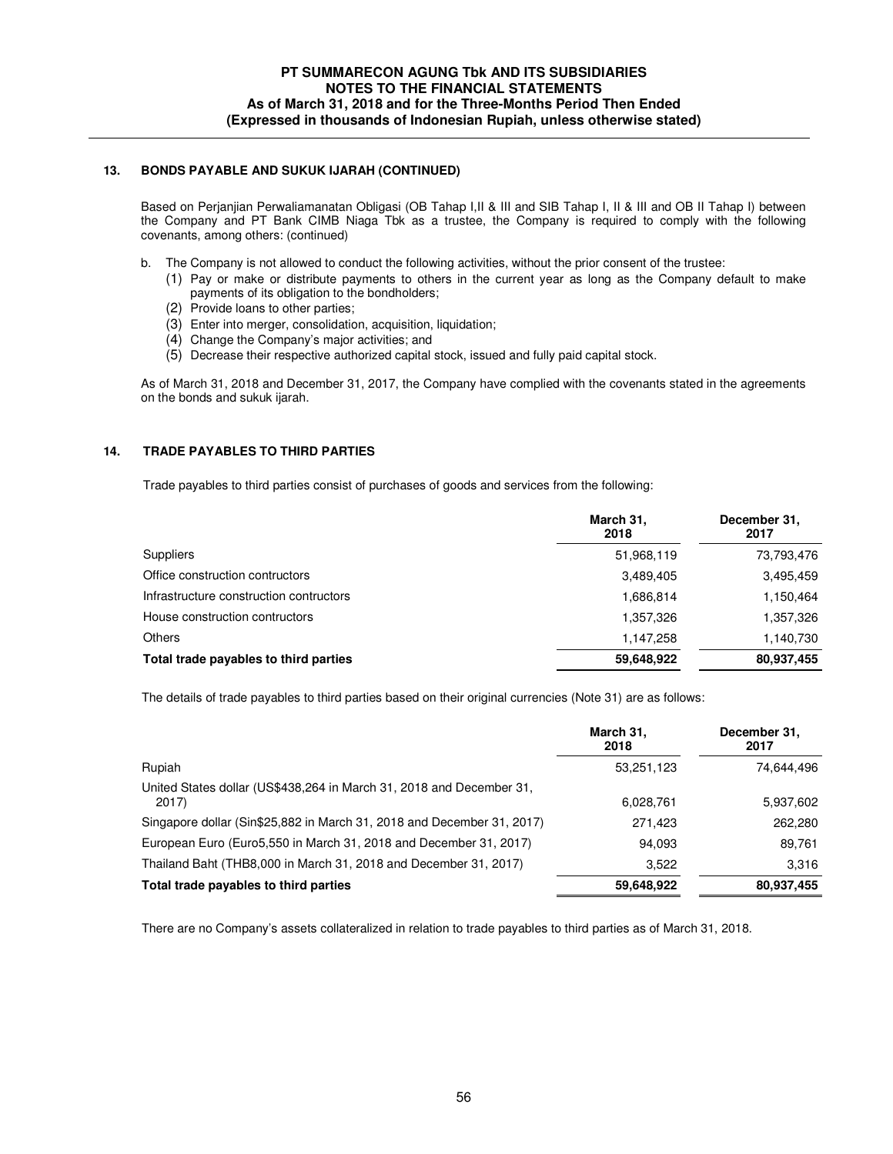### **13. BONDS PAYABLE AND SUKUK IJARAH (CONTINUED)**

Based on Perjanjian Perwaliamanatan Obligasi (OB Tahap I,II & III and SIB Tahap I, II & III and OB II Tahap I) between the Company and PT Bank CIMB Niaga Tbk as a trustee, the Company is required to comply with the following covenants, among others: (continued)

- b. The Company is not allowed to conduct the following activities, without the prior consent of the trustee:
	- (1) Pay or make or distribute payments to others in the current year as long as the Company default to make payments of its obligation to the bondholders;
	- (2) Provide loans to other parties;
	- (3) Enter into merger, consolidation, acquisition, liquidation;
	- (4) Change the Company's major activities; and
	- (5) Decrease their respective authorized capital stock, issued and fully paid capital stock.

As of March 31, 2018 and December 31, 2017, the Company have complied with the covenants stated in the agreements on the bonds and sukuk ijarah.

### **14. TRADE PAYABLES TO THIRD PARTIES**

Trade payables to third parties consist of purchases of goods and services from the following:

|                                         | March 31,<br>2018 | December 31,<br>2017 |
|-----------------------------------------|-------------------|----------------------|
| <b>Suppliers</b>                        | 51,968,119        | 73,793,476           |
| Office construction contructors         | 3,489,405         | 3,495,459            |
| Infrastructure construction contructors | 1,686,814         | 1,150,464            |
| House construction contructors          | 1,357,326         | 1,357,326            |
| <b>Others</b>                           | 1,147,258         | 1,140,730            |
| Total trade payables to third parties   | 59,648,922        | 80,937,455           |

The details of trade payables to third parties based on their original currencies (Note 31) are as follows:

|                                                                              | March 31,<br>2018 | December 31,<br>2017 |
|------------------------------------------------------------------------------|-------------------|----------------------|
| Rupiah                                                                       | 53,251,123        | 74,644,496           |
| United States dollar (US\$438,264 in March 31, 2018 and December 31,<br>2017 | 6,028,761         | 5,937,602            |
| Singapore dollar (Sin\$25,882 in March 31, 2018 and December 31, 2017)       | 271,423           | 262,280              |
| European Euro (Euro5,550 in March 31, 2018 and December 31, 2017)            | 94,093            | 89,761               |
| Thailand Baht (THB8,000 in March 31, 2018 and December 31, 2017)             | 3.522             | 3.316                |
| Total trade payables to third parties                                        | 59,648,922        | 80,937,455           |

There are no Company's assets collateralized in relation to trade payables to third parties as of March 31, 2018.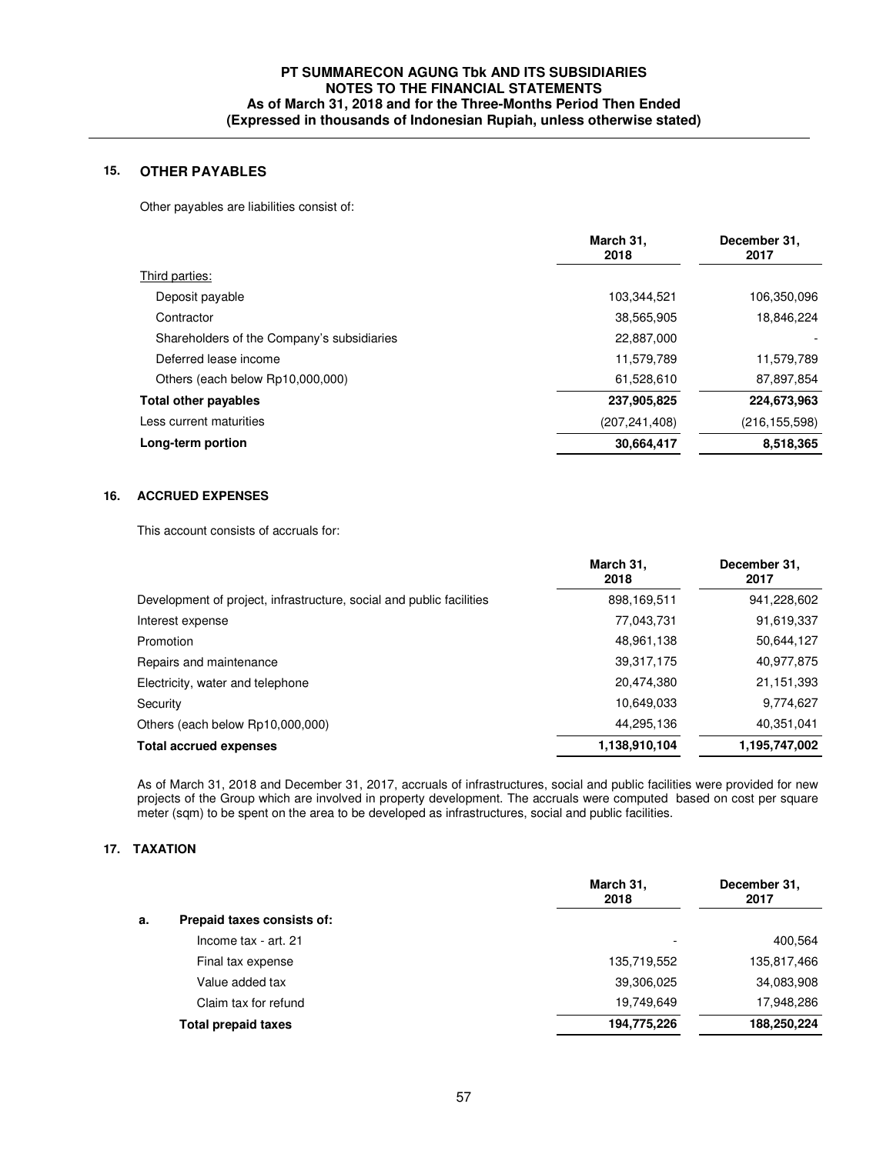# **15. OTHER PAYABLES**

Other payables are liabilities consist of:

|                                            | March 31,<br>2018 | December 31,<br>2017 |
|--------------------------------------------|-------------------|----------------------|
| Third parties:                             |                   |                      |
| Deposit payable                            | 103,344,521       | 106,350,096          |
| Contractor                                 | 38,565,905        | 18,846,224           |
| Shareholders of the Company's subsidiaries | 22,887,000        |                      |
| Deferred lease income                      | 11,579,789        | 11,579,789           |
| Others (each below Rp10,000,000)           | 61,528,610        | 87,897,854           |
| <b>Total other payables</b>                | 237,905,825       | 224,673,963          |
| Less current maturities                    | (207, 241, 408)   | (216, 155, 598)      |
| Long-term portion                          | 30,664,417        | 8,518,365            |
|                                            |                   |                      |

## **16. ACCRUED EXPENSES**

This account consists of accruals for:

|                                                                      | March 31,<br>2018 | December 31,<br>2017 |
|----------------------------------------------------------------------|-------------------|----------------------|
| Development of project, infrastructure, social and public facilities | 898,169,511       | 941,228,602          |
| Interest expense                                                     | 77,043,731        | 91,619,337           |
| Promotion                                                            | 48,961,138        | 50,644,127           |
| Repairs and maintenance                                              | 39,317,175        | 40,977,875           |
| Electricity, water and telephone                                     | 20,474,380        | 21,151,393           |
| Security                                                             | 10,649,033        | 9,774,627            |
| Others (each below Rp10,000,000)                                     | 44,295,136        | 40,351,041           |
| <b>Total accrued expenses</b>                                        | 1,138,910,104     | 1,195,747,002        |

 As of March 31, 2018 and December 31, 2017, accruals of infrastructures, social and public facilities were provided for new projects of the Group which are involved in property development. The accruals were computed based on cost per square meter (sqm) to be spent on the area to be developed as infrastructures, social and public facilities.

# **17. TAXATION**

|                                  | March 31,<br>2018        | December 31,<br>2017 |
|----------------------------------|--------------------------|----------------------|
| Prepaid taxes consists of:<br>а. |                          |                      |
| Income tax - art. 21             | $\overline{\phantom{0}}$ | 400,564              |
| Final tax expense                | 135,719,552              | 135,817,466          |
| Value added tax                  | 39,306,025               | 34,083,908           |
| Claim tax for refund             | 19,749,649               | 17,948,286           |
| <b>Total prepaid taxes</b>       | 194,775,226              | 188,250,224          |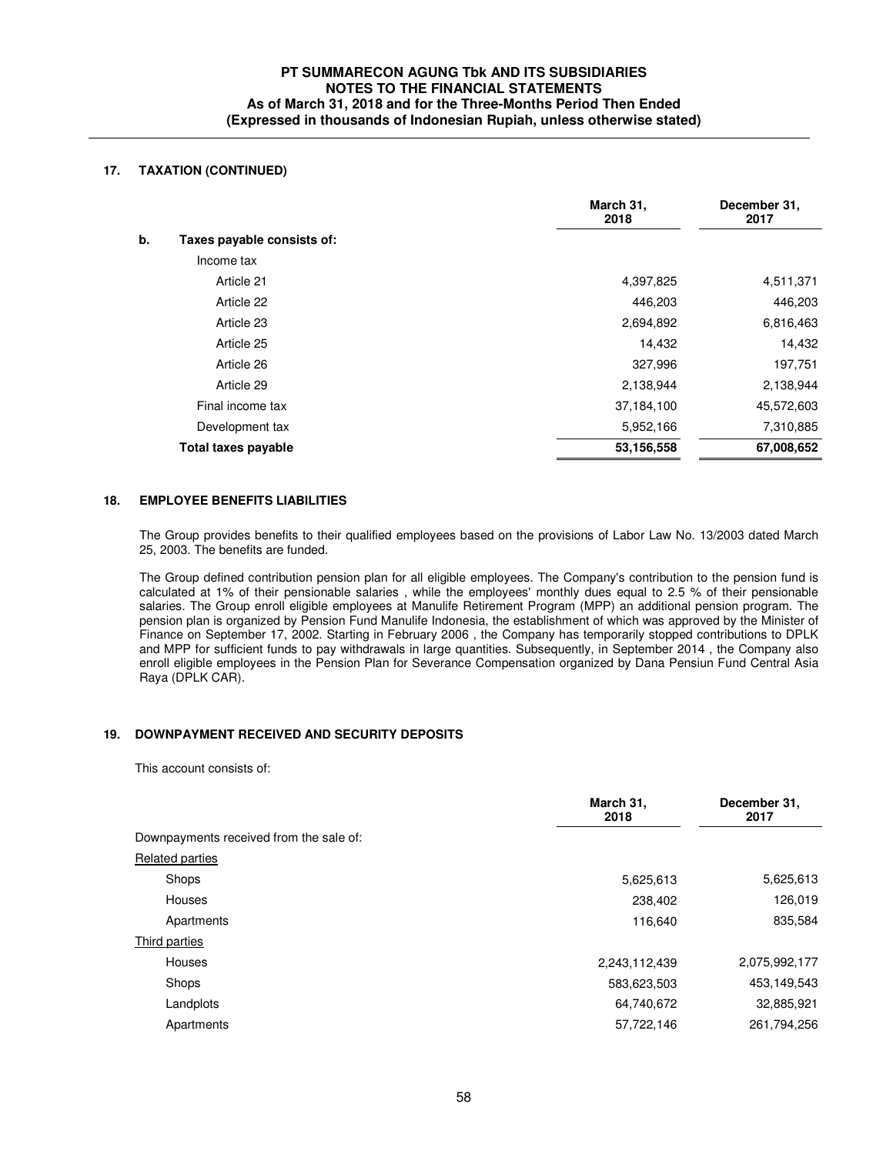# **17. TAXATION (CONTINUED)**

|                                  | March 31,<br>2018 | December 31,<br>2017 |
|----------------------------------|-------------------|----------------------|
| b.<br>Taxes payable consists of: |                   |                      |
| Income tax                       |                   |                      |
| Article 21                       | 4,397,825         | 4,511,371            |
| Article 22                       | 446,203           | 446,203              |
| Article 23                       | 2,694,892         | 6,816,463            |
| Article 25                       | 14,432            | 14,432               |
| Article 26                       | 327,996           | 197,751              |
| Article 29                       | 2,138,944         | 2,138,944            |
| Final income tax                 | 37,184,100        | 45,572,603           |
| Development tax                  | 5,952,166         | 7,310,885            |
| Total taxes payable              | 53,156,558        | 67,008,652           |

### **18. EMPLOYEE BENEFITS LIABILITIES**

 The Group provides benefits to their qualified employees based on the provisions of Labor Law No. 13/2003 dated March 25, 2003. The benefits are funded.

The Group defined contribution pension plan for all eligible employees. The Company's contribution to the pension fund is calculated at 1% of their pensionable salaries , while the employees' monthly dues equal to 2.5 % of their pensionable salaries. The Group enroll eligible employees at Manulife Retirement Program (MPP) an additional pension program. The pension plan is organized by Pension Fund Manulife Indonesia, the establishment of which was approved by the Minister of Finance on September 17, 2002. Starting in February 2006 , the Company has temporarily stopped contributions to DPLK and MPP for sufficient funds to pay withdrawals in large quantities. Subsequently, in September 2014 , the Company also enroll eligible employees in the Pension Plan for Severance Compensation organized by Dana Pensiun Fund Central Asia Raya (DPLK CAR).

### **19. DOWNPAYMENT RECEIVED AND SECURITY DEPOSITS**

This account consists of:

|                                         | March 31,<br>2018 | December 31,<br>2017 |
|-----------------------------------------|-------------------|----------------------|
| Downpayments received from the sale of: |                   |                      |
| <b>Related parties</b>                  |                   |                      |
| Shops                                   | 5,625,613         | 5,625,613            |
| Houses                                  | 238,402           | 126,019              |
| Apartments                              | 116,640           | 835,584              |
| Third parties                           |                   |                      |
| Houses                                  | 2,243,112,439     | 2,075,992,177        |
| Shops                                   | 583,623,503       | 453,149,543          |
| Landplots                               | 64,740,672        | 32,885,921           |
| Apartments                              | 57,722,146        | 261,794,256          |
|                                         |                   |                      |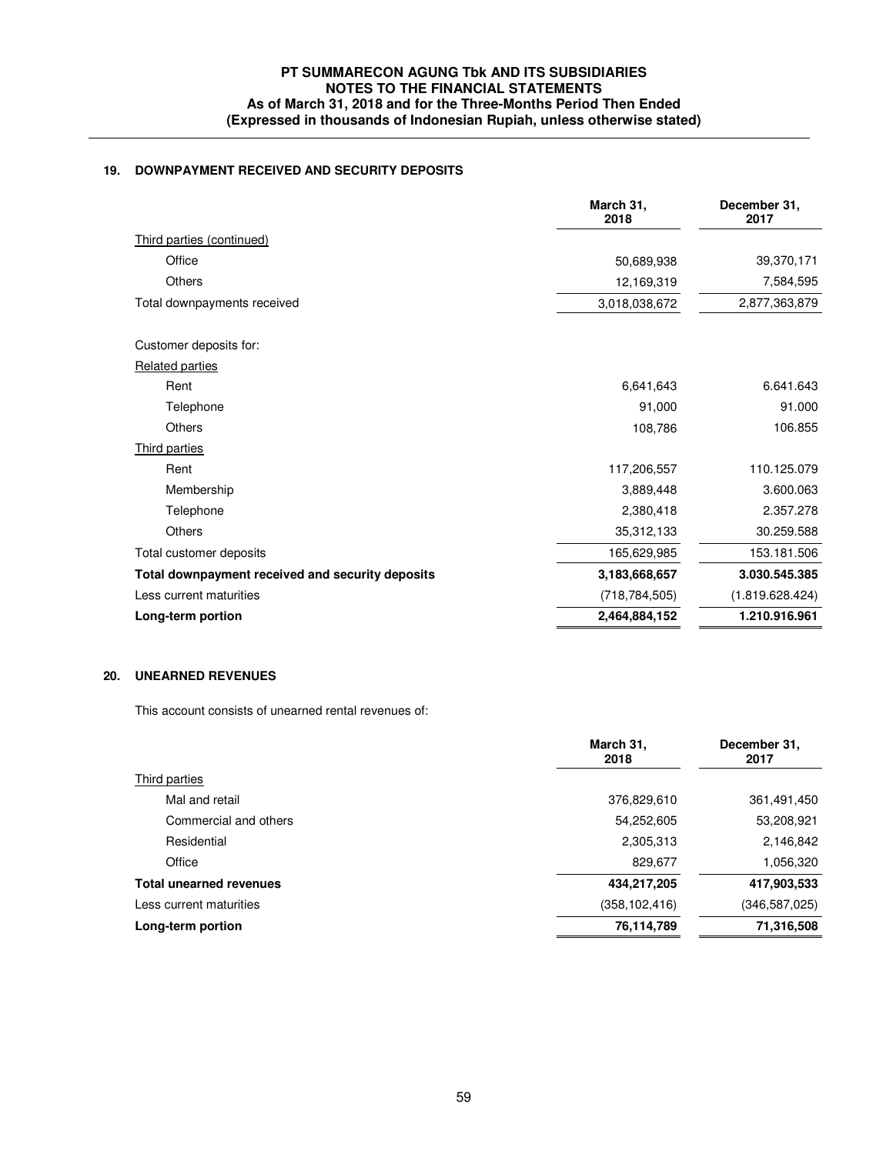# **19. DOWNPAYMENT RECEIVED AND SECURITY DEPOSITS**

|                                                  | March 31,<br>2018 | December 31,<br>2017 |
|--------------------------------------------------|-------------------|----------------------|
| Third parties (continued)                        |                   |                      |
| Office                                           | 50,689,938        | 39,370,171           |
| <b>Others</b>                                    | 12,169,319        | 7,584,595            |
| Total downpayments received                      | 3,018,038,672     | 2,877,363,879        |
| Customer deposits for:                           |                   |                      |
| <b>Related parties</b>                           |                   |                      |
| Rent                                             | 6,641,643         | 6.641.643            |
| Telephone                                        | 91,000            | 91.000               |
| <b>Others</b>                                    | 108,786           | 106.855              |
| Third parties                                    |                   |                      |
| Rent                                             | 117,206,557       | 110.125.079          |
| Membership                                       | 3,889,448         | 3.600.063            |
| Telephone                                        | 2,380,418         | 2.357.278            |
| <b>Others</b>                                    | 35,312,133        | 30.259.588           |
| Total customer deposits                          | 165,629,985       | 153.181.506          |
| Total downpayment received and security deposits | 3,183,668,657     | 3.030.545.385        |
| Less current maturities                          | (718, 784, 505)   | (1.819.628.424)      |
| Long-term portion                                | 2,464,884,152     | 1.210.916.961        |
|                                                  |                   |                      |

# **20. UNEARNED REVENUES**

This account consists of unearned rental revenues of:

|                                | March 31,<br>2018 | December 31,<br>2017 |
|--------------------------------|-------------------|----------------------|
| Third parties                  |                   |                      |
| Mal and retail                 | 376,829,610       | 361,491,450          |
| Commercial and others          | 54,252,605        | 53,208,921           |
| Residential                    | 2,305,313         | 2,146,842            |
| Office                         | 829,677           | 1,056,320            |
| <b>Total unearned revenues</b> | 434,217,205       | 417,903,533          |
| Less current maturities        | (358, 102, 416)   | (346, 587, 025)      |
| Long-term portion              | 76,114,789        | 71,316,508           |
|                                |                   |                      |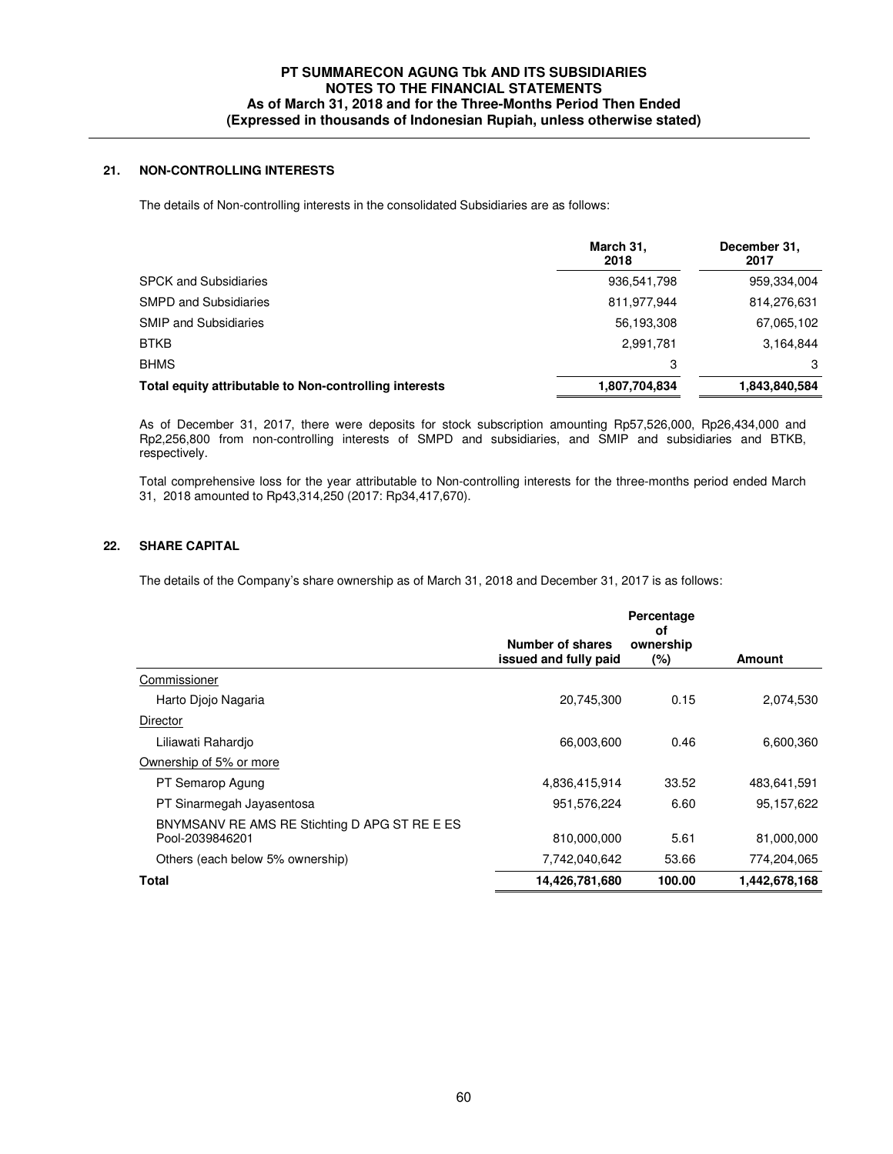# **21. NON-CONTROLLING INTERESTS**

The details of Non-controlling interests in the consolidated Subsidiaries are as follows:

|                                                        | March 31,<br>2018 | December 31,<br>2017 |
|--------------------------------------------------------|-------------------|----------------------|
| <b>SPCK and Subsidiaries</b>                           | 936,541,798       | 959,334,004          |
| <b>SMPD and Subsidiaries</b>                           | 811,977,944       | 814,276,631          |
| <b>SMIP and Subsidiaries</b>                           | 56,193,308        | 67,065,102           |
| <b>BTKB</b>                                            | 2,991,781         | 3,164,844            |
| <b>BHMS</b>                                            | 3                 | 3                    |
| Total equity attributable to Non-controlling interests | 1,807,704,834     | 1,843,840,584        |

As of December 31, 2017, there were deposits for stock subscription amounting Rp57,526,000, Rp26,434,000 and Rp2,256,800 from non-controlling interests of SMPD and subsidiaries, and SMIP and subsidiaries and BTKB, respectively.

Total comprehensive loss for the year attributable to Non-controlling interests for the three-months period ended March 31, 2018 amounted to Rp43,314,250 (2017: Rp34,417,670).

# **22. SHARE CAPITAL**

The details of the Company's share ownership as of March 31, 2018 and December 31, 2017 is as follows:

|                                                                  |                                           | Percentage<br>οf    |               |
|------------------------------------------------------------------|-------------------------------------------|---------------------|---------------|
|                                                                  | Number of shares<br>issued and fully paid | ownership<br>$(\%)$ | <b>Amount</b> |
| Commissioner                                                     |                                           |                     |               |
| Harto Diojo Nagaria                                              | 20,745,300                                | 0.15                | 2,074,530     |
| Director                                                         |                                           |                     |               |
| Liliawati Rahardio                                               | 66,003,600                                | 0.46                | 6,600,360     |
| Ownership of 5% or more                                          |                                           |                     |               |
| PT Semarop Agung                                                 | 4,836,415,914                             | 33.52               | 483,641,591   |
| PT Sinarmegah Jayasentosa                                        | 951,576,224                               | 6.60                | 95,157,622    |
| BNYMSANV RE AMS RE Stichting D APG ST RE E ES<br>Pool-2039846201 | 810,000,000                               | 5.61                | 81,000,000    |
| Others (each below 5% ownership)                                 | 7,742,040,642                             | 53.66               | 774,204,065   |
| <b>Total</b>                                                     | 14,426,781,680                            | 100.00              | 1,442,678,168 |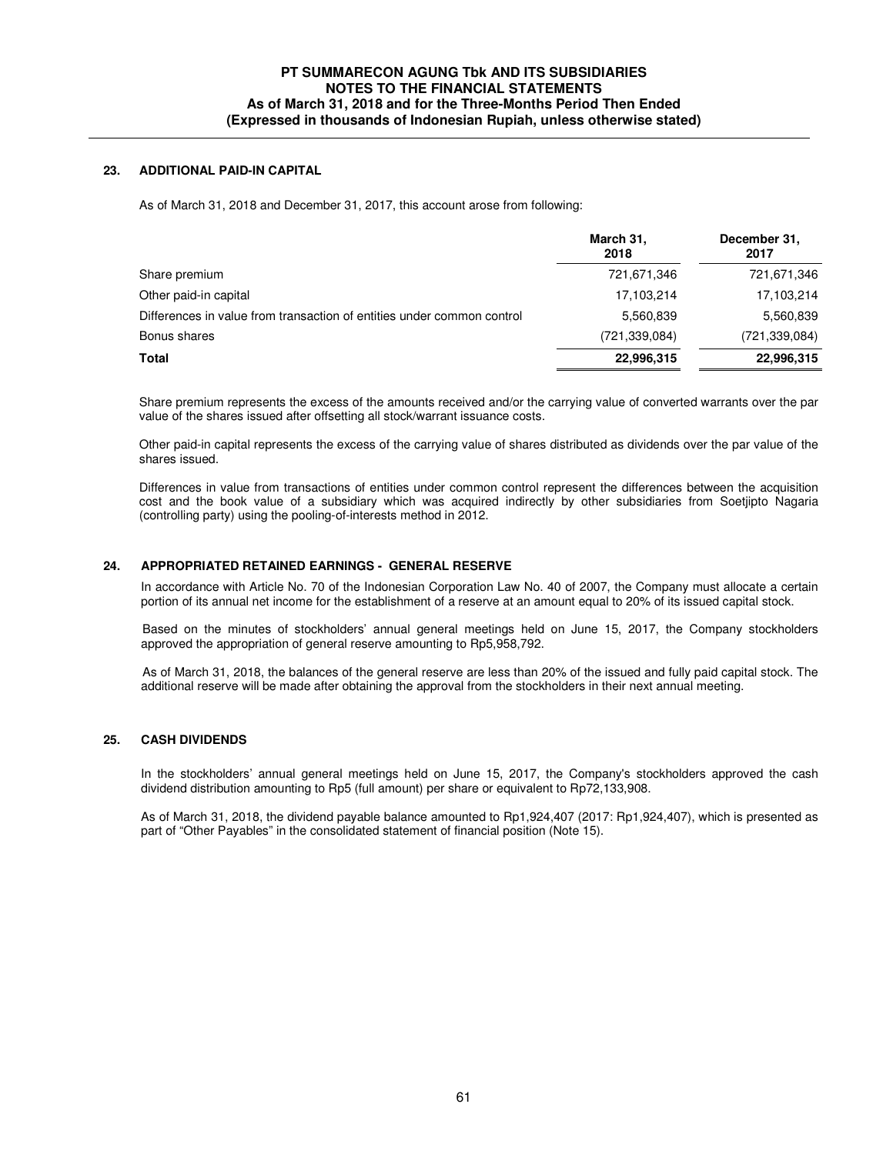### **23. ADDITIONAL PAID-IN CAPITAL**

As of March 31, 2018 and December 31, 2017, this account arose from following:

|                                                                        | March 31,<br>2018 | December 31,<br>2017 |
|------------------------------------------------------------------------|-------------------|----------------------|
| Share premium                                                          | 721,671,346       | 721,671,346          |
| Other paid-in capital                                                  | 17,103,214        | 17,103,214           |
| Differences in value from transaction of entities under common control | 5,560,839         | 5,560,839            |
| Bonus shares                                                           | (721, 339, 084)   | (721, 339, 084)      |
| <b>Total</b>                                                           | 22,996,315        | 22,996,315           |

Share premium represents the excess of the amounts received and/or the carrying value of converted warrants over the par value of the shares issued after offsetting all stock/warrant issuance costs.

Other paid-in capital represents the excess of the carrying value of shares distributed as dividends over the par value of the shares issued.

Differences in value from transactions of entities under common control represent the differences between the acquisition cost and the book value of a subsidiary which was acquired indirectly by other subsidiaries from Soetjipto Nagaria (controlling party) using the pooling-of-interests method in 2012.

### **24. APPROPRIATED RETAINED EARNINGS - GENERAL RESERVE**

In accordance with Article No. 70 of the Indonesian Corporation Law No. 40 of 2007, the Company must allocate a certain portion of its annual net income for the establishment of a reserve at an amount equal to 20% of its issued capital stock.

 Based on the minutes of stockholders' annual general meetings held on June 15, 2017, the Company stockholders approved the appropriation of general reserve amounting to Rp5,958,792.

 As of March 31, 2018, the balances of the general reserve are less than 20% of the issued and fully paid capital stock. The additional reserve will be made after obtaining the approval from the stockholders in their next annual meeting.

### **25. CASH DIVIDENDS**

In the stockholders' annual general meetings held on June 15, 2017, the Company's stockholders approved the cash dividend distribution amounting to Rp5 (full amount) per share or equivalent to Rp72,133,908.

As of March 31, 2018, the dividend payable balance amounted to Rp1,924,407 (2017: Rp1,924,407), which is presented as part of "Other Payables" in the consolidated statement of financial position (Note 15).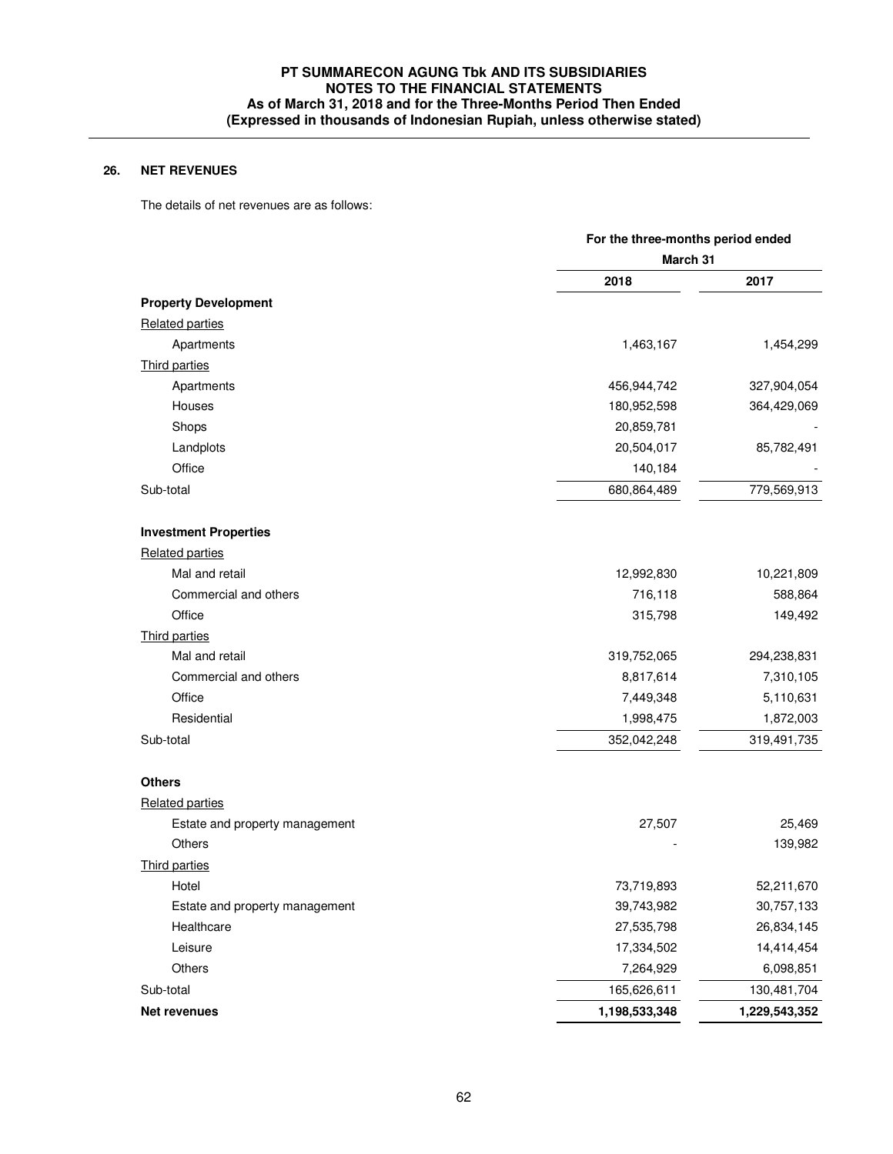# **26. NET REVENUES**

The details of net revenues are as follows:

|                                | For the three-months period ended<br>March 31 |               |
|--------------------------------|-----------------------------------------------|---------------|
|                                |                                               |               |
|                                | 2018                                          | 2017          |
| <b>Property Development</b>    |                                               |               |
| <b>Related parties</b>         |                                               |               |
| Apartments                     | 1,463,167                                     | 1,454,299     |
| Third parties                  |                                               |               |
| Apartments                     | 456,944,742                                   | 327,904,054   |
| Houses                         | 180,952,598                                   | 364,429,069   |
| Shops                          | 20,859,781                                    |               |
| Landplots                      | 20,504,017                                    | 85,782,491    |
| Office                         | 140,184                                       |               |
| Sub-total                      | 680,864,489                                   | 779,569,913   |
| <b>Investment Properties</b>   |                                               |               |
| Related parties                |                                               |               |
| Mal and retail                 | 12,992,830                                    | 10,221,809    |
| Commercial and others          | 716,118                                       | 588,864       |
| Office                         | 315,798                                       | 149,492       |
| Third parties                  |                                               |               |
| Mal and retail                 | 319,752,065                                   | 294,238,831   |
| Commercial and others          | 8,817,614                                     | 7,310,105     |
| Office                         | 7,449,348                                     | 5,110,631     |
| Residential                    | 1,998,475                                     | 1,872,003     |
| Sub-total                      | 352,042,248                                   | 319,491,735   |
| <b>Others</b>                  |                                               |               |
| <b>Related parties</b>         |                                               |               |
| Estate and property management | 27,507                                        | 25,469        |
| Others                         |                                               | 139,982       |
| Third parties                  |                                               |               |
| Hotel                          | 73,719,893                                    | 52,211,670    |
| Estate and property management | 39,743,982                                    | 30,757,133    |
| Healthcare                     | 27,535,798                                    | 26,834,145    |
| Leisure                        | 17,334,502                                    | 14,414,454    |
| Others                         | 7,264,929                                     | 6,098,851     |
| Sub-total                      | 165,626,611                                   | 130,481,704   |
| Net revenues                   | 1,198,533,348                                 | 1,229,543,352 |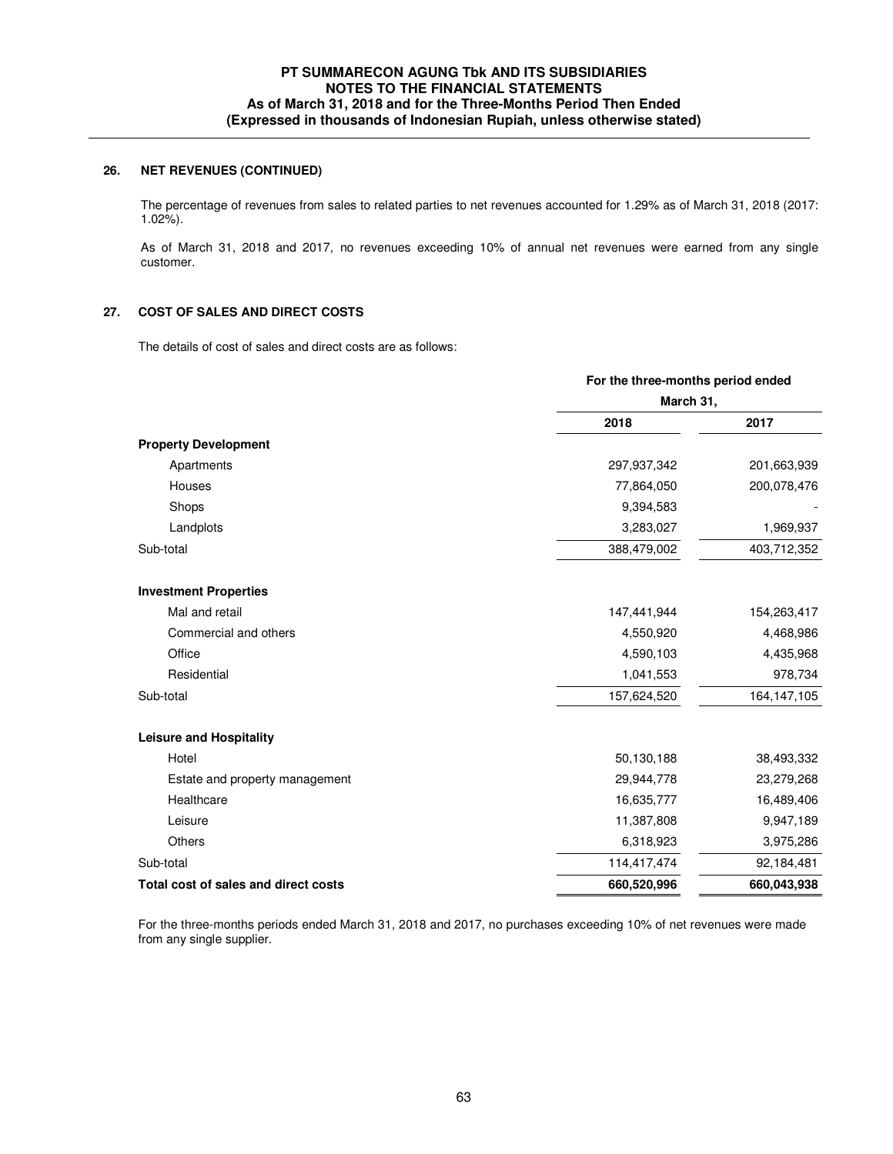## **26. NET REVENUES (CONTINUED)**

 The percentage of revenues from sales to related parties to net revenues accounted for 1.29% as of March 31, 2018 (2017: 1.02%).

As of March 31, 2018 and 2017, no revenues exceeding 10% of annual net revenues were earned from any single customer.

### **27. COST OF SALES AND DIRECT COSTS**

The details of cost of sales and direct costs are as follows:

|                                      | For the three-months period ended<br>March 31, |               |
|--------------------------------------|------------------------------------------------|---------------|
|                                      |                                                |               |
|                                      | 2018                                           | 2017          |
| <b>Property Development</b>          |                                                |               |
| Apartments                           | 297,937,342                                    | 201,663,939   |
| Houses                               | 77,864,050                                     | 200,078,476   |
| Shops                                | 9,394,583                                      |               |
| Landplots                            | 3,283,027                                      | 1,969,937     |
| Sub-total                            | 388,479,002                                    | 403,712,352   |
| <b>Investment Properties</b>         |                                                |               |
| Mal and retail                       | 147,441,944                                    | 154,263,417   |
| Commercial and others                | 4,550,920                                      | 4,468,986     |
| Office                               | 4,590,103                                      | 4,435,968     |
| Residential                          | 1,041,553                                      | 978,734       |
| Sub-total                            | 157,624,520                                    | 164, 147, 105 |
| <b>Leisure and Hospitality</b>       |                                                |               |
| Hotel                                | 50,130,188                                     | 38,493,332    |
| Estate and property management       | 29,944,778                                     | 23,279,268    |
| Healthcare                           | 16,635,777                                     | 16,489,406    |
| Leisure                              | 11,387,808                                     | 9,947,189     |
| <b>Others</b>                        | 6,318,923                                      | 3,975,286     |
| Sub-total                            | 114,417,474                                    | 92,184,481    |
| Total cost of sales and direct costs | 660,520,996                                    | 660,043,938   |

 For the three-months periods ended March 31, 2018 and 2017, no purchases exceeding 10% of net revenues were made from any single supplier.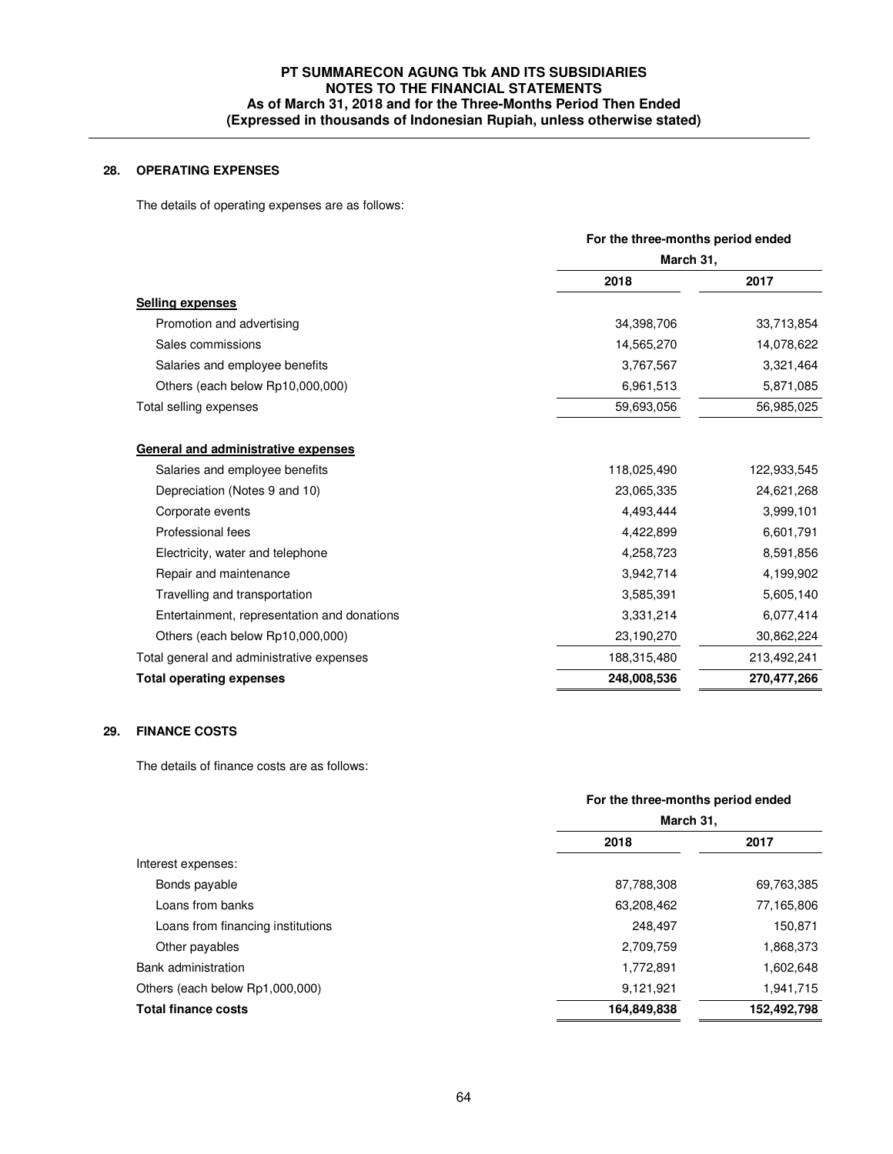# **28. OPERATING EXPENSES**

The details of operating expenses are as follows:

|                                             |             | For the three-months period ended<br>March 31, |  |
|---------------------------------------------|-------------|------------------------------------------------|--|
|                                             |             |                                                |  |
|                                             | 2018        | 2017                                           |  |
| <b>Selling expenses</b>                     |             |                                                |  |
| Promotion and advertising                   | 34,398,706  | 33,713,854                                     |  |
| Sales commissions                           | 14,565,270  | 14,078,622                                     |  |
| Salaries and employee benefits              | 3,767,567   | 3,321,464                                      |  |
| Others (each below Rp10,000,000)            | 6,961,513   | 5,871,085                                      |  |
| Total selling expenses                      | 59,693,056  | 56,985,025                                     |  |
| General and administrative expenses         |             |                                                |  |
| Salaries and employee benefits              | 118,025,490 | 122,933,545                                    |  |
| Depreciation (Notes 9 and 10)               | 23,065,335  | 24,621,268                                     |  |
| Corporate events                            | 4,493,444   | 3,999,101                                      |  |
| Professional fees                           | 4,422,899   | 6,601,791                                      |  |
| Electricity, water and telephone            | 4,258,723   | 8,591,856                                      |  |
| Repair and maintenance                      | 3,942,714   | 4,199,902                                      |  |
| Travelling and transportation               | 3,585,391   | 5,605,140                                      |  |
| Entertainment, representation and donations | 3,331,214   | 6,077,414                                      |  |
| Others (each below Rp10,000,000)            | 23,190,270  | 30,862,224                                     |  |
| Total general and administrative expenses   | 188,315,480 | 213,492,241                                    |  |
| <b>Total operating expenses</b>             | 248,008,536 | 270,477,266                                    |  |

### **29. FINANCE COSTS**

The details of finance costs are as follows:

|                                   | For the three-months period ended<br>March 31, |             |
|-----------------------------------|------------------------------------------------|-------------|
|                                   |                                                |             |
|                                   | 2018                                           | 2017        |
| Interest expenses:                |                                                |             |
| Bonds payable                     | 87,788,308                                     | 69,763,385  |
| Loans from banks                  | 63,208,462                                     | 77,165,806  |
| Loans from financing institutions | 248.497                                        | 150,871     |
| Other payables                    | 2,709,759                                      | 1,868,373   |
| Bank administration               | 1,772,891                                      | 1,602,648   |
| Others (each below Rp1,000,000)   | 9,121,921                                      | 1,941,715   |
| <b>Total finance costs</b>        | 164,849,838                                    | 152,492,798 |
|                                   |                                                |             |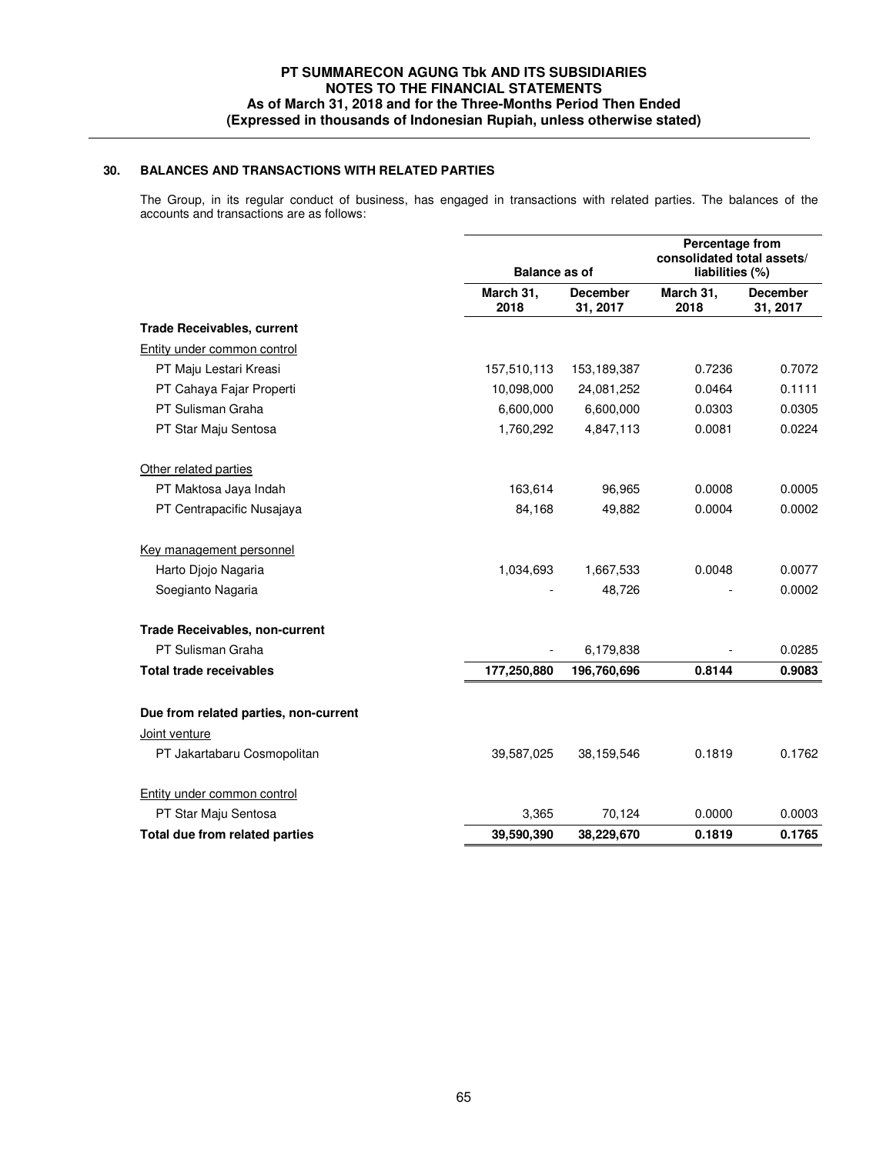### **30. BALANCES AND TRANSACTIONS WITH RELATED PARTIES**

The Group, in its regular conduct of business, has engaged in transactions with related parties. The balances of the accounts and transactions are as follows:

|                                       | <b>Balance as of</b>                             |             | Percentage from<br>consolidated total assets/<br>liabilities (%) |                             |  |
|---------------------------------------|--------------------------------------------------|-------------|------------------------------------------------------------------|-----------------------------|--|
|                                       | March 31,<br><b>December</b><br>2018<br>31, 2017 |             | March 31,<br>2018                                                | <b>December</b><br>31, 2017 |  |
| <b>Trade Receivables, current</b>     |                                                  |             |                                                                  |                             |  |
| Entity under common control           |                                                  |             |                                                                  |                             |  |
| PT Maju Lestari Kreasi                | 157,510,113                                      | 153,189,387 | 0.7236                                                           | 0.7072                      |  |
| PT Cahaya Fajar Properti              | 10,098,000                                       | 24,081,252  | 0.0464                                                           | 0.1111                      |  |
| PT Sulisman Graha                     | 6,600,000                                        | 6,600,000   | 0.0303                                                           | 0.0305                      |  |
| PT Star Maju Sentosa                  | 1,760,292                                        | 4,847,113   | 0.0081                                                           | 0.0224                      |  |
| Other related parties                 |                                                  |             |                                                                  |                             |  |
| PT Maktosa Jaya Indah                 | 163,614                                          | 96,965      | 0.0008                                                           | 0.0005                      |  |
| PT Centrapacific Nusajaya             | 84,168                                           | 49,882      | 0.0004                                                           | 0.0002                      |  |
| Key management personnel              |                                                  |             |                                                                  |                             |  |
| Harto Djojo Nagaria                   | 1,034,693                                        | 1,667,533   | 0.0048                                                           | 0.0077                      |  |
| Soegianto Nagaria                     |                                                  | 48,726      |                                                                  | 0.0002                      |  |
| <b>Trade Receivables, non-current</b> |                                                  |             |                                                                  |                             |  |
| PT Sulisman Graha                     |                                                  | 6,179,838   |                                                                  | 0.0285                      |  |
| <b>Total trade receivables</b>        | 177,250,880                                      | 196,760,696 | 0.8144                                                           | 0.9083                      |  |
| Due from related parties, non-current |                                                  |             |                                                                  |                             |  |
| Joint venture                         |                                                  |             |                                                                  |                             |  |
| PT Jakartabaru Cosmopolitan           | 39,587,025                                       | 38,159,546  | 0.1819                                                           | 0.1762                      |  |
| Entity under common control           |                                                  |             |                                                                  |                             |  |
| PT Star Maju Sentosa                  | 3,365                                            | 70,124      | 0.0000                                                           | 0.0003                      |  |
| Total due from related parties        | 39,590,390                                       | 38,229,670  | 0.1819                                                           | 0.1765                      |  |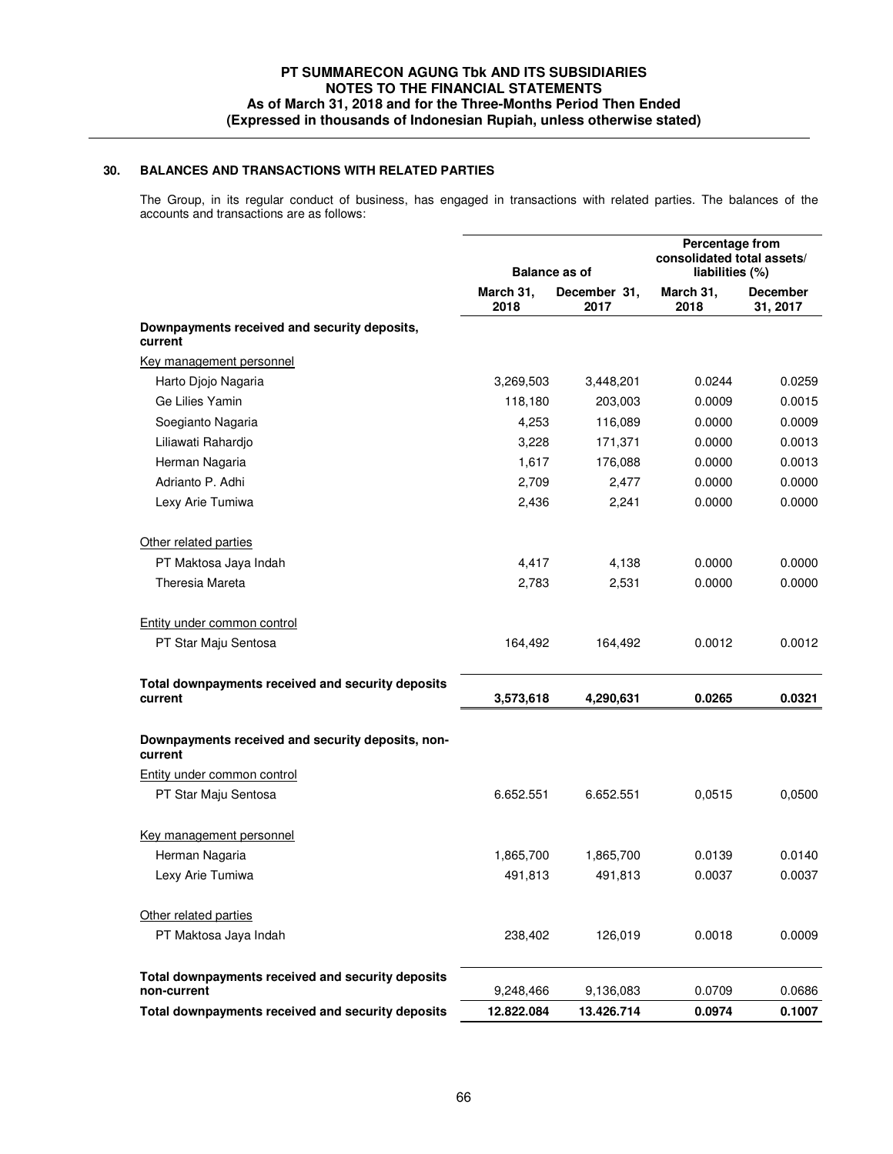### **30. BALANCES AND TRANSACTIONS WITH RELATED PARTIES**

The Group, in its regular conduct of business, has engaged in transactions with related parties. The balances of the accounts and transactions are as follows:

|                                                                  | <b>Balance as of</b> |                      | Percentage from<br>consolidated total assets/<br>liabilities (%) |                             |
|------------------------------------------------------------------|----------------------|----------------------|------------------------------------------------------------------|-----------------------------|
|                                                                  | March 31,<br>2018    | December 31,<br>2017 | March 31,<br>2018                                                | <b>December</b><br>31, 2017 |
| Downpayments received and security deposits,<br>current          |                      |                      |                                                                  |                             |
| Key management personnel                                         |                      |                      |                                                                  |                             |
| Harto Djojo Nagaria                                              | 3,269,503            | 3,448,201            | 0.0244                                                           | 0.0259                      |
| Ge Lilies Yamin                                                  | 118,180              | 203,003              | 0.0009                                                           | 0.0015                      |
| Soegianto Nagaria                                                | 4,253                | 116,089              | 0.0000                                                           | 0.0009                      |
| Liliawati Rahardjo                                               | 3,228                | 171,371              | 0.0000                                                           | 0.0013                      |
| Herman Nagaria                                                   | 1,617                | 176,088              | 0.0000                                                           | 0.0013                      |
| Adrianto P. Adhi                                                 | 2,709                | 2,477                | 0.0000                                                           | 0.0000                      |
| Lexy Arie Tumiwa                                                 | 2,436                | 2,241                | 0.0000                                                           | 0.0000                      |
| Other related parties                                            |                      |                      |                                                                  |                             |
| PT Maktosa Jaya Indah                                            | 4,417                | 4,138                | 0.0000                                                           | 0.0000                      |
| Theresia Mareta                                                  | 2,783                | 2,531                | 0.0000                                                           | 0.0000                      |
| Entity under common control                                      |                      |                      |                                                                  |                             |
| PT Star Maju Sentosa                                             | 164,492              | 164,492              | 0.0012                                                           | 0.0012                      |
| Total downpayments received and security deposits<br>current     | 3,573,618            | 4,290,631            | 0.0265                                                           | 0.0321                      |
| Downpayments received and security deposits, non-<br>current     |                      |                      |                                                                  |                             |
| <b>Entity under common control</b>                               |                      |                      |                                                                  |                             |
| PT Star Maju Sentosa                                             | 6.652.551            | 6.652.551            | 0,0515                                                           | 0,0500                      |
| Key management personnel                                         |                      |                      |                                                                  |                             |
| Herman Nagaria                                                   | 1,865,700            | 1,865,700            | 0.0139                                                           | 0.0140                      |
| Lexy Arie Tumiwa                                                 | 491,813              | 491,813              | 0.0037                                                           | 0.0037                      |
| Other related parties                                            |                      |                      |                                                                  |                             |
| PT Maktosa Jaya Indah                                            | 238,402              | 126,019              | 0.0018                                                           | 0.0009                      |
| Total downpayments received and security deposits<br>non-current | 9,248,466            | 9,136,083            | 0.0709                                                           | 0.0686                      |
| Total downpayments received and security deposits                | 12.822.084           | 13.426.714           | 0.0974                                                           | 0.1007                      |
|                                                                  |                      |                      |                                                                  |                             |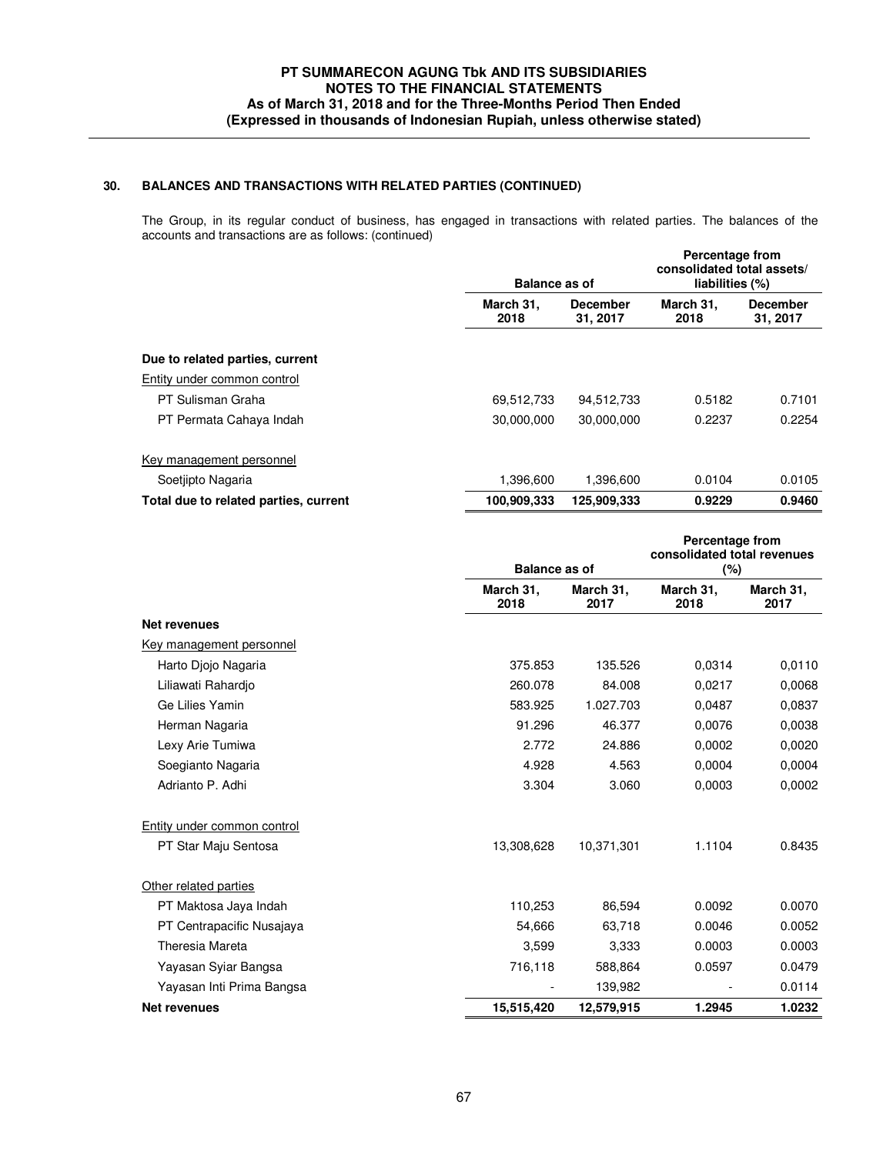# **30. BALANCES AND TRANSACTIONS WITH RELATED PARTIES (CONTINUED)**

The Group, in its regular conduct of business, has engaged in transactions with related parties. The balances of the accounts and transactions are as follows: (continued)

|                                       | <b>Balance as of</b>                             |             | <b>Percentage from</b><br>consolidated total assets/<br>liabilities (%) |                             |
|---------------------------------------|--------------------------------------------------|-------------|-------------------------------------------------------------------------|-----------------------------|
|                                       | March 31,<br><b>December</b><br>31, 2017<br>2018 |             | March 31,<br>2018                                                       | <b>December</b><br>31, 2017 |
| Due to related parties, current       |                                                  |             |                                                                         |                             |
| Entity under common control           |                                                  |             |                                                                         |                             |
| PT Sulisman Graha                     | 69,512,733                                       | 94,512,733  | 0.5182                                                                  | 0.7101                      |
| PT Permata Cahaya Indah               | 30,000,000                                       | 30,000,000  | 0.2237                                                                  | 0.2254                      |
| Key management personnel              |                                                  |             |                                                                         |                             |
| Soetjipto Nagaria                     | 1,396,600                                        | 1,396,600   | 0.0104                                                                  | 0.0105                      |
| Total due to related parties, current | 100,909,333                                      | 125,909,333 | 0.9229                                                                  | 0.9460                      |

|                             |                   | <b>Balance as of</b> |                   | <b>Percentage from</b><br>consolidated total revenues<br>$(\%)$ |  |
|-----------------------------|-------------------|----------------------|-------------------|-----------------------------------------------------------------|--|
|                             | March 31,<br>2018 | March 31,<br>2017    | March 31,<br>2018 | March 31,<br>2017                                               |  |
| <b>Net revenues</b>         |                   |                      |                   |                                                                 |  |
| Key management personnel    |                   |                      |                   |                                                                 |  |
| Harto Diojo Nagaria         | 375.853           | 135.526              | 0.0314            | 0,0110                                                          |  |
| Liliawati Rahardjo          | 260.078           | 84.008               | 0,0217            | 0,0068                                                          |  |
| Ge Lilies Yamin             | 583.925           | 1.027.703            | 0,0487            | 0.0837                                                          |  |
| Herman Nagaria              | 91.296            | 46.377               | 0,0076            | 0.0038                                                          |  |
| Lexy Arie Tumiwa            | 2.772             | 24.886               | 0,0002            | 0.0020                                                          |  |
| Soegianto Nagaria           | 4.928             | 4.563                | 0.0004            | 0,0004                                                          |  |
| Adrianto P. Adhi            | 3.304             | 3.060                | 0.0003            | 0,0002                                                          |  |
| Entity under common control |                   |                      |                   |                                                                 |  |
| PT Star Maju Sentosa        | 13,308,628        | 10,371,301           | 1.1104            | 0.8435                                                          |  |
| Other related parties       |                   |                      |                   |                                                                 |  |
| PT Maktosa Jaya Indah       | 110,253           | 86,594               | 0.0092            | 0.0070                                                          |  |
| PT Centrapacific Nusajaya   | 54,666            | 63,718               | 0.0046            | 0.0052                                                          |  |
| Theresia Mareta             | 3,599             | 3,333                | 0.0003            | 0.0003                                                          |  |
| Yayasan Syiar Bangsa        | 716,118           | 588,864              | 0.0597            | 0.0479                                                          |  |
| Yayasan Inti Prima Bangsa   |                   | 139,982              |                   | 0.0114                                                          |  |
| <b>Net revenues</b>         | 15,515,420        | 12,579,915           | 1.2945            | 1.0232                                                          |  |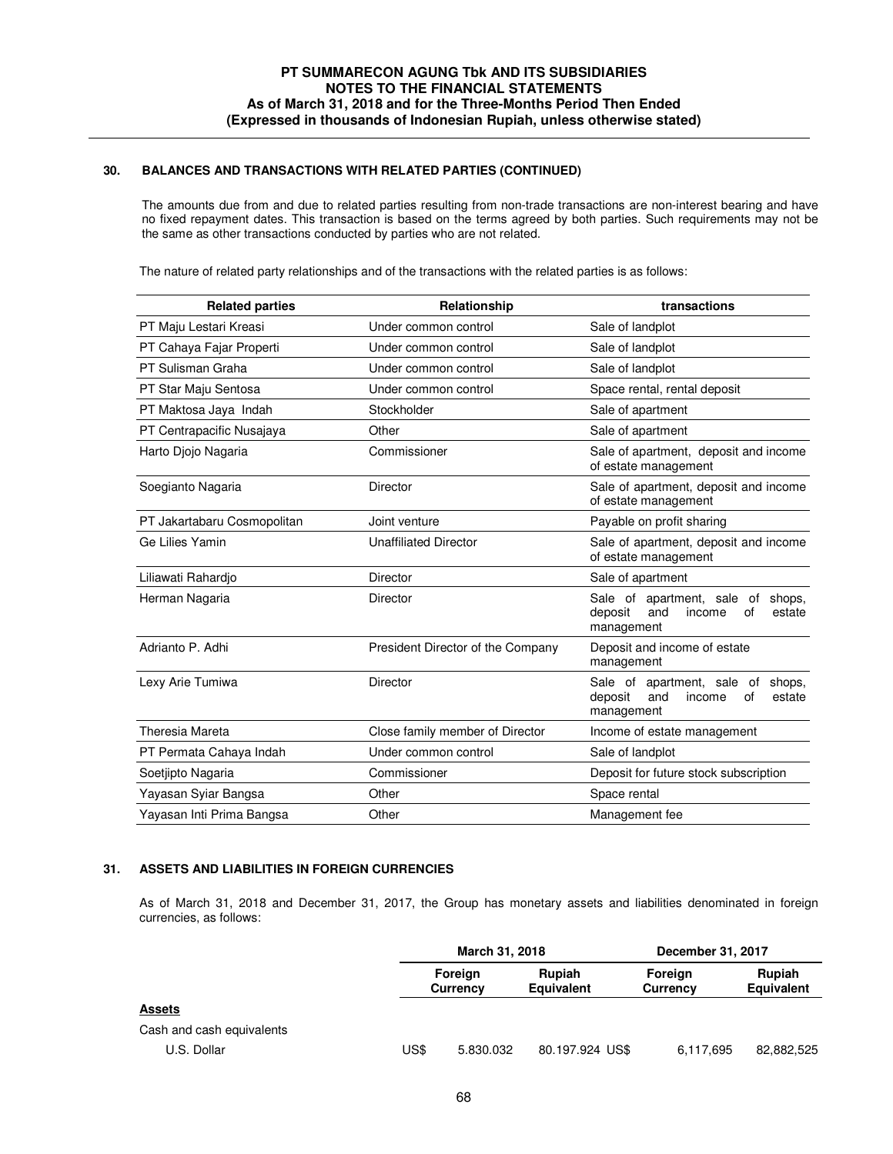# **30. BALANCES AND TRANSACTIONS WITH RELATED PARTIES (CONTINUED)**

 The amounts due from and due to related parties resulting from non-trade transactions are non-interest bearing and have no fixed repayment dates. This transaction is based on the terms agreed by both parties. Such requirements may not be the same as other transactions conducted by parties who are not related.

The nature of related party relationships and of the transactions with the related parties is as follows:

| <b>Related parties</b><br>Relationship |                                   | transactions                                                  |  |  |
|----------------------------------------|-----------------------------------|---------------------------------------------------------------|--|--|
| PT Maju Lestari Kreasi                 | Under common control              | Sale of landplot                                              |  |  |
| PT Cahaya Fajar Properti               | Under common control              | Sale of landplot                                              |  |  |
| PT Sulisman Graha                      | Under common control              | Sale of landplot                                              |  |  |
| PT Star Maju Sentosa                   | Under common control              | Space rental, rental deposit                                  |  |  |
| PT Maktosa Jaya Indah                  | Stockholder                       | Sale of apartment                                             |  |  |
| PT Centrapacific Nusajaya              | Other                             | Sale of apartment                                             |  |  |
| Harto Djojo Nagaria                    | Commissioner                      | Sale of apartment, deposit and income<br>of estate management |  |  |
| Soegianto Nagaria                      | Director                          | Sale of apartment, deposit and income<br>of estate management |  |  |
| PT Jakartabaru Cosmopolitan            | Joint venture                     | Payable on profit sharing                                     |  |  |
| Ge Lilies Yamin                        | <b>Unaffiliated Director</b>      | Sale of apartment, deposit and income<br>of estate management |  |  |
| Liliawati Rahardio                     | Director                          | Sale of apartment                                             |  |  |
| Herman Nagaria                         | Director                          |                                                               |  |  |
| Adrianto P. Adhi                       | President Director of the Company | Deposit and income of estate<br>management                    |  |  |
| Lexy Arie Tumiwa                       | Director                          |                                                               |  |  |
| Theresia Mareta                        | Close family member of Director   | Income of estate management                                   |  |  |
| PT Permata Cahaya Indah                | Under common control              | Sale of landplot                                              |  |  |
| Soetjipto Nagaria                      | Commissioner                      | Deposit for future stock subscription                         |  |  |
| Yayasan Syiar Bangsa                   | Other                             | Space rental                                                  |  |  |
| Yayasan Inti Prima Bangsa              | Other                             | Management fee                                                |  |  |

#### **31. ASSETS AND LIABILITIES IN FOREIGN CURRENCIES**

 As of March 31, 2018 and December 31, 2017, the Group has monetary assets and liabilities denominated in foreign currencies, as follows:

|                           |      | March 31, 2018             |                      | December 31, 2017   |                      |
|---------------------------|------|----------------------------|----------------------|---------------------|----------------------|
|                           |      | Foreign<br><b>Currency</b> | Rupiah<br>Equivalent | Foreign<br>Currency | Rupiah<br>Equivalent |
| <b>Assets</b>             |      |                            |                      |                     |                      |
| Cash and cash equivalents |      |                            |                      |                     |                      |
| U.S. Dollar               | US\$ | 5.830.032                  | 80.197.924 US\$      | 6,117,695           | 82,882,525           |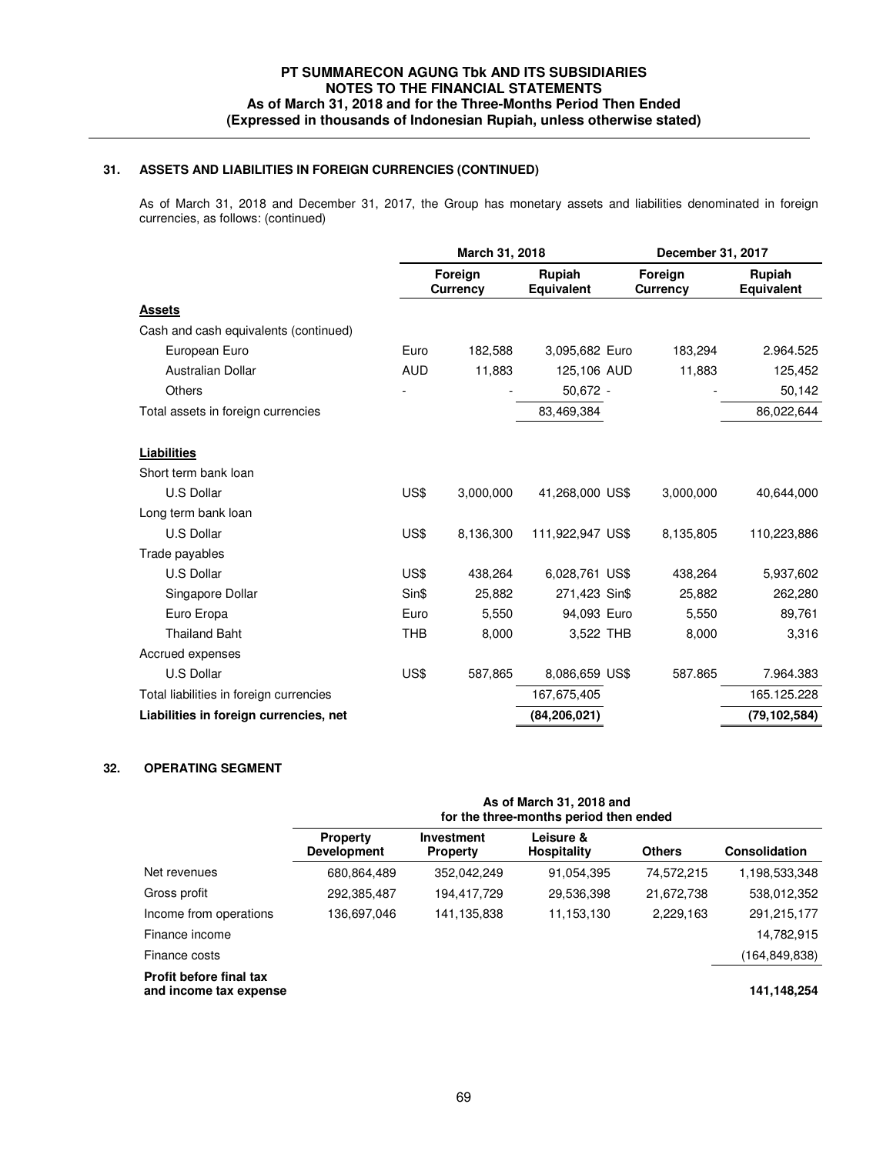# **31. ASSETS AND LIABILITIES IN FOREIGN CURRENCIES (CONTINUED)**

 As of March 31, 2018 and December 31, 2017, the Group has monetary assets and liabilities denominated in foreign currencies, as follows: (continued)

|                                         | March 31, 2018 |                            |                      | December 31, 2017          |                      |  |
|-----------------------------------------|----------------|----------------------------|----------------------|----------------------------|----------------------|--|
|                                         |                | Foreign<br><b>Currency</b> | Rupiah<br>Equivalent | Foreign<br><b>Currency</b> | Rupiah<br>Equivalent |  |
| <b>Assets</b>                           |                |                            |                      |                            |                      |  |
| Cash and cash equivalents (continued)   |                |                            |                      |                            |                      |  |
| European Euro                           | Euro           | 182,588                    | 3,095,682 Euro       | 183,294                    | 2.964.525            |  |
| <b>Australian Dollar</b>                | <b>AUD</b>     | 11,883                     | 125,106 AUD          | 11,883                     | 125,452              |  |
| <b>Others</b>                           |                |                            | 50,672 -             |                            | 50,142               |  |
| Total assets in foreign currencies      |                |                            | 83,469,384           |                            | 86,022,644           |  |
| Liabilities                             |                |                            |                      |                            |                      |  |
| Short term bank loan                    |                |                            |                      |                            |                      |  |
| U.S Dollar                              | US\$           | 3,000,000                  | 41,268,000 US\$      | 3,000,000                  | 40,644,000           |  |
| Long term bank loan                     |                |                            |                      |                            |                      |  |
| U.S Dollar                              | US\$           | 8,136,300                  | 111,922,947 US\$     | 8.135,805                  | 110,223,886          |  |
| Trade payables                          |                |                            |                      |                            |                      |  |
| <b>U.S Dollar</b>                       | US\$           | 438,264                    | 6,028,761 US\$       | 438,264                    | 5,937,602            |  |
| Singapore Dollar                        | Sin\$          | 25,882                     | 271,423 Sin\$        | 25,882                     | 262,280              |  |
| Euro Eropa                              | Euro           | 5,550                      | 94,093 Euro          | 5,550                      | 89,761               |  |
| <b>Thailand Baht</b>                    | <b>THB</b>     | 8,000                      | 3,522 THB            | 8,000                      | 3,316                |  |
| Accrued expenses                        |                |                            |                      |                            |                      |  |
| U.S Dollar                              | US\$           | 587,865                    | 8,086,659 US\$       | 587.865                    | 7.964.383            |  |
| Total liabilities in foreign currencies |                |                            | 167,675,405          |                            | 165.125.228          |  |
| Liabilities in foreign currencies, net  |                |                            | (84, 206, 021)       |                            | (79,102,584)         |  |

# **32. OPERATING SEGMENT**

|                                                          | As of March 31, 2018 and<br>for the three-months period then ended |                               |                                 |               |               |  |  |
|----------------------------------------------------------|--------------------------------------------------------------------|-------------------------------|---------------------------------|---------------|---------------|--|--|
|                                                          | <b>Property</b><br><b>Development</b>                              | Investment<br><b>Property</b> | Leisure &<br><b>Hospitality</b> | <b>Others</b> | Consolidation |  |  |
| Net revenues                                             | 680,864,489                                                        | 352,042,249                   | 91,054,395                      | 74,572,215    | 1,198,533,348 |  |  |
| Gross profit                                             | 292,385,487                                                        | 194,417,729                   | 29,536,398                      | 21,672,738    | 538,012,352   |  |  |
| Income from operations                                   | 136,697,046                                                        | 141,135,838                   | 11,153,130                      | 2,229,163     | 291, 215, 177 |  |  |
| Finance income                                           |                                                                    |                               |                                 |               | 14,782,915    |  |  |
| Finance costs                                            |                                                                    |                               |                                 |               | (164,849,838) |  |  |
| <b>Profit before final tax</b><br>and income tax expense |                                                                    |                               |                                 |               | 141,148,254   |  |  |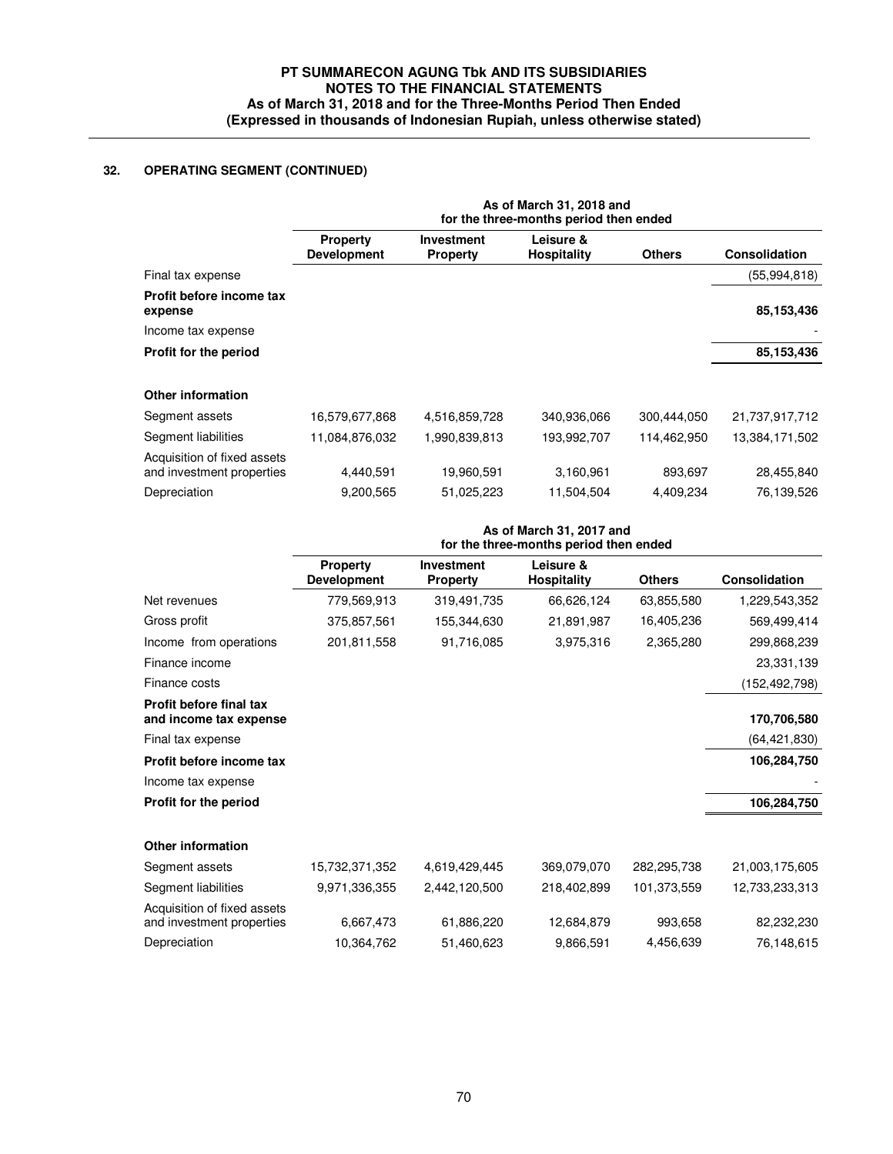# **32. OPERATING SEGMENT (CONTINUED)**

|                                                          | As of March 31, 2018 and<br>for the three-months period then ended |                                      |                                 |               |                      |  |  |
|----------------------------------------------------------|--------------------------------------------------------------------|--------------------------------------|---------------------------------|---------------|----------------------|--|--|
|                                                          | <b>Property</b><br><b>Development</b>                              | <b>Investment</b><br><b>Property</b> | Leisure &<br><b>Hospitality</b> | <b>Others</b> | <b>Consolidation</b> |  |  |
| Final tax expense                                        |                                                                    |                                      |                                 |               | (55,994,818)         |  |  |
| Profit before income tax<br>expense                      |                                                                    |                                      |                                 |               | 85,153,436           |  |  |
| Income tax expense                                       |                                                                    |                                      |                                 |               |                      |  |  |
| Profit for the period                                    |                                                                    |                                      |                                 |               | 85,153,436           |  |  |
| Other information                                        |                                                                    |                                      |                                 |               |                      |  |  |
| Segment assets                                           | 16,579,677,868                                                     | 4,516,859,728                        | 340,936,066                     | 300,444,050   | 21,737,917,712       |  |  |
| Segment liabilities                                      | 11,084,876,032                                                     | 1,990,839,813                        | 193,992,707                     | 114,462,950   | 13,384,171,502       |  |  |
| Acquisition of fixed assets<br>and investment properties | 4,440,591                                                          | 19,960,591                           | 3,160,961                       | 893,697       | 28,455,840           |  |  |
| Depreciation                                             | 9,200,565                                                          | 51,025,223                           | 11,504,504                      | 4,409,234     | 76,139,526           |  |  |

|                                                          | As of March 31, 2017 and<br>for the three-months period then ended |                                      |                                 |               |                      |  |  |  |
|----------------------------------------------------------|--------------------------------------------------------------------|--------------------------------------|---------------------------------|---------------|----------------------|--|--|--|
|                                                          | <b>Property</b><br><b>Development</b>                              | <b>Investment</b><br><b>Property</b> | Leisure &<br><b>Hospitality</b> | <b>Others</b> | <b>Consolidation</b> |  |  |  |
| Net revenues                                             | 779,569,913                                                        | 319,491,735                          | 66,626,124                      | 63,855,580    | 1,229,543,352        |  |  |  |
| Gross profit                                             | 375,857,561                                                        | 155,344,630                          | 21,891,987                      | 16,405,236    | 569,499,414          |  |  |  |
| Income from operations                                   | 201,811,558                                                        | 91,716,085                           | 3,975,316                       | 2,365,280     | 299,868,239          |  |  |  |
| Finance income                                           |                                                                    |                                      |                                 |               | 23,331,139           |  |  |  |
| Finance costs                                            |                                                                    |                                      |                                 |               | (152, 492, 798)      |  |  |  |
| <b>Profit before final tax</b><br>and income tax expense |                                                                    |                                      |                                 |               | 170,706,580          |  |  |  |
| Final tax expense                                        |                                                                    |                                      |                                 |               | (64, 421, 830)       |  |  |  |
| Profit before income tax                                 |                                                                    |                                      |                                 |               | 106,284,750          |  |  |  |
| Income tax expense                                       |                                                                    |                                      |                                 |               |                      |  |  |  |
| Profit for the period                                    |                                                                    |                                      |                                 |               | 106,284,750          |  |  |  |
| Other information                                        |                                                                    |                                      |                                 |               |                      |  |  |  |
| Segment assets                                           | 15,732,371,352                                                     | 4,619,429,445                        | 369,079,070                     | 282,295,738   | 21,003,175,605       |  |  |  |
| Segment liabilities                                      | 9,971,336,355                                                      | 2,442,120,500                        | 218,402,899                     | 101,373,559   | 12,733,233,313       |  |  |  |
| Acquisition of fixed assets<br>and investment properties | 6,667,473                                                          | 61,886,220                           | 12,684,879                      | 993,658       | 82,232,230           |  |  |  |
| Depreciation                                             | 10,364,762                                                         | 51,460,623                           | 9,866,591                       | 4,456,639     | 76,148,615           |  |  |  |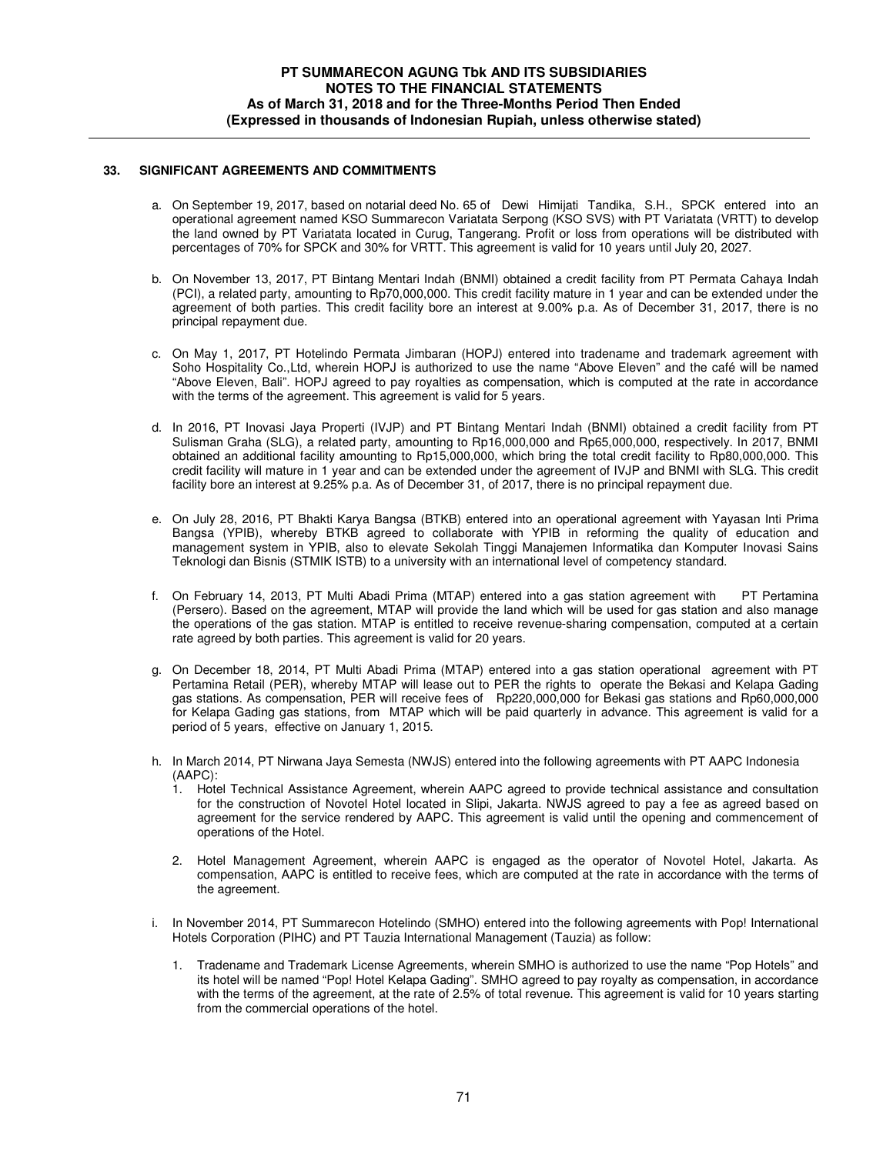### **33. SIGNIFICANT AGREEMENTS AND COMMITMENTS**

- a. On September 19, 2017, based on notarial deed No. 65 of Dewi Himijati Tandika, S.H., SPCK entered into an operational agreement named KSO Summarecon Variatata Serpong (KSO SVS) with PT Variatata (VRTT) to develop the land owned by PT Variatata located in Curug, Tangerang. Profit or loss from operations will be distributed with percentages of 70% for SPCK and 30% for VRTT. This agreement is valid for 10 years until July 20, 2027.
- b. On November 13, 2017, PT Bintang Mentari Indah (BNMI) obtained a credit facility from PT Permata Cahaya Indah (PCI), a related party, amounting to Rp70,000,000. This credit facility mature in 1 year and can be extended under the agreement of both parties. This credit facility bore an interest at 9.00% p.a. As of December 31, 2017, there is no principal repayment due.
- c. On May 1, 2017, PT Hotelindo Permata Jimbaran (HOPJ) entered into tradename and trademark agreement with Soho Hospitality Co.,Ltd, wherein HOPJ is authorized to use the name "Above Eleven" and the café will be named "Above Eleven, Bali". HOPJ agreed to pay royalties as compensation, which is computed at the rate in accordance with the terms of the agreement. This agreement is valid for 5 years.
- d. In 2016, PT Inovasi Jaya Properti (IVJP) and PT Bintang Mentari Indah (BNMI) obtained a credit facility from PT Sulisman Graha (SLG), a related party, amounting to Rp16,000,000 and Rp65,000,000, respectively. In 2017, BNMI obtained an additional facility amounting to Rp15,000,000, which bring the total credit facility to Rp80,000,000. This credit facility will mature in 1 year and can be extended under the agreement of IVJP and BNMI with SLG. This credit facility bore an interest at 9.25% p.a. As of December 31, of 2017, there is no principal repayment due.
- e. On July 28, 2016, PT Bhakti Karya Bangsa (BTKB) entered into an operational agreement with Yayasan Inti Prima Bangsa (YPIB), whereby BTKB agreed to collaborate with YPIB in reforming the quality of education and management system in YPIB, also to elevate Sekolah Tinggi Manajemen Informatika dan Komputer Inovasi Sains Teknologi dan Bisnis (STMIK ISTB) to a university with an international level of competency standard.
- f. On February 14, 2013, PT Multi Abadi Prima (MTAP) entered into a gas station agreement with PT Pertamina (Persero). Based on the agreement, MTAP will provide the land which will be used for gas station and also manage the operations of the gas station. MTAP is entitled to receive revenue-sharing compensation, computed at a certain rate agreed by both parties. This agreement is valid for 20 years.
- g. On December 18, 2014, PT Multi Abadi Prima (MTAP) entered into a gas station operational agreement with PT Pertamina Retail (PER), whereby MTAP will lease out to PER the rights to operate the Bekasi and Kelapa Gading gas stations. As compensation, PER will receive fees of Rp220,000,000 for Bekasi gas stations and Rp60,000,000 for Kelapa Gading gas stations, from MTAP which will be paid quarterly in advance. This agreement is valid for a period of 5 years, effective on January 1, 2015.
- h. In March 2014, PT Nirwana Jaya Semesta (NWJS) entered into the following agreements with PT AAPC Indonesia (AAPC):
	- 1. Hotel Technical Assistance Agreement, wherein AAPC agreed to provide technical assistance and consultation for the construction of Novotel Hotel located in Slipi, Jakarta. NWJS agreed to pay a fee as agreed based on agreement for the service rendered by AAPC. This agreement is valid until the opening and commencement of operations of the Hotel.
	- 2. Hotel Management Agreement, wherein AAPC is engaged as the operator of Novotel Hotel, Jakarta. As compensation, AAPC is entitled to receive fees, which are computed at the rate in accordance with the terms of the agreement.
- i. In November 2014, PT Summarecon Hotelindo (SMHO) entered into the following agreements with Pop! International Hotels Corporation (PIHC) and PT Tauzia International Management (Tauzia) as follow:
	- 1. Tradename and Trademark License Agreements, wherein SMHO is authorized to use the name "Pop Hotels" and its hotel will be named "Pop! Hotel Kelapa Gading". SMHO agreed to pay royalty as compensation, in accordance with the terms of the agreement, at the rate of 2.5% of total revenue. This agreement is valid for 10 years starting from the commercial operations of the hotel.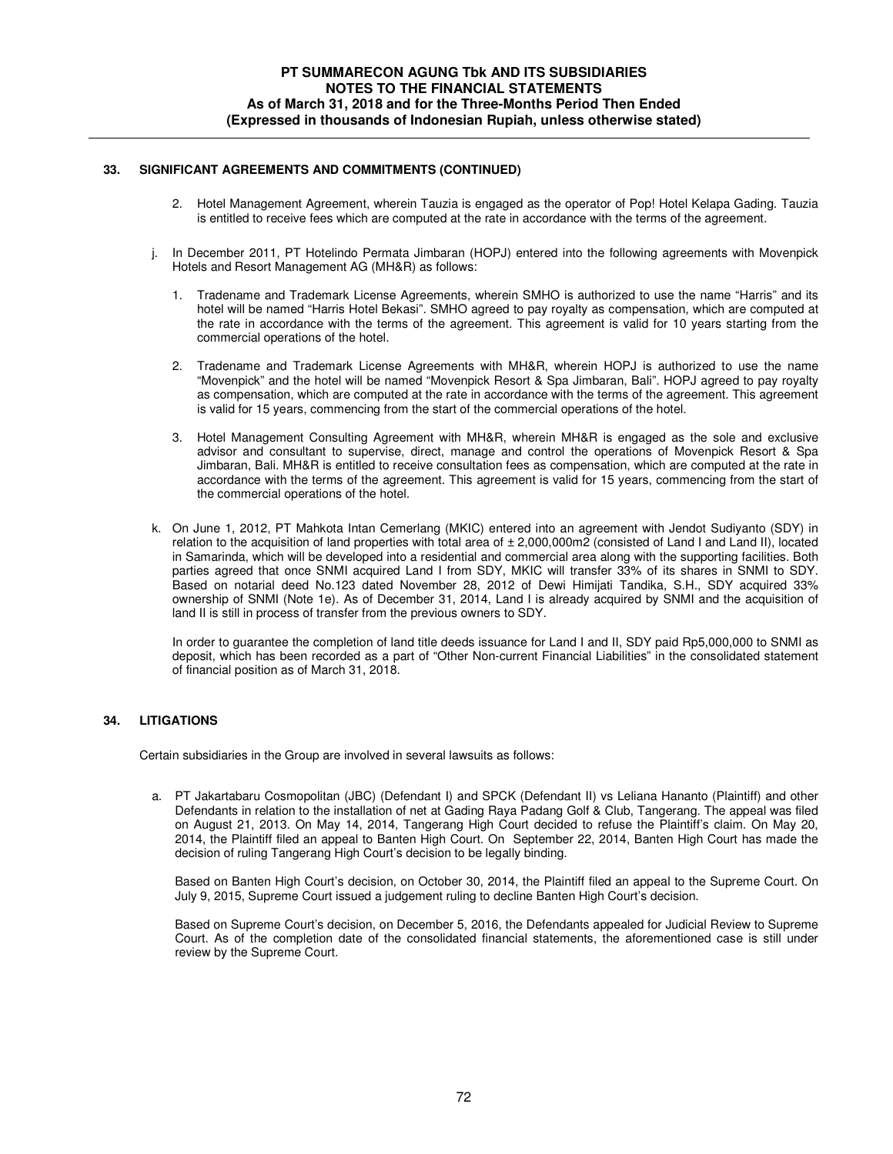### **33. SIGNIFICANT AGREEMENTS AND COMMITMENTS (CONTINUED)**

- 2. Hotel Management Agreement, wherein Tauzia is engaged as the operator of Pop! Hotel Kelapa Gading. Tauzia is entitled to receive fees which are computed at the rate in accordance with the terms of the agreement.
- In December 2011, PT Hotelindo Permata Jimbaran (HOPJ) entered into the following agreements with Movenpick Hotels and Resort Management AG (MH&R) as follows:
	- 1. Tradename and Trademark License Agreements, wherein SMHO is authorized to use the name "Harris" and its hotel will be named "Harris Hotel Bekasi". SMHO agreed to pay royalty as compensation, which are computed at the rate in accordance with the terms of the agreement. This agreement is valid for 10 years starting from the commercial operations of the hotel.
	- 2. Tradename and Trademark License Agreements with MH&R, wherein HOPJ is authorized to use the name "Movenpick" and the hotel will be named "Movenpick Resort & Spa Jimbaran, Bali". HOPJ agreed to pay royalty as compensation, which are computed at the rate in accordance with the terms of the agreement. This agreement is valid for 15 years, commencing from the start of the commercial operations of the hotel.
	- 3. Hotel Management Consulting Agreement with MH&R, wherein MH&R is engaged as the sole and exclusive advisor and consultant to supervise, direct, manage and control the operations of Movenpick Resort & Spa Jimbaran, Bali. MH&R is entitled to receive consultation fees as compensation, which are computed at the rate in accordance with the terms of the agreement. This agreement is valid for 15 years, commencing from the start of the commercial operations of the hotel.
- k. On June 1, 2012, PT Mahkota Intan Cemerlang (MKIC) entered into an agreement with Jendot Sudiyanto (SDY) in relation to the acquisition of land properties with total area of  $\pm 2,000,000$  m2 (consisted of Land I and Land II), located in Samarinda, which will be developed into a residential and commercial area along with the supporting facilities. Both parties agreed that once SNMI acquired Land I from SDY, MKIC will transfer 33% of its shares in SNMI to SDY. Based on notarial deed No.123 dated November 28, 2012 of Dewi Himijati Tandika, S.H., SDY acquired 33% ownership of SNMI (Note 1e). As of December 31, 2014, Land I is already acquired by SNMI and the acquisition of land II is still in process of transfer from the previous owners to SDY.

In order to guarantee the completion of land title deeds issuance for Land I and II, SDY paid Rp5,000,000 to SNMI as deposit, which has been recorded as a part of "Other Non-current Financial Liabilities" in the consolidated statement of financial position as of March 31, 2018.

### **34. LITIGATIONS**

Certain subsidiaries in the Group are involved in several lawsuits as follows:

 a. PT Jakartabaru Cosmopolitan (JBC) (Defendant I) and SPCK (Defendant II) vs Leliana Hananto (Plaintiff) and other Defendants in relation to the installation of net at Gading Raya Padang Golf & Club, Tangerang. The appeal was filed on August 21, 2013. On May 14, 2014, Tangerang High Court decided to refuse the Plaintiff's claim. On May 20, 2014, the Plaintiff filed an appeal to Banten High Court. On September 22, 2014, Banten High Court has made the decision of ruling Tangerang High Court's decision to be legally binding.

Based on Banten High Court's decision, on October 30, 2014, the Plaintiff filed an appeal to the Supreme Court. On July 9, 2015, Supreme Court issued a judgement ruling to decline Banten High Court's decision.

Based on Supreme Court's decision, on December 5, 2016, the Defendants appealed for Judicial Review to Supreme Court. As of the completion date of the consolidated financial statements, the aforementioned case is still under review by the Supreme Court.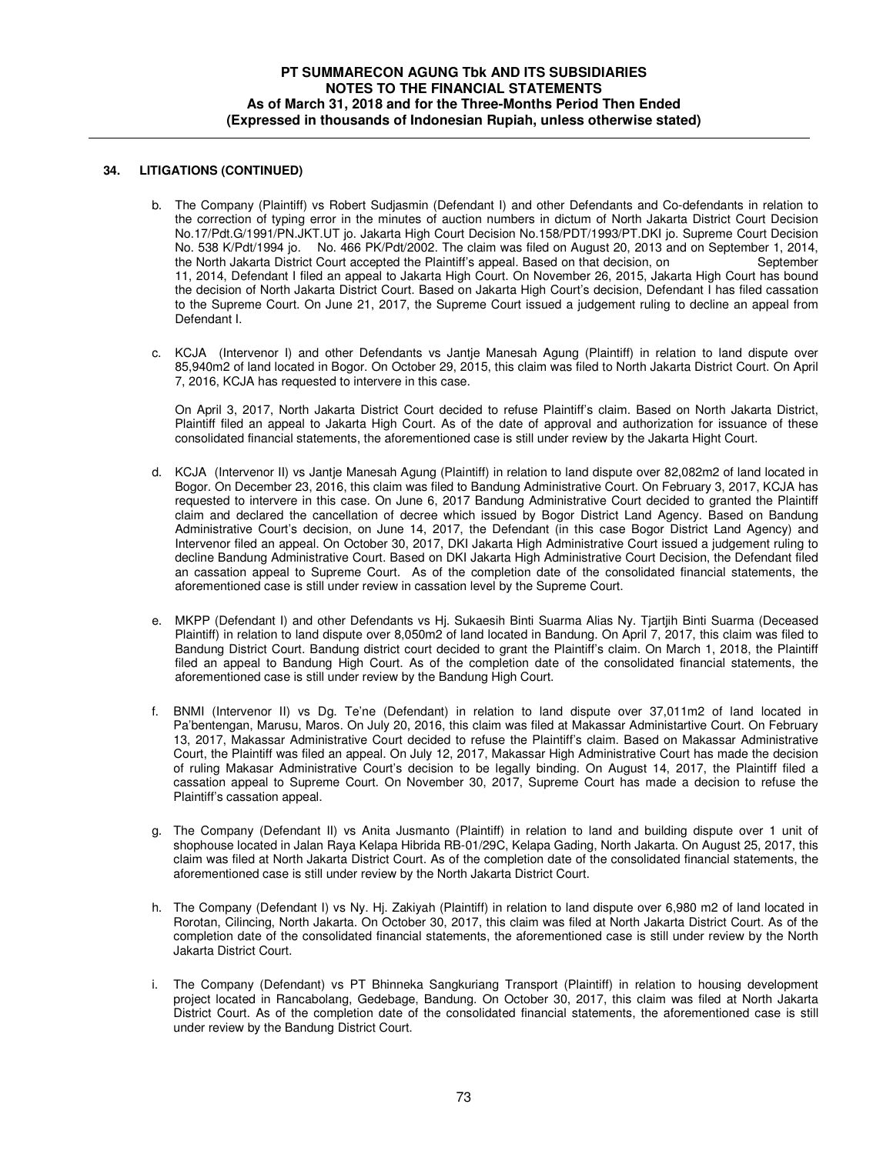### **34. LITIGATIONS (CONTINUED)**

- b. The Company (Plaintiff) vs Robert Sudjasmin (Defendant I) and other Defendants and Co-defendants in relation to the correction of typing error in the minutes of auction numbers in dictum of North Jakarta District Court Decision No.17/Pdt.G/1991/PN.JKT.UT jo. Jakarta High Court Decision No.158/PDT/1993/PT.DKI jo. Supreme Court Decision No. 538 K/Pdt/1994 jo. No. 466 PK/Pdt/2002. The claim was filed on August 20, 2013 and on September 1, 2014, the North Jakarta District Court accepted the Plaintiff's appeal. Based on that decision, on 11, 2014, Defendant I filed an appeal to Jakarta High Court. On November 26, 2015, Jakarta High Court has bound the decision of North Jakarta District Court. Based on Jakarta High Court's decision, Defendant I has filed cassation to the Supreme Court. On June 21, 2017, the Supreme Court issued a judgement ruling to decline an appeal from Defendant I.
- c. KCJA (Intervenor I) and other Defendants vs Jantje Manesah Agung (Plaintiff) in relation to land dispute over 85,940m2 of land located in Bogor. On October 29, 2015, this claim was filed to North Jakarta District Court. On April 7, 2016, KCJA has requested to intervere in this case.

On April 3, 2017, North Jakarta District Court decided to refuse Plaintiff's claim. Based on North Jakarta District, Plaintiff filed an appeal to Jakarta High Court. As of the date of approval and authorization for issuance of these consolidated financial statements, the aforementioned case is still under review by the Jakarta Hight Court.

- d. KCJA (Intervenor II) vs Jantje Manesah Agung (Plaintiff) in relation to land dispute over 82,082m2 of land located in Bogor. On December 23, 2016, this claim was filed to Bandung Administrative Court. On February 3, 2017, KCJA has requested to intervere in this case. On June 6, 2017 Bandung Administrative Court decided to granted the Plaintiff claim and declared the cancellation of decree which issued by Bogor District Land Agency. Based on Bandung Administrative Court's decision, on June 14, 2017, the Defendant (in this case Bogor District Land Agency) and Intervenor filed an appeal. On October 30, 2017, DKI Jakarta High Administrative Court issued a judgement ruling to decline Bandung Administrative Court. Based on DKI Jakarta High Administrative Court Decision, the Defendant filed an cassation appeal to Supreme Court. As of the completion date of the consolidated financial statements, the aforementioned case is still under review in cassation level by the Supreme Court.
- e. MKPP (Defendant I) and other Defendants vs Hj. Sukaesih Binti Suarma Alias Ny. Tjartjih Binti Suarma (Deceased Plaintiff) in relation to land dispute over 8,050m2 of land located in Bandung. On April 7, 2017, this claim was filed to Bandung District Court. Bandung district court decided to grant the Plaintiff's claim. On March 1, 2018, the Plaintiff filed an appeal to Bandung High Court. As of the completion date of the consolidated financial statements, the aforementioned case is still under review by the Bandung High Court.
- f. BNMI (Intervenor II) vs Dg. Te'ne (Defendant) in relation to land dispute over 37,011m2 of land located in Pa'bentengan, Marusu, Maros. On July 20, 2016, this claim was filed at Makassar Administartive Court. On February 13, 2017, Makassar Administrative Court decided to refuse the Plaintiff's claim. Based on Makassar Administrative Court, the Plaintiff was filed an appeal. On July 12, 2017, Makassar High Administrative Court has made the decision of ruling Makasar Administrative Court's decision to be legally binding. On August 14, 2017, the Plaintiff filed a cassation appeal to Supreme Court. On November 30, 2017, Supreme Court has made a decision to refuse the Plaintiff's cassation appeal.
- g. The Company (Defendant II) vs Anita Jusmanto (Plaintiff) in relation to land and building dispute over 1 unit of shophouse located in Jalan Raya Kelapa Hibrida RB-01/29C, Kelapa Gading, North Jakarta. On August 25, 2017, this claim was filed at North Jakarta District Court. As of the completion date of the consolidated financial statements, the aforementioned case is still under review by the North Jakarta District Court.
- h. The Company (Defendant I) vs Ny. Hj. Zakiyah (Plaintiff) in relation to land dispute over 6,980 m2 of land located in Rorotan, Cilincing, North Jakarta. On October 30, 2017, this claim was filed at North Jakarta District Court. As of the completion date of the consolidated financial statements, the aforementioned case is still under review by the North Jakarta District Court.
- i. The Company (Defendant) vs PT Bhinneka Sangkuriang Transport (Plaintiff) in relation to housing development project located in Rancabolang, Gedebage, Bandung. On October 30, 2017, this claim was filed at North Jakarta District Court. As of the completion date of the consolidated financial statements, the aforementioned case is still under review by the Bandung District Court.